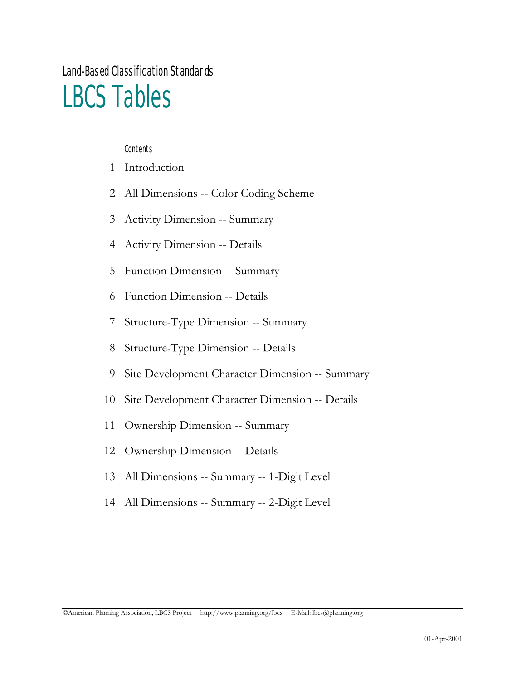Land-Based Classification Standards

# LBCS Tables

**Contents** 

- Introduction
- All Dimensions -- Color Coding Scheme
- Activity Dimension -- Summary
- Activity Dimension -- Details
- Function Dimension -- Summary
- Function Dimension -- Details
- Structure-Type Dimension -- Summary
- Structure-Type Dimension -- Details
- Site Development Character Dimension -- Summary
- Site Development Character Dimension -- Details
- Ownership Dimension -- Summary
- Ownership Dimension -- Details
- All Dimensions -- Summary -- 1-Digit Level
- All Dimensions -- Summary -- 2-Digit Level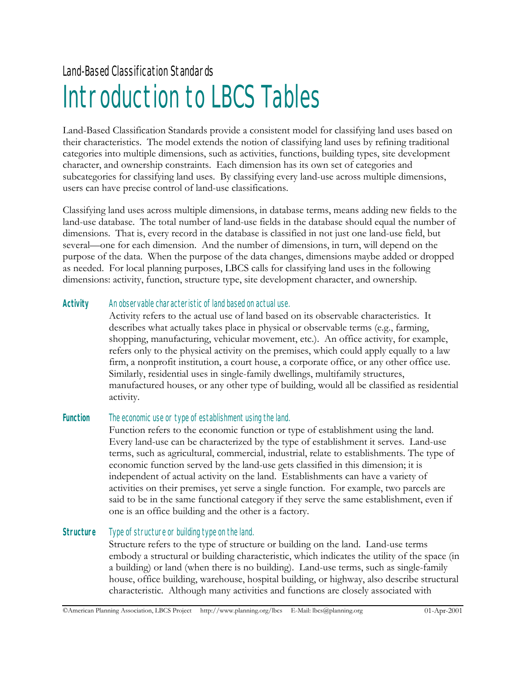Land-Based Classification Standards

# Introduction to LBCS Tables

Land-Based Classification Standards provide a consistent model for classifying land uses based on their characteristics. The model extends the notion of classifying land uses by refining traditional categories into multiple dimensions, such as activities, functions, building types, site development character, and ownership constraints. Each dimension has its own set of categories and subcategories for classifying land uses. By classifying every land-use across multiple dimensions, users can have precise control of land-use classifications.

Classifying land uses across multiple dimensions, in database terms, means adding new fields to the land-use database. The total number of land-use fields in the database should equal the number of dimensions. That is, every record in the database is classified in not just one land-use field, but several—one for each dimension. And the number of dimensions, in turn, will depend on the purpose of the data. When the purpose of the data changes, dimensions maybe added or dropped as needed. For local planning purposes, LBCS calls for classifying land uses in the following dimensions: activity, function, structure type, site development character, and ownership.

#### **Activity** An observable characteristic of land based on actual use.

Activity refers to the actual use of land based on its observable characteristics. It describes what actually takes place in physical or observable terms (e.g., farming, shopping, manufacturing, vehicular movement, etc.). An office activity, for example, refers only to the physical activity on the premises, which could apply equally to a law firm, a nonprofit institution, a court house, a corporate office, or any other office use. Similarly, residential uses in single-family dwellings, multifamily structures, manufactured houses, or any other type of building, would all be classified as residential activity.

#### Function The economic use or type of establishment using the land.

Function refers to the economic function or type of establishment using the land. Every land-use can be characterized by the type of establishment it serves. Land-use terms, such as agricultural, commercial, industrial, relate to establishments. The type of economic function served by the land-use gets classified in this dimension; it is independent of actual activity on the land. Establishments can have a variety of activities on their premises, yet serve a single function. For example, two parcels are said to be in the same functional category if they serve the same establishment, even if one is an office building and the other is a factory.

#### **Structure** Type of structure or building type on the land.

Structure refers to the type of structure or building on the land. Land-use terms embody a structural or building characteristic, which indicates the utility of the space (in a building) or land (when there is no building). Land-use terms, such as single-family house, office building, warehouse, hospital building, or highway, also describe structural characteristic. Although many activities and functions are closely associated with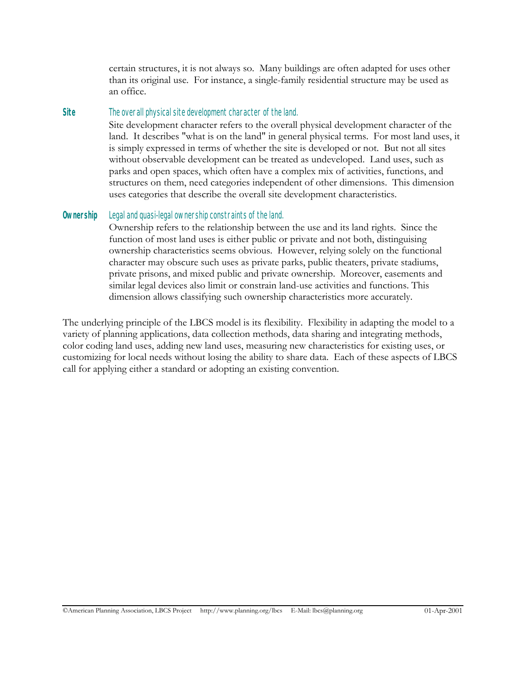certain structures, it is not always so. Many buildings are often adapted for uses other than its original use. For instance, a single-family residential structure may be used as an office.

#### **Site** The overall physical site development character of the land.

Site development character refers to the overall physical development character of the land. It describes "what is on the land" in general physical terms. For most land uses, it is simply expressed in terms of whether the site is developed or not. But not all sites without observable development can be treated as undeveloped. Land uses, such as parks and open spaces, which often have a complex mix of activities, functions, and structures on them, need categories independent of other dimensions. This dimension uses categories that describe the overall site development characteristics.

#### **Ownership** Legal and quasi-legal ownership constraints of the land.

Ownership refers to the relationship between the use and its land rights. Since the function of most land uses is either public or private and not both, distinguising ownership characteristics seems obvious. However, relying solely on the functional character may obscure such uses as private parks, public theaters, private stadiums, private prisons, and mixed public and private ownership. Moreover, easements and similar legal devices also limit or constrain land-use activities and functions. This dimension allows classifying such ownership characteristics more accurately.

The underlying principle of the LBCS model is its flexibility. Flexibility in adapting the model to a variety of planning applications, data collection methods, data sharing and integrating methods, color coding land uses, adding new land uses, measuring new characteristics for existing uses, or customizing for local needs without losing the ability to share data. Each of these aspects of LBCS call for applying either a standard or adopting an existing convention.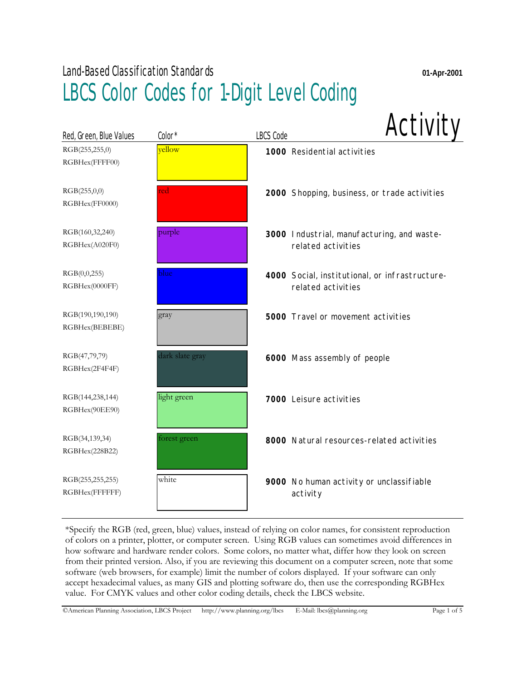| Red, Green, Blue Values            | Color*          | <b>LBCS Code</b> | Activity                                                             |
|------------------------------------|-----------------|------------------|----------------------------------------------------------------------|
| RGB(255,255,0)<br>RGBHex(FFFF00)   | vellow          |                  | 1000 Residential activities                                          |
| RGB(255,0,0)<br>RGBHex(FF0000)     | red             |                  | 2000 Shopping, business, or trade activities                         |
| RGB(160,32,240)<br>RGBHex(A020F0)  | purple          |                  | 3000 Industrial, manufacturing, and waste-<br>related activities     |
| RGB(0,0,255)<br>RGBHex(0000FF)     | blue            |                  | 4000 Social, institutional, or infrastructure-<br>related activities |
| RGB(190,190,190)<br>RGBHex(BEBEBE) | gray            |                  | <b>5000</b> Travel or movement activities                            |
| RGB(47,79,79)<br>RGBHex(2F4F4F)    | dark slate gray |                  | 6000 Mass assembly of people                                         |
| RGB(144,238,144)<br>RGBHex(90EE90) | light green     |                  | 7000 Leisure activities                                              |
| RGB(34,139,34)<br>RGBHex(228B22)   | forest green    |                  | 8000 Natural resources-related activities                            |
| RGB(255,255,255)<br>RGBHex(FFFFFF) | white           |                  | 9000 No human activity or unclassifiable<br>activity                 |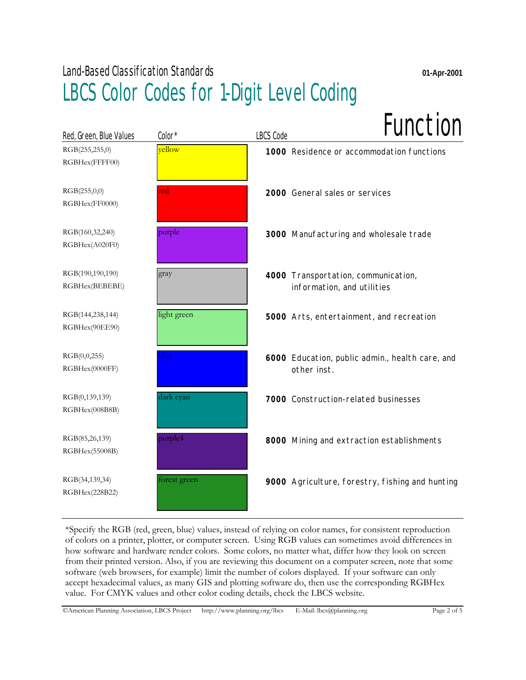| Red, Green, Blue Values            | Color*       | Function<br><b>LBCS Code</b>                                      |
|------------------------------------|--------------|-------------------------------------------------------------------|
| RGB(255,255,0)<br>RGBHex(FFFF00)   | vellow       | 1000 Residence or accommodation functions                         |
| RGB(255,0,0)<br>RGBHex(FF0000)     | red          | 2000 General sales or services                                    |
| RGB(160,32,240)<br>RGBHex(A020F0)  | purple       | 3000 Manufacturing and wholesale trade                            |
| RGB(190,190,190)<br>RGBHex(BEBEBE) | gray         | 4000 Transportation, communication,<br>information, and utilities |
| RGB(144,238,144)<br>RGBHex(90EE90) | light green  | 5000 Arts, entertainment, and recreation                          |
| RGB(0,0,255)<br>RGBHex(0000FF)     | blue         | 6000 Education, public admin., health care, and<br>other inst.    |
| RGB(0,139,139)<br>RGBHex(008B8B)   | dark cyan    | 7000 Construction-related businesses                              |
| RGB(85,26,139)<br>RGBHex(55008B)   | purple4      | 8000 Mining and extraction establishments                         |
| RGB(34,139,34)<br>RGBHex(228B22)   | forest green | 9000 Agriculture, forestry, fishing and hunting                   |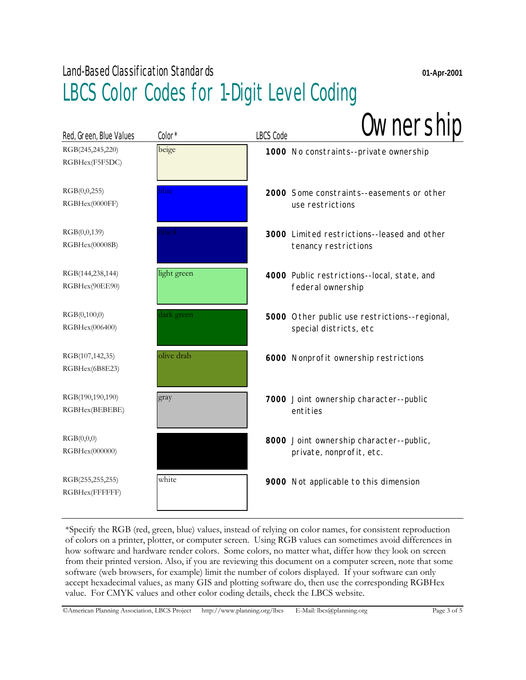| Red, Green, Blue Values            | Color*      | <b>LBCS Code</b> | Ownership                                                               |
|------------------------------------|-------------|------------------|-------------------------------------------------------------------------|
| RGB(245,245,220)<br>RGBHex(F5F5DC) | beige       |                  | 1000 No constraints--private ownership                                  |
| RGB(0,0,255)<br>RGBHex(0000FF)     | blue        |                  | 2000 Some constraints--easements or other<br>use restrictions           |
| RGB(0,0,139)<br>RGBHex(00008B)     | lue4        |                  | 3000 Limited restrictions--leased and other<br>tenancy restrictions     |
| RGB(144,238,144)<br>RGBHex(90EE90) | light green |                  | 4000 Public restrictions--local, state, and<br>federal ownership        |
| RGB(0,100,0)<br>RGBHex(006400)     | dark green  |                  | 5000 Other public use restrictions--regional,<br>special districts, etc |
| RGB(107,142,35)<br>RGBHex(6B8E23)  | olive drab  |                  | 6000 Nonprofit ownership restrictions                                   |
| RGB(190,190,190)<br>RGBHex(BEBEBE) | gray        |                  | 7000 Joint ownership character--public<br>entities                      |
| RGB(0,0,0)<br>RGBHex(000000)       |             |                  | 8000 Joint ownership character--public,<br>private, nonprofit, etc.     |
| RGB(255,255,255)<br>RGBHex(FFFFFF) | white       |                  | 9000 Not applicable to this dimension                                   |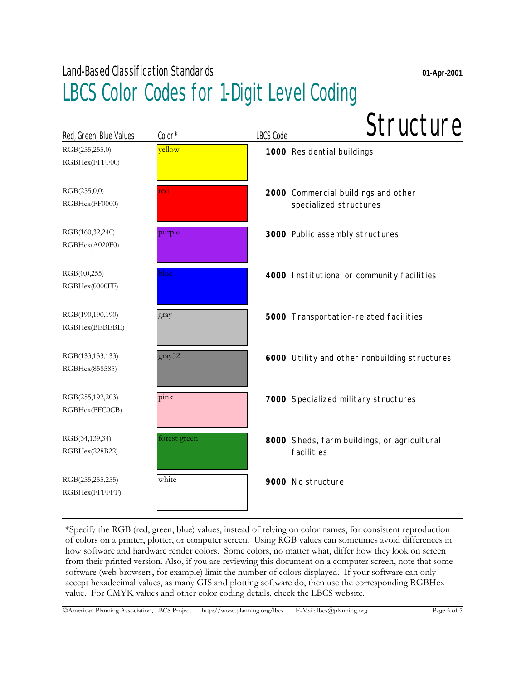| Red, Green, Blue Values            | Color*       | Structure<br><b>LBCS Code</b>                                 |
|------------------------------------|--------------|---------------------------------------------------------------|
| RGB(255,255,0)<br>RGBHex(FFFF00)   | vellow       | 1000 Residential buildings                                    |
| RGB(255,0,0)<br>RGBHex(FF0000)     | red          | 2000 Commercial buildings and other<br>specialized structures |
| RGB(160,32,240)<br>RGBHex(A020F0)  | purple       | 3000 Public assembly structures                               |
| RGB(0,0,255)<br>RGBHex(0000FF)     | blue         | 4000 Institutional or community facilities                    |
| RGB(190,190,190)<br>RGBHex(BEBEBE) | gray         | 5000 Transportation-related facilities                        |
| RGB(133,133,133)<br>RGBHex(858585) | gray52       | 6000 Utility and other nonbuilding structures                 |
| RGB(255,192,203)<br>RGBHex(FFC0CB) | pink         | 7000 Specialized military structures                          |
| RGB(34,139,34)<br>RGBHex(228B22)   | forest green | 8000 Sheds, farm buildings, or agricultural<br>facilities     |
| RGB(255,255,255)<br>RGBHex(FFFFFF) | white        | 9000 No structure                                             |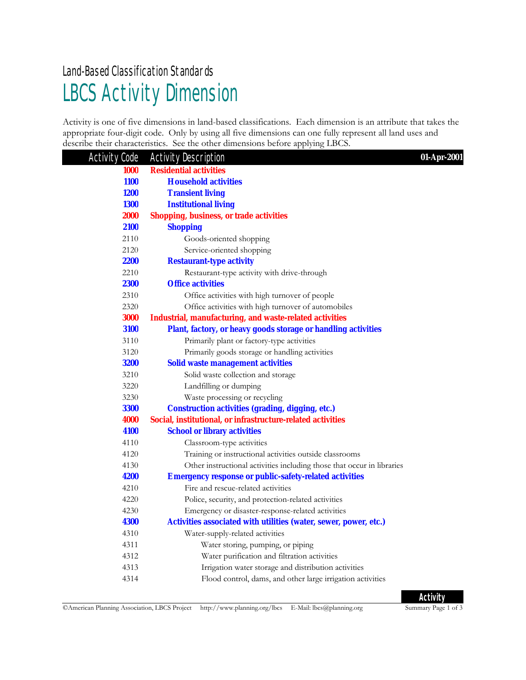### LBCS Activity Dimension Land-Based Classification Standards

Activity is one of five dimensions in land-based classifications. Each dimension is an attribute that takes the appropriate four-digit code. Only by using all five dimensions can one fully represent all land uses and describe their characteristics. See the other dimensions before applying LBCS.

| <b>Activity Code</b> | <b>Activity Description</b>                                            | 01-Apr-2001 |
|----------------------|------------------------------------------------------------------------|-------------|
| 1000                 | <b>Residential activities</b>                                          |             |
| <b>1100</b>          | <b>Household activities</b>                                            |             |
| <b>1200</b>          | <b>Transient living</b>                                                |             |
| <b>1300</b>          | <b>Institutional living</b>                                            |             |
| <b>2000</b>          | <b>Shopping, business, or trade activities</b>                         |             |
| 2100                 | <b>Shopping</b>                                                        |             |
| 2110                 | Goods-oriented shopping                                                |             |
| 2120                 | Service-oriented shopping                                              |             |
| <b>2200</b>          | <b>Restaurant-type activity</b>                                        |             |
| 2210                 | Restaurant-type activity with drive-through                            |             |
| 2300                 | <b>Office activities</b>                                               |             |
| 2310                 | Office activities with high turnover of people                         |             |
| 2320                 | Office activities with high turnover of automobiles                    |             |
| 3000                 | <b>Industrial, manufacturing, and waste-related activities</b>         |             |
| 3100                 | Plant, factory, or heavy goods storage or handling activities          |             |
| 3110                 | Primarily plant or factory-type activities                             |             |
| 3120                 | Primarily goods storage or handling activities                         |             |
| <b>3200</b>          | <b>Solid waste management activities</b>                               |             |
| 3210                 | Solid waste collection and storage                                     |             |
| 3220                 | Landfilling or dumping                                                 |             |
| 3230                 | Waste processing or recycling                                          |             |
| <b>3300</b>          | <b>Construction activities (grading, digging, etc.)</b>                |             |
| 4000                 | Social, institutional, or infrastructure-related activities            |             |
| 4100                 | <b>School or library activities</b>                                    |             |
| 4110                 | Classroom-type activities                                              |             |
| 4120                 | Training or instructional activities outside classrooms                |             |
| 4130                 | Other instructional activities including those that occur in libraries |             |
| 4200                 | <b>Emergency response or public-safety-related activities</b>          |             |
| 4210                 | Fire and rescue-related activities                                     |             |
| 4220                 | Police, security, and protection-related activities                    |             |
| 4230                 | Emergency or disaster-response-related activities                      |             |
| <b>4300</b>          | Activities associated with utilities (water, sewer, power, etc.)       |             |
| 4310                 | Water-supply-related activities                                        |             |
| 4311                 | Water storing, pumping, or piping                                      |             |
| 4312                 | Water purification and filtration activities                           |             |
| 4313                 | Irrigation water storage and distribution activities                   |             |
| 4314                 | Flood control, dams, and other large irrigation activities             |             |

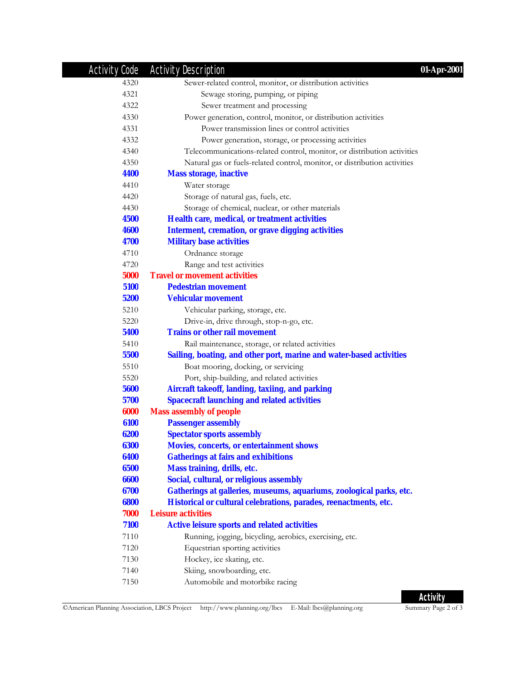| <b>Activity Code</b> | <b>Activity Description</b><br>01-Apr-2001                                |
|----------------------|---------------------------------------------------------------------------|
| 4320                 | Sewer-related control, monitor, or distribution activities                |
| 4321                 | Sewage storing, pumping, or piping                                        |
| 4322                 | Sewer treatment and processing                                            |
| 4330                 | Power generation, control, monitor, or distribution activities            |
| 4331                 | Power transmission lines or control activities                            |
| 4332                 | Power generation, storage, or processing activities                       |
| 4340                 | Telecommunications-related control, monitor, or distribution activities   |
| 4350                 | Natural gas or fuels-related control, monitor, or distribution activities |
| 4400                 | <b>Mass storage, inactive</b>                                             |
| 4410                 | Water storage                                                             |
| 4420                 | Storage of natural gas, fuels, etc.                                       |
| 4430                 | Storage of chemical, nuclear, or other materials                          |
| 4500                 | Health care, medical, or treatment activities                             |
| <b>4600</b>          | <b>Interment, cremation, or grave digging activities</b>                  |
| 4700                 | <b>Military base activities</b>                                           |
| 4710                 | Ordnance storage                                                          |
| 4720                 | Range and test activities                                                 |
| 5000                 | <b>Travel or movement activities</b>                                      |
| 5100                 | <b>Pedestrian movement</b>                                                |
| 5200                 | <b>Vehicular movement</b>                                                 |
| 5210                 | Vehicular parking, storage, etc.                                          |
| 5220                 | Drive-in, drive through, stop-n-go, etc.                                  |
| 5400                 | <b>Trains or other rail movement</b>                                      |
| 5410                 | Rail maintenance, storage, or related activities                          |
| 5500                 | Sailing, boating, and other port, marine and water-based activities       |
| 5510                 | Boat mooring, docking, or servicing                                       |
| 5520                 | Port, ship-building, and related activities                               |
| 5600                 | Aircraft takeoff, landing, taxiing, and parking                           |
| 5700                 | <b>Spacecraft launching and related activities</b>                        |
| 6000                 | <b>Mass assembly of people</b>                                            |
| 6100                 | <b>Passenger assembly</b>                                                 |
| 6200                 | <b>Spectator sports assembly</b>                                          |
| 6300                 | <b>Movies, concerts, or entertainment shows</b>                           |
| 6400                 | <b>Gatherings at fairs and exhibitions</b>                                |
| 6500                 | Mass training, drills, etc.                                               |
| 6600                 | Social, cultural, or religious assembly                                   |
| 6700                 | Gatherings at galleries, museums, aquariums, zoological parks, etc.       |
| 6800                 | Historical or cultural celebrations, parades, reenactments, etc.          |
| 7000                 | <b>Leisure activities</b>                                                 |
| 7100                 | <b>Active leisure sports and related activities</b>                       |
| 7110                 | Running, jogging, bicycling, aerobics, exercising, etc.                   |
| 7120                 | Equestrian sporting activities                                            |
| 7130                 | Hockey, ice skating, etc.                                                 |
| 7140                 | Skiing, snowboarding, etc.                                                |
| 7150                 | Automobile and motorbike racing                                           |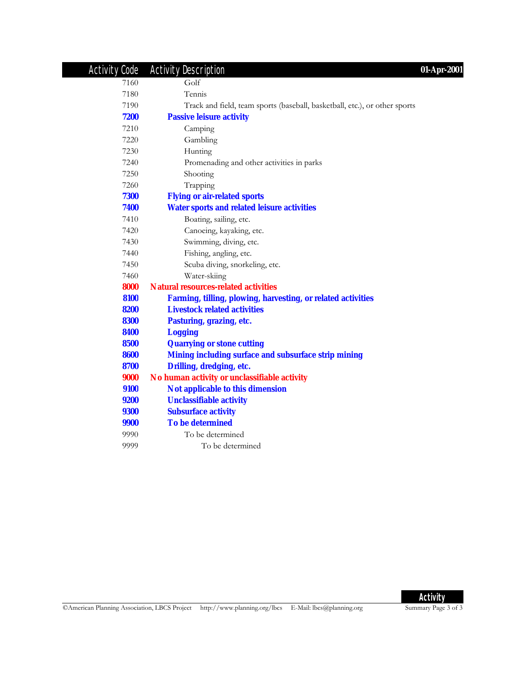| <b>Activity Code</b> | <b>Activity Description</b>                                                | 01-Apr-2001 |
|----------------------|----------------------------------------------------------------------------|-------------|
| 7160                 | Golf                                                                       |             |
| 7180                 | Tennis                                                                     |             |
| 7190                 | Track and field, team sports (baseball, basketball, etc.), or other sports |             |
| 7200                 | <b>Passive leisure activity</b>                                            |             |
| 7210                 | Camping                                                                    |             |
| 7220                 | Gambling                                                                   |             |
| 7230                 | Hunting                                                                    |             |
| 7240                 | Promenading and other activities in parks                                  |             |
| 7250                 | Shooting                                                                   |             |
| 7260                 | Trapping                                                                   |             |
| 7300                 | <b>Flying or air-related sports</b>                                        |             |
| 7400                 | <b>Water sports and related leisure activities</b>                         |             |
| 7410                 | Boating, sailing, etc.                                                     |             |
| 7420                 | Canoeing, kayaking, etc.                                                   |             |
| 7430                 | Swimming, diving, etc.                                                     |             |
| 7440                 | Fishing, angling, etc.                                                     |             |
| 7450                 | Scuba diving, snorkeling, etc.                                             |             |
| 7460                 | Water-skiing                                                               |             |
| 8000                 | <b>Natural resources-related activities</b>                                |             |
| 8100                 | Farming, tilling, plowing, harvesting, or related activities               |             |
| 8200                 | <b>Livestock related activities</b>                                        |             |
| 8300                 | Pasturing, grazing, etc.                                                   |             |
| 8400                 | <b>Logging</b>                                                             |             |
| 8500                 | <b>Quarrying or stone cutting</b>                                          |             |
| 8600                 | Mining including surface and subsurface strip mining                       |             |
| 8700                 | Drilling, dredging, etc.                                                   |             |
| 9000                 | No human activity or unclassifiable activity                               |             |
| 9100                 | Not applicable to this dimension                                           |             |
| 9200                 | <b>Unclassifiable activity</b>                                             |             |
| <b>9300</b>          | <b>Subsurface activity</b>                                                 |             |
| 9900                 | <b>To be determined</b>                                                    |             |
| 9990                 | To be determined                                                           |             |
| 9999                 | To be determined                                                           |             |

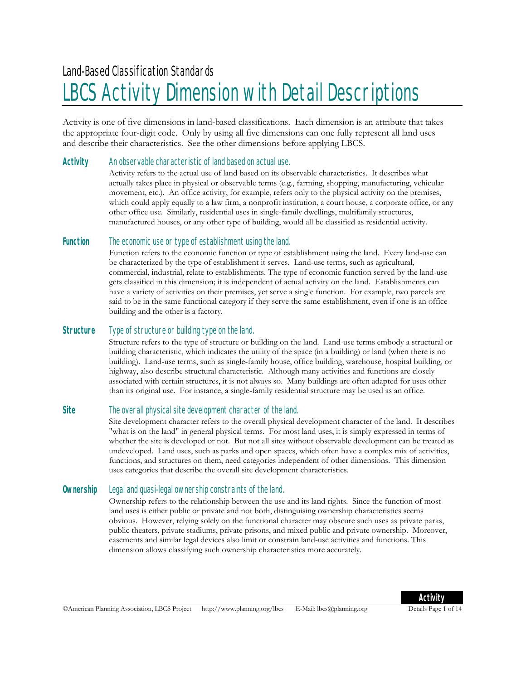# LBCS Activity Dimension with Detail Descriptions

Activity is one of five dimensions in land-based classifications. Each dimension is an attribute that takes the appropriate four-digit code. Only by using all five dimensions can one fully represent all land uses and describe their characteristics. See the other dimensions before applying LBCS.

#### **Activity** An observable characteristic of land based on actual use.

Activity refers to the actual use of land based on its observable characteristics. It describes what actually takes place in physical or observable terms (e.g., farming, shopping, manufacturing, vehicular movement, etc.). An office activity, for example, refers only to the physical activity on the premises, which could apply equally to a law firm, a nonprofit institution, a court house, a corporate office, or any other office use. Similarly, residential uses in single-family dwellings, multifamily structures, manufactured houses, or any other type of building, would all be classified as residential activity.

#### **Function** The economic use or type of establishment using the land.

Function refers to the economic function or type of establishment using the land. Every land-use can be characterized by the type of establishment it serves. Land-use terms, such as agricultural, commercial, industrial, relate to establishments. The type of economic function served by the land-use gets classified in this dimension; it is independent of actual activity on the land. Establishments can have a variety of activities on their premises, yet serve a single function. For example, two parcels are said to be in the same functional category if they serve the same establishment, even if one is an office building and the other is a factory.

#### **Structure** Type of structure or building type on the land.

Structure refers to the type of structure or building on the land. Land-use terms embody a structural or building characteristic, which indicates the utility of the space (in a building) or land (when there is no building). Land-use terms, such as single-family house, office building, warehouse, hospital building, or highway, also describe structural characteristic. Although many activities and functions are closely associated with certain structures, it is not always so. Many buildings are often adapted for uses other than its original use. For instance, a single-family residential structure may be used as an office.

#### **Site** The overall physical site development character of the land.

Site development character refers to the overall physical development character of the land. It describes "what is on the land" in general physical terms. For most land uses, it is simply expressed in terms of whether the site is developed or not. But not all sites without observable development can be treated as undeveloped. Land uses, such as parks and open spaces, which often have a complex mix of activities, functions, and structures on them, need categories independent of other dimensions. This dimension uses categories that describe the overall site development characteristics.

#### **Ownership** Legal and quasi-legal ownership constraints of the land.

Ownership refers to the relationship between the use and its land rights. Since the function of most land uses is either public or private and not both, distinguising ownership characteristics seems obvious. However, relying solely on the functional character may obscure such uses as private parks, public theaters, private stadiums, private prisons, and mixed public and private ownership. Moreover, easements and similar legal devices also limit or constrain land-use activities and functions. This dimension allows classifying such ownership characteristics more accurately.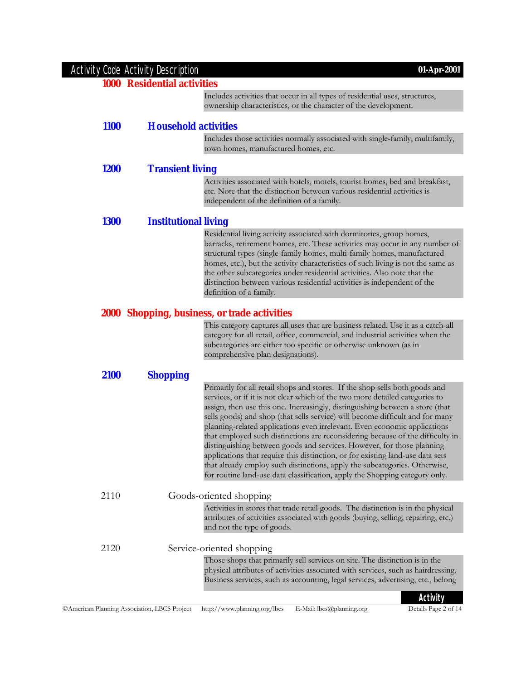| <b>Activity Code Activity Description</b> |                                                                                                                                                                                                                                                                                                                                                                                                                                                                                                                                                                                                                                                                                                                                                                                                                       | 01-Apr-2001 |
|-------------------------------------------|-----------------------------------------------------------------------------------------------------------------------------------------------------------------------------------------------------------------------------------------------------------------------------------------------------------------------------------------------------------------------------------------------------------------------------------------------------------------------------------------------------------------------------------------------------------------------------------------------------------------------------------------------------------------------------------------------------------------------------------------------------------------------------------------------------------------------|-------------|
|                                           | <b>1000 Residential activities</b>                                                                                                                                                                                                                                                                                                                                                                                                                                                                                                                                                                                                                                                                                                                                                                                    |             |
|                                           | Includes activities that occur in all types of residential uses, structures,<br>ownership characteristics, or the character of the development.                                                                                                                                                                                                                                                                                                                                                                                                                                                                                                                                                                                                                                                                       |             |
| <b>1100</b>                               | <b>Household activities</b>                                                                                                                                                                                                                                                                                                                                                                                                                                                                                                                                                                                                                                                                                                                                                                                           |             |
|                                           | Includes those activities normally associated with single-family, multifamily,<br>town homes, manufactured homes, etc.                                                                                                                                                                                                                                                                                                                                                                                                                                                                                                                                                                                                                                                                                                |             |
| <b>1200</b>                               | <b>Transient living</b>                                                                                                                                                                                                                                                                                                                                                                                                                                                                                                                                                                                                                                                                                                                                                                                               |             |
|                                           | Activities associated with hotels, motels, tourist homes, bed and breakfast,<br>etc. Note that the distinction between various residential activities is<br>independent of the definition of a family.                                                                                                                                                                                                                                                                                                                                                                                                                                                                                                                                                                                                                |             |
| <b>1300</b>                               | <b>Institutional living</b>                                                                                                                                                                                                                                                                                                                                                                                                                                                                                                                                                                                                                                                                                                                                                                                           |             |
|                                           | Residential living activity associated with dormitories, group homes,<br>barracks, retirement homes, etc. These activities may occur in any number of<br>structural types (single-family homes, multi-family homes, manufactured<br>homes, etc.), but the activity characteristics of such living is not the same as<br>the other subcategories under residential activities. Also note that the<br>distinction between various residential activities is independent of the<br>definition of a family.                                                                                                                                                                                                                                                                                                               |             |
|                                           | 2000 Shopping, business, or trade activities                                                                                                                                                                                                                                                                                                                                                                                                                                                                                                                                                                                                                                                                                                                                                                          |             |
|                                           | This category captures all uses that are business related. Use it as a catch-all<br>category for all retail, office, commercial, and industrial activities when the<br>subcategories are either too specific or otherwise unknown (as in<br>comprehensive plan designations).                                                                                                                                                                                                                                                                                                                                                                                                                                                                                                                                         |             |
| 2100                                      | <b>Shopping</b>                                                                                                                                                                                                                                                                                                                                                                                                                                                                                                                                                                                                                                                                                                                                                                                                       |             |
|                                           | Primarily for all retail shops and stores. If the shop sells both goods and<br>services, or if it is not clear which of the two more detailed categories to<br>assign, then use this one. Increasingly, distinguishing between a store (that<br>sells goods) and shop (that sells service) will become difficult and for many<br>planning-related applications even irrelevant. Even economic applications<br>that employed such distinctions are reconsidering because of the difficulty in<br>distinguishing between goods and services. However, for those planning<br>applications that require this distinction, or for existing land-use data sets<br>that already employ such distinctions, apply the subcategories. Otherwise,<br>for routine land-use data classification, apply the Shopping category only. |             |
| 2110                                      | Goods-oriented shopping                                                                                                                                                                                                                                                                                                                                                                                                                                                                                                                                                                                                                                                                                                                                                                                               |             |
|                                           | Activities in stores that trade retail goods. The distinction is in the physical<br>attributes of activities associated with goods (buying, selling, repairing, etc.)<br>and not the type of goods.                                                                                                                                                                                                                                                                                                                                                                                                                                                                                                                                                                                                                   |             |
| 2120                                      | Service-oriented shopping                                                                                                                                                                                                                                                                                                                                                                                                                                                                                                                                                                                                                                                                                                                                                                                             |             |
|                                           | Those shops that primarily sell services on site. The distinction is in the<br>physical attributes of activities associated with services, such as hairdressing.<br>Business services, such as accounting, legal services, advertising, etc., belong                                                                                                                                                                                                                                                                                                                                                                                                                                                                                                                                                                  |             |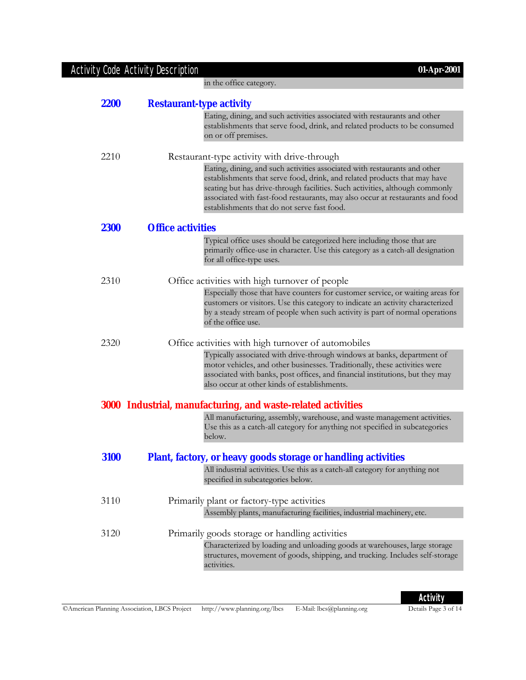### Activity Code Activity Description **01-Apr-2001**

in the office category.

| <b>2200</b> | <b>Restaurant-type activity</b>                                                                                                                                                                                                                                                                                                                                        |
|-------------|------------------------------------------------------------------------------------------------------------------------------------------------------------------------------------------------------------------------------------------------------------------------------------------------------------------------------------------------------------------------|
|             | Eating, dining, and such activities associated with restaurants and other<br>establishments that serve food, drink, and related products to be consumed<br>on or off premises.                                                                                                                                                                                         |
| 2210        | Restaurant-type activity with drive-through                                                                                                                                                                                                                                                                                                                            |
|             | Eating, dining, and such activities associated with restaurants and other<br>establishments that serve food, drink, and related products that may have<br>seating but has drive-through facilities. Such activities, although commonly<br>associated with fast-food restaurants, may also occur at restaurants and food<br>establishments that do not serve fast food. |
| <b>2300</b> | <b>Office activities</b>                                                                                                                                                                                                                                                                                                                                               |
|             | Typical office uses should be categorized here including those that are<br>primarily office-use in character. Use this category as a catch-all designation<br>for all office-type uses.                                                                                                                                                                                |
| 2310        | Office activities with high turnover of people                                                                                                                                                                                                                                                                                                                         |
|             | Especially those that have counters for customer service, or waiting areas for<br>customers or visitors. Use this category to indicate an activity characterized<br>by a steady stream of people when such activity is part of normal operations<br>of the office use.                                                                                                 |
| 2320        | Office activities with high turnover of automobiles                                                                                                                                                                                                                                                                                                                    |
|             | Typically associated with drive-through windows at banks, department of<br>motor vehicles, and other businesses. Traditionally, these activities were<br>associated with banks, post offices, and financial institutions, but they may<br>also occur at other kinds of establishments.                                                                                 |
|             | 3000 Industrial, manufacturing, and waste-related activities                                                                                                                                                                                                                                                                                                           |
|             | All manufacturing, assembly, warehouse, and waste management activities.<br>Use this as a catch-all category for anything not specified in subcategories<br>below.                                                                                                                                                                                                     |
| 3100        | <b>Plant, factory, or heavy goods storage or handling activities</b>                                                                                                                                                                                                                                                                                                   |
|             | All industrial activities. Use this as a catch-all category for anything not<br>specified in subcategories below.                                                                                                                                                                                                                                                      |
| 3110        | Primarily plant or factory-type activities                                                                                                                                                                                                                                                                                                                             |
|             | Assembly plants, manufacturing facilities, industrial machinery, etc.                                                                                                                                                                                                                                                                                                  |
| 3120        | Primarily goods storage or handling activities                                                                                                                                                                                                                                                                                                                         |
|             | Characterized by loading and unloading goods at warehouses, large storage<br>structures, movement of goods, shipping, and trucking. Includes self-storage<br>activities.                                                                                                                                                                                               |
|             |                                                                                                                                                                                                                                                                                                                                                                        |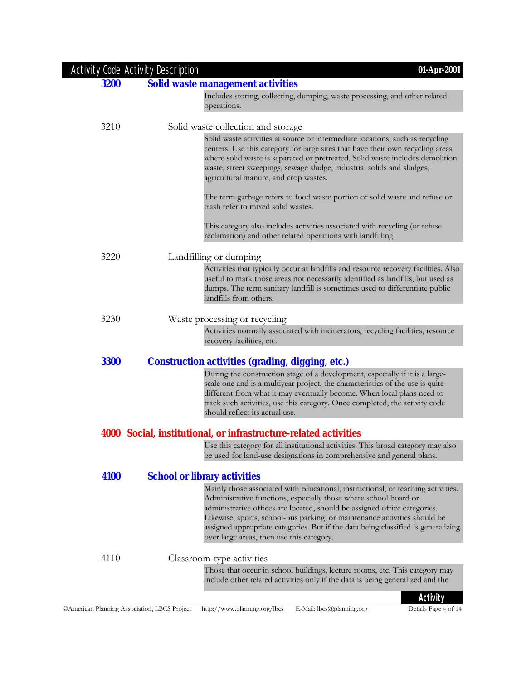|             | Activity Code Activity Description<br>01-Apr-2001                                                                                                                                                                                                                                                                                                                                                                                                |
|-------------|--------------------------------------------------------------------------------------------------------------------------------------------------------------------------------------------------------------------------------------------------------------------------------------------------------------------------------------------------------------------------------------------------------------------------------------------------|
| <b>3200</b> | <b>Solid waste management activities</b>                                                                                                                                                                                                                                                                                                                                                                                                         |
|             | Includes storing, collecting, dumping, waste processing, and other related<br>operations.                                                                                                                                                                                                                                                                                                                                                        |
| 3210        | Solid waste collection and storage                                                                                                                                                                                                                                                                                                                                                                                                               |
|             | Solid waste activities at source or intermediate locations, such as recycling<br>centers. Use this category for large sites that have their own recycling areas<br>where solid waste is separated or pretreated. Solid waste includes demolition<br>waste, street sweepings, sewage sludge, industrial solids and sludges,<br>agricultural manure, and crop wastes.                                                                              |
|             | The term garbage refers to food waste portion of solid waste and refuse or<br>trash refer to mixed solid wastes.                                                                                                                                                                                                                                                                                                                                 |
|             | This category also includes activities associated with recycling (or refuse<br>reclamation) and other related operations with landfilling.                                                                                                                                                                                                                                                                                                       |
| 3220        | Landfilling or dumping                                                                                                                                                                                                                                                                                                                                                                                                                           |
|             | Activities that typically occur at landfills and resource recovery facilities. Also<br>useful to mark those areas not necessarily identified as landfills, but used as<br>dumps. The term sanitary landfill is sometimes used to differentiate public<br>landfills from others.                                                                                                                                                                  |
| 3230        | Waste processing or recycling                                                                                                                                                                                                                                                                                                                                                                                                                    |
|             | Activities normally associated with incinerators, recycling facilities, resource<br>recovery facilities, etc.                                                                                                                                                                                                                                                                                                                                    |
| <b>3300</b> | <b>Construction activities (grading, digging, etc.)</b>                                                                                                                                                                                                                                                                                                                                                                                          |
|             | During the construction stage of a development, especially if it is a large-<br>scale one and is a multiyear project, the characteristics of the use is quite<br>different from what it may eventually become. When local plans need to<br>track such activities, use this category. Once completed, the activity code<br>should reflect its actual use.                                                                                         |
|             | 4000 Social, institutional, or infrastructure-related activities                                                                                                                                                                                                                                                                                                                                                                                 |
|             | Use this category for all institutional activities. This broad category may also<br>be used for land-use designations in comprehensive and general plans.                                                                                                                                                                                                                                                                                        |
| 4100        | <b>School or library activities</b>                                                                                                                                                                                                                                                                                                                                                                                                              |
|             | Mainly those associated with educational, instructional, or teaching activities.<br>Administrative functions, especially those where school board or<br>administrative offices are located, should be assigned office categories.<br>Likewise, sports, school-bus parking, or maintenance activities should be<br>assigned appropriate categories. But if the data being classified is generalizing<br>over large areas, then use this category. |
| 4110        | Classroom-type activities                                                                                                                                                                                                                                                                                                                                                                                                                        |
|             | Those that occur in school buildings, lecture rooms, etc. This category may<br>include other related activities only if the data is being generalized and the                                                                                                                                                                                                                                                                                    |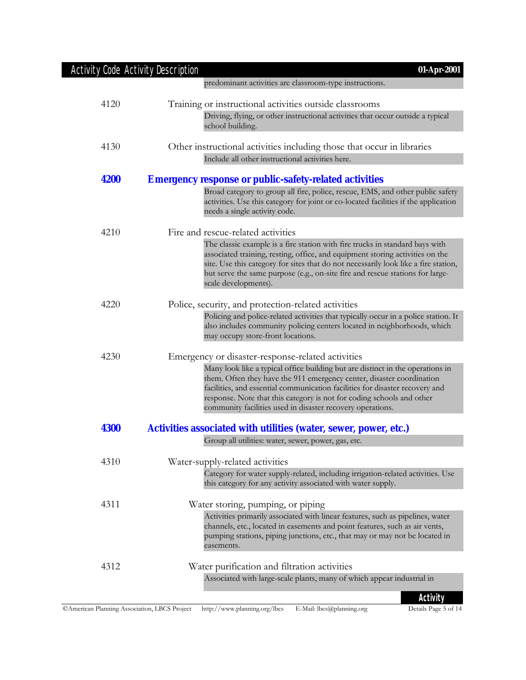| Activity Code Activity Description | 01-Apr-2001                                                                                                                                                                                                                                                                                                                                                                                                                         |
|------------------------------------|-------------------------------------------------------------------------------------------------------------------------------------------------------------------------------------------------------------------------------------------------------------------------------------------------------------------------------------------------------------------------------------------------------------------------------------|
|                                    | predominant activities are classroom-type instructions.                                                                                                                                                                                                                                                                                                                                                                             |
| 4120                               | Training or instructional activities outside classrooms                                                                                                                                                                                                                                                                                                                                                                             |
|                                    | Driving, flying, or other instructional activities that occur outside a typical<br>school building.                                                                                                                                                                                                                                                                                                                                 |
| 4130                               | Other instructional activities including those that occur in libraries                                                                                                                                                                                                                                                                                                                                                              |
|                                    | Include all other instructional activities here.                                                                                                                                                                                                                                                                                                                                                                                    |
| 4200                               | <b>Emergency response or public-safety-related activities</b>                                                                                                                                                                                                                                                                                                                                                                       |
|                                    | Broad category to group all fire, police, rescue, EMS, and other public safety<br>activities. Use this category for joint or co-located facilities if the application<br>needs a single activity code.                                                                                                                                                                                                                              |
| 4210                               | Fire and rescue-related activities                                                                                                                                                                                                                                                                                                                                                                                                  |
|                                    | The classic example is a fire station with fire trucks in standard bays with<br>associated training, resting, office, and equipment storing activities on the<br>site. Use this category for sites that do not necessarily look like a fire station,<br>but serve the same purpose (e.g., on-site fire and rescue stations for large-<br>scale developments).                                                                       |
| 4220                               | Police, security, and protection-related activities                                                                                                                                                                                                                                                                                                                                                                                 |
|                                    | Policing and police-related activities that typically occur in a police station. It<br>also includes community policing centers located in neighborhoods, which<br>may occupy store-front locations.                                                                                                                                                                                                                                |
| 4230                               | Emergency or disaster-response-related activities<br>Many look like a typical office building but are distinct in the operations in<br>them. Often they have the 911 emergency center, disaster coordination<br>facilities, and essential communication facilities for disaster recovery and<br>response. Note that this category is not for coding schools and other<br>community facilities used in disaster recovery operations. |
| <b>4300</b>                        | Activities associated with utilities (water, sewer, power, etc.)                                                                                                                                                                                                                                                                                                                                                                    |
|                                    | Group all utilities: water, sewer, power, gas, etc.                                                                                                                                                                                                                                                                                                                                                                                 |
| 4310                               | Water-supply-related activities<br>Category for water supply-related, including irrigation-related activities. Use<br>this category for any activity associated with water supply.                                                                                                                                                                                                                                                  |
| 4311                               | Water storing, pumping, or piping                                                                                                                                                                                                                                                                                                                                                                                                   |
|                                    | Activities primarily associated with linear features, such as pipelines, water<br>channels, etc., located in easements and point features, such as air vents,<br>pumping stations, piping junctions, etc., that may or may not be located in<br>easements.                                                                                                                                                                          |
| 4312                               | Water purification and filtration activities                                                                                                                                                                                                                                                                                                                                                                                        |
|                                    | Associated with large-scale plants, many of which appear industrial in                                                                                                                                                                                                                                                                                                                                                              |
|                                    | <b>Activity</b>                                                                                                                                                                                                                                                                                                                                                                                                                     |

**ACTIVITY**<br>Details Page 5 of 14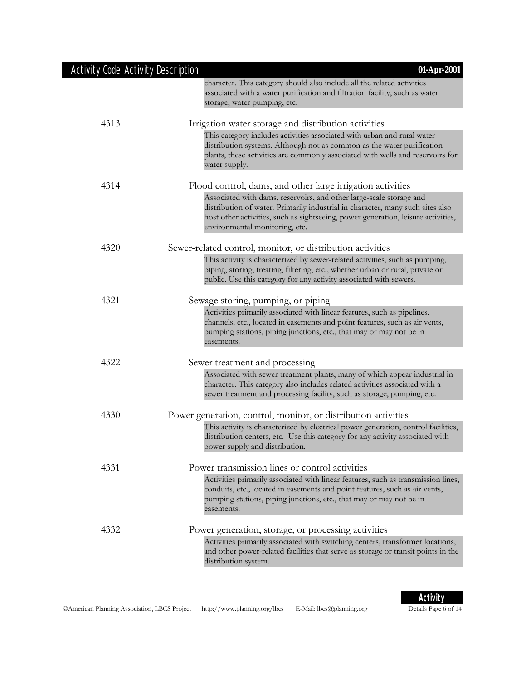| <b>Activity Code Activity Description</b> | 01-Apr-2001                                                                                                                                                                                                                                                                  |
|-------------------------------------------|------------------------------------------------------------------------------------------------------------------------------------------------------------------------------------------------------------------------------------------------------------------------------|
|                                           | character. This category should also include all the related activities<br>associated with a water purification and filtration facility, such as water<br>storage, water pumping, etc.                                                                                       |
| 4313                                      | Irrigation water storage and distribution activities                                                                                                                                                                                                                         |
|                                           | This category includes activities associated with urban and rural water<br>distribution systems. Although not as common as the water purification<br>plants, these activities are commonly associated with wells and reservoirs for<br>water supply.                         |
| 4314                                      | Flood control, dams, and other large irrigation activities                                                                                                                                                                                                                   |
|                                           | Associated with dams, reservoirs, and other large-scale storage and<br>distribution of water. Primarily industrial in character, many such sites also<br>host other activities, such as sightseeing, power generation, leisure activities,<br>environmental monitoring, etc. |
| 4320                                      | Sewer-related control, monitor, or distribution activities                                                                                                                                                                                                                   |
|                                           | This activity is characterized by sewer-related activities, such as pumping,<br>piping, storing, treating, filtering, etc., whether urban or rural, private or<br>public. Use this category for any activity associated with sewers.                                         |
| 4321                                      | Sewage storing, pumping, or piping                                                                                                                                                                                                                                           |
|                                           | Activities primarily associated with linear features, such as pipelines,<br>channels, etc., located in easements and point features, such as air vents,<br>pumping stations, piping junctions, etc., that may or may not be in<br>easements.                                 |
| 4322                                      | Sewer treatment and processing                                                                                                                                                                                                                                               |
|                                           | Associated with sewer treatment plants, many of which appear industrial in<br>character. This category also includes related activities associated with a<br>sewer treatment and processing facility, such as storage, pumping, etc.                                         |
| 4330                                      | Power generation, control, monitor, or distribution activities                                                                                                                                                                                                               |
|                                           | This activity is characterized by electrical power generation, control facilities,<br>distribution centers, etc. Use this category for any activity associated with<br>power supply and distribution.                                                                        |
| 4331                                      | Power transmission lines or control activities                                                                                                                                                                                                                               |
|                                           | Activities primarily associated with linear features, such as transmission lines,<br>conduits, etc., located in easements and point features, such as air vents,<br>pumping stations, piping junctions, etc., that may or may not be in<br>easements.                        |
| 4332                                      | Power generation, storage, or processing activities                                                                                                                                                                                                                          |
|                                           | Activities primarily associated with switching centers, transformer locations,<br>and other power-related facilities that serve as storage or transit points in the<br>distribution system.                                                                                  |

**Activity**<br>Details Page 6 of 14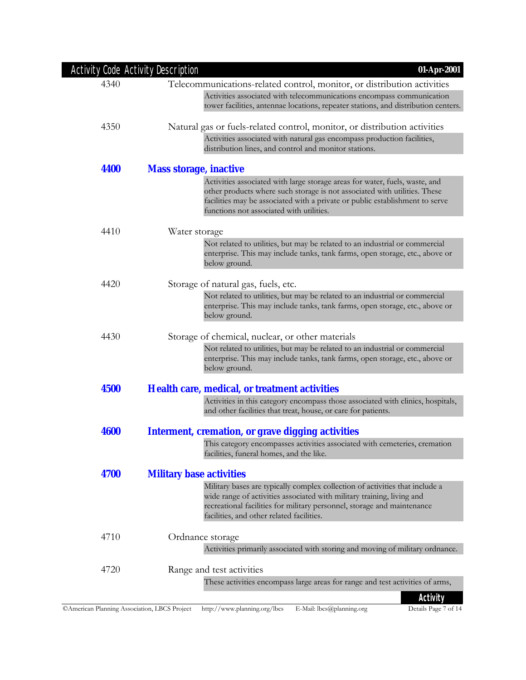| Activity Code Activity Description | 01-Apr-2001                                                                                                                                                                                                                                                                          |
|------------------------------------|--------------------------------------------------------------------------------------------------------------------------------------------------------------------------------------------------------------------------------------------------------------------------------------|
| 4340                               | Telecommunications-related control, monitor, or distribution activities<br>Activities associated with telecommunications encompass communication<br>tower facilities, antennae locations, repeater stations, and distribution centers.                                               |
| 4350                               | Natural gas or fuels-related control, monitor, or distribution activities<br>Activities associated with natural gas encompass production facilities,                                                                                                                                 |
|                                    | distribution lines, and control and monitor stations.                                                                                                                                                                                                                                |
| 4400                               | <b>Mass storage, inactive</b>                                                                                                                                                                                                                                                        |
|                                    | Activities associated with large storage areas for water, fuels, waste, and<br>other products where such storage is not associated with utilities. These<br>facilities may be associated with a private or public establishment to serve<br>functions not associated with utilities. |
| 4410                               | Water storage                                                                                                                                                                                                                                                                        |
|                                    | Not related to utilities, but may be related to an industrial or commercial<br>enterprise. This may include tanks, tank farms, open storage, etc., above or<br>below ground.                                                                                                         |
| 4420                               | Storage of natural gas, fuels, etc.                                                                                                                                                                                                                                                  |
|                                    | Not related to utilities, but may be related to an industrial or commercial<br>enterprise. This may include tanks, tank farms, open storage, etc., above or<br>below ground.                                                                                                         |
| 4430                               | Storage of chemical, nuclear, or other materials                                                                                                                                                                                                                                     |
|                                    | Not related to utilities, but may be related to an industrial or commercial<br>enterprise. This may include tanks, tank farms, open storage, etc., above or<br>below ground.                                                                                                         |
| 4500                               | <b>Health care, medical, or treatment activities</b>                                                                                                                                                                                                                                 |
|                                    | Activities in this category encompass those associated with clinics, hospitals,<br>and other facilities that treat, house, or care for patients.                                                                                                                                     |
| 4600                               | <b>Interment, cremation, or grave digging activities</b>                                                                                                                                                                                                                             |
|                                    | This category encompasses activities associated with cemeteries, cremation<br>facilities, funeral homes, and the like.                                                                                                                                                               |
| 4700                               | <b>Military base activities</b>                                                                                                                                                                                                                                                      |
|                                    | Military bases are typically complex collection of activities that include a<br>wide range of activities associated with military training, living and<br>recreational facilities for military personnel, storage and maintenance<br>facilities, and other related facilities.       |
| 4710                               | Ordnance storage                                                                                                                                                                                                                                                                     |
|                                    | Activities primarily associated with storing and moving of military ordnance.                                                                                                                                                                                                        |
| 4720                               | Range and test activities                                                                                                                                                                                                                                                            |
|                                    | These activities encompass large areas for range and test activities of arms,                                                                                                                                                                                                        |
|                                    | Activity                                                                                                                                                                                                                                                                             |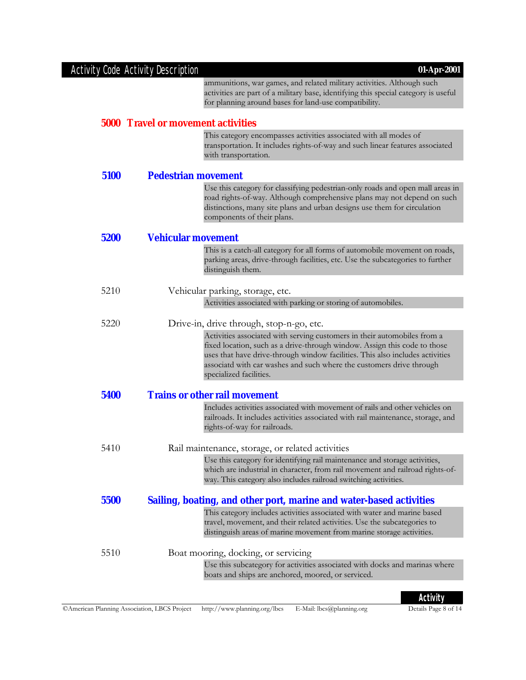#### Activity Code Activity Description **01-Apr-2001** ammunitions, war games, and related military activities. Although such activities are part of a military base, identifying this special category is useful for planning around bases for land-use compatibility. **5000 Travel or movement activities** This category encompasses activities associated with all modes of transportation. It includes rights-of-way and such linear features associated with transportation. **5100 Pedestrian movement** Use this category for classifying pedestrian-only roads and open mall areas in road rights-of-way. Although comprehensive plans may not depend on such distinctions, many site plans and urban designs use them for circulation components of their plans. **5200 Vehicular movement** This is a catch-all category for all forms of automobile movement on roads, parking areas, drive-through facilities, etc. Use the subcategories to further distinguish them. 5210 Vehicular parking, storage, etc. Activities associated with parking or storing of automobiles. 5220 Drive-in, drive through, stop-n-go, etc. Activities associated with serving customers in their automobiles from a fixed location, such as a drive-through window. Assign this code to those uses that have drive-through window facilities. This also includes activities associatd with car washes and such where the customers drive through specialized facilities. **5400 Trains or other rail movement** Includes activities associated with movement of rails and other vehicles on railroads. It includes activities associated with rail maintenance, storage, and rights-of-way for railroads. 5410 Rail maintenance, storage, or related activities Use this category for identifying rail maintenance and storage activities, which are industrial in character, from rail movement and railroad rights-ofway. This category also includes railroad switching activities. **5500 Sailing, boating, and other port, marine and water-based activities** This category includes activities associated with water and marine based travel, movement, and their related activities. Use the subcategories to distinguish areas of marine movement from marine storage activities. 5510 Boat mooring, docking, or servicing Use this subcategory for activities associated with docks and marinas where boats and ships are anchored, moored, or serviced.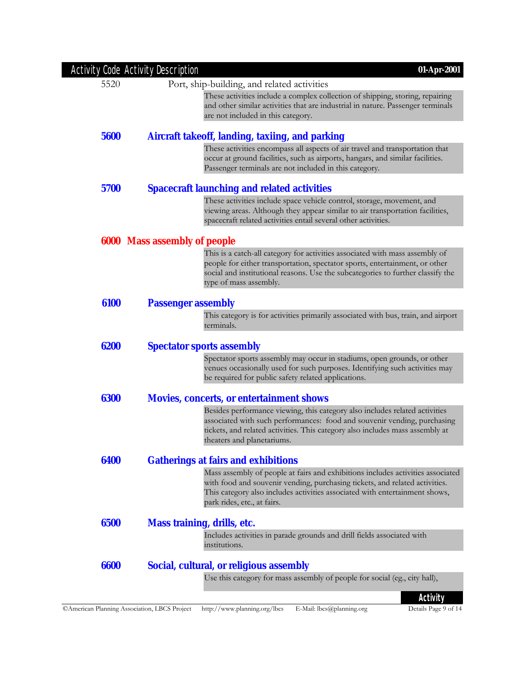|      | <b>Activity Code Activity Description</b><br>01-Apr-2001                                                                                                                                                                  |
|------|---------------------------------------------------------------------------------------------------------------------------------------------------------------------------------------------------------------------------|
| 5520 | Port, ship-building, and related activities                                                                                                                                                                               |
|      | These activities include a complex collection of shipping, storing, repairing<br>and other similar activities that are industrial in nature. Passenger terminals<br>are not included in this category.                    |
|      |                                                                                                                                                                                                                           |
| 5600 | Aircraft takeoff, landing, taxiing, and parking<br>These activities encompass all aspects of air travel and transportation that                                                                                           |
|      | occur at ground facilities, such as airports, hangars, and similar facilities.<br>Passenger terminals are not included in this category.                                                                                  |
| 5700 | <b>Spacecraft launching and related activities</b>                                                                                                                                                                        |
|      | These activities include space vehicle control, storage, movement, and<br>viewing areas. Although they appear similar to air transportation facilities,<br>spacecraft related activities entail several other activities. |
|      | <b>6000 Mass assembly of people</b>                                                                                                                                                                                       |
|      | This is a catch-all category for activities associated with mass assembly of                                                                                                                                              |
|      | people for either transportation, spectator sports, entertainment, or other<br>social and institutional reasons. Use the subcategories to further classify the<br>type of mass assembly.                                  |
| 6100 | <b>Passenger assembly</b>                                                                                                                                                                                                 |
|      | This category is for activities primarily associated with bus, train, and airport<br>terminals.                                                                                                                           |
| 6200 | <b>Spectator sports assembly</b>                                                                                                                                                                                          |
|      | Spectator sports assembly may occur in stadiums, open grounds, or other<br>venues occasionally used for such purposes. Identifying such activities may                                                                    |
|      | be required for public safety related applications.                                                                                                                                                                       |
| 6300 | <b>Movies, concerts, or entertainment shows</b>                                                                                                                                                                           |
|      | Besides performance viewing, this category also includes related activities                                                                                                                                               |
|      | associated with such performances: food and souvenir vending, purchasing<br>tickets, and related activities. This category also includes mass assembly at<br>theaters and planetariums.                                   |
| 6400 | <b>Gatherings at fairs and exhibitions</b>                                                                                                                                                                                |
|      | Mass assembly of people at fairs and exhibitions includes activities associated                                                                                                                                           |
|      | with food and souvenir vending, purchasing tickets, and related activities.<br>This category also includes activities associated with entertainment shows,                                                                |
|      | park rides, etc., at fairs.                                                                                                                                                                                               |
| 6500 | <b>Mass training, drills, etc.</b>                                                                                                                                                                                        |
|      | Includes activities in parade grounds and drill fields associated with<br>institutions.                                                                                                                                   |
| 6600 | Social, cultural, or religious assembly                                                                                                                                                                                   |
|      | Use this category for mass assembly of people for social (eg., city hall),                                                                                                                                                |
|      | Activity                                                                                                                                                                                                                  |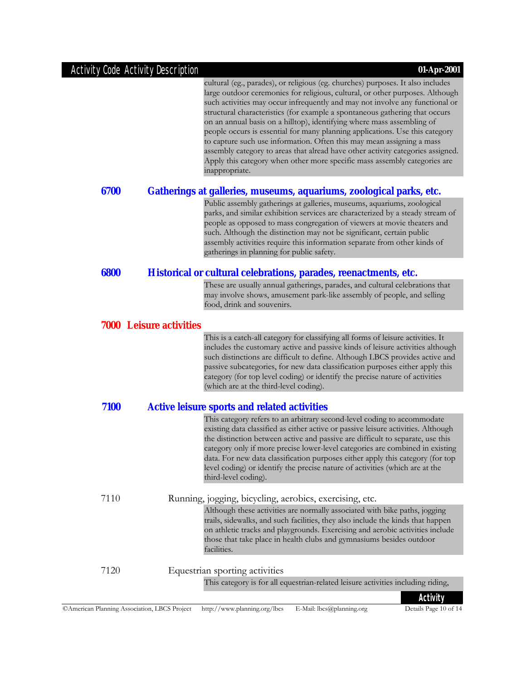### Activity Code Activity Description **01-Apr-2001**

|      | cultural (eg., parades), or religious (eg. churches) purposes. It also includes<br>large outdoor ceremonies for religious, cultural, or other purposes. Although<br>such activities may occur infrequently and may not involve any functional or<br>structural characteristics (for example a spontaneous gathering that occurs<br>on an annual basis on a hilltop), identifying where mass assembling of<br>people occurs is essential for many planning applications. Use this category<br>to capture such use information. Often this may mean assigning a mass<br>assembly category to areas that alread have other activity categories assigned.<br>Apply this category when other more specific mass assembly categories are<br>inappropriate. |
|------|------------------------------------------------------------------------------------------------------------------------------------------------------------------------------------------------------------------------------------------------------------------------------------------------------------------------------------------------------------------------------------------------------------------------------------------------------------------------------------------------------------------------------------------------------------------------------------------------------------------------------------------------------------------------------------------------------------------------------------------------------|
| 6700 | Gatherings at galleries, museums, aquariums, zoological parks, etc.                                                                                                                                                                                                                                                                                                                                                                                                                                                                                                                                                                                                                                                                                  |
|      | Public assembly gatherings at galleries, museums, aquariums, zoological<br>parks, and similar exhibition services are characterized by a steady stream of<br>people as opposed to mass congregation of viewers at movie theaters and<br>such. Although the distinction may not be significant, certain public<br>assembly activities require this information separate from other kinds of<br>gatherings in planning for public safety.                                                                                                                                                                                                                                                                                                              |
| 6800 | Historical or cultural celebrations, parades, reenactments, etc.                                                                                                                                                                                                                                                                                                                                                                                                                                                                                                                                                                                                                                                                                     |
|      | These are usually annual gatherings, parades, and cultural celebrations that<br>may involve shows, amusement park-like assembly of people, and selling<br>food, drink and souvenirs.                                                                                                                                                                                                                                                                                                                                                                                                                                                                                                                                                                 |
|      | <b>7000 Leisure activities</b>                                                                                                                                                                                                                                                                                                                                                                                                                                                                                                                                                                                                                                                                                                                       |
|      | This is a catch-all category for classifying all forms of leisure activities. It<br>includes the customary active and passive kinds of leisure activities although<br>such distinctions are difficult to define. Although LBCS provides active and<br>passive subcategories, for new data classification purposes either apply this<br>category (for top level coding) or identify the precise nature of activities<br>(which are at the third-level coding).                                                                                                                                                                                                                                                                                        |
| 7100 | <b>Active leisure sports and related activities</b>                                                                                                                                                                                                                                                                                                                                                                                                                                                                                                                                                                                                                                                                                                  |
|      | This category refers to an arbitrary second-level coding to accommodate<br>existing data classified as either active or passive leisure activities. Although<br>the distinction between active and passive are difficult to separate, use this<br>category only if more precise lower-level categories are combined in existing<br>data. For new data classification purposes either apply this category (for top<br>level coding) or identify the precise nature of activities (which are at the<br>third-level coding).                                                                                                                                                                                                                            |
| 7110 | Running, jogging, bicycling, aerobics, exercising, etc.                                                                                                                                                                                                                                                                                                                                                                                                                                                                                                                                                                                                                                                                                              |
|      | Although these activities are normally associated with bike paths, jogging<br>trails, sidewalks, and such facilities, they also include the kinds that happen<br>on athletic tracks and playgrounds. Exercising and aerobic activities include<br>those that take place in health clubs and gymnasiums besides outdoor<br>facilities.                                                                                                                                                                                                                                                                                                                                                                                                                |
| 7120 | Equestrian sporting activities                                                                                                                                                                                                                                                                                                                                                                                                                                                                                                                                                                                                                                                                                                                       |
|      | This category is for all equestrian-related leisure activities including riding,                                                                                                                                                                                                                                                                                                                                                                                                                                                                                                                                                                                                                                                                     |
|      |                                                                                                                                                                                                                                                                                                                                                                                                                                                                                                                                                                                                                                                                                                                                                      |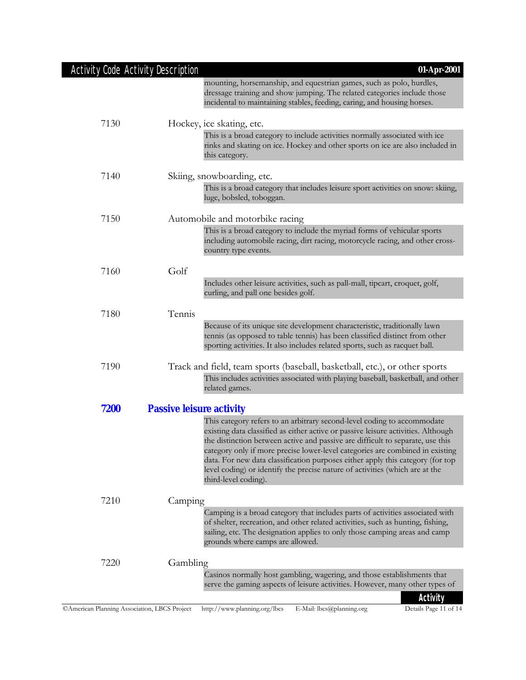| <b>Activity Code Activity Description</b>    |                                 | 01-Apr-2001                                                                                                                                                                                                                                                                                                                                                                                                                                                                                                               |
|----------------------------------------------|---------------------------------|---------------------------------------------------------------------------------------------------------------------------------------------------------------------------------------------------------------------------------------------------------------------------------------------------------------------------------------------------------------------------------------------------------------------------------------------------------------------------------------------------------------------------|
|                                              |                                 | mounting, horsemanship, and equestrian games, such as polo, hurdles,<br>dressage training and show jumping. The related categories include those<br>incidental to maintaining stables, feeding, caring, and housing horses.                                                                                                                                                                                                                                                                                               |
| 7130                                         |                                 | Hockey, ice skating, etc.                                                                                                                                                                                                                                                                                                                                                                                                                                                                                                 |
|                                              |                                 | This is a broad category to include activities normally associated with ice<br>rinks and skating on ice. Hockey and other sports on ice are also included in<br>this category.                                                                                                                                                                                                                                                                                                                                            |
| 7140                                         |                                 | Skiing, snowboarding, etc.                                                                                                                                                                                                                                                                                                                                                                                                                                                                                                |
|                                              |                                 | This is a broad category that includes leisure sport activities on snow: skiing,<br>luge, bobsled, toboggan.                                                                                                                                                                                                                                                                                                                                                                                                              |
| 7150                                         |                                 | Automobile and motorbike racing                                                                                                                                                                                                                                                                                                                                                                                                                                                                                           |
|                                              |                                 | This is a broad category to include the myriad forms of vehicular sports<br>including automobile racing, dirt racing, motorcycle racing, and other cross-<br>country type events.                                                                                                                                                                                                                                                                                                                                         |
| 7160                                         | Golf                            |                                                                                                                                                                                                                                                                                                                                                                                                                                                                                                                           |
|                                              |                                 | Includes other leisure activities, such as pall-mall, tipcart, croquet, golf,<br>curling, and pall one besides golf.                                                                                                                                                                                                                                                                                                                                                                                                      |
| 7180                                         | Tennis                          |                                                                                                                                                                                                                                                                                                                                                                                                                                                                                                                           |
|                                              |                                 | Because of its unique site development characteristic, traditionally lawn<br>tennis (as opposed to table tennis) has been classified distinct from other<br>sporting activities. It also includes related sports, such as racquet ball.                                                                                                                                                                                                                                                                                   |
| 7190                                         |                                 | Track and field, team sports (baseball, basketball, etc.), or other sports<br>This includes activities associated with playing baseball, basketball, and other<br>related games.                                                                                                                                                                                                                                                                                                                                          |
| 7200                                         | <b>Passive leisure activity</b> |                                                                                                                                                                                                                                                                                                                                                                                                                                                                                                                           |
|                                              |                                 | This category refers to an arbitrary second-level coding to accommodate<br>existing data classified as either active or passive leisure activities. Although<br>the distinction between active and passive are difficult to separate, use this<br>category only if more precise lower-level categories are combined in existing<br>data. For new data classification purposes either apply this category (for top<br>level coding) or identify the precise nature of activities (which are at the<br>third-level coding). |
| 7210                                         | Camping                         |                                                                                                                                                                                                                                                                                                                                                                                                                                                                                                                           |
|                                              |                                 | Camping is a broad category that includes parts of activities associated with<br>of shelter, recreation, and other related activities, such as hunting, fishing,<br>sailing, etc. The designation applies to only those camping areas and camp<br>grounds where camps are allowed.                                                                                                                                                                                                                                        |
| 7220                                         | Gambling                        |                                                                                                                                                                                                                                                                                                                                                                                                                                                                                                                           |
|                                              |                                 | Casinos normally host gambling, wagering, and those establishments that<br>serve the gaming aspects of leisure activities. However, many other types of                                                                                                                                                                                                                                                                                                                                                                   |
| CAmerican Planning Association, LBCS Project |                                 | Activity<br>http://www.planning.org/lbcs<br>E-Mail: lbcs@planning.org<br>Details Page 11 of 14                                                                                                                                                                                                                                                                                                                                                                                                                            |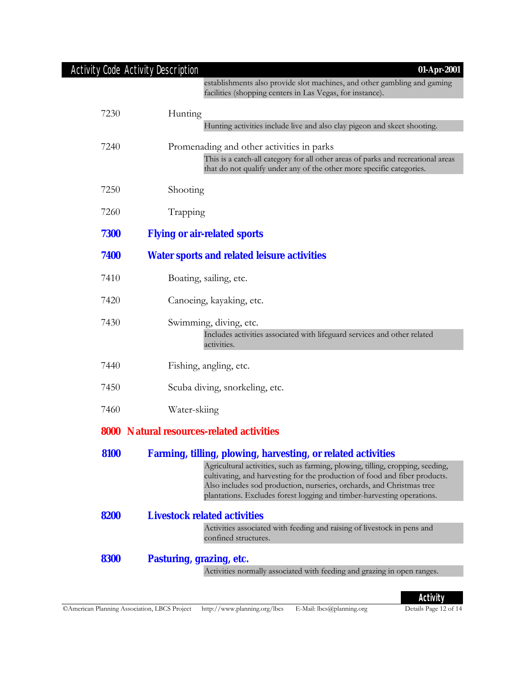|      | Activity Code Activity Description<br>$01-Apr-2001$                                                                                                                                                                                                                                                                                                                                    |
|------|----------------------------------------------------------------------------------------------------------------------------------------------------------------------------------------------------------------------------------------------------------------------------------------------------------------------------------------------------------------------------------------|
|      | establishments also provide slot machines, and other gambling and gaming<br>facilities (shopping centers in Las Vegas, for instance).                                                                                                                                                                                                                                                  |
| 7230 | Hunting<br>Hunting activities include live and also clay pigeon and skeet shooting.                                                                                                                                                                                                                                                                                                    |
| 7240 | Promenading and other activities in parks<br>This is a catch-all category for all other areas of parks and recreational areas<br>that do not qualify under any of the other more specific categories.                                                                                                                                                                                  |
| 7250 | Shooting                                                                                                                                                                                                                                                                                                                                                                               |
| 7260 | Trapping                                                                                                                                                                                                                                                                                                                                                                               |
| 7300 | <b>Flying or air-related sports</b>                                                                                                                                                                                                                                                                                                                                                    |
| 7400 | <b>Water sports and related leisure activities</b>                                                                                                                                                                                                                                                                                                                                     |
| 7410 | Boating, sailing, etc.                                                                                                                                                                                                                                                                                                                                                                 |
| 7420 | Canoeing, kayaking, etc.                                                                                                                                                                                                                                                                                                                                                               |
| 7430 | Swimming, diving, etc.<br>Includes activities associated with lifeguard services and other related<br>activities.                                                                                                                                                                                                                                                                      |
| 7440 | Fishing, angling, etc.                                                                                                                                                                                                                                                                                                                                                                 |
| 7450 | Scuba diving, snorkeling, etc.                                                                                                                                                                                                                                                                                                                                                         |
| 7460 | Water-skiing                                                                                                                                                                                                                                                                                                                                                                           |
|      | <b>8000 Natural resources-related activities</b>                                                                                                                                                                                                                                                                                                                                       |
| 8100 | <b>Farming, tilling, plowing, harvesting, or related activities</b><br>Agricultural activities, such as farming, plowing, tilling, cropping, seeding,<br>cultivating, and harvesting for the production of food and fiber products.<br>Also includes sod production, nurseries, orchards, and Christmas tree<br>plantations. Excludes forest logging and timber-harvesting operations. |
| 8200 | <b>Livestock related activities</b>                                                                                                                                                                                                                                                                                                                                                    |
|      | Activities associated with feeding and raising of livestock in pens and<br>confined structures.                                                                                                                                                                                                                                                                                        |
| 8300 | Pasturing, grazing, etc.                                                                                                                                                                                                                                                                                                                                                               |
|      | Activities normally associated with feeding and grazing in open ranges.                                                                                                                                                                                                                                                                                                                |

**Activity**<br>Details Page 12 of 14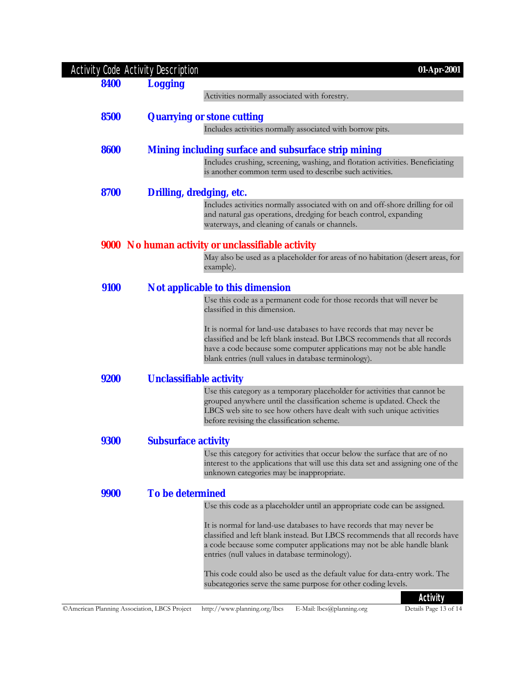|      | <b>Activity Code Activity Description</b> | 01-Apr-2001                                                                                                                                         |
|------|-------------------------------------------|-----------------------------------------------------------------------------------------------------------------------------------------------------|
| 8400 | <b>Logging</b>                            |                                                                                                                                                     |
|      |                                           | Activities normally associated with forestry.                                                                                                       |
| 8500 |                                           | <b>Quarrying or stone cutting</b>                                                                                                                   |
|      |                                           | Includes activities normally associated with borrow pits.                                                                                           |
|      |                                           |                                                                                                                                                     |
| 8600 |                                           | Mining including surface and subsurface strip mining                                                                                                |
|      |                                           | Includes crushing, screening, washing, and flotation activities. Beneficiating<br>is another common term used to describe such activities.          |
| 8700 |                                           | <b>Drilling, dredging, etc.</b>                                                                                                                     |
|      |                                           | Includes activities normally associated with on and off-shore drilling for oil                                                                      |
|      |                                           | and natural gas operations, dredging for beach control, expanding<br>waterways, and cleaning of canals or channels.                                 |
|      |                                           | <b>9000</b> No human activity or unclassifiable activity                                                                                            |
|      |                                           | May also be used as a placeholder for areas of no habitation (desert areas, for                                                                     |
|      |                                           | example).                                                                                                                                           |
| 9100 |                                           | <b>Not applicable to this dimension</b>                                                                                                             |
|      |                                           | Use this code as a permanent code for those records that will never be                                                                              |
|      |                                           | classified in this dimension.                                                                                                                       |
|      |                                           | It is normal for land-use databases to have records that may never be                                                                               |
|      |                                           | classified and be left blank instead. But LBCS recommends that all records<br>have a code because some computer applications may not be able handle |
|      |                                           | blank entries (null values in database terminology).                                                                                                |
| 9200 |                                           | <b>Unclassifiable activity</b>                                                                                                                      |
|      |                                           | Use this category as a temporary placeholder for activities that cannot be                                                                          |
|      |                                           | grouped anywhere until the classification scheme is updated. Check the<br>LBCS web site to see how others have dealt with such unique activities    |
|      |                                           | before revising the classification scheme.                                                                                                          |
| 9300 | <b>Subsurface activity</b>                |                                                                                                                                                     |
|      |                                           | Use this category for activities that occur below the surface that are of no                                                                        |
|      |                                           | interest to the applications that will use this data set and assigning one of the<br>unknown categories may be inappropriate.                       |
|      |                                           |                                                                                                                                                     |
| 9900 | <b>To be determined</b>                   |                                                                                                                                                     |
|      |                                           | Use this code as a placeholder until an appropriate code can be assigned.                                                                           |
|      |                                           | It is normal for land-use databases to have records that may never be                                                                               |
|      |                                           | classified and left blank instead. But LBCS recommends that all records have                                                                        |
|      |                                           | a code because some computer applications may not be able handle blank<br>entries (null values in database terminology).                            |
|      |                                           | This code could also be used as the default value for data-entry work. The                                                                          |
|      |                                           | subcategories serve the same purpose for other coding levels.                                                                                       |
|      |                                           | Activity                                                                                                                                            |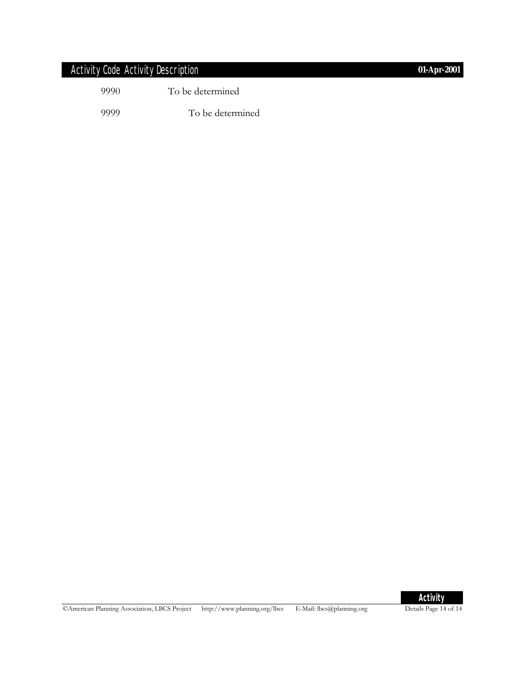### Activity Code Activity Description **01-Apr-2001**

| 9990 | To be determined |
|------|------------------|
| 9999 | To be determined |



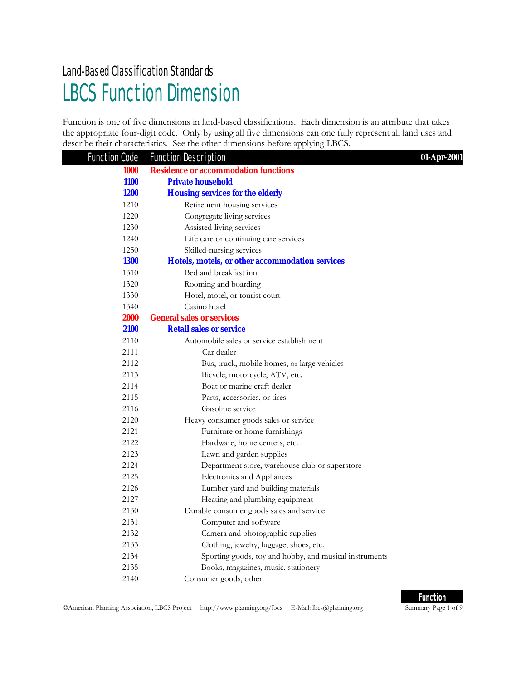## LBCS Function Dimension Land-Based Classification Standards

Function is one of five dimensions in land-based classifications. Each dimension is an attribute that takes the appropriate four-digit code. Only by using all five dimensions can one fully represent all land uses and describe their characteristics. See the other dimensions before applying LBCS.

| <b>Function Code</b> | <b>Function Description</b>                            | 01-Apr-2001 |
|----------------------|--------------------------------------------------------|-------------|
| 1000                 | <b>Residence or accommodation functions</b>            |             |
| <b>1100</b>          | <b>Private household</b>                               |             |
| <b>1200</b>          | <b>Housing services for the elderly</b>                |             |
| 1210                 | Retirement housing services                            |             |
| 1220                 | Congregate living services                             |             |
| 1230                 | Assisted-living services                               |             |
| 1240                 | Life care or continuing care services                  |             |
| 1250                 | Skilled-nursing services                               |             |
| <b>1300</b>          | Hotels, motels, or other accommodation services        |             |
| 1310                 | Bed and breakfast inn                                  |             |
| 1320                 | Rooming and boarding                                   |             |
| 1330                 | Hotel, motel, or tourist court                         |             |
| 1340                 | Casino hotel                                           |             |
| <b>2000</b>          | <b>General sales or services</b>                       |             |
| 2100                 | <b>Retail sales or service</b>                         |             |
| 2110                 | Automobile sales or service establishment              |             |
| 2111                 | Car dealer                                             |             |
| 2112                 | Bus, truck, mobile homes, or large vehicles            |             |
| 2113                 | Bicycle, motorcycle, ATV, etc.                         |             |
| 2114                 | Boat or marine craft dealer                            |             |
| 2115                 | Parts, accessories, or tires                           |             |
| 2116                 | Gasoline service                                       |             |
| 2120                 | Heavy consumer goods sales or service                  |             |
| 2121                 | Furniture or home furnishings                          |             |
| 2122                 | Hardware, home centers, etc.                           |             |
| 2123                 | Lawn and garden supplies                               |             |
| 2124                 | Department store, warehouse club or superstore         |             |
| 2125                 | Electronics and Appliances                             |             |
| 2126                 | Lumber yard and building materials                     |             |
| 2127                 | Heating and plumbing equipment                         |             |
| 2130                 | Durable consumer goods sales and service               |             |
| 2131                 | Computer and software                                  |             |
| 2132                 | Camera and photographic supplies                       |             |
| 2133                 | Clothing, jewelry, luggage, shoes, etc.                |             |
| 2134                 | Sporting goods, toy and hobby, and musical instruments |             |
| 2135                 | Books, magazines, music, stationery                    |             |
| 2140                 | Consumer goods, other                                  |             |

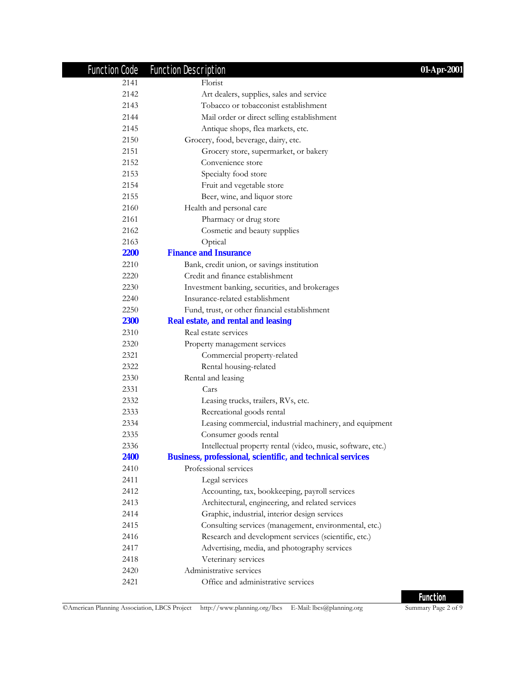| <b>Function Code</b> | <b>Function Description</b>                                       | 01-Apr-2001 |
|----------------------|-------------------------------------------------------------------|-------------|
| 2141                 | Florist                                                           |             |
| 2142                 | Art dealers, supplies, sales and service                          |             |
| 2143                 | Tobacco or tobacconist establishment                              |             |
| 2144                 | Mail order or direct selling establishment                        |             |
| 2145                 | Antique shops, flea markets, etc.                                 |             |
| 2150                 | Grocery, food, beverage, dairy, etc.                              |             |
| 2151                 | Grocery store, supermarket, or bakery                             |             |
| 2152                 | Convenience store                                                 |             |
| 2153                 | Specialty food store                                              |             |
| 2154                 | Fruit and vegetable store                                         |             |
| 2155                 | Beer, wine, and liquor store                                      |             |
| 2160                 | Health and personal care                                          |             |
| 2161                 | Pharmacy or drug store                                            |             |
| 2162                 | Cosmetic and beauty supplies                                      |             |
| 2163                 | Optical                                                           |             |
| <b>2200</b>          | <b>Finance and Insurance</b>                                      |             |
| 2210                 | Bank, credit union, or savings institution                        |             |
| 2220                 | Credit and finance establishment                                  |             |
| 2230                 | Investment banking, securities, and brokerages                    |             |
| 2240                 | Insurance-related establishment                                   |             |
| 2250                 | Fund, trust, or other financial establishment                     |             |
| <b>2300</b>          | <b>Real estate, and rental and leasing</b>                        |             |
| 2310                 | Real estate services                                              |             |
| 2320                 | Property management services                                      |             |
| 2321                 | Commercial property-related                                       |             |
| 2322                 | Rental housing-related                                            |             |
| 2330                 | Rental and leasing                                                |             |
| 2331                 | Cars                                                              |             |
| 2332                 | Leasing trucks, trailers, RVs, etc.                               |             |
| 2333                 | Recreational goods rental                                         |             |
| 2334                 | Leasing commercial, industrial machinery, and equipment           |             |
| 2335                 | Consumer goods rental                                             |             |
| 2336                 | Intellectual property rental (video, music, software, etc.)       |             |
| 2400                 | <b>Business, professional, scientific, and technical services</b> |             |
| 2410                 | Professional services                                             |             |
| 2411                 | Legal services                                                    |             |
| 2412                 | Accounting, tax, bookkeeping, payroll services                    |             |
| 2413                 | Architectural, engineering, and related services                  |             |
| 2414                 | Graphic, industrial, interior design services                     |             |
| 2415                 | Consulting services (management, environmental, etc.)             |             |
| 2416                 | Research and development services (scientific, etc.)              |             |
| 2417                 | Advertising, media, and photography services                      |             |
| 2418                 | Veterinary services                                               |             |
| 2420                 | Administrative services                                           |             |
| 2421                 | Office and administrative services                                |             |

©American Planning Association, LBCS Project http://www.planning.org/lbcs E-Mail: lbcs@planning.org Summary Page 2 of 9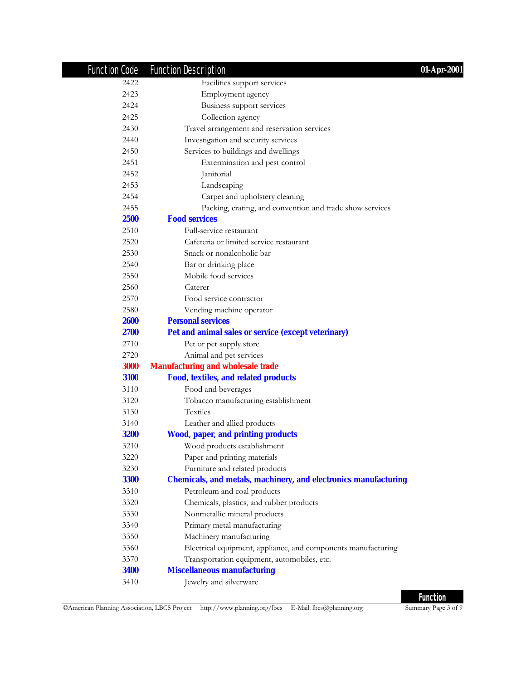| <b>Function Code</b> | <b>Function Description</b><br>01-Apr-2001                             |
|----------------------|------------------------------------------------------------------------|
| 2422                 | Facilities support services                                            |
| 2423                 | Employment agency                                                      |
| 2424                 | Business support services                                              |
| 2425                 | Collection agency                                                      |
| 2430                 | Travel arrangement and reservation services                            |
| 2440                 | Investigation and security services                                    |
| 2450                 | Services to buildings and dwellings                                    |
| 2451                 | Extermination and pest control                                         |
| 2452                 | Janitorial                                                             |
| 2453                 | Landscaping                                                            |
| 2454                 | Carpet and upholstery cleaning                                         |
| 2455                 | Packing, crating, and convention and trade show services               |
| 2500                 | <b>Food services</b>                                                   |
| 2510                 | Full-service restaurant                                                |
| 2520                 | Cafeteria or limited service restaurant                                |
| 2530                 | Snack or nonalcoholic bar                                              |
| 2540                 | Bar or drinking place                                                  |
| 2550                 | Mobile food services                                                   |
| 2560                 | Caterer                                                                |
| 2570                 | Food service contractor                                                |
| 2580                 | Vending machine operator                                               |
| <b>2600</b>          | <b>Personal services</b>                                               |
| 2700                 | Pet and animal sales or service (except veterinary)                    |
| 2710                 | Pet or pet supply store                                                |
| 2720                 | Animal and pet services                                                |
| <b>3000</b>          | <b>Manufacturing and wholesale trade</b>                               |
| 3100                 | Food, textiles, and related products                                   |
| 3110                 | Food and beverages                                                     |
| 3120                 | Tobacco manufacturing establishment                                    |
| 3130                 | <b>Textiles</b>                                                        |
| 3140                 | Leather and allied products                                            |
| <b>3200</b>          | <b>Wood, paper, and printing products</b>                              |
| 3210                 | Wood products establishment                                            |
| 3220                 | Paper and printing materials                                           |
| 3230                 | Furniture and related products                                         |
| <b>3300</b>          | <b>Chemicals, and metals, machinery, and electronics manufacturing</b> |
| 3310                 | Petroleum and coal products                                            |
| 3320                 | Chemicals, plastics, and rubber products                               |
| 3330                 | Nonmetallic mineral products                                           |
| 3340                 | Primary metal manufacturing                                            |
| 3350                 | Machinery manufacturing                                                |
| 3360                 | Electrical equipment, appliance, and components manufacturing          |
| 3370                 | Transportation equipment, automobiles, etc.                            |
| <b>3400</b>          | <b>Miscellaneous manufacturing</b>                                     |
| 3410                 | Jewelry and silverware                                                 |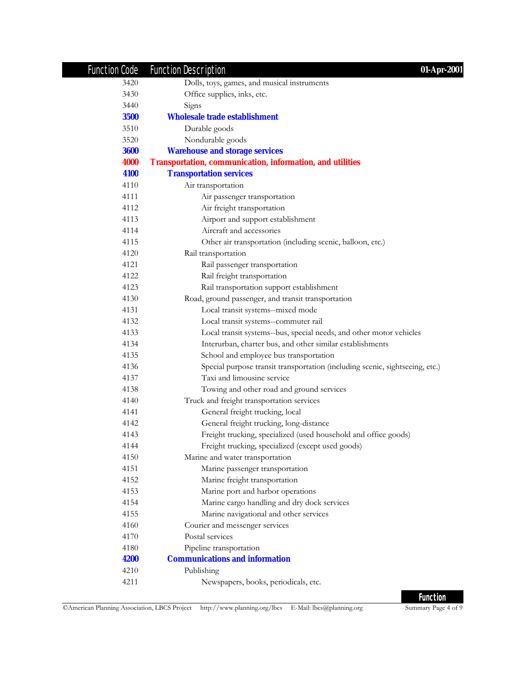| <b>Function Code</b> | <b>Function Description</b><br>01-Apr-2001                                   |
|----------------------|------------------------------------------------------------------------------|
| 3420                 | Dolls, toys, games, and musical instruments                                  |
| 3430                 | Office supplies, inks, etc.                                                  |
| 3440                 | Signs                                                                        |
| <b>3500</b>          | <b>Wholesale trade establishment</b>                                         |
| 3510                 | Durable goods                                                                |
| 3520                 | Nondurable goods                                                             |
| <b>3600</b>          | <b>Warehouse and storage services</b>                                        |
| 4000                 | <b>Transportation, communication, information, and utilities</b>             |
| 4100                 | <b>Transportation services</b>                                               |
| 4110                 | Air transportation                                                           |
| 4111                 | Air passenger transportation                                                 |
| 4112                 | Air freight transportation                                                   |
| 4113                 | Airport and support establishment                                            |
| 4114                 | Aircraft and accessories                                                     |
| 4115                 | Other air transportation (including scenic, balloon, etc.)                   |
| 4120                 | Rail transportation                                                          |
| 4121                 | Rail passenger transportation                                                |
| 4122                 | Rail freight transportation                                                  |
| 4123                 | Rail transportation support establishment                                    |
| 4130                 | Road, ground passenger, and transit transportation                           |
| 4131                 | Local transit systems--mixed mode                                            |
| 4132                 | Local transit systems--commuter rail                                         |
| 4133                 | Local transit systems--bus, special needs, and other motor vehicles          |
| 4134                 | Interurban, charter bus, and other similar establishments                    |
| 4135                 | School and employee bus transportation                                       |
| 4136                 | Special purpose transit transportation (including scenic, sightseeing, etc.) |
| 4137                 | Taxi and limousine service                                                   |
| 4138                 | Towing and other road and ground services                                    |
| 4140                 | Truck and freight transportation services                                    |
| 4141                 | General freight trucking, local                                              |
| 4142                 | General freight trucking, long-distance                                      |
| 4143                 | Freight trucking, specialized (used household and office goods)              |
| 4144                 | Freight trucking, specialized (except used goods)                            |
| 4150                 | Marine and water transportation                                              |
| 4151                 | Marine passenger transportation                                              |
| 4152                 | Marine freight transportation                                                |
| 4153                 | Marine port and harbor operations                                            |
| 4154                 | Marine cargo handling and dry dock services                                  |
| 4155                 | Marine navigational and other services                                       |
| 4160                 | Courier and messenger services                                               |
| 4170                 | Postal services                                                              |
| 4180                 | Pipeline transportation                                                      |
| 4200                 | <b>Communications and information</b>                                        |
| 4210                 | Publishing                                                                   |
| 4211                 | Newspapers, books, periodicals, etc.                                         |

©American Planning Association, LBCS Project http://www.planning.org/lbcs E-Mail: lbcs@planning.org Summary Page 4 of 9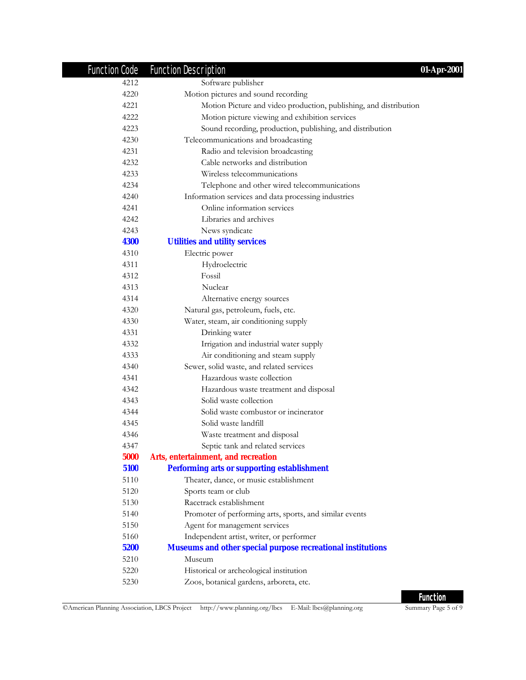| <b>Function Code</b> | <b>Function Description</b><br>01-Apr-2001                         |
|----------------------|--------------------------------------------------------------------|
| 4212                 | Software publisher                                                 |
| 4220                 | Motion pictures and sound recording                                |
| 4221                 | Motion Picture and video production, publishing, and distribution  |
| 4222                 | Motion picture viewing and exhibition services                     |
| 4223                 | Sound recording, production, publishing, and distribution          |
| 4230                 | Telecommunications and broadcasting                                |
| 4231                 | Radio and television broadcasting                                  |
| 4232                 | Cable networks and distribution                                    |
| 4233                 | Wireless telecommunications                                        |
| 4234                 | Telephone and other wired telecommunications                       |
| 4240                 | Information services and data processing industries                |
| 4241                 | Online information services                                        |
| 4242                 | Libraries and archives                                             |
| 4243                 | News syndicate                                                     |
| 4300                 | <b>Utilities and utility services</b>                              |
| 4310                 | Electric power                                                     |
| 4311                 | Hydroelectric                                                      |
| 4312                 | Fossil                                                             |
| 4313                 | Nuclear                                                            |
| 4314                 | Alternative energy sources                                         |
| 4320                 | Natural gas, petroleum, fuels, etc.                                |
| 4330                 | Water, steam, air conditioning supply                              |
| 4331                 | Drinking water                                                     |
| 4332                 | Irrigation and industrial water supply                             |
| 4333                 | Air conditioning and steam supply                                  |
| 4340                 | Sewer, solid waste, and related services                           |
| 4341                 | Hazardous waste collection                                         |
| 4342                 | Hazardous waste treatment and disposal                             |
| 4343                 | Solid waste collection                                             |
| 4344                 | Solid waste combustor or incinerator                               |
| 4345                 | Solid waste landfill                                               |
| 4346                 | Waste treatment and disposal                                       |
| 4347                 | Septic tank and related services                                   |
| 5000                 | Arts, entertainment, and recreation                                |
| 5100                 | <b>Performing arts or supporting establishment</b>                 |
| 5110                 | Theater, dance, or music establishment                             |
| 5120                 | Sports team or club                                                |
| 5130                 | Racetrack establishment                                            |
| 5140                 | Promoter of performing arts, sports, and similar events            |
| 5150                 | Agent for management services                                      |
| 5160                 | Independent artist, writer, or performer                           |
| 5200                 | <b>Museums and other special purpose recreational institutions</b> |
| 5210                 | Museum                                                             |
| 5220                 | Historical or archeological institution                            |
| 5230                 | Zoos, botanical gardens, arboreta, etc.                            |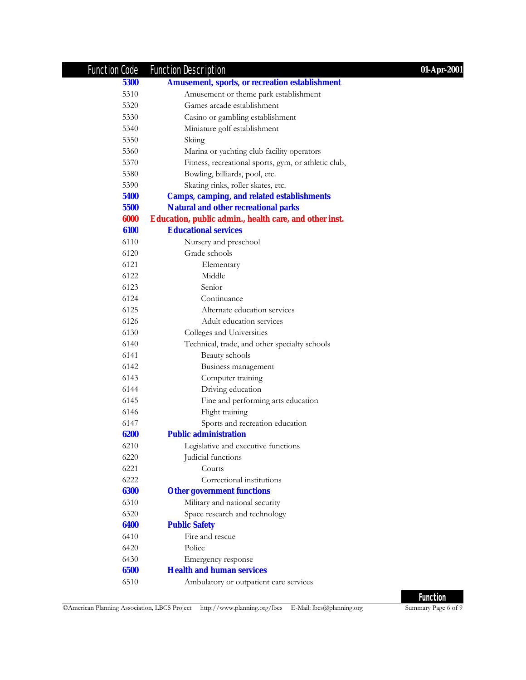| <b>Function Code</b> | <b>Function Description</b>                            | 01-Apr-2001 |
|----------------------|--------------------------------------------------------|-------------|
| 5300                 | <b>Amusement, sports, or recreation establishment</b>  |             |
| 5310                 | Amusement or theme park establishment                  |             |
| 5320                 | Games arcade establishment                             |             |
| 5330                 | Casino or gambling establishment                       |             |
| 5340                 | Miniature golf establishment                           |             |
| 5350                 | Skiing                                                 |             |
| 5360                 | Marina or yachting club facility operators             |             |
| 5370                 | Fitness, recreational sports, gym, or athletic club,   |             |
| 5380                 | Bowling, billiards, pool, etc.                         |             |
| 5390                 | Skating rinks, roller skates, etc.                     |             |
| 5400                 | <b>Camps, camping, and related establishments</b>      |             |
| 5500                 | <b>Natural and other recreational parks</b>            |             |
| 6000                 | Education, public admin., health care, and other inst. |             |
| 6100                 | <b>Educational services</b>                            |             |
| 6110                 | Nursery and preschool                                  |             |
| 6120                 | Grade schools                                          |             |
| 6121                 | Elementary                                             |             |
| 6122                 | Middle                                                 |             |
| 6123                 | Senior                                                 |             |
| 6124                 | Continuance                                            |             |
| 6125                 | Alternate education services                           |             |
| 6126                 | Adult education services                               |             |
| 6130                 | Colleges and Universities                              |             |
| 6140                 | Technical, trade, and other specialty schools          |             |
| 6141                 | Beauty schools                                         |             |
| 6142                 | Business management                                    |             |
| 6143                 | Computer training                                      |             |
| 6144                 | Driving education                                      |             |
| 6145                 | Fine and performing arts education                     |             |
| 6146                 | Flight training                                        |             |
| 6147                 | Sports and recreation education                        |             |
| 6200                 | <b>Public administration</b>                           |             |
| 6210                 | Legislative and executive functions                    |             |
| 6220                 | Judicial functions                                     |             |
| 6221                 | Courts                                                 |             |
| 6222                 | Correctional institutions                              |             |
| 6300                 | <b>Other government functions</b>                      |             |
| 6310                 | Military and national security                         |             |
| 6320                 | Space research and technology                          |             |
| 6400                 | <b>Public Safety</b>                                   |             |
| 6410                 | Fire and rescue                                        |             |
| 6420                 | Police                                                 |             |
| 6430                 | Emergency response                                     |             |
| 6500                 | <b>Health and human services</b>                       |             |
| 6510                 | Ambulatory or outpatient care services                 |             |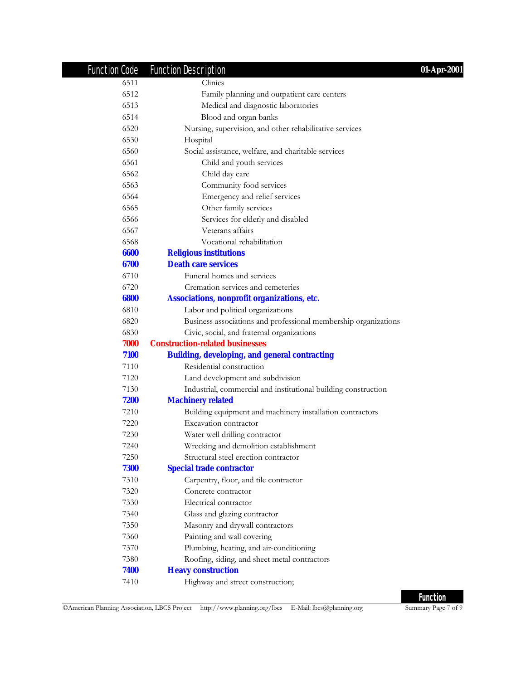| <b>Function Code</b> | <b>Function Description</b>                                     | 01-Apr-2001 |
|----------------------|-----------------------------------------------------------------|-------------|
| 6511                 | Clinics                                                         |             |
| 6512                 | Family planning and outpatient care centers                     |             |
| 6513                 | Medical and diagnostic laboratories                             |             |
| 6514                 | Blood and organ banks                                           |             |
| 6520                 | Nursing, supervision, and other rehabilitative services         |             |
| 6530                 | Hospital                                                        |             |
| 6560                 | Social assistance, welfare, and charitable services             |             |
| 6561                 | Child and youth services                                        |             |
| 6562                 | Child day care                                                  |             |
| 6563                 | Community food services                                         |             |
| 6564                 | Emergency and relief services                                   |             |
| 6565                 | Other family services                                           |             |
| 6566                 | Services for elderly and disabled                               |             |
| 6567                 | Veterans affairs                                                |             |
| 6568                 | Vocational rehabilitation                                       |             |
| 6600                 | <b>Religious institutions</b>                                   |             |
| 6700                 | <b>Death care services</b>                                      |             |
| 6710                 | Funeral homes and services                                      |             |
| 6720                 | Cremation services and cemeteries                               |             |
| 6800                 | Associations, nonprofit organizations, etc.                     |             |
| 6810                 | Labor and political organizations                               |             |
| 6820                 | Business associations and professional membership organizations |             |
| 6830                 | Civic, social, and fraternal organizations                      |             |
| 7000                 | <b>Construction-related businesses</b>                          |             |
| 7100                 | <b>Building, developing, and general contracting</b>            |             |
| 7110                 | Residential construction                                        |             |
| 7120                 | Land development and subdivision                                |             |
| 7130                 | Industrial, commercial and institutional building construction  |             |
| 7200                 | <b>Machinery related</b>                                        |             |
| 7210                 | Building equipment and machinery installation contractors       |             |
| 7220                 | Excavation contractor                                           |             |
| 7230                 | Water well drilling contractor                                  |             |
| 7240                 | Wrecking and demolition establishment                           |             |
| 7250                 | Structural steel erection contractor                            |             |
| 7300                 | <b>Special trade contractor</b>                                 |             |
| 7310                 | Carpentry, floor, and tile contractor                           |             |
| 7320                 | Concrete contractor                                             |             |
| 7330                 | Electrical contractor                                           |             |
| 7340                 | Glass and glazing contractor                                    |             |
| 7350                 | Masonry and drywall contractors                                 |             |
| 7360                 | Painting and wall covering                                      |             |
| 7370                 | Plumbing, heating, and air-conditioning                         |             |
| 7380                 | Roofing, siding, and sheet metal contractors                    |             |
| 7400                 | <b>Heavy construction</b>                                       |             |
| 7410                 | Highway and street construction;                                |             |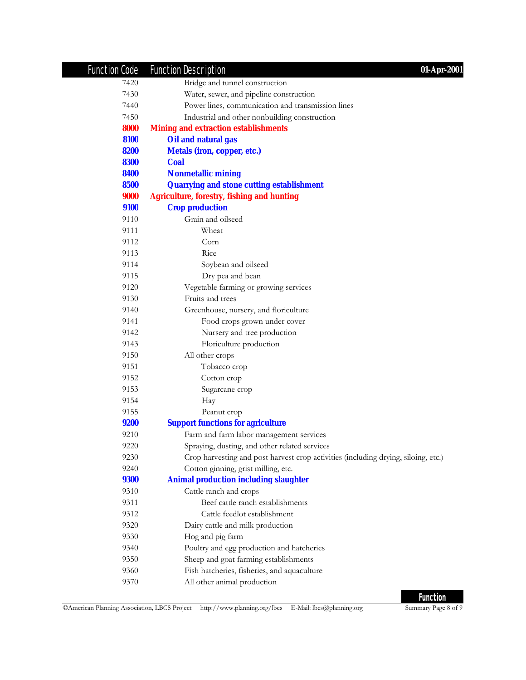| Function Code | <b>Function Description</b><br>01-Apr-2001                                         |
|---------------|------------------------------------------------------------------------------------|
| 7420          | Bridge and tunnel construction                                                     |
| 7430          | Water, sewer, and pipeline construction                                            |
| 7440          | Power lines, communication and transmission lines                                  |
| 7450          | Industrial and other nonbuilding construction                                      |
| 8000          | <b>Mining and extraction establishments</b>                                        |
| 8100          | Oil and natural gas                                                                |
| 8200          | <b>Metals (iron, copper, etc.)</b>                                                 |
| 8300          | <b>Coal</b>                                                                        |
| 8400          | <b>Nonmetallic mining</b>                                                          |
| 8500          | <b>Quarrying and stone cutting establishment</b>                                   |
| 9000          | <b>Agriculture, forestry, fishing and hunting</b>                                  |
| 9100          | <b>Crop production</b>                                                             |
| 9110          | Grain and oilseed                                                                  |
| 9111          | Wheat                                                                              |
| 9112          | Corn                                                                               |
| 9113          | Rice                                                                               |
| 9114          | Soybean and oilseed                                                                |
| 9115          | Dry pea and bean                                                                   |
| 9120          | Vegetable farming or growing services                                              |
| 9130          | Fruits and trees                                                                   |
| 9140          | Greenhouse, nursery, and floriculture                                              |
| 9141          | Food crops grown under cover                                                       |
| 9142          | Nursery and tree production                                                        |
| 9143          | Floriculture production                                                            |
| 9150          | All other crops                                                                    |
| 9151          | Tobacco crop                                                                       |
| 9152          | Cotton crop                                                                        |
| 9153          | Sugarcane crop                                                                     |
| 9154          | Hay                                                                                |
| 9155          | Peanut crop                                                                        |
| <b>9200</b>   | <b>Support functions for agriculture</b>                                           |
| 9210          | Farm and farm labor management services                                            |
| 9220          | Spraying, dusting, and other related services                                      |
| 9230          | Crop harvesting and post harvest crop activities (including drying, siloing, etc.) |
| 9240          | Cotton ginning, grist milling, etc.                                                |
| <b>9300</b>   | <b>Animal production including slaughter</b>                                       |
| 9310          | Cattle ranch and crops                                                             |
| 9311          | Beef cattle ranch establishments                                                   |
| 9312          | Cattle feedlot establishment                                                       |
| 9320          | Dairy cattle and milk production                                                   |
| 9330          | Hog and pig farm                                                                   |
| 9340          | Poultry and egg production and hatcheries                                          |
| 9350          | Sheep and goat farming establishments                                              |
| 9360          | Fish hatcheries, fisheries, and aquaculture                                        |
| 9370          | All other animal production                                                        |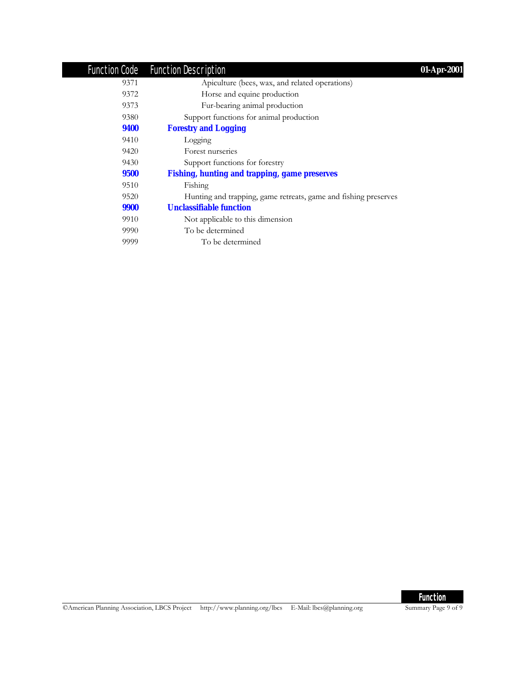|      | Function Code Function Description                              | 01-Apr-2001 |
|------|-----------------------------------------------------------------|-------------|
| 9371 | Apiculture (bees, wax, and related operations)                  |             |
| 9372 | Horse and equine production                                     |             |
| 9373 | Fur-bearing animal production                                   |             |
| 9380 | Support functions for animal production                         |             |
| 9400 | <b>Forestry and Logging</b>                                     |             |
| 9410 | Logging                                                         |             |
| 9420 | Forest nurseries                                                |             |
| 9430 | Support functions for forestry                                  |             |
| 9500 | <b>Fishing, hunting and trapping, game preserves</b>            |             |
| 9510 | Fishing                                                         |             |
| 9520 | Hunting and trapping, game retreats, game and fishing preserves |             |
| 9900 | <b>Unclassifiable function</b>                                  |             |
| 9910 | Not applicable to this dimension                                |             |
| 9990 | To be determined                                                |             |
| 9999 | To be determined                                                |             |
|      |                                                                 |             |

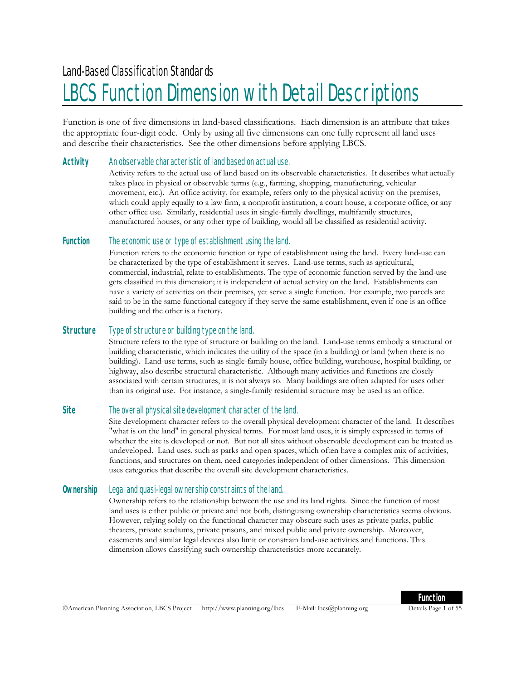# LBCS Function Dimension with Detail Descriptions

Function is one of five dimensions in land-based classifications. Each dimension is an attribute that takes the appropriate four-digit code. Only by using all five dimensions can one fully represent all land uses and describe their characteristics. See the other dimensions before applying LBCS.

#### **Activity** An observable characteristic of land based on actual use.

Activity refers to the actual use of land based on its observable characteristics. It describes what actually takes place in physical or observable terms (e.g., farming, shopping, manufacturing, vehicular movement, etc.). An office activity, for example, refers only to the physical activity on the premises, which could apply equally to a law firm, a nonprofit institution, a court house, a corporate office, or any other office use. Similarly, residential uses in single-family dwellings, multifamily structures, manufactured houses, or any other type of building, would all be classified as residential activity.

#### **Function** The economic use or type of establishment using the land.

Function refers to the economic function or type of establishment using the land. Every land-use can be characterized by the type of establishment it serves. Land-use terms, such as agricultural, commercial, industrial, relate to establishments. The type of economic function served by the land-use gets classified in this dimension; it is independent of actual activity on the land. Establishments can have a variety of activities on their premises, yet serve a single function. For example, two parcels are said to be in the same functional category if they serve the same establishment, even if one is an office building and the other is a factory.

#### **Structure** Type of structure or building type on the land.

Structure refers to the type of structure or building on the land. Land-use terms embody a structural or building characteristic, which indicates the utility of the space (in a building) or land (when there is no building). Land-use terms, such as single-family house, office building, warehouse, hospital building, or highway, also describe structural characteristic. Although many activities and functions are closely associated with certain structures, it is not always so. Many buildings are often adapted for uses other than its original use. For instance, a single-family residential structure may be used as an office.

#### **Site** The overall physical site development character of the land.

Site development character refers to the overall physical development character of the land. It describes "what is on the land" in general physical terms. For most land uses, it is simply expressed in terms of whether the site is developed or not. But not all sites without observable development can be treated as undeveloped. Land uses, such as parks and open spaces, which often have a complex mix of activities, functions, and structures on them, need categories independent of other dimensions. This dimension uses categories that describe the overall site development characteristics.

#### **Ownership** Legal and quasi-legal ownership constraints of the land.

Ownership refers to the relationship between the use and its land rights. Since the function of most land uses is either public or private and not both, distinguising ownership characteristics seems obvious. However, relying solely on the functional character may obscure such uses as private parks, public theaters, private stadiums, private prisons, and mixed public and private ownership. Moreover, easements and similar legal devices also limit or constrain land-use activities and functions. This dimension allows classifying such ownership characteristics more accurately.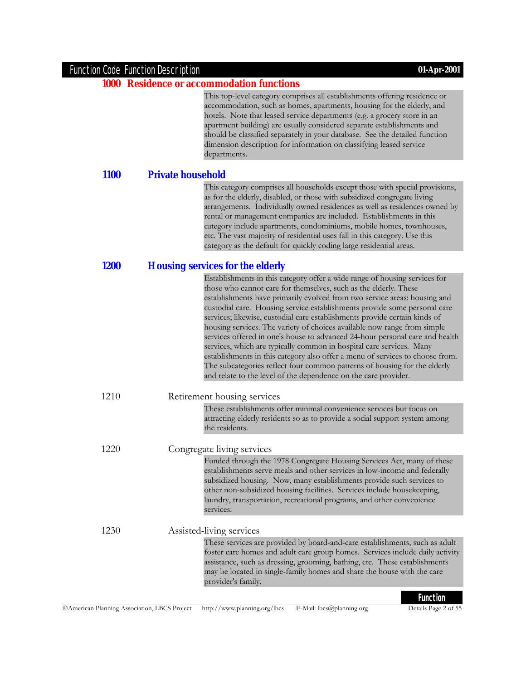#### Function Code Function Description **01-Apr-2001**

#### **1000 Residence or accommodation functions**

This top-level category comprises all establishments offering residence or accommodation, such as homes, apartments, housing for the elderly, and hotels. Note that leased service departments (e.g. a grocery store in an apartment building) are usually considered separate establishments and should be classified separately in your database. See the detailed function dimension description for information on classifying leased service departments.

#### **1100 Private household**

This category comprises all households except those with special provisions, as for the elderly, disabled, or those with subsidized congregate living arrangements. Individually owned residences as well as residences owned by rental or management companies are included. Establishments in this category include apartments, condominiums, mobile homes, townhouses, etc. The vast majority of residential uses fall in this category. Use this category as the default for quickly coding large residential areas.

#### **1200 Housing services for the elderly**

|       | Establishments in this category offer a wide range of housing services for<br>those who cannot care for themselves, such as the elderly. These<br>establishments have primarily evolved from two service areas: housing and<br>custodial care. Housing service establishments provide some personal care<br>services; likewise, custodial care establishments provide certain kinds of<br>housing services. The variety of choices available now range from simple<br>services offered in one's house to advanced 24-hour personal care and health<br>services, which are typically common in hospital care services. Many<br>establishments in this category also offer a menu of services to choose from.<br>The subcategories reflect four common patterns of housing for the elderly<br>and relate to the level of the dependence on the care provider. |
|-------|-------------------------------------------------------------------------------------------------------------------------------------------------------------------------------------------------------------------------------------------------------------------------------------------------------------------------------------------------------------------------------------------------------------------------------------------------------------------------------------------------------------------------------------------------------------------------------------------------------------------------------------------------------------------------------------------------------------------------------------------------------------------------------------------------------------------------------------------------------------|
| 1210  | Retirement housing services                                                                                                                                                                                                                                                                                                                                                                                                                                                                                                                                                                                                                                                                                                                                                                                                                                 |
|       | These establishments offer minimal convenience services but focus on<br>attracting elderly residents so as to provide a social support system among<br>the residents.                                                                                                                                                                                                                                                                                                                                                                                                                                                                                                                                                                                                                                                                                       |
| 12.20 | Congregate living services                                                                                                                                                                                                                                                                                                                                                                                                                                                                                                                                                                                                                                                                                                                                                                                                                                  |
|       | Funded through the 1978 Congregate Housing Services Act, many of these<br>establishments serve meals and other services in low-income and federally<br>subsidized housing. Now, many establishments provide such services to<br>other non-subsidized housing facilities. Services include housekeeping,<br>laundry, transportation, recreational programs, and other convenience<br>services.                                                                                                                                                                                                                                                                                                                                                                                                                                                               |
| 1230  | Assisted-living services                                                                                                                                                                                                                                                                                                                                                                                                                                                                                                                                                                                                                                                                                                                                                                                                                                    |
|       | These services are provided by board-and-care establishments, such as adult<br>foster care homes and adult care group homes. Services include daily activity<br>assistance, such as dressing, grooming, bathing, etc. These establishments<br>may be located in single-family homes and share the house with the care<br>provider's family.                                                                                                                                                                                                                                                                                                                                                                                                                                                                                                                 |
|       |                                                                                                                                                                                                                                                                                                                                                                                                                                                                                                                                                                                                                                                                                                                                                                                                                                                             |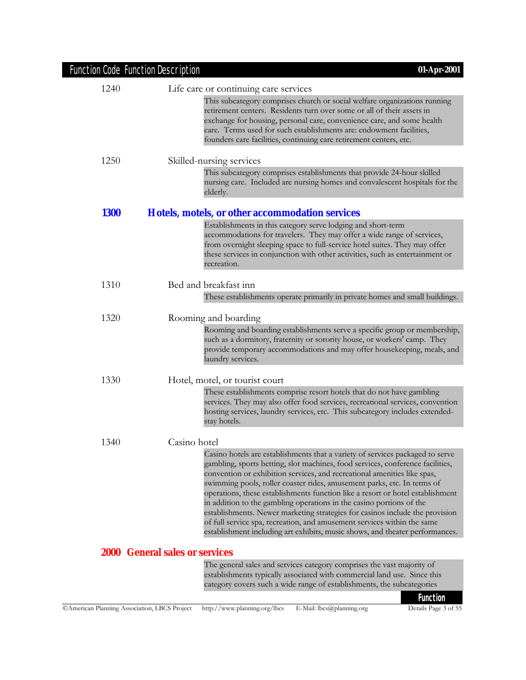| 1240        | Life care or continuing care services                                                                                                                                                                                                                                                                                                                                                                                                                                                                                                                                                                                                                                                                                       |
|-------------|-----------------------------------------------------------------------------------------------------------------------------------------------------------------------------------------------------------------------------------------------------------------------------------------------------------------------------------------------------------------------------------------------------------------------------------------------------------------------------------------------------------------------------------------------------------------------------------------------------------------------------------------------------------------------------------------------------------------------------|
|             | This subcategory comprises church or social welfare organizations running<br>retirement centers. Residents turn over some or all of their assets in<br>exchange for housing, personal care, convenience care, and some health<br>care. Terms used for such establishments are: endowment facilities,<br>founders care facilities, continuing care retirement centers, etc.                                                                                                                                                                                                                                                                                                                                                  |
| 1250        | Skilled-nursing services                                                                                                                                                                                                                                                                                                                                                                                                                                                                                                                                                                                                                                                                                                    |
|             | This subcategory comprises establishments that provide 24-hour skilled<br>nursing care. Included are nursing homes and convalescent hospitals for the<br>elderly.                                                                                                                                                                                                                                                                                                                                                                                                                                                                                                                                                           |
| <b>1300</b> | Hotels, motels, or other accommodation services                                                                                                                                                                                                                                                                                                                                                                                                                                                                                                                                                                                                                                                                             |
|             | Establishments in this category serve lodging and short-term<br>accommodations for travelers. They may offer a wide range of services,<br>from overnight sleeping space to full-service hotel suites. They may offer<br>these services in conjunction with other activities, such as entertainment or<br>recreation.                                                                                                                                                                                                                                                                                                                                                                                                        |
| 1310        | Bed and breakfast inn                                                                                                                                                                                                                                                                                                                                                                                                                                                                                                                                                                                                                                                                                                       |
|             | These establishments operate primarily in private homes and small buildings.                                                                                                                                                                                                                                                                                                                                                                                                                                                                                                                                                                                                                                                |
| 1320        | Rooming and boarding                                                                                                                                                                                                                                                                                                                                                                                                                                                                                                                                                                                                                                                                                                        |
|             | Rooming and boarding establishments serve a specific group or membership,<br>such as a dormitory, fraternity or sorority house, or workers' camp. They<br>provide temporary accommodations and may offer housekeeping, meals, and<br>laundry services.                                                                                                                                                                                                                                                                                                                                                                                                                                                                      |
| 1330        | Hotel, motel, or tourist court                                                                                                                                                                                                                                                                                                                                                                                                                                                                                                                                                                                                                                                                                              |
|             | These establishments comprise resort hotels that do not have gambling<br>services. They may also offer food services, recreational services, convention<br>hosting services, laundry services, etc. This subcategory includes extended-<br>stay hotels.                                                                                                                                                                                                                                                                                                                                                                                                                                                                     |
| 1340        | Casino hotel                                                                                                                                                                                                                                                                                                                                                                                                                                                                                                                                                                                                                                                                                                                |
|             | Casino hotels are establishments that a variety of services packaged to serve<br>gambling, sports betting, slot machines, food services, conference facilities,<br>convention or exhibition services, and recreational amenities like spas,<br>swimming pools, roller coaster rides, amusement parks, etc. In terms of<br>operations, these establishments function like a resort or hotel establishment<br>in addition to the gambling operations in the casino portions of the<br>establishments. Newer marketing strategies for casinos include the provision<br>of full service spa, recreation, and amusement services within the same<br>establishment including art exhibits, music shows, and theater performances. |
|             | <b>2000 General sales or services</b>                                                                                                                                                                                                                                                                                                                                                                                                                                                                                                                                                                                                                                                                                       |
|             | The general sales and services category comprises the vast majority of<br>establishments typically associated with commercial land use. Since this<br>category covers such a wide range of establishments, the subcategories                                                                                                                                                                                                                                                                                                                                                                                                                                                                                                |
|             | <b>Function</b>                                                                                                                                                                                                                                                                                                                                                                                                                                                                                                                                                                                                                                                                                                             |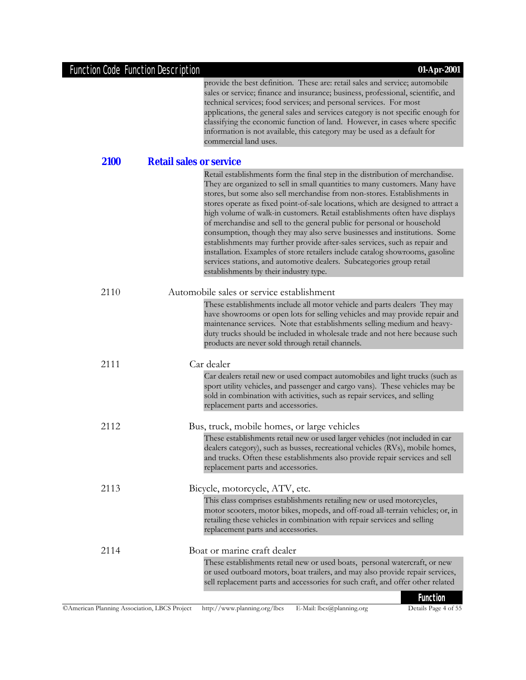provide the best definition. These are: retail sales and service; automobile sales or service; finance and insurance; business, professional, scientific, and technical services; food services; and personal services. For most applications, the general sales and services category is not specific enough for classifying the economic function of land. However, in cases where specific information is not available, this category may be used as a default for commercial land uses.

**2100 Retail sales or service**

| <i>L</i> LUU |                                                                                                                                                                                                                                                                                                                                                                                                                                                                                                                                                                                                                                                                                                                                                                                                                                                         |
|--------------|---------------------------------------------------------------------------------------------------------------------------------------------------------------------------------------------------------------------------------------------------------------------------------------------------------------------------------------------------------------------------------------------------------------------------------------------------------------------------------------------------------------------------------------------------------------------------------------------------------------------------------------------------------------------------------------------------------------------------------------------------------------------------------------------------------------------------------------------------------|
|              | Retail establishments form the final step in the distribution of merchandise.<br>They are organized to sell in small quantities to many customers. Many have<br>stores, but some also sell merchandise from non-stores. Establishments in<br>stores operate as fixed point-of-sale locations, which are designed to attract a<br>high volume of walk-in customers. Retail establishments often have displays<br>of merchandise and sell to the general public for personal or household<br>consumption, though they may also serve businesses and institutions. Some<br>establishments may further provide after-sales services, such as repair and<br>installation. Examples of store retailers include catalog showrooms, gasoline<br>services stations, and automotive dealers. Subcategories group retail<br>establishments by their industry type. |
| 2110         | Automobile sales or service establishment                                                                                                                                                                                                                                                                                                                                                                                                                                                                                                                                                                                                                                                                                                                                                                                                               |
|              | These establishments include all motor vehicle and parts dealers They may<br>have showrooms or open lots for selling vehicles and may provide repair and<br>maintenance services. Note that establishments selling medium and heavy-<br>duty trucks should be included in wholesale trade and not here because such<br>products are never sold through retail channels.                                                                                                                                                                                                                                                                                                                                                                                                                                                                                 |
| 2111         | Car dealer                                                                                                                                                                                                                                                                                                                                                                                                                                                                                                                                                                                                                                                                                                                                                                                                                                              |
|              | Car dealers retail new or used compact automobiles and light trucks (such as<br>sport utility vehicles, and passenger and cargo vans). These vehicles may be<br>sold in combination with activities, such as repair services, and selling<br>replacement parts and accessories.                                                                                                                                                                                                                                                                                                                                                                                                                                                                                                                                                                         |
| 2112         | Bus, truck, mobile homes, or large vehicles                                                                                                                                                                                                                                                                                                                                                                                                                                                                                                                                                                                                                                                                                                                                                                                                             |
|              | These establishments retail new or used larger vehicles (not included in car<br>dealers category), such as busses, recreational vehicles (RVs), mobile homes,<br>and trucks. Often these establishments also provide repair services and sell<br>replacement parts and accessories.                                                                                                                                                                                                                                                                                                                                                                                                                                                                                                                                                                     |
| 2113         | Bicycle, motorcycle, ATV, etc.                                                                                                                                                                                                                                                                                                                                                                                                                                                                                                                                                                                                                                                                                                                                                                                                                          |
|              | This class comprises establishments retailing new or used motorcycles,<br>motor scooters, motor bikes, mopeds, and off-road all-terrain vehicles; or, in<br>retailing these vehicles in combination with repair services and selling<br>replacement parts and accessories.                                                                                                                                                                                                                                                                                                                                                                                                                                                                                                                                                                              |
| 2114         | Boat or marine craft dealer                                                                                                                                                                                                                                                                                                                                                                                                                                                                                                                                                                                                                                                                                                                                                                                                                             |
|              | These establishments retail new or used boats, personal watercraft, or new<br>or used outboard motors, boat trailers, and may also provide repair services,<br>sell replacement parts and accessories for such craft, and offer other related                                                                                                                                                                                                                                                                                                                                                                                                                                                                                                                                                                                                           |
|              | <b>Function</b>                                                                                                                                                                                                                                                                                                                                                                                                                                                                                                                                                                                                                                                                                                                                                                                                                                         |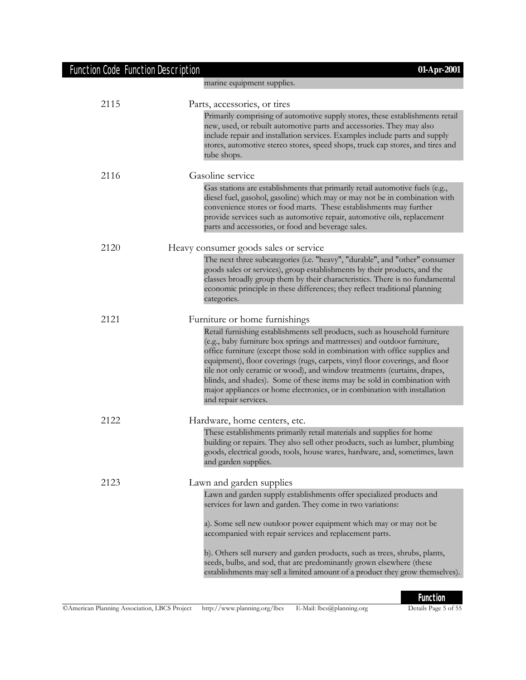| <b>Function Code Function Description</b> | 01-Apr-2001                                                                                                                                                                                                                                                                                                                                                                                                                                                                                                                                                                         |
|-------------------------------------------|-------------------------------------------------------------------------------------------------------------------------------------------------------------------------------------------------------------------------------------------------------------------------------------------------------------------------------------------------------------------------------------------------------------------------------------------------------------------------------------------------------------------------------------------------------------------------------------|
|                                           | marine equipment supplies.                                                                                                                                                                                                                                                                                                                                                                                                                                                                                                                                                          |
| 2115                                      | Parts, accessories, or tires                                                                                                                                                                                                                                                                                                                                                                                                                                                                                                                                                        |
|                                           | Primarily comprising of automotive supply stores, these establishments retail<br>new, used, or rebuilt automotive parts and accessories. They may also<br>include repair and installation services. Examples include parts and supply<br>stores, automotive stereo stores, speed shops, truck cap stores, and tires and<br>tube shops.                                                                                                                                                                                                                                              |
| 2116                                      | Gasoline service                                                                                                                                                                                                                                                                                                                                                                                                                                                                                                                                                                    |
|                                           | Gas stations are establishments that primarily retail automotive fuels (e.g.,<br>diesel fuel, gasohol, gasoline) which may or may not be in combination with<br>convenience stores or food marts. These establishments may further<br>provide services such as automotive repair, automotive oils, replacement<br>parts and accessories, or food and beverage sales.                                                                                                                                                                                                                |
| 2120                                      | Heavy consumer goods sales or service                                                                                                                                                                                                                                                                                                                                                                                                                                                                                                                                               |
|                                           | The next three subcategories (i.e. "heavy", "durable", and "other" consumer<br>goods sales or services), group establishments by their products, and the<br>classes broadly group them by their characteristics. There is no fundamental<br>economic principle in these differences; they reflect traditional planning<br>categories.                                                                                                                                                                                                                                               |
| 2121                                      | Furniture or home furnishings                                                                                                                                                                                                                                                                                                                                                                                                                                                                                                                                                       |
|                                           | Retail furnishing establishments sell products, such as household furniture<br>(e.g., baby furniture box springs and mattresses) and outdoor furniture,<br>office furniture (except those sold in combination with office supplies and<br>equipment), floor coverings (rugs, carpets, vinyl floor coverings, and floor<br>tile not only ceramic or wood), and window treatments (curtains, drapes,<br>blinds, and shades). Some of these items may be sold in combination with<br>major appliances or home electronics, or in combination with installation<br>and repair services. |
| 2122                                      | Hardware, home centers, etc.                                                                                                                                                                                                                                                                                                                                                                                                                                                                                                                                                        |
|                                           | These establishments primarily retail materials and supplies for home<br>building or repairs. They also sell other products, such as lumber, plumbing<br>goods, electrical goods, tools, house wares, hardware, and, sometimes, lawn<br>and garden supplies.                                                                                                                                                                                                                                                                                                                        |
| 2123                                      | Lawn and garden supplies                                                                                                                                                                                                                                                                                                                                                                                                                                                                                                                                                            |
|                                           | Lawn and garden supply establishments offer specialized products and<br>services for lawn and garden. They come in two variations:                                                                                                                                                                                                                                                                                                                                                                                                                                                  |
|                                           | a). Some sell new outdoor power equipment which may or may not be<br>accompanied with repair services and replacement parts.                                                                                                                                                                                                                                                                                                                                                                                                                                                        |
|                                           | b). Others sell nursery and garden products, such as trees, shrubs, plants,<br>seeds, bulbs, and sod, that are predominantly grown elsewhere (these<br>establishments may sell a limited amount of a product they grow themselves).                                                                                                                                                                                                                                                                                                                                                 |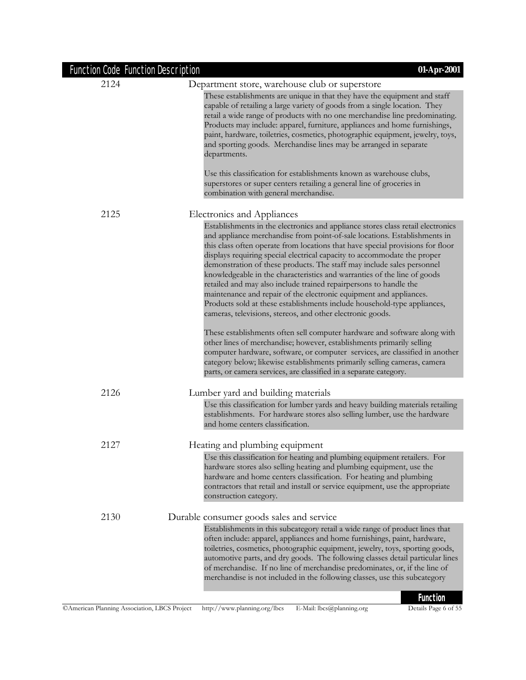| <b>Function Code Function Description</b> | 01-Apr-2001                                                                                                                                                                                                                                                                                                                                                                                                                                                                                                                                                                                                                                                                                                                                                           |
|-------------------------------------------|-----------------------------------------------------------------------------------------------------------------------------------------------------------------------------------------------------------------------------------------------------------------------------------------------------------------------------------------------------------------------------------------------------------------------------------------------------------------------------------------------------------------------------------------------------------------------------------------------------------------------------------------------------------------------------------------------------------------------------------------------------------------------|
| 2124                                      | Department store, warehouse club or superstore                                                                                                                                                                                                                                                                                                                                                                                                                                                                                                                                                                                                                                                                                                                        |
|                                           | These establishments are unique in that they have the equipment and staff<br>capable of retailing a large variety of goods from a single location. They<br>retail a wide range of products with no one merchandise line predominating.<br>Products may include: apparel, furniture, appliances and home furnishings,<br>paint, hardware, toiletries, cosmetics, photographic equipment, jewelry, toys,<br>and sporting goods. Merchandise lines may be arranged in separate<br>departments.                                                                                                                                                                                                                                                                           |
|                                           | Use this classification for establishments known as warehouse clubs,<br>superstores or super centers retailing a general line of groceries in<br>combination with general merchandise.                                                                                                                                                                                                                                                                                                                                                                                                                                                                                                                                                                                |
| 2125                                      | Electronics and Appliances                                                                                                                                                                                                                                                                                                                                                                                                                                                                                                                                                                                                                                                                                                                                            |
|                                           | Establishments in the electronics and appliance stores class retail electronics<br>and appliance merchandise from point-of-sale locations. Establishments in<br>this class often operate from locations that have special provisions for floor<br>displays requiring special electrical capacity to accommodate the proper<br>demonstration of these products. The staff may include sales personnel<br>knowledgeable in the characteristics and warranties of the line of goods<br>retailed and may also include trained repairpersons to handle the<br>maintenance and repair of the electronic equipment and appliances.<br>Products sold at these establishments include household-type appliances,<br>cameras, televisions, stereos, and other electronic goods. |
|                                           | These establishments often sell computer hardware and software along with<br>other lines of merchandise; however, establishments primarily selling<br>computer hardware, software, or computer services, are classified in another<br>category below; likewise establishments primarily selling cameras, camera<br>parts, or camera services, are classified in a separate category.                                                                                                                                                                                                                                                                                                                                                                                  |
| 2126                                      | Lumber yard and building materials                                                                                                                                                                                                                                                                                                                                                                                                                                                                                                                                                                                                                                                                                                                                    |
|                                           | Use this classification for lumber yards and heavy building materials retailing<br>establishments. For hardware stores also selling lumber, use the hardware<br>and home centers classification.                                                                                                                                                                                                                                                                                                                                                                                                                                                                                                                                                                      |
| 2127                                      | Heating and plumbing equipment                                                                                                                                                                                                                                                                                                                                                                                                                                                                                                                                                                                                                                                                                                                                        |
|                                           | Use this classification for heating and plumbing equipment retailers. For<br>hardware stores also selling heating and plumbing equipment, use the<br>hardware and home centers classification. For heating and plumbing<br>contractors that retail and install or service equipment, use the appropriate<br>construction category.                                                                                                                                                                                                                                                                                                                                                                                                                                    |
| 2130                                      | Durable consumer goods sales and service                                                                                                                                                                                                                                                                                                                                                                                                                                                                                                                                                                                                                                                                                                                              |
|                                           | Establishments in this subcategory retail a wide range of product lines that<br>often include: apparel, appliances and home furnishings, paint, hardware,<br>toiletries, cosmetics, photographic equipment, jewelry, toys, sporting goods,<br>automotive parts, and dry goods. The following classes detail particular lines<br>of merchandise. If no line of merchandise predominates, or, if the line of<br>merchandise is not included in the following classes, use this subcategory<br>I <sub>un</sub>                                                                                                                                                                                                                                                           |

**Function**<br>Details Page 6 of 55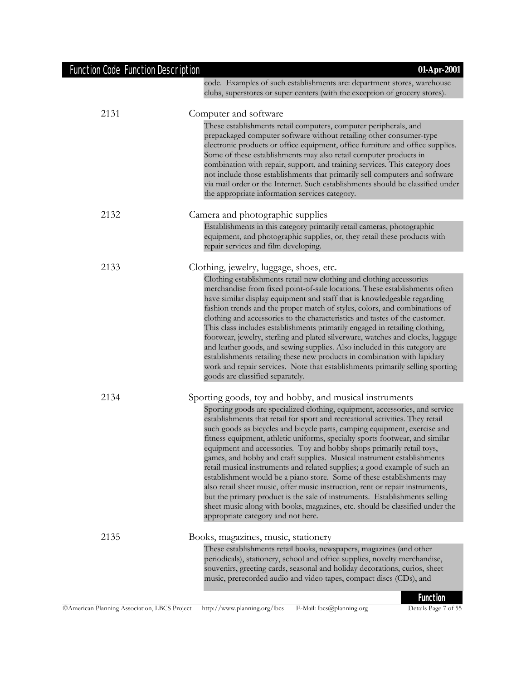| Function Code Function Description | 01-Apr-2001                                                                                                                                                                                                                                                                                                                                                                                                                                                                                                                                                                                                                                                                                                                                                                                                                                                                                                                |
|------------------------------------|----------------------------------------------------------------------------------------------------------------------------------------------------------------------------------------------------------------------------------------------------------------------------------------------------------------------------------------------------------------------------------------------------------------------------------------------------------------------------------------------------------------------------------------------------------------------------------------------------------------------------------------------------------------------------------------------------------------------------------------------------------------------------------------------------------------------------------------------------------------------------------------------------------------------------|
|                                    | code. Examples of such establishments are: department stores, warehouse<br>clubs, superstores or super centers (with the exception of grocery stores).                                                                                                                                                                                                                                                                                                                                                                                                                                                                                                                                                                                                                                                                                                                                                                     |
| 2131                               | Computer and software                                                                                                                                                                                                                                                                                                                                                                                                                                                                                                                                                                                                                                                                                                                                                                                                                                                                                                      |
|                                    | These establishments retail computers, computer peripherals, and<br>prepackaged computer software without retailing other consumer-type<br>electronic products or office equipment, office furniture and office supplies.<br>Some of these establishments may also retail computer products in<br>combination with repair, support, and training services. This category does<br>not include those establishments that primarily sell computers and software<br>via mail order or the Internet. Such establishments should be classified under<br>the appropriate information services category.                                                                                                                                                                                                                                                                                                                           |
| 2132                               | Camera and photographic supplies                                                                                                                                                                                                                                                                                                                                                                                                                                                                                                                                                                                                                                                                                                                                                                                                                                                                                           |
|                                    | Establishments in this category primarily retail cameras, photographic<br>equipment, and photographic supplies, or, they retail these products with<br>repair services and film developing.                                                                                                                                                                                                                                                                                                                                                                                                                                                                                                                                                                                                                                                                                                                                |
| 2133                               | Clothing, jewelry, luggage, shoes, etc.                                                                                                                                                                                                                                                                                                                                                                                                                                                                                                                                                                                                                                                                                                                                                                                                                                                                                    |
|                                    | Clothing establishments retail new clothing and clothing accessories<br>merchandise from fixed point-of-sale locations. These establishments often<br>have similar display equipment and staff that is knowledgeable regarding<br>fashion trends and the proper match of styles, colors, and combinations of<br>clothing and accessories to the characteristics and tastes of the customer.<br>This class includes establishments primarily engaged in retailing clothing,<br>footwear, jewelry, sterling and plated silverware, watches and clocks, luggage<br>and leather goods, and sewing supplies. Also included in this category are<br>establishments retailing these new products in combination with lapidary<br>work and repair services. Note that establishments primarily selling sporting<br>goods are classified separately.                                                                                |
| 2134                               | Sporting goods, toy and hobby, and musical instruments                                                                                                                                                                                                                                                                                                                                                                                                                                                                                                                                                                                                                                                                                                                                                                                                                                                                     |
|                                    | Sporting goods are specialized clothing, equipment, accessories, and service<br>establishments that retail for sport and recreational activities. They retail<br>such goods as bicycles and bicycle parts, camping equipment, exercise and<br>fitness equipment, athletic uniforms, specialty sports footwear, and similar<br>equipment and accessories. Toy and hobby shops primarily retail toys,<br>games, and hobby and craft supplies. Musical instrument establishments<br>retail musical instruments and related supplies; a good example of such an<br>establishment would be a piano store. Some of these establishments may<br>also retail sheet music, offer music instruction, rent or repair instruments,<br>but the primary product is the sale of instruments. Establishments selling<br>sheet music along with books, magazines, etc. should be classified under the<br>appropriate category and not here. |
| 2135                               | Books, magazines, music, stationery                                                                                                                                                                                                                                                                                                                                                                                                                                                                                                                                                                                                                                                                                                                                                                                                                                                                                        |
|                                    | These establishments retail books, newspapers, magazines (and other<br>periodicals), stationery, school and office supplies, novelty merchandise,<br>souvenirs, greeting cards, seasonal and holiday decorations, curios, sheet<br>music, prerecorded audio and video tapes, compact discs (CDs), and                                                                                                                                                                                                                                                                                                                                                                                                                                                                                                                                                                                                                      |
|                                    | <b>Function</b>                                                                                                                                                                                                                                                                                                                                                                                                                                                                                                                                                                                                                                                                                                                                                                                                                                                                                                            |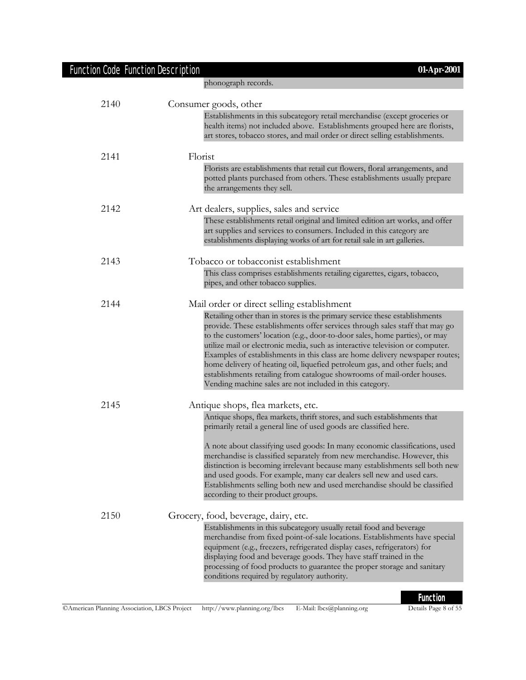| <b>Function Code Function Description</b> | 01-Apr-2001                                                                                                                                                                                                                                                                                                                                                                                                                                                                                                                                                                                                                      |  |
|-------------------------------------------|----------------------------------------------------------------------------------------------------------------------------------------------------------------------------------------------------------------------------------------------------------------------------------------------------------------------------------------------------------------------------------------------------------------------------------------------------------------------------------------------------------------------------------------------------------------------------------------------------------------------------------|--|
|                                           | phonograph records.                                                                                                                                                                                                                                                                                                                                                                                                                                                                                                                                                                                                              |  |
| 2140                                      | Consumer goods, other                                                                                                                                                                                                                                                                                                                                                                                                                                                                                                                                                                                                            |  |
|                                           | Establishments in this subcategory retail merchandise (except groceries or<br>health items) not included above. Establishments grouped here are florists,<br>art stores, tobacco stores, and mail order or direct selling establishments.                                                                                                                                                                                                                                                                                                                                                                                        |  |
| 2141                                      | Florist                                                                                                                                                                                                                                                                                                                                                                                                                                                                                                                                                                                                                          |  |
|                                           | Florists are establishments that retail cut flowers, floral arrangements, and<br>potted plants purchased from others. These establishments usually prepare<br>the arrangements they sell.                                                                                                                                                                                                                                                                                                                                                                                                                                        |  |
| 2142                                      | Art dealers, supplies, sales and service                                                                                                                                                                                                                                                                                                                                                                                                                                                                                                                                                                                         |  |
|                                           | These establishments retail original and limited edition art works, and offer<br>art supplies and services to consumers. Included in this category are<br>establishments displaying works of art for retail sale in art galleries.                                                                                                                                                                                                                                                                                                                                                                                               |  |
| 2143                                      | Tobacco or tobacconist establishment                                                                                                                                                                                                                                                                                                                                                                                                                                                                                                                                                                                             |  |
|                                           | This class comprises establishments retailing cigarettes, cigars, tobacco,<br>pipes, and other tobacco supplies.                                                                                                                                                                                                                                                                                                                                                                                                                                                                                                                 |  |
| 2144                                      | Mail order or direct selling establishment                                                                                                                                                                                                                                                                                                                                                                                                                                                                                                                                                                                       |  |
|                                           | Retailing other than in stores is the primary service these establishments<br>provide. These establishments offer services through sales staff that may go<br>to the customers' location (e.g., door-to-door sales, home parties), or may<br>utilize mail or electronic media, such as interactive television or computer.<br>Examples of establishments in this class are home delivery newspaper routes;<br>home delivery of heating oil, liquefied petroleum gas, and other fuels; and<br>establishments retailing from catalogue showrooms of mail-order houses.<br>Vending machine sales are not included in this category. |  |
| 2145                                      | Antique shops, flea markets, etc.                                                                                                                                                                                                                                                                                                                                                                                                                                                                                                                                                                                                |  |
|                                           | Antique shops, flea markets, thrift stores, and such establishments that<br>primarily retail a general line of used goods are classified here.                                                                                                                                                                                                                                                                                                                                                                                                                                                                                   |  |
|                                           | A note about classifying used goods: In many economic classifications, used<br>merchandise is classified separately from new merchandise. However, this<br>distinction is becoming irrelevant because many establishments sell both new<br>and used goods. For example, many car dealers sell new and used cars.<br>Establishments selling both new and used merchandise should be classified<br>according to their product groups.                                                                                                                                                                                              |  |
| 2150                                      | Grocery, food, beverage, dairy, etc.                                                                                                                                                                                                                                                                                                                                                                                                                                                                                                                                                                                             |  |
|                                           | Establishments in this subcategory usually retail food and beverage<br>merchandise from fixed point-of-sale locations. Establishments have special<br>equipment (e.g., freezers, refrigerated display cases, refrigerators) for<br>displaying food and beverage goods. They have staff trained in the<br>processing of food products to guarantee the proper storage and sanitary<br>conditions required by regulatory authority.                                                                                                                                                                                                |  |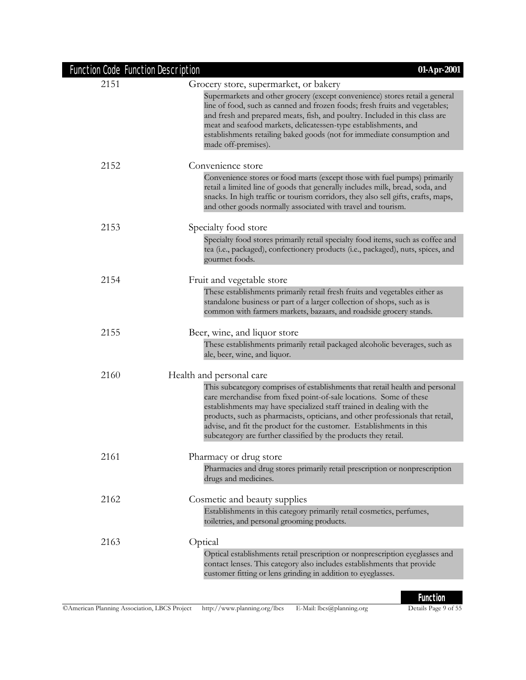| <b>Function Code Function Description</b> | 01-Apr-2001                                                                                                                                                                                                                                                                                                                                                                                                                                              |
|-------------------------------------------|----------------------------------------------------------------------------------------------------------------------------------------------------------------------------------------------------------------------------------------------------------------------------------------------------------------------------------------------------------------------------------------------------------------------------------------------------------|
| 2151                                      | Grocery store, supermarket, or bakery                                                                                                                                                                                                                                                                                                                                                                                                                    |
|                                           | Supermarkets and other grocery (except convenience) stores retail a general<br>line of food, such as canned and frozen foods; fresh fruits and vegetables;<br>and fresh and prepared meats, fish, and poultry. Included in this class are<br>meat and seafood markets, delicatessen-type establishments, and<br>establishments retailing baked goods (not for immediate consumption and<br>made off-premises).                                           |
| 2152                                      | Convenience store                                                                                                                                                                                                                                                                                                                                                                                                                                        |
|                                           | Convenience stores or food marts (except those with fuel pumps) primarily<br>retail a limited line of goods that generally includes milk, bread, soda, and<br>snacks. In high traffic or tourism corridors, they also sell gifts, crafts, maps,<br>and other goods normally associated with travel and tourism.                                                                                                                                          |
| 2153                                      | Specialty food store                                                                                                                                                                                                                                                                                                                                                                                                                                     |
|                                           | Specialty food stores primarily retail specialty food items, such as coffee and<br>tea (i.e., packaged), confectionery products (i.e., packaged), nuts, spices, and<br>gourmet foods.                                                                                                                                                                                                                                                                    |
| 2154                                      | Fruit and vegetable store                                                                                                                                                                                                                                                                                                                                                                                                                                |
|                                           | These establishments primarily retail fresh fruits and vegetables either as<br>standalone business or part of a larger collection of shops, such as is<br>common with farmers markets, bazaars, and roadside grocery stands.                                                                                                                                                                                                                             |
| 2155                                      | Beer, wine, and liquor store                                                                                                                                                                                                                                                                                                                                                                                                                             |
|                                           | These establishments primarily retail packaged alcoholic beverages, such as<br>ale, beer, wine, and liquor.                                                                                                                                                                                                                                                                                                                                              |
| 2160                                      | Health and personal care                                                                                                                                                                                                                                                                                                                                                                                                                                 |
|                                           | This subcategory comprises of establishments that retail health and personal<br>care merchandise from fixed point-of-sale locations. Some of these<br>establishments may have specialized staff trained in dealing with the<br>products, such as pharmacists, opticians, and other professionals that retail,<br>advise, and fit the product for the customer. Establishments in this<br>subcategory are further classified by the products they retail. |
| 2161                                      | Pharmacy or drug store                                                                                                                                                                                                                                                                                                                                                                                                                                   |
|                                           | Pharmacies and drug stores primarily retail prescription or nonprescription<br>drugs and medicines.                                                                                                                                                                                                                                                                                                                                                      |
| 2162                                      | Cosmetic and beauty supplies                                                                                                                                                                                                                                                                                                                                                                                                                             |
|                                           | Establishments in this category primarily retail cosmetics, perfumes,<br>toiletries, and personal grooming products.                                                                                                                                                                                                                                                                                                                                     |
| 2163                                      | Optical                                                                                                                                                                                                                                                                                                                                                                                                                                                  |
|                                           | Optical establishments retail prescription or nonprescription eyeglasses and<br>contact lenses. This category also includes establishments that provide<br>customer fitting or lens grinding in addition to eyeglasses.                                                                                                                                                                                                                                  |
|                                           |                                                                                                                                                                                                                                                                                                                                                                                                                                                          |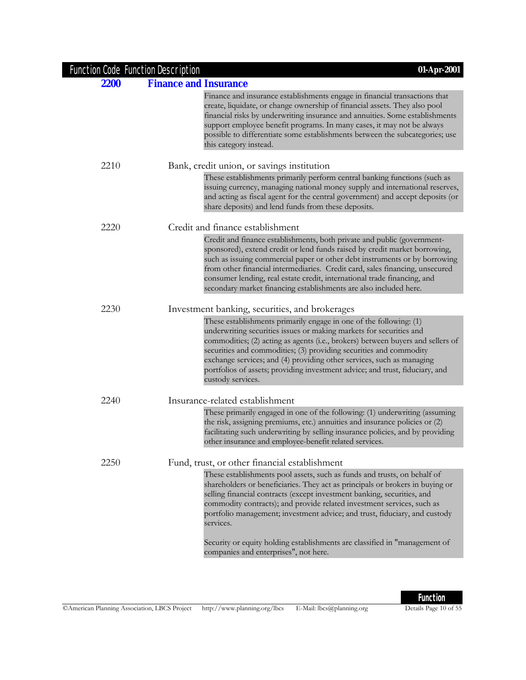| Function Code Function Description |                                                                                                                                                                                                                                                                                                                                                                                                                                                                                                                                  |
|------------------------------------|----------------------------------------------------------------------------------------------------------------------------------------------------------------------------------------------------------------------------------------------------------------------------------------------------------------------------------------------------------------------------------------------------------------------------------------------------------------------------------------------------------------------------------|
| <b>Finance and Insurance</b>       |                                                                                                                                                                                                                                                                                                                                                                                                                                                                                                                                  |
|                                    | Finance and insurance establishments engage in financial transactions that<br>create, liquidate, or change ownership of financial assets. They also pool<br>financial risks by underwriting insurance and annuities. Some establishments<br>support employee benefit programs. In many cases, it may not be always<br>possible to differentiate some establishments between the subcategories; use<br>this category instead.                                                                                                     |
|                                    | Bank, credit union, or savings institution                                                                                                                                                                                                                                                                                                                                                                                                                                                                                       |
|                                    | These establishments primarily perform central banking functions (such as<br>issuing currency, managing national money supply and international reserves,<br>and acting as fiscal agent for the central government) and accept deposits (or<br>share deposits) and lend funds from these deposits.                                                                                                                                                                                                                               |
|                                    | Credit and finance establishment                                                                                                                                                                                                                                                                                                                                                                                                                                                                                                 |
|                                    | Credit and finance establishments, both private and public (government-<br>sponsored), extend credit or lend funds raised by credit market borrowing,<br>such as issuing commercial paper or other debt instruments or by borrowing<br>from other financial intermediaries. Credit card, sales financing, unsecured<br>consumer lending, real estate credit, international trade financing, and<br>secondary market financing establishments are also included here.                                                             |
|                                    | Investment banking, securities, and brokerages                                                                                                                                                                                                                                                                                                                                                                                                                                                                                   |
|                                    | These establishments primarily engage in one of the following: (1)<br>underwriting securities issues or making markets for securities and<br>commodities; (2) acting as agents (i.e., brokers) between buyers and sellers of<br>securities and commodities; (3) providing securities and commodity<br>exchange services; and (4) providing other services, such as managing<br>portfolios of assets; providing investment advice; and trust, fiduciary, and<br>custody services.                                                 |
|                                    | Insurance-related establishment                                                                                                                                                                                                                                                                                                                                                                                                                                                                                                  |
|                                    | These primarily engaged in one of the following: (1) underwriting (assuming<br>the risk, assigning premiums, etc.) annuities and insurance policies or (2)<br>facilitating such underwriting by selling insurance policies, and by providing<br>other insurance and employee-benefit related services.                                                                                                                                                                                                                           |
|                                    | Fund, trust, or other financial establishment                                                                                                                                                                                                                                                                                                                                                                                                                                                                                    |
|                                    | These establishments pool assets, such as funds and trusts, on behalf of<br>shareholders or beneficiaries. They act as principals or brokers in buying or<br>selling financial contracts (except investment banking, securities, and<br>commodity contracts); and provide related investment services, such as<br>portfolio management; investment advice; and trust, fiduciary, and custody<br>services.<br>Security or equity holding establishments are classified in "management of<br>companies and enterprises", not here. |
|                                    |                                                                                                                                                                                                                                                                                                                                                                                                                                                                                                                                  |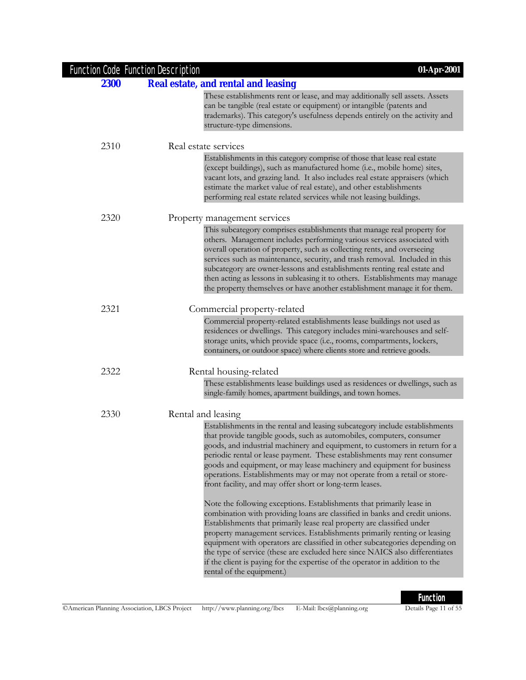| <b>Function Code Function Description</b> | 01-Apr-2001                                                                                                                                                                                                                                                                                                                                                                                                                                                                                                                                                                             |
|-------------------------------------------|-----------------------------------------------------------------------------------------------------------------------------------------------------------------------------------------------------------------------------------------------------------------------------------------------------------------------------------------------------------------------------------------------------------------------------------------------------------------------------------------------------------------------------------------------------------------------------------------|
| <b>2300</b>                               | <b>Real estate, and rental and leasing</b>                                                                                                                                                                                                                                                                                                                                                                                                                                                                                                                                              |
|                                           | These establishments rent or lease, and may additionally sell assets. Assets<br>can be tangible (real estate or equipment) or intangible (patents and<br>trademarks). This category's usefulness depends entirely on the activity and<br>structure-type dimensions.                                                                                                                                                                                                                                                                                                                     |
| 2310                                      | Real estate services                                                                                                                                                                                                                                                                                                                                                                                                                                                                                                                                                                    |
|                                           | Establishments in this category comprise of those that lease real estate<br>(except buildings), such as manufactured home (i.e., mobile home) sites,<br>vacant lots, and grazing land. It also includes real estate appraisers (which<br>estimate the market value of real estate), and other establishments<br>performing real estate related services while not leasing buildings.                                                                                                                                                                                                    |
| 2320                                      | Property management services                                                                                                                                                                                                                                                                                                                                                                                                                                                                                                                                                            |
|                                           | This subcategory comprises establishments that manage real property for<br>others. Management includes performing various services associated with<br>overall operation of property, such as collecting rents, and overseeing<br>services such as maintenance, security, and trash removal. Included in this<br>subcategory are owner-lessons and establishments renting real estate and<br>then acting as lessons in subleasing it to others. Establishments may manage<br>the property themselves or have another establishment manage it for them.                                   |
| 2321                                      | Commercial property-related                                                                                                                                                                                                                                                                                                                                                                                                                                                                                                                                                             |
|                                           | Commercial property-related establishments lease buildings not used as<br>residences or dwellings. This category includes mini-warehouses and self-<br>storage units, which provide space (i.e., rooms, compartments, lockers,<br>containers, or outdoor space) where clients store and retrieve goods.                                                                                                                                                                                                                                                                                 |
| 2322                                      | Rental housing-related                                                                                                                                                                                                                                                                                                                                                                                                                                                                                                                                                                  |
|                                           | These establishments lease buildings used as residences or dwellings, such as<br>single-family homes, apartment buildings, and town homes.                                                                                                                                                                                                                                                                                                                                                                                                                                              |
| 2330                                      | Rental and leasing                                                                                                                                                                                                                                                                                                                                                                                                                                                                                                                                                                      |
|                                           | Establishments in the rental and leasing subcategory include establishments<br>that provide tangible goods, such as automobiles, computers, consumer<br>goods, and industrial machinery and equipment, to customers in return for a<br>periodic rental or lease payment. These establishments may rent consumer<br>goods and equipment, or may lease machinery and equipment for business<br>operations. Establishments may or may not operate from a retail or store-<br>front facility, and may offer short or long-term leases.                                                      |
|                                           | Note the following exceptions. Establishments that primarily lease in<br>combination with providing loans are classified in banks and credit unions.<br>Establishments that primarily lease real property are classified under<br>property management services. Establishments primarily renting or leasing<br>equipment with operators are classified in other subcategories depending on<br>the type of service (these are excluded here since NAICS also differentiates<br>if the client is paying for the expertise of the operator in addition to the<br>rental of the equipment.) |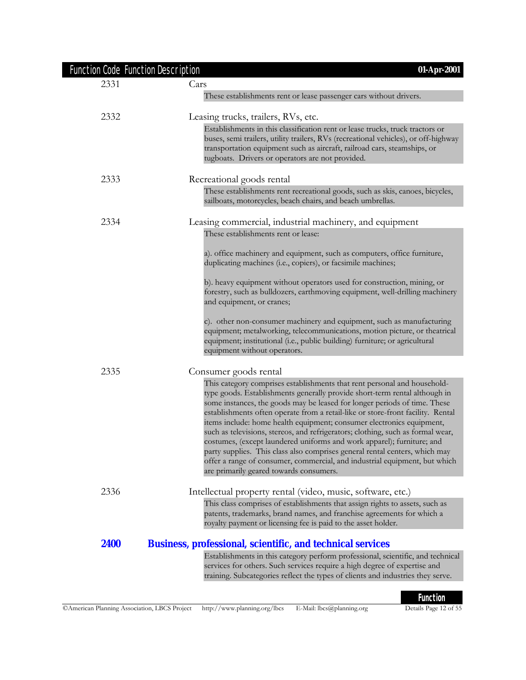| <b>Function Code Function Description</b> | 01-Apr-2001                                                                                                                                                                                                                                                                                                                                                                                                                                                                                                                                                                                                                                                                                                                                                          |
|-------------------------------------------|----------------------------------------------------------------------------------------------------------------------------------------------------------------------------------------------------------------------------------------------------------------------------------------------------------------------------------------------------------------------------------------------------------------------------------------------------------------------------------------------------------------------------------------------------------------------------------------------------------------------------------------------------------------------------------------------------------------------------------------------------------------------|
| 2331                                      | Cars                                                                                                                                                                                                                                                                                                                                                                                                                                                                                                                                                                                                                                                                                                                                                                 |
|                                           | These establishments rent or lease passenger cars without drivers.                                                                                                                                                                                                                                                                                                                                                                                                                                                                                                                                                                                                                                                                                                   |
| 2332                                      | Leasing trucks, trailers, RVs, etc.                                                                                                                                                                                                                                                                                                                                                                                                                                                                                                                                                                                                                                                                                                                                  |
|                                           | Establishments in this classification rent or lease trucks, truck tractors or<br>buses, semi trailers, utility trailers, RVs (recreational vehicles), or off-highway<br>transportation equipment such as aircraft, railroad cars, steamships, or<br>tugboats. Drivers or operators are not provided.                                                                                                                                                                                                                                                                                                                                                                                                                                                                 |
| 2333                                      | Recreational goods rental<br>These establishments rent recreational goods, such as skis, canoes, bicycles,<br>sailboats, motorcycles, beach chairs, and beach umbrellas.                                                                                                                                                                                                                                                                                                                                                                                                                                                                                                                                                                                             |
| 2334                                      | Leasing commercial, industrial machinery, and equipment                                                                                                                                                                                                                                                                                                                                                                                                                                                                                                                                                                                                                                                                                                              |
|                                           | These establishments rent or lease:                                                                                                                                                                                                                                                                                                                                                                                                                                                                                                                                                                                                                                                                                                                                  |
|                                           | a). office machinery and equipment, such as computers, office furniture,<br>duplicating machines (i.e., copiers), or facsimile machines;                                                                                                                                                                                                                                                                                                                                                                                                                                                                                                                                                                                                                             |
|                                           | b). heavy equipment without operators used for construction, mining, or<br>forestry, such as bulldozers, earthmoving equipment, well-drilling machinery<br>and equipment, or cranes;                                                                                                                                                                                                                                                                                                                                                                                                                                                                                                                                                                                 |
|                                           | c). other non-consumer machinery and equipment, such as manufacturing<br>equipment; metalworking, telecommunications, motion picture, or theatrical<br>equipment; institutional (i.e., public building) furniture; or agricultural<br>equipment without operators.                                                                                                                                                                                                                                                                                                                                                                                                                                                                                                   |
| 2335                                      | Consumer goods rental                                                                                                                                                                                                                                                                                                                                                                                                                                                                                                                                                                                                                                                                                                                                                |
|                                           | This category comprises establishments that rent personal and household-<br>type goods. Establishments generally provide short-term rental although in<br>some instances, the goods may be leased for longer periods of time. These<br>establishments often operate from a retail-like or store-front facility. Rental<br>items include: home health equipment; consumer electronics equipment,<br>such as televisions, stereos, and refrigerators; clothing, such as formal wear,<br>costumes, (except laundered uniforms and work apparel); furniture; and<br>party supplies. This class also comprises general rental centers, which may<br>offer a range of consumer, commercial, and industrial equipment, but which<br>are primarily geared towards consumers. |
| 2336                                      | Intellectual property rental (video, music, software, etc.)                                                                                                                                                                                                                                                                                                                                                                                                                                                                                                                                                                                                                                                                                                          |
|                                           | This class comprises of establishments that assign rights to assets, such as<br>patents, trademarks, brand names, and franchise agreements for which a<br>royalty payment or licensing fee is paid to the asset holder.                                                                                                                                                                                                                                                                                                                                                                                                                                                                                                                                              |
| 2400                                      | <b>Business, professional, scientific, and technical services</b>                                                                                                                                                                                                                                                                                                                                                                                                                                                                                                                                                                                                                                                                                                    |
|                                           | Establishments in this category perform professional, scientific, and technical<br>services for others. Such services require a high degree of expertise and<br>training. Subcategories reflect the types of clients and industries they serve.                                                                                                                                                                                                                                                                                                                                                                                                                                                                                                                      |
|                                           |                                                                                                                                                                                                                                                                                                                                                                                                                                                                                                                                                                                                                                                                                                                                                                      |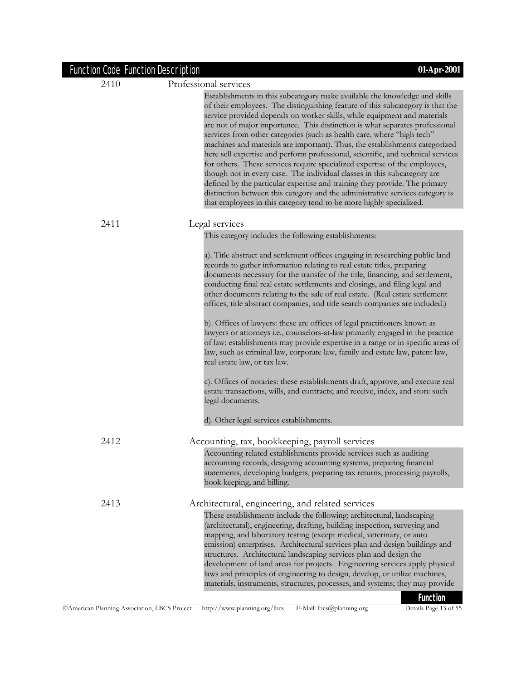| <b>Function Code Function Description</b> | 01-Apr-2001                                                                                                                                                                                                                                                                                                                                                                                                                                                                                                                                                                                                                                                                                                                                                                                                                                                                                                                                                                                                                                                                                   |
|-------------------------------------------|-----------------------------------------------------------------------------------------------------------------------------------------------------------------------------------------------------------------------------------------------------------------------------------------------------------------------------------------------------------------------------------------------------------------------------------------------------------------------------------------------------------------------------------------------------------------------------------------------------------------------------------------------------------------------------------------------------------------------------------------------------------------------------------------------------------------------------------------------------------------------------------------------------------------------------------------------------------------------------------------------------------------------------------------------------------------------------------------------|
| 2410                                      | Professional services                                                                                                                                                                                                                                                                                                                                                                                                                                                                                                                                                                                                                                                                                                                                                                                                                                                                                                                                                                                                                                                                         |
|                                           | Establishments in this subcategory make available the knowledge and skills<br>of their employees. The distinguishing feature of this subcategory is that the<br>service provided depends on worker skills, while equipment and materials<br>are not of major importance. This distinction is what separates professional<br>services from other categories (such as health care, where "high tech"<br>machines and materials are important). Thus, the establishments categorized<br>here sell expertise and perform professional, scientific, and technical services<br>for others. These services require specialized expertise of the employees,<br>though not in every case. The individual classes in this subcategory are<br>defined by the particular expertise and training they provide. The primary<br>distinction between this category and the administrative services category is<br>that employees in this category tend to be more highly specialized.                                                                                                                         |
| 2411                                      | Legal services                                                                                                                                                                                                                                                                                                                                                                                                                                                                                                                                                                                                                                                                                                                                                                                                                                                                                                                                                                                                                                                                                |
|                                           | This category includes the following establishments:                                                                                                                                                                                                                                                                                                                                                                                                                                                                                                                                                                                                                                                                                                                                                                                                                                                                                                                                                                                                                                          |
|                                           | a). Title abstract and settlement offices engaging in researching public land<br>records to gather information relating to real estate titles, preparing<br>documents necessary for the transfer of the title, financing, and settlement,<br>conducting final real estate settlements and closings, and filing legal and<br>other documents relating to the sale of real estate. (Real estate settlement<br>offices, title abstract companies, and title search companies are included.)<br>b). Offices of lawyers: these are offices of legal practitioners known as<br>lawyers or attorneys i.e., counselors-at-law primarily engaged in the practice<br>of law; establishments may provide expertise in a range or in specific areas of<br>law, such as criminal law, corporate law, family and estate law, patent law,<br>real estate law, or tax law.<br>c). Offices of notaries: these establishments draft, approve, and execute real<br>estate transactions, wills, and contracts; and receive, index, and store such<br>legal documents.<br>d). Other legal services establishments. |
| 2412                                      |                                                                                                                                                                                                                                                                                                                                                                                                                                                                                                                                                                                                                                                                                                                                                                                                                                                                                                                                                                                                                                                                                               |
|                                           | Accounting, tax, bookkeeping, payroll services<br>Accounting-related establishments provide services such as auditing<br>accounting records, designing accounting systems, preparing financial<br>statements, developing budgets, preparing tax returns, processing payrolls,<br>book keeping, and billing.                                                                                                                                                                                                                                                                                                                                                                                                                                                                                                                                                                                                                                                                                                                                                                                   |
| 2413                                      | Architectural, engineering, and related services                                                                                                                                                                                                                                                                                                                                                                                                                                                                                                                                                                                                                                                                                                                                                                                                                                                                                                                                                                                                                                              |
|                                           | These establishments include the following: architectural, landscaping<br>(architectural), engineering, drafting, building inspection, surveying and<br>mapping, and laboratory testing (except medical, veterinary, or auto<br>emission) enterprises. Architectural services plan and design buildings and<br>structures. Architectural landscaping services plan and design the<br>development of land areas for projects. Engineering services apply physical<br>laws and principles of engineering to design, develop, or utilize machines,<br>materials, instruments, structures, processes, and systems; they may provide<br>Eunetion                                                                                                                                                                                                                                                                                                                                                                                                                                                   |

**Function**<br>Details Page 13 of 55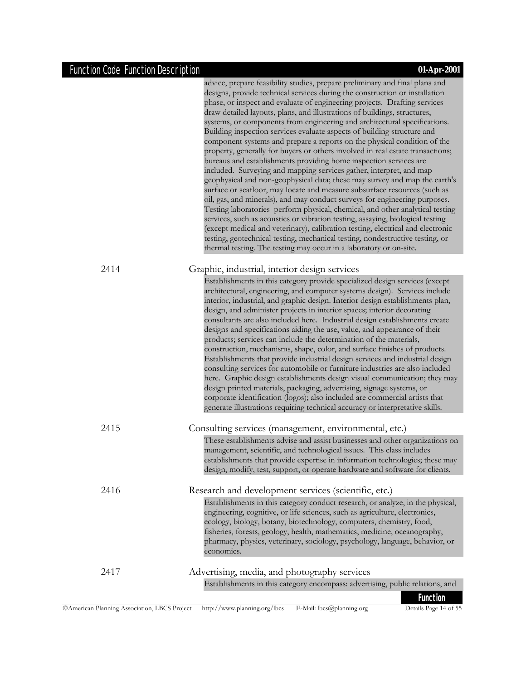|      | advice, prepare feasibility studies, prepare preliminary and final plans and<br>designs, provide technical services during the construction or installation<br>phase, or inspect and evaluate of engineering projects. Drafting services<br>draw detailed layouts, plans, and illustrations of buildings, structures,<br>systems, or components from engineering and architectural specifications.<br>Building inspection services evaluate aspects of building structure and<br>component systems and prepare a reports on the physical condition of the<br>property, generally for buyers or others involved in real estate transactions;<br>bureaus and establishments providing home inspection services are<br>included. Surveying and mapping services gather, interpret, and map<br>geophysical and non-geophysical data; these may survey and map the earth's<br>surface or seafloor, may locate and measure subsurface resources (such as<br>oil, gas, and minerals), and may conduct surveys for engineering purposes.<br>Testing laboratories perform physical, chemical, and other analytical testing<br>services, such as acoustics or vibration testing, assaying, biological testing<br>(except medical and veterinary), calibration testing, electrical and electronic<br>testing, geotechnical testing, mechanical testing, nondestructive testing, or<br>thermal testing. The testing may occur in a laboratory or on-site. |
|------|-----------------------------------------------------------------------------------------------------------------------------------------------------------------------------------------------------------------------------------------------------------------------------------------------------------------------------------------------------------------------------------------------------------------------------------------------------------------------------------------------------------------------------------------------------------------------------------------------------------------------------------------------------------------------------------------------------------------------------------------------------------------------------------------------------------------------------------------------------------------------------------------------------------------------------------------------------------------------------------------------------------------------------------------------------------------------------------------------------------------------------------------------------------------------------------------------------------------------------------------------------------------------------------------------------------------------------------------------------------------------------------------------------------------------------------------------|
| 2414 | Graphic, industrial, interior design services                                                                                                                                                                                                                                                                                                                                                                                                                                                                                                                                                                                                                                                                                                                                                                                                                                                                                                                                                                                                                                                                                                                                                                                                                                                                                                                                                                                                 |
|      | Establishments in this category provide specialized design services (except<br>architectural, engineering, and computer systems design). Services include<br>interior, industrial, and graphic design. Interior design establishments plan,<br>design, and administer projects in interior spaces; interior decorating<br>consultants are also included here. Industrial design establishments create<br>designs and specifications aiding the use, value, and appearance of their<br>products; services can include the determination of the materials,<br>construction, mechanisms, shape, color, and surface finishes of products.<br>Establishments that provide industrial design services and industrial design<br>consulting services for automobile or furniture industries are also included<br>here. Graphic design establishments design visual communication; they may<br>design printed materials, packaging, advertising, signage systems, or<br>corporate identification (logos); also included are commercial artists that<br>generate illustrations requiring technical accuracy or interpretative skills.                                                                                                                                                                                                                                                                                                                   |
| 2415 | Consulting services (management, environmental, etc.)<br>These establishments advise and assist businesses and other organizations on                                                                                                                                                                                                                                                                                                                                                                                                                                                                                                                                                                                                                                                                                                                                                                                                                                                                                                                                                                                                                                                                                                                                                                                                                                                                                                         |
|      | management, scientific, and technological issues. This class includes<br>establishments that provide expertise in information technologies; these may<br>design, modify, test, support, or operate hardware and software for clients.                                                                                                                                                                                                                                                                                                                                                                                                                                                                                                                                                                                                                                                                                                                                                                                                                                                                                                                                                                                                                                                                                                                                                                                                         |
| 2416 | Research and development services (scientific, etc.)                                                                                                                                                                                                                                                                                                                                                                                                                                                                                                                                                                                                                                                                                                                                                                                                                                                                                                                                                                                                                                                                                                                                                                                                                                                                                                                                                                                          |
|      | Establishments in this category conduct research, or analyze, in the physical,<br>engineering, cognitive, or life sciences, such as agriculture, electronics,<br>ecology, biology, botany, biotechnology, computers, chemistry, food,<br>fisheries, forests, geology, health, mathematics, medicine, oceanography,<br>pharmacy, physics, veterinary, sociology, psychology, language, behavior, or<br>economics.                                                                                                                                                                                                                                                                                                                                                                                                                                                                                                                                                                                                                                                                                                                                                                                                                                                                                                                                                                                                                              |
| 2417 | Advertising, media, and photography services                                                                                                                                                                                                                                                                                                                                                                                                                                                                                                                                                                                                                                                                                                                                                                                                                                                                                                                                                                                                                                                                                                                                                                                                                                                                                                                                                                                                  |
|      | Establishments in this category encompass: advertising, public relations, and                                                                                                                                                                                                                                                                                                                                                                                                                                                                                                                                                                                                                                                                                                                                                                                                                                                                                                                                                                                                                                                                                                                                                                                                                                                                                                                                                                 |
|      | <b>Function</b>                                                                                                                                                                                                                                                                                                                                                                                                                                                                                                                                                                                                                                                                                                                                                                                                                                                                                                                                                                                                                                                                                                                                                                                                                                                                                                                                                                                                                               |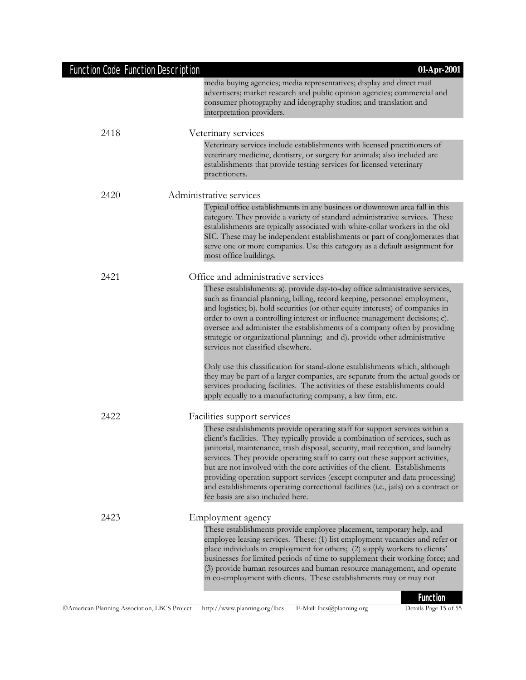| <b>Function Code Function Description</b> | 01-Apr-2001                                                                                                                                                                                                                                                                                                                                                                                                                                                                                                                                                                                                                                                                                                                                                                                                                                                                    |
|-------------------------------------------|--------------------------------------------------------------------------------------------------------------------------------------------------------------------------------------------------------------------------------------------------------------------------------------------------------------------------------------------------------------------------------------------------------------------------------------------------------------------------------------------------------------------------------------------------------------------------------------------------------------------------------------------------------------------------------------------------------------------------------------------------------------------------------------------------------------------------------------------------------------------------------|
|                                           | media buying agencies; media representatives; display and direct mail<br>advertisers; market research and public opinion agencies; commercial and<br>consumer photography and ideography studios; and translation and<br>interpretation providers.                                                                                                                                                                                                                                                                                                                                                                                                                                                                                                                                                                                                                             |
| 2418                                      | Veterinary services<br>Veterinary services include establishments with licensed practitioners of<br>veterinary medicine, dentistry, or surgery for animals; also included are<br>establishments that provide testing services for licensed veterinary<br>practitioners.                                                                                                                                                                                                                                                                                                                                                                                                                                                                                                                                                                                                        |
| 2420                                      | Administrative services<br>Typical office establishments in any business or downtown area fall in this<br>category. They provide a variety of standard administrative services. These<br>establishments are typically associated with white-collar workers in the old<br>SIC. These may be independent establishments or part of conglomerates that<br>serve one or more companies. Use this category as a default assignment for<br>most office buildings.                                                                                                                                                                                                                                                                                                                                                                                                                    |
| 2421                                      | Office and administrative services<br>These establishments: a). provide day-to-day office administrative services,<br>such as financial planning, billing, record keeping, personnel employment,<br>and logistics; b). hold securities (or other equity interests) of companies in<br>order to own a controlling interest or influence management decisions; c).<br>oversee and administer the establishments of a company often by providing<br>strategic or organizational planning; and d). provide other administrative<br>services not classified elsewhere.<br>Only use this classification for stand-alone establishments which, although<br>they may be part of a larger companies, are separate from the actual goods or<br>services producing facilities. The activities of these establishments could<br>apply equally to a manufacturing company, a law firm, etc. |
| 2422                                      | Facilities support services<br>These establishments provide operating staff for support services within a<br>client's facilities. They typically provide a combination of services, such as<br>janitorial, maintenance, trash disposal, security, mail reception, and laundry<br>services. They provide operating staff to carry out these support activities,<br>but are not involved with the core activities of the client. Establishments<br>providing operation support services (except computer and data processing)<br>and establishments operating correctional facilities (i.e., jails) on a contract or<br>fee basis are also included here.                                                                                                                                                                                                                        |
| 2423                                      | Employment agency<br>These establishments provide employee placement, temporary help, and<br>employee leasing services. These: (1) list employment vacancies and refer or<br>place individuals in employment for others; (2) supply workers to clients'<br>businesses for limited periods of time to supplement their working force; and<br>(3) provide human resources and human resource management, and operate<br>in co-employment with clients. These establishments may or may not<br><b>Function</b>                                                                                                                                                                                                                                                                                                                                                                    |

Details Page 15 of 55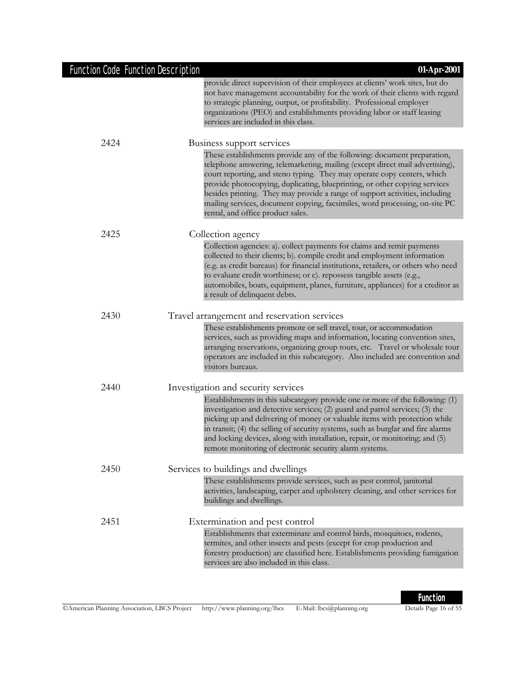| <b>Function Code Function Description</b> | 01-Apr-2001                                                                                                                                                                                                                                                                                                                                                                                                                                                                                                           |
|-------------------------------------------|-----------------------------------------------------------------------------------------------------------------------------------------------------------------------------------------------------------------------------------------------------------------------------------------------------------------------------------------------------------------------------------------------------------------------------------------------------------------------------------------------------------------------|
|                                           | provide direct supervision of their employees at clients' work sites, but do<br>not have management accountability for the work of their clients with regard<br>to strategic planning, output, or profitability. Professional employer<br>organizations (PEO) and establishments providing labor or staff leasing<br>services are included in this class.                                                                                                                                                             |
| 2424                                      | Business support services                                                                                                                                                                                                                                                                                                                                                                                                                                                                                             |
|                                           | These establishments provide any of the following: document preparation,<br>telephone answering, telemarketing, mailing (except direct mail advertising),<br>court reporting, and steno typing. They may operate copy centers, which<br>provide photocopying, duplicating, blueprinting, or other copying services<br>besides printing. They may provide a range of support activities, including<br>mailing services, document copying, facsimiles, word processing, on-site PC<br>rental, and office product sales. |
| 2425                                      | Collection agency                                                                                                                                                                                                                                                                                                                                                                                                                                                                                                     |
|                                           | Collection agencies: a). collect payments for claims and remit payments<br>collected to their clients; b). compile credit and employment information<br>(e.g. as credit bureaus) for financial institutions, retailers, or others who need<br>to evaluate credit worthiness; or c). repossess tangible assets (e.g.,<br>automobiles, boats, equipment, planes, furniture, appliances) for a creditor as<br>a result of delinquent debts.                                                                              |
| 2430                                      | Travel arrangement and reservation services                                                                                                                                                                                                                                                                                                                                                                                                                                                                           |
|                                           | These establishments promote or sell travel, tour, or accommodation<br>services, such as providing maps and information, locating convention sites,<br>arranging reservations, organizing group tours, etc. Travel or wholesale tour<br>operators are included in this subcategory. Also included are convention and<br>visitors bureaus.                                                                                                                                                                             |
| 2440                                      | Investigation and security services                                                                                                                                                                                                                                                                                                                                                                                                                                                                                   |
|                                           | Establishments in this subcategory provide one or more of the following: (1)<br>investigation and detective services; (2) guard and patrol services; (3) the<br>picking up and delivering of money or valuable items with protection while                                                                                                                                                                                                                                                                            |

investigation and detective services; (2) guard and patrol services; (3) the picking up and delivering of money or valuable items with protection while in transit; (4) the selling of security systems, such as burglar and fire alarms and locking devices, along with installation, repair, or monitoring; and (5) remote monitoring of electronic security alarm systems. 2450 Services to buildings and dwellings

These establishments provide services, such as pest control, janitorial

activities, landscaping, carpet and upholstery cleaning, and other services for buildings and dwellings. 2451 Extermination and pest control Establishments that exterminate and control birds, mosquitoes, rodents, termites, and other insects and pests (except for crop production and forestry production) are classified here. Establishments providing fumigation services are also included in this class.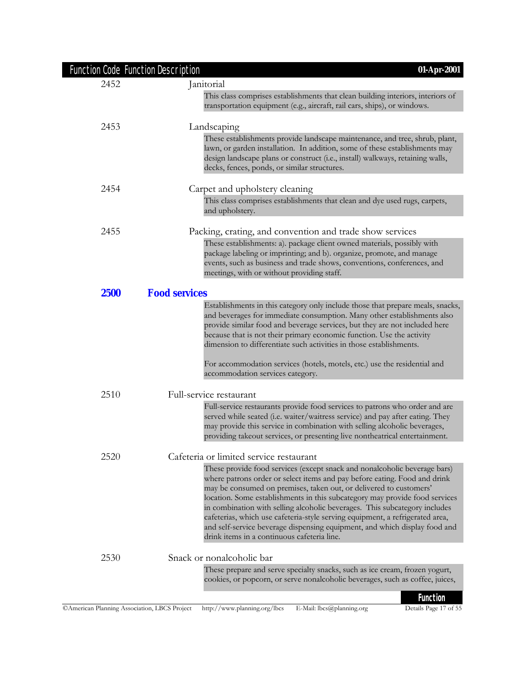| Function Code Function Description | 01-Apr-2001                                                                                                                                                                                                                                                                                                                                                                                                                                                                                                                                                                                             |
|------------------------------------|---------------------------------------------------------------------------------------------------------------------------------------------------------------------------------------------------------------------------------------------------------------------------------------------------------------------------------------------------------------------------------------------------------------------------------------------------------------------------------------------------------------------------------------------------------------------------------------------------------|
| 2452                               | Janitorial                                                                                                                                                                                                                                                                                                                                                                                                                                                                                                                                                                                              |
|                                    | This class comprises establishments that clean building interiors, interiors of<br>transportation equipment (e.g., aircraft, rail cars, ships), or windows.                                                                                                                                                                                                                                                                                                                                                                                                                                             |
| 2453                               | Landscaping                                                                                                                                                                                                                                                                                                                                                                                                                                                                                                                                                                                             |
|                                    | These establishments provide landscape maintenance, and tree, shrub, plant,<br>lawn, or garden installation. In addition, some of these establishments may<br>design landscape plans or construct (i.e., install) walkways, retaining walls,<br>decks, fences, ponds, or similar structures.                                                                                                                                                                                                                                                                                                            |
| 2454                               | Carpet and upholstery cleaning                                                                                                                                                                                                                                                                                                                                                                                                                                                                                                                                                                          |
|                                    | This class comprises establishments that clean and dye used rugs, carpets,<br>and upholstery.                                                                                                                                                                                                                                                                                                                                                                                                                                                                                                           |
| 2455                               | Packing, crating, and convention and trade show services                                                                                                                                                                                                                                                                                                                                                                                                                                                                                                                                                |
|                                    | These establishments: a). package client owned materials, possibly with<br>package labeling or imprinting; and b). organize, promote, and manage<br>events, such as business and trade shows, conventions, conferences, and<br>meetings, with or without providing staff.                                                                                                                                                                                                                                                                                                                               |
| <b>2500</b>                        | <b>Food services</b>                                                                                                                                                                                                                                                                                                                                                                                                                                                                                                                                                                                    |
|                                    | Establishments in this category only include those that prepare meals, snacks,<br>and beverages for immediate consumption. Many other establishments also<br>provide similar food and beverage services, but they are not included here<br>because that is not their primary economic function. Use the activity<br>dimension to differentiate such activities in those establishments.                                                                                                                                                                                                                 |
|                                    | For accommodation services (hotels, motels, etc.) use the residential and<br>accommodation services category.                                                                                                                                                                                                                                                                                                                                                                                                                                                                                           |
| 2510                               | Full-service restaurant                                                                                                                                                                                                                                                                                                                                                                                                                                                                                                                                                                                 |
|                                    | Full-service restaurants provide food services to patrons who order and are<br>served while seated (i.e. waiter/waitress service) and pay after eating. They<br>may provide this service in combination with selling alcoholic beverages,<br>providing takeout services, or presenting live nontheatrical entertainment.                                                                                                                                                                                                                                                                                |
| 2520                               | Cafeteria or limited service restaurant                                                                                                                                                                                                                                                                                                                                                                                                                                                                                                                                                                 |
|                                    | These provide food services (except snack and nonalcoholic beverage bars)<br>where patrons order or select items and pay before eating. Food and drink<br>may be consumed on premises, taken out, or delivered to customers'<br>location. Some establishments in this subcategory may provide food services<br>in combination with selling alcoholic beverages. This subcategory includes<br>cafeterias, which use cafeteria-style serving equipment, a refrigerated area,<br>and self-service beverage dispensing equipment, and which display food and<br>drink items in a continuous cafeteria line. |
| 2530                               | Snack or nonalcoholic bar                                                                                                                                                                                                                                                                                                                                                                                                                                                                                                                                                                               |
|                                    | These prepare and serve specialty snacks, such as ice cream, frozen yogurt,<br>cookies, or popcorn, or serve nonalcoholic beverages, such as coffee, juices,                                                                                                                                                                                                                                                                                                                                                                                                                                            |
|                                    | <b>Function</b>                                                                                                                                                                                                                                                                                                                                                                                                                                                                                                                                                                                         |

Details Page 17 of 55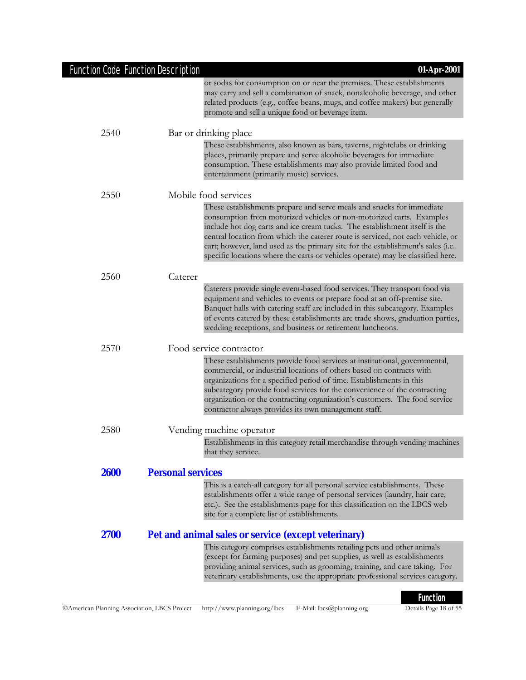|             | or sodas for consumption on or near the premises. These establishments<br>may carry and sell a combination of snack, nonalcoholic beverage, and other<br>related products (e.g., coffee beans, mugs, and coffee makers) but generally<br>promote and sell a unique food or beverage item.                                                                                                                                                                                             |
|-------------|---------------------------------------------------------------------------------------------------------------------------------------------------------------------------------------------------------------------------------------------------------------------------------------------------------------------------------------------------------------------------------------------------------------------------------------------------------------------------------------|
| 2540        | Bar or drinking place                                                                                                                                                                                                                                                                                                                                                                                                                                                                 |
|             | These establishments, also known as bars, taverns, nightclubs or drinking<br>places, primarily prepare and serve alcoholic beverages for immediate<br>consumption. These establishments may also provide limited food and<br>entertainment (primarily music) services.                                                                                                                                                                                                                |
| 2550        | Mobile food services                                                                                                                                                                                                                                                                                                                                                                                                                                                                  |
|             | These establishments prepare and serve meals and snacks for immediate<br>consumption from motorized vehicles or non-motorized carts. Examples<br>include hot dog carts and ice cream tucks. The establishment itself is the<br>central location from which the caterer route is serviced, not each vehicle, or<br>cart; however, land used as the primary site for the establishment's sales (i.e.<br>specific locations where the carts or vehicles operate) may be classified here. |
| 2560        | Caterer                                                                                                                                                                                                                                                                                                                                                                                                                                                                               |
|             | Caterers provide single event-based food services. They transport food via<br>equipment and vehicles to events or prepare food at an off-premise site.<br>Banquet halls with catering staff are included in this subcategory. Examples<br>of events catered by these establishments are trade shows, graduation parties,<br>wedding receptions, and business or retirement luncheons.                                                                                                 |
| 2570        | Food service contractor                                                                                                                                                                                                                                                                                                                                                                                                                                                               |
|             | These establishments provide food services at institutional, governmental,<br>commercial, or industrial locations of others based on contracts with<br>organizations for a specified period of time. Establishments in this<br>subcategory provide food services for the convenience of the contracting<br>organization or the contracting organization's customers. The food service<br>contractor always provides its own management staff.                                         |
| 2580        | Vending machine operator                                                                                                                                                                                                                                                                                                                                                                                                                                                              |
|             | Establishments in this category retail merchandise through vending machines<br>that they service.                                                                                                                                                                                                                                                                                                                                                                                     |
| <b>2600</b> | <b>Personal services</b>                                                                                                                                                                                                                                                                                                                                                                                                                                                              |
|             | This is a catch-all category for all personal service establishments. These<br>establishments offer a wide range of personal services (laundry, hair care,<br>etc.). See the establishments page for this classification on the LBCS web<br>site for a complete list of establishments.                                                                                                                                                                                               |
| 2700        | Pet and animal sales or service (except veterinary)                                                                                                                                                                                                                                                                                                                                                                                                                                   |
|             | This category comprises establishments retailing pets and other animals<br>(except for farming purposes) and pet supplies, as well as establishments<br>providing animal services, such as grooming, training, and care taking. For<br>veterinary establishments, use the appropriate professional services category.                                                                                                                                                                 |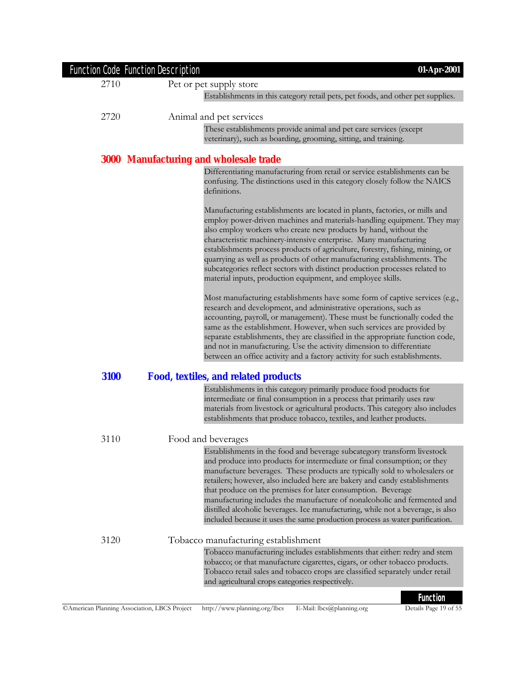|      | <b>Function Code Function Description</b>     | 01-Apr-2001                                                                                                                                                                                                                                                                                                                                                                                                                                                                                                                                                                                                                   |
|------|-----------------------------------------------|-------------------------------------------------------------------------------------------------------------------------------------------------------------------------------------------------------------------------------------------------------------------------------------------------------------------------------------------------------------------------------------------------------------------------------------------------------------------------------------------------------------------------------------------------------------------------------------------------------------------------------|
| 2710 |                                               | Pet or pet supply store                                                                                                                                                                                                                                                                                                                                                                                                                                                                                                                                                                                                       |
|      |                                               | Establishments in this category retail pets, pet foods, and other pet supplies.                                                                                                                                                                                                                                                                                                                                                                                                                                                                                                                                               |
| 2720 |                                               | Animal and pet services                                                                                                                                                                                                                                                                                                                                                                                                                                                                                                                                                                                                       |
|      |                                               | These establishments provide animal and pet care services (except                                                                                                                                                                                                                                                                                                                                                                                                                                                                                                                                                             |
|      |                                               | veterinary), such as boarding, grooming, sitting, and training.                                                                                                                                                                                                                                                                                                                                                                                                                                                                                                                                                               |
|      |                                               |                                                                                                                                                                                                                                                                                                                                                                                                                                                                                                                                                                                                                               |
|      | <b>3000 Manufacturing and wholesale trade</b> |                                                                                                                                                                                                                                                                                                                                                                                                                                                                                                                                                                                                                               |
|      |                                               | Differentiating manufacturing from retail or service establishments can be<br>confusing. The distinctions used in this category closely follow the NAICS<br>definitions.                                                                                                                                                                                                                                                                                                                                                                                                                                                      |
|      |                                               | Manufacturing establishments are located in plants, factories, or mills and<br>employ power-driven machines and materials-handling equipment. They may<br>also employ workers who create new products by hand, without the<br>characteristic machinery-intensive enterprise. Many manufacturing<br>establishments process products of agriculture, forestry, fishing, mining, or<br>quarrying as well as products of other manufacturing establishments. The<br>subcategories reflect sectors with distinct production processes related to<br>material inputs, production equipment, and employee skills.                    |
|      |                                               | Most manufacturing establishments have some form of captive services (e.g.,<br>research and development, and administrative operations, such as<br>accounting, payroll, or management). These must be functionally coded the<br>same as the establishment. However, when such services are provided by<br>separate establishments, they are classified in the appropriate function code,<br>and not in manufacturing. Use the activity dimension to differentiate<br>between an office activity and a factory activity for such establishments.                                                                               |
| 3100 |                                               | <b>Food, textiles, and related products</b>                                                                                                                                                                                                                                                                                                                                                                                                                                                                                                                                                                                   |
|      |                                               | Establishments in this category primarily produce food products for<br>intermediate or final consumption in a process that primarily uses raw<br>materials from livestock or agricultural products. This category also includes<br>establishments that produce tobacco, textiles, and leather products.                                                                                                                                                                                                                                                                                                                       |
| 3110 |                                               | Food and beverages                                                                                                                                                                                                                                                                                                                                                                                                                                                                                                                                                                                                            |
|      |                                               | Establishments in the food and beverage subcategory transform livestock<br>and produce into products for intermediate or final consumption; or they<br>manufacture beverages. These products are typically sold to wholesalers or<br>retailers; however, also included here are bakery and candy establishments<br>that produce on the premises for later consumption. Beverage<br>manufacturing includes the manufacture of nonalcoholic and fermented and<br>distilled alcoholic beverages. Ice manufacturing, while not a beverage, is also<br>included because it uses the same production process as water purification. |
| 3120 |                                               | Tobacco manufacturing establishment                                                                                                                                                                                                                                                                                                                                                                                                                                                                                                                                                                                           |
|      |                                               | Tobacco manufacturing includes establishments that either: redry and stem<br>tobacco; or that manufacture cigarettes, cigars, or other tobacco products.<br>Tobacco retail sales and tobacco crops are classified separately under retail<br>and agricultural crops categories respectively.                                                                                                                                                                                                                                                                                                                                  |
|      |                                               | <b>Function</b>                                                                                                                                                                                                                                                                                                                                                                                                                                                                                                                                                                                                               |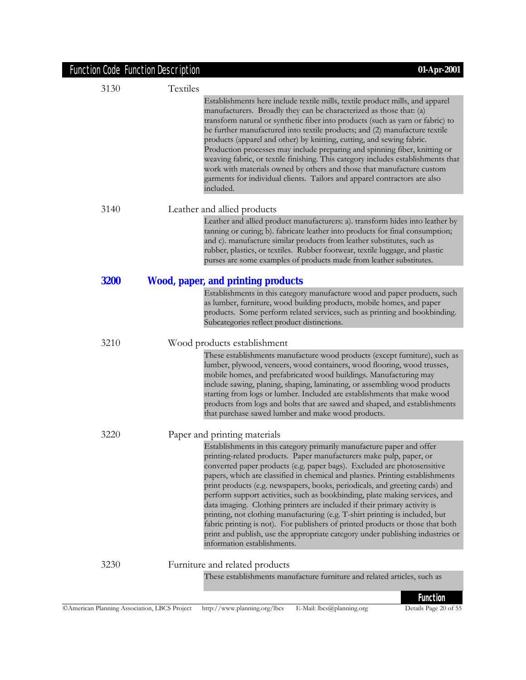| <b>Function Code Function Description</b> |          | 01-Apr-2001                                                                                                                                                                                                                                                                                                                                                                                                                                                                                                                                                                                                                                                                                                                                                                                                                              |
|-------------------------------------------|----------|------------------------------------------------------------------------------------------------------------------------------------------------------------------------------------------------------------------------------------------------------------------------------------------------------------------------------------------------------------------------------------------------------------------------------------------------------------------------------------------------------------------------------------------------------------------------------------------------------------------------------------------------------------------------------------------------------------------------------------------------------------------------------------------------------------------------------------------|
| 3130                                      | Textiles |                                                                                                                                                                                                                                                                                                                                                                                                                                                                                                                                                                                                                                                                                                                                                                                                                                          |
|                                           |          | Establishments here include textile mills, textile product mills, and apparel<br>manufacturers. Broadly they can be characterized as those that: (a)<br>transform natural or synthetic fiber into products (such as yarn or fabric) to<br>be further manufactured into textile products; and (2) manufacture textile<br>products (apparel and other) by knitting, cutting, and sewing fabric.<br>Production processes may include preparing and spinning fiber, knitting or<br>weaving fabric, or textile finishing. This category includes establishments that<br>work with materials owned by others and those that manufacture custom<br>garments for individual clients. Tailors and apparel contractors are also<br>included.                                                                                                       |
| 3140                                      |          | Leather and allied products                                                                                                                                                                                                                                                                                                                                                                                                                                                                                                                                                                                                                                                                                                                                                                                                              |
|                                           |          | Leather and allied product manufacturers: a). transform hides into leather by<br>tanning or curing; b). fabricate leather into products for final consumption;<br>and c). manufacture similar products from leather substitutes, such as<br>rubber, plastics, or textiles. Rubber footwear, textile luggage, and plastic<br>purses are some examples of products made from leather substitutes.                                                                                                                                                                                                                                                                                                                                                                                                                                          |
| <b>3200</b>                               |          | <b>Wood, paper, and printing products</b>                                                                                                                                                                                                                                                                                                                                                                                                                                                                                                                                                                                                                                                                                                                                                                                                |
|                                           |          | Establishments in this category manufacture wood and paper products, such<br>as lumber, furniture, wood building products, mobile homes, and paper<br>products. Some perform related services, such as printing and bookbinding.<br>Subcategories reflect product distinctions.                                                                                                                                                                                                                                                                                                                                                                                                                                                                                                                                                          |
| 3210                                      |          | Wood products establishment                                                                                                                                                                                                                                                                                                                                                                                                                                                                                                                                                                                                                                                                                                                                                                                                              |
|                                           |          | These establishments manufacture wood products (except furniture), such as<br>lumber, plywood, veneers, wood containers, wood flooring, wood trusses,<br>mobile homes, and prefabricated wood buildings. Manufacturing may<br>include sawing, planing, shaping, laminating, or assembling wood products<br>starting from logs or lumber. Included are establishments that make wood<br>products from logs and bolts that are sawed and shaped, and establishments<br>that purchase sawed lumber and make wood products.                                                                                                                                                                                                                                                                                                                  |
| 3220                                      |          | Paper and printing materials                                                                                                                                                                                                                                                                                                                                                                                                                                                                                                                                                                                                                                                                                                                                                                                                             |
|                                           |          | Establishments in this category primarily manufacture paper and offer<br>printing-related products. Paper manufacturers make pulp, paper, or<br>converted paper products (e.g. paper bags). Excluded are photosensitive<br>papers, which are classified in chemical and plastics. Printing establishments<br>print products (e.g. newspapers, books, periodicals, and greeting cards) and<br>perform support activities, such as bookbinding, plate making services, and<br>data imaging. Clothing printers are included if their primary activity is<br>printing, not clothing manufacturing (e.g. T-shirt printing is included, but<br>fabric printing is not). For publishers of printed products or those that both<br>print and publish, use the appropriate category under publishing industries or<br>information establishments. |
| 3230                                      |          | Furniture and related products                                                                                                                                                                                                                                                                                                                                                                                                                                                                                                                                                                                                                                                                                                                                                                                                           |
|                                           |          | These establishments manufacture furniture and related articles, such as                                                                                                                                                                                                                                                                                                                                                                                                                                                                                                                                                                                                                                                                                                                                                                 |

### ©American Planning Association, LBCS Project http://www.planning.org/lbcs E-Mail: lbcs@planning.org Details Page 20 of 55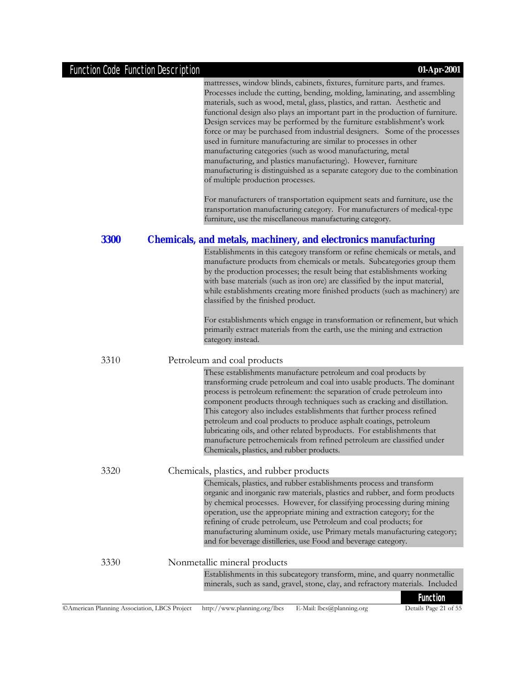|             | <b>Function</b>                                                                                                                                                                                                                                                                                                                                                                                                                                                                                                                                                                                                                                                                                                                                                                                                                                                                             |
|-------------|---------------------------------------------------------------------------------------------------------------------------------------------------------------------------------------------------------------------------------------------------------------------------------------------------------------------------------------------------------------------------------------------------------------------------------------------------------------------------------------------------------------------------------------------------------------------------------------------------------------------------------------------------------------------------------------------------------------------------------------------------------------------------------------------------------------------------------------------------------------------------------------------|
| 3330        | Nonmetallic mineral products<br>Establishments in this subcategory transform, mine, and quarry nonmetallic<br>minerals, such as sand, gravel, stone, clay, and refractory materials. Included                                                                                                                                                                                                                                                                                                                                                                                                                                                                                                                                                                                                                                                                                               |
|             | Chemicals, plastics, and rubber establishments process and transform<br>organic and inorganic raw materials, plastics and rubber, and form products<br>by chemical processes. However, for classifying processing during mining<br>operation, use the appropriate mining and extraction category; for the<br>refining of crude petroleum, use Petroleum and coal products; for<br>manufacturing aluminum oxide, use Primary metals manufacturing category;<br>and for beverage distilleries, use Food and beverage category.                                                                                                                                                                                                                                                                                                                                                                |
| 3320        | process is petroleum refinement: the separation of crude petroleum into<br>component products through techniques such as cracking and distillation.<br>This category also includes establishments that further process refined<br>petroleum and coal products to produce asphalt coatings, petroleum<br>lubricating oils, and other related byproducts. For establishments that<br>manufacture petrochemicals from refined petroleum are classified under<br>Chemicals, plastics, and rubber products.<br>Chemicals, plastics, and rubber products                                                                                                                                                                                                                                                                                                                                          |
| 3310        | Petroleum and coal products<br>These establishments manufacture petroleum and coal products by<br>transforming crude petroleum and coal into usable products. The dominant                                                                                                                                                                                                                                                                                                                                                                                                                                                                                                                                                                                                                                                                                                                  |
|             | For establishments which engage in transformation or refinement, but which<br>primarily extract materials from the earth, use the mining and extraction<br>category instead.                                                                                                                                                                                                                                                                                                                                                                                                                                                                                                                                                                                                                                                                                                                |
| <b>3300</b> | <b>Chemicals, and metals, machinery, and electronics manufacturing</b><br>Establishments in this category transform or refine chemicals or metals, and<br>manufacture products from chemicals or metals. Subcategories group them<br>by the production processes; the result being that establishments working<br>with base materials (such as iron ore) are classified by the input material,<br>while establishments creating more finished products (such as machinery) are<br>classified by the finished product.                                                                                                                                                                                                                                                                                                                                                                       |
|             | transportation manufacturing category. For manufacturers of medical-type<br>furniture, use the miscellaneous manufacturing category.                                                                                                                                                                                                                                                                                                                                                                                                                                                                                                                                                                                                                                                                                                                                                        |
|             | mattresses, window blinds, cabinets, fixtures, furniture parts, and frames.<br>Processes include the cutting, bending, molding, laminating, and assembling<br>materials, such as wood, metal, glass, plastics, and rattan. Aesthetic and<br>functional design also plays an important part in the production of furniture.<br>Design services may be performed by the furniture establishment's work<br>force or may be purchased from industrial designers. Some of the processes<br>used in furniture manufacturing are similar to processes in other<br>manufacturing categories (such as wood manufacturing, metal<br>manufacturing, and plastics manufacturing). However, furniture<br>manufacturing is distinguished as a separate category due to the combination<br>of multiple production processes.<br>For manufacturers of transportation equipment seats and furniture, use the |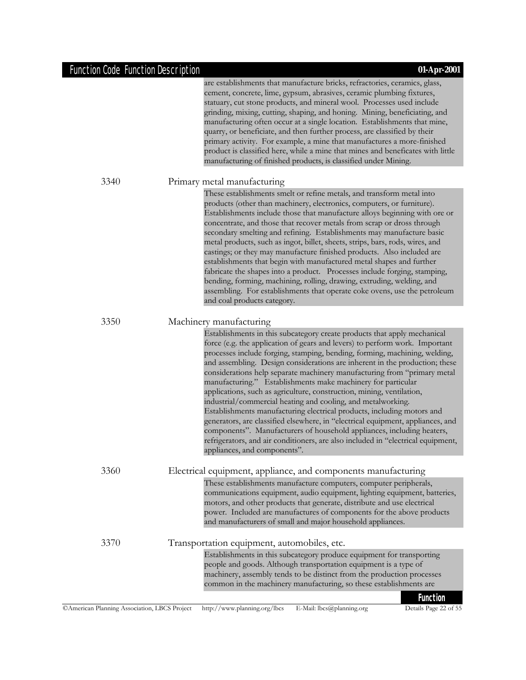are establishments that manufacture bricks, refractories, ceramics, glass, cement, concrete, lime, gypsum, abrasives, ceramic plumbing fixtures, statuary, cut stone products, and mineral wool. Processes used include grinding, mixing, cutting, shaping, and honing. Mining, beneficiating, and manufacturing often occur at a single location. Establishments that mine, quarry, or beneficiate, and then further process, are classified by their primary activity. For example, a mine that manufactures a more-finished product is classified here, while a mine that mines and beneficates with little manufacturing of finished products, is classified under Mining.

#### 3340 Primary metal manufacturing

These establishments smelt or refine metals, and transform metal into products (other than machinery, electronics, computers, or furniture). Establishments include those that manufacture alloys beginning with ore or concentrate, and those that recover metals from scrap or dross through secondary smelting and refining. Establishments may manufacture basic metal products, such as ingot, billet, sheets, strips, bars, rods, wires, and castings; or they may manufacture finished products. Also included are establishments that begin with manufactured metal shapes and further fabricate the shapes into a product. Processes include forging, stamping, bending, forming, machining, rolling, drawing, extruding, welding, and assembling. For establishments that operate coke ovens, use the petroleum and coal products category.

#### 3350 Machinery manufacturing

Establishments in this subcategory create products that apply mechanical force (e.g. the application of gears and levers) to perform work. Important processes include forging, stamping, bending, forming, machining, welding, and assembling. Design considerations are inherent in the production; these considerations help separate machinery manufacturing from "primary metal manufacturing." Establishments make machinery for particular applications, such as agriculture, construction, mining, ventilation, industrial/commercial heating and cooling, and metalworking. Establishments manufacturing electrical products, including motors and generators, are classified elsewhere, in "electrical equipment, appliances, and components". Manufacturers of household appliances, including heaters, refrigerators, and air conditioners, are also included in "electrical equipment, appliances, and components".

#### 3360 Electrical equipment, appliance, and components manufacturing These establishments manufacture computers, computer peripherals, communications equipment, audio equipment, lighting equipment, batteries, motors, and other products that generate, distribute and use electrical power. Included are manufactures of components for the above products and manufacturers of small and major household appliances.

### 3370 Transportation equipment, automobiles, etc. Establishments in this subcategory produce equipment for transporting people and goods. Although transportation equipment is a type of machinery, assembly tends to be distinct from the production processes common in the machinery manufacturing, so these establishments are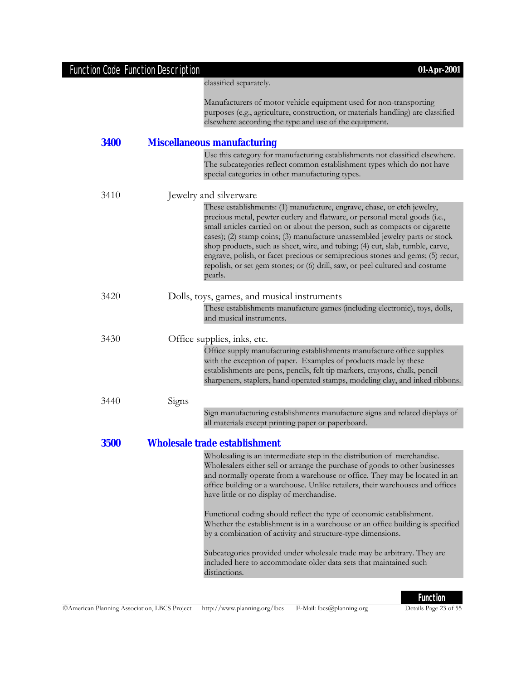|             | Function Code Function Description<br>01-Apr-2001                                                                                                            |  |
|-------------|--------------------------------------------------------------------------------------------------------------------------------------------------------------|--|
|             | classified separately.                                                                                                                                       |  |
|             | Manufacturers of motor vehicle equipment used for non-transporting                                                                                           |  |
|             | purposes (e.g., agriculture, construction, or materials handling) are classified                                                                             |  |
|             | elsewhere according the type and use of the equipment.                                                                                                       |  |
| 3400        | <b>Miscellaneous manufacturing</b>                                                                                                                           |  |
|             | Use this category for manufacturing establishments not classified elsewhere.                                                                                 |  |
|             | The subcategories reflect common establishment types which do not have<br>special categories in other manufacturing types.                                   |  |
|             |                                                                                                                                                              |  |
| 3410        | Jewelry and silverware                                                                                                                                       |  |
|             | These establishments: (1) manufacture, engrave, chase, or etch jewelry,                                                                                      |  |
|             | precious metal, pewter cutlery and flatware, or personal metal goods (i.e.,                                                                                  |  |
|             | small articles carried on or about the person, such as compacts or cigarette                                                                                 |  |
|             | cases); (2) stamp coins; (3) manufacture unassembled jewelry parts or stock<br>shop products, such as sheet, wire, and tubing; (4) cut, slab, tumble, carve, |  |
|             | engrave, polish, or facet precious or semiprecious stones and gems; (5) recur,                                                                               |  |
|             | repolish, or set gem stones; or (6) drill, saw, or peel cultured and costume                                                                                 |  |
|             | pearls.                                                                                                                                                      |  |
| 3420        | Dolls, toys, games, and musical instruments                                                                                                                  |  |
|             | These establishments manufacture games (including electronic), toys, dolls,                                                                                  |  |
|             | and musical instruments.                                                                                                                                     |  |
| 3430        | Office supplies, inks, etc.                                                                                                                                  |  |
|             | Office supply manufacturing establishments manufacture office supplies                                                                                       |  |
|             | with the exception of paper. Examples of products made by these                                                                                              |  |
|             | establishments are pens, pencils, felt tip markers, crayons, chalk, pencil                                                                                   |  |
|             | sharpeners, staplers, hand operated stamps, modeling clay, and inked ribbons.                                                                                |  |
| 3440        | Signs                                                                                                                                                        |  |
|             | Sign manufacturing establishments manufacture signs and related displays of                                                                                  |  |
|             | all materials except printing paper or paperboard.                                                                                                           |  |
| <b>3500</b> | Wholesale trade establishment                                                                                                                                |  |
|             | Wholesaling is an intermediate step in the distribution of merchandise.                                                                                      |  |
|             | Wholesalers either sell or arrange the purchase of goods to other businesses                                                                                 |  |
|             | and normally operate from a warehouse or office. They may be located in an                                                                                   |  |
|             | office building or a warehouse. Unlike retailers, their warehouses and offices                                                                               |  |
|             | have little or no display of merchandise.                                                                                                                    |  |
|             | Functional coding should reflect the type of economic establishment.                                                                                         |  |
|             | Whether the establishment is in a warehouse or an office building is specified                                                                               |  |
|             | by a combination of activity and structure-type dimensions.                                                                                                  |  |
|             | Subcategories provided under wholesale trade may be arbitrary. They are                                                                                      |  |
|             |                                                                                                                                                              |  |
|             | included here to accommodate older data sets that maintained such                                                                                            |  |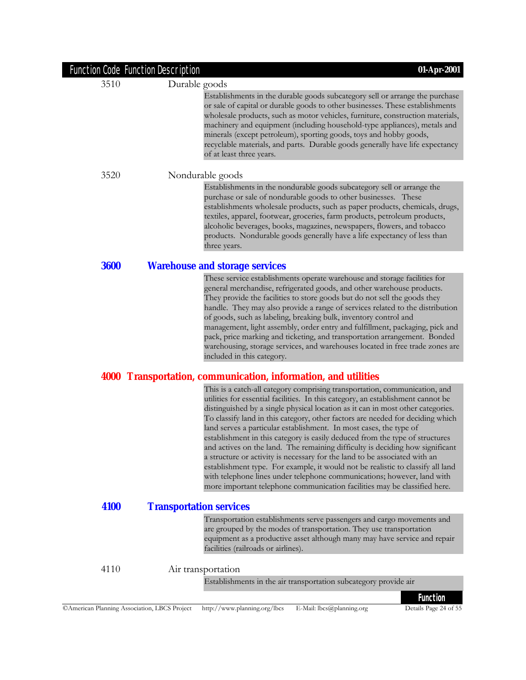|             | <b>Function Code Function Description</b> | 01-Apr-2001                                                                                                                                                                                                                                                                                                                                                                                                                                                                                                                                                                                                                                                                                                                                                                                                                                                                                         |
|-------------|-------------------------------------------|-----------------------------------------------------------------------------------------------------------------------------------------------------------------------------------------------------------------------------------------------------------------------------------------------------------------------------------------------------------------------------------------------------------------------------------------------------------------------------------------------------------------------------------------------------------------------------------------------------------------------------------------------------------------------------------------------------------------------------------------------------------------------------------------------------------------------------------------------------------------------------------------------------|
| 3510        | Durable goods                             |                                                                                                                                                                                                                                                                                                                                                                                                                                                                                                                                                                                                                                                                                                                                                                                                                                                                                                     |
|             |                                           | Establishments in the durable goods subcategory sell or arrange the purchase<br>or sale of capital or durable goods to other businesses. These establishments<br>wholesale products, such as motor vehicles, furniture, construction materials,<br>machinery and equipment (including household-type appliances), metals and<br>minerals (except petroleum), sporting goods, toys and hobby goods,<br>recyclable materials, and parts. Durable goods generally have life expectancy<br>of at least three years.                                                                                                                                                                                                                                                                                                                                                                                     |
| 3520        |                                           | Nondurable goods                                                                                                                                                                                                                                                                                                                                                                                                                                                                                                                                                                                                                                                                                                                                                                                                                                                                                    |
|             |                                           | Establishments in the nondurable goods subcategory sell or arrange the<br>purchase or sale of nondurable goods to other businesses. These<br>establishments wholesale products, such as paper products, chemicals, drugs,<br>textiles, apparel, footwear, groceries, farm products, petroleum products,<br>alcoholic beverages, books, magazines, newspapers, flowers, and tobacco<br>products. Nondurable goods generally have a life expectancy of less than<br>three years.                                                                                                                                                                                                                                                                                                                                                                                                                      |
| <b>3600</b> |                                           | <b>Warehouse and storage services</b>                                                                                                                                                                                                                                                                                                                                                                                                                                                                                                                                                                                                                                                                                                                                                                                                                                                               |
|             |                                           | These service establishments operate warehouse and storage facilities for<br>general merchandise, refrigerated goods, and other warehouse products.<br>They provide the facilities to store goods but do not sell the goods they<br>handle. They may also provide a range of services related to the distribution<br>of goods, such as labeling, breaking bulk, inventory control and<br>management, light assembly, order entry and fulfillment, packaging, pick and<br>pack, price marking and ticketing, and transportation arrangement. Bonded<br>warehousing, storage services, and warehouses located in free trade zones are<br>included in this category.                                                                                                                                                                                                                                   |
|             |                                           | 4000 Transportation, communication, information, and utilities                                                                                                                                                                                                                                                                                                                                                                                                                                                                                                                                                                                                                                                                                                                                                                                                                                      |
|             |                                           | This is a catch-all category comprising transportation, communication, and<br>utilities for essential facilities. In this category, an establishment cannot be<br>distinguished by a single physical location as it can in most other categories.<br>To classify land in this category, other factors are needed for deciding which<br>land serves a particular establishment. In most cases, the type of<br>establishment in this category is easily deduced from the type of structures<br>and actives on the land. The remaining difficulty is deciding how significant<br>a structure or activity is necessary for the land to be associated with an<br>establishment type. For example, it would not be realistic to classify all land<br>with telephone lines under telephone communications; however, land with<br>more important telephone communication facilities may be classified here. |
| 4100        | <b>Transportation services</b>            |                                                                                                                                                                                                                                                                                                                                                                                                                                                                                                                                                                                                                                                                                                                                                                                                                                                                                                     |
|             |                                           | Transportation establishments serve passengers and cargo movements and<br>are grouped by the modes of transportation. They use transportation<br>equipment as a productive asset although many may have service and repair<br>facilities (railroads or airlines).                                                                                                                                                                                                                                                                                                                                                                                                                                                                                                                                                                                                                                   |
| 4110        |                                           | Air transportation                                                                                                                                                                                                                                                                                                                                                                                                                                                                                                                                                                                                                                                                                                                                                                                                                                                                                  |
|             |                                           | Establishments in the air transportation subcategory provide air                                                                                                                                                                                                                                                                                                                                                                                                                                                                                                                                                                                                                                                                                                                                                                                                                                    |
|             |                                           | <b>Function</b>                                                                                                                                                                                                                                                                                                                                                                                                                                                                                                                                                                                                                                                                                                                                                                                                                                                                                     |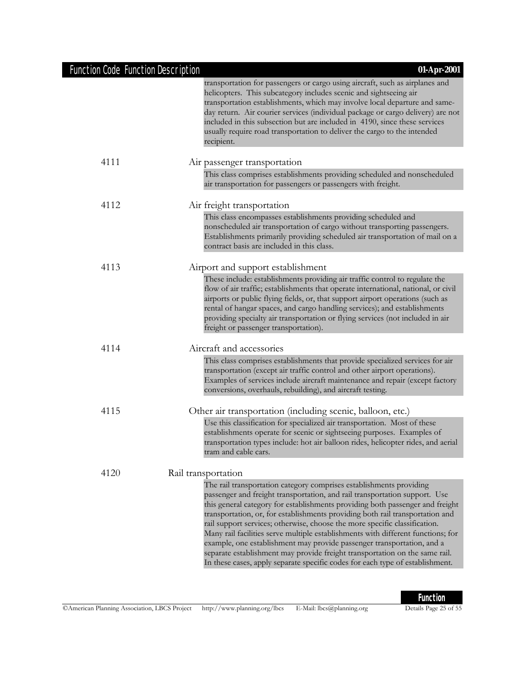|  | <b>Function Code Function Description</b> |  |
|--|-------------------------------------------|--|
|  |                                           |  |

|      | transportation for passengers or cargo using aircraft, such as airplanes and<br>helicopters. This subcategory includes scenic and sightseeing air<br>transportation establishments, which may involve local departure and same-<br>day return. Air courier services (individual package or cargo delivery) are not<br>included in this subsection but are included in 4190, since these services<br>usually require road transportation to deliver the cargo to the intended<br>recipient.                                                                                                                                                                                                                                      |
|------|---------------------------------------------------------------------------------------------------------------------------------------------------------------------------------------------------------------------------------------------------------------------------------------------------------------------------------------------------------------------------------------------------------------------------------------------------------------------------------------------------------------------------------------------------------------------------------------------------------------------------------------------------------------------------------------------------------------------------------|
| 4111 | Air passenger transportation                                                                                                                                                                                                                                                                                                                                                                                                                                                                                                                                                                                                                                                                                                    |
|      | This class comprises establishments providing scheduled and nonscheduled<br>air transportation for passengers or passengers with freight.                                                                                                                                                                                                                                                                                                                                                                                                                                                                                                                                                                                       |
| 4112 | Air freight transportation                                                                                                                                                                                                                                                                                                                                                                                                                                                                                                                                                                                                                                                                                                      |
|      | This class encompasses establishments providing scheduled and<br>nonscheduled air transportation of cargo without transporting passengers.<br>Establishments primarily providing scheduled air transportation of mail on a<br>contract basis are included in this class.                                                                                                                                                                                                                                                                                                                                                                                                                                                        |
| 4113 | Airport and support establishment                                                                                                                                                                                                                                                                                                                                                                                                                                                                                                                                                                                                                                                                                               |
|      | These include: establishments providing air traffic control to regulate the<br>flow of air traffic; establishments that operate international, national, or civil<br>airports or public flying fields, or, that support airport operations (such as<br>rental of hangar spaces, and cargo handling services); and establishments<br>providing specialty air transportation or flying services (not included in air<br>freight or passenger transportation).                                                                                                                                                                                                                                                                     |
| 4114 | Aircraft and accessories                                                                                                                                                                                                                                                                                                                                                                                                                                                                                                                                                                                                                                                                                                        |
|      | This class comprises establishments that provide specialized services for air<br>transportation (except air traffic control and other airport operations).<br>Examples of services include aircraft maintenance and repair (except factory<br>conversions, overhauls, rebuilding), and aircraft testing.                                                                                                                                                                                                                                                                                                                                                                                                                        |
| 4115 | Other air transportation (including scenic, balloon, etc.)                                                                                                                                                                                                                                                                                                                                                                                                                                                                                                                                                                                                                                                                      |
|      | Use this classification for specialized air transportation. Most of these<br>establishments operate for scenic or sightseeing purposes. Examples of<br>transportation types include: hot air balloon rides, helicopter rides, and aerial<br>tram and cable cars.                                                                                                                                                                                                                                                                                                                                                                                                                                                                |
| 4120 | Rail transportation                                                                                                                                                                                                                                                                                                                                                                                                                                                                                                                                                                                                                                                                                                             |
|      | The rail transportation category comprises establishments providing<br>passenger and freight transportation, and rail transportation support. Use<br>this general category for establishments providing both passenger and freight<br>transportation, or, for establishments providing both rail transportation and<br>rail support services; otherwise, choose the more specific classification.<br>Many rail facilities serve multiple establishments with different functions; for<br>example, one establishment may provide passenger transportation, and a<br>separate establishment may provide freight transportation on the same rail.<br>In these cases, apply separate specific codes for each type of establishment. |

Function Code Function Description **01-Apr-2001**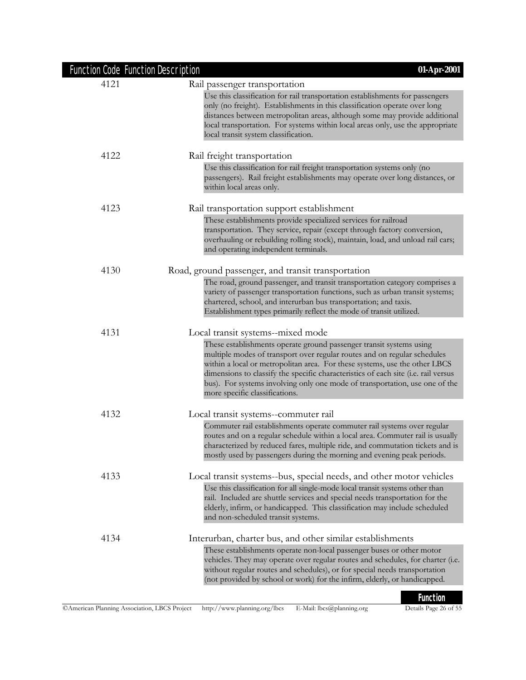| <b>Function Code Function Description</b> | 01-Apr-2001                                                                                                                                                                                                                                                                                                                                                                                                                          |
|-------------------------------------------|--------------------------------------------------------------------------------------------------------------------------------------------------------------------------------------------------------------------------------------------------------------------------------------------------------------------------------------------------------------------------------------------------------------------------------------|
| 4121                                      | Rail passenger transportation                                                                                                                                                                                                                                                                                                                                                                                                        |
|                                           | Use this classification for rail transportation establishments for passengers<br>only (no freight). Establishments in this classification operate over long<br>distances between metropolitan areas, although some may provide additional<br>local transportation. For systems within local areas only, use the appropriate<br>local transit system classification.                                                                  |
| 4122                                      | Rail freight transportation                                                                                                                                                                                                                                                                                                                                                                                                          |
|                                           | Use this classification for rail freight transportation systems only (no<br>passengers). Rail freight establishments may operate over long distances, or<br>within local areas only.                                                                                                                                                                                                                                                 |
| 4123                                      | Rail transportation support establishment                                                                                                                                                                                                                                                                                                                                                                                            |
|                                           | These establishments provide specialized services for railroad<br>transportation. They service, repair (except through factory conversion,<br>overhauling or rebuilding rolling stock), maintain, load, and unload rail cars;<br>and operating independent terminals.                                                                                                                                                                |
| 4130                                      | Road, ground passenger, and transit transportation                                                                                                                                                                                                                                                                                                                                                                                   |
|                                           | The road, ground passenger, and transit transportation category comprises a<br>variety of passenger transportation functions, such as urban transit systems;<br>chartered, school, and interurban bus transportation; and taxis.<br>Establishment types primarily reflect the mode of transit utilized.                                                                                                                              |
| 4131                                      | Local transit systems--mixed mode                                                                                                                                                                                                                                                                                                                                                                                                    |
|                                           | These establishments operate ground passenger transit systems using<br>multiple modes of transport over regular routes and on regular schedules<br>within a local or metropolitan area. For these systems, use the other LBCS<br>dimensions to classify the specific characteristics of each site (i.e. rail versus<br>bus). For systems involving only one mode of transportation, use one of the<br>more specific classifications. |
| 4132                                      | Local transit systems--commuter rail                                                                                                                                                                                                                                                                                                                                                                                                 |
|                                           | Commuter rail establishments operate commuter rail systems over regular<br>routes and on a regular schedule within a local area. Commuter rail is usually<br>characterized by reduced fares, multiple ride, and commutation tickets and is<br>mostly used by passengers during the morning and evening peak periods.                                                                                                                 |
| 4133                                      | Local transit systems--bus, special needs, and other motor vehicles                                                                                                                                                                                                                                                                                                                                                                  |
|                                           | Use this classification for all single-mode local transit systems other than<br>rail. Included are shuttle services and special needs transportation for the<br>elderly, infirm, or handicapped. This classification may include scheduled<br>and non-scheduled transit systems.                                                                                                                                                     |
| 4134                                      | Interurban, charter bus, and other similar establishments<br>These establishments operate non-local passenger buses or other motor<br>vehicles. They may operate over regular routes and schedules, for charter (i.e.<br>without regular routes and schedules), or for special needs transportation<br>(not provided by school or work) for the infirm, elderly, or handicapped.                                                     |
|                                           | <b>Function</b>                                                                                                                                                                                                                                                                                                                                                                                                                      |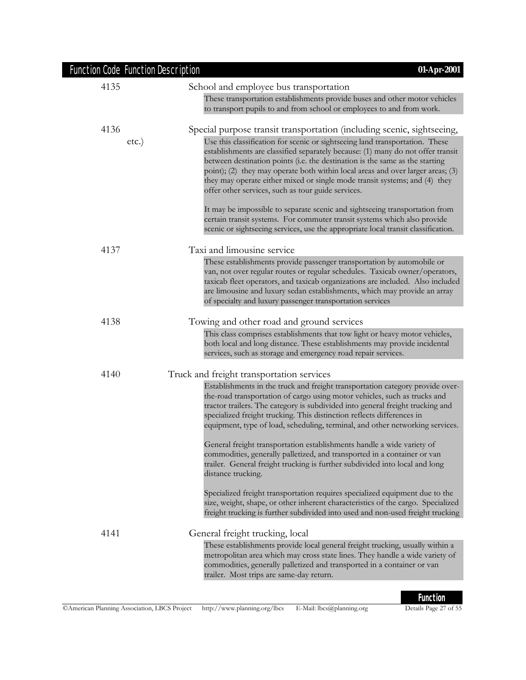|      | Function Code Function Description<br>01-Apr-2001                                                                                                                                                                                                                                                                                                                                                                                                                                                                                                                                                                                                                  |
|------|--------------------------------------------------------------------------------------------------------------------------------------------------------------------------------------------------------------------------------------------------------------------------------------------------------------------------------------------------------------------------------------------------------------------------------------------------------------------------------------------------------------------------------------------------------------------------------------------------------------------------------------------------------------------|
| 4135 | School and employee bus transportation                                                                                                                                                                                                                                                                                                                                                                                                                                                                                                                                                                                                                             |
|      | These transportation establishments provide buses and other motor vehicles<br>to transport pupils to and from school or employees to and from work.                                                                                                                                                                                                                                                                                                                                                                                                                                                                                                                |
| 4136 | Special purpose transit transportation (including scenic, sightseeing,                                                                                                                                                                                                                                                                                                                                                                                                                                                                                                                                                                                             |
|      | Use this classification for scenic or sightseeing land transportation. These<br>$etc.$ )<br>establishments are classified separately because: (1) many do not offer transit<br>between destination points (i.e. the destination is the same as the starting<br>point); (2) they may operate both within local areas and over larger areas; (3)<br>they may operate either mixed or single mode transit systems; and (4) they<br>offer other services, such as tour guide services.                                                                                                                                                                                 |
|      | It may be impossible to separate scenic and sightseeing transportation from<br>certain transit systems. For commuter transit systems which also provide<br>scenic or sightseeing services, use the appropriate local transit classification.                                                                                                                                                                                                                                                                                                                                                                                                                       |
| 4137 | Taxi and limousine service                                                                                                                                                                                                                                                                                                                                                                                                                                                                                                                                                                                                                                         |
|      | These establishments provide passenger transportation by automobile or<br>van, not over regular routes or regular schedules. Taxicab owner/operators,<br>taxicab fleet operators, and taxicab organizations are included. Also included<br>are limousine and luxury sedan establishments, which may provide an array<br>of specialty and luxury passenger transportation services                                                                                                                                                                                                                                                                                  |
| 4138 | Towing and other road and ground services                                                                                                                                                                                                                                                                                                                                                                                                                                                                                                                                                                                                                          |
|      | This class comprises establishments that tow light or heavy motor vehicles,<br>both local and long distance. These establishments may provide incidental<br>services, such as storage and emergency road repair services.                                                                                                                                                                                                                                                                                                                                                                                                                                          |
| 4140 | Truck and freight transportation services                                                                                                                                                                                                                                                                                                                                                                                                                                                                                                                                                                                                                          |
|      | Establishments in the truck and freight transportation category provide over-<br>the-road transportation of cargo using motor vehicles, such as trucks and<br>tractor trailers. The category is subdivided into general freight trucking and<br>specialized freight trucking. This distinction reflects differences in<br>equipment, type of load, scheduling, terminal, and other networking services.<br>General freight transportation establishments handle a wide variety of<br>commodities, generally palletized, and transported in a container or van<br>trailer. General freight trucking is further subdivided into local and long<br>distance trucking. |
|      | Specialized freight transportation requires specialized equipment due to the<br>size, weight, shape, or other inherent characteristics of the cargo. Specialized<br>freight trucking is further subdivided into used and non-used freight trucking                                                                                                                                                                                                                                                                                                                                                                                                                 |
| 4141 | General freight trucking, local<br>These establishments provide local general freight trucking, usually within a<br>metropolitan area which may cross state lines. They handle a wide variety of<br>commodities, generally palletized and transported in a container or van<br>trailer. Most trips are same-day return.                                                                                                                                                                                                                                                                                                                                            |

### ©American Planning Association, LBCS Project http://www.planning.org/lbcs E-Mail: lbcs@planning.org Details Page 27 of 55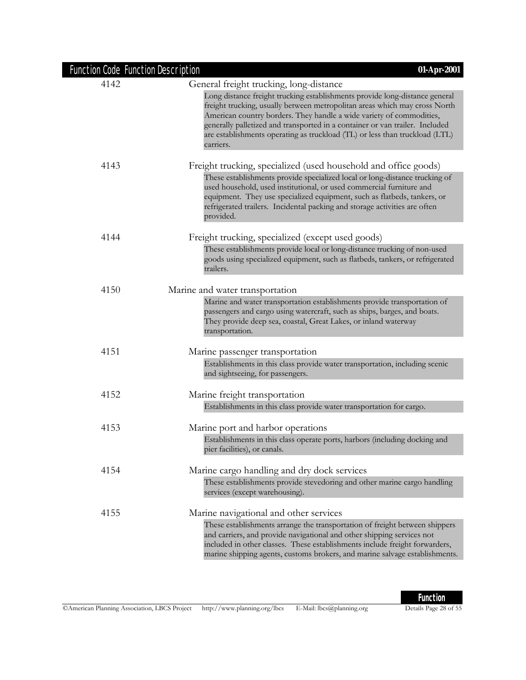| Function Code Function Description | 01-Apr-2001                                                                                                                                                                                                                                                                                                                                                                                                   |
|------------------------------------|---------------------------------------------------------------------------------------------------------------------------------------------------------------------------------------------------------------------------------------------------------------------------------------------------------------------------------------------------------------------------------------------------------------|
| 4142                               | General freight trucking, long-distance                                                                                                                                                                                                                                                                                                                                                                       |
|                                    | Long distance freight trucking establishments provide long-distance general<br>freight trucking, usually between metropolitan areas which may cross North<br>American country borders. They handle a wide variety of commodities,<br>generally palletized and transported in a container or van trailer. Included<br>are establishments operating as truckload (TL) or less than truckload (LTL)<br>carriers. |
| 4143                               | Freight trucking, specialized (used household and office goods)                                                                                                                                                                                                                                                                                                                                               |
|                                    | These establishments provide specialized local or long-distance trucking of<br>used household, used institutional, or used commercial furniture and<br>equipment. They use specialized equipment, such as flatbeds, tankers, or<br>refrigerated trailers. Incidental packing and storage activities are often<br>provided.                                                                                    |
| 4144                               | Freight trucking, specialized (except used goods)                                                                                                                                                                                                                                                                                                                                                             |
|                                    | These establishments provide local or long-distance trucking of non-used<br>goods using specialized equipment, such as flatbeds, tankers, or refrigerated<br>trailers.                                                                                                                                                                                                                                        |
| 4150                               | Marine and water transportation                                                                                                                                                                                                                                                                                                                                                                               |
|                                    | Marine and water transportation establishments provide transportation of<br>passengers and cargo using watercraft, such as ships, barges, and boats.<br>They provide deep sea, coastal, Great Lakes, or inland waterway<br>transportation.                                                                                                                                                                    |
| 4151                               | Marine passenger transportation                                                                                                                                                                                                                                                                                                                                                                               |
|                                    | Establishments in this class provide water transportation, including scenic<br>and sightseeing, for passengers.                                                                                                                                                                                                                                                                                               |
| 4152                               | Marine freight transportation                                                                                                                                                                                                                                                                                                                                                                                 |
|                                    | Establishments in this class provide water transportation for cargo.                                                                                                                                                                                                                                                                                                                                          |
| 4153                               | Marine port and harbor operations                                                                                                                                                                                                                                                                                                                                                                             |
|                                    | Establishments in this class operate ports, harbors (including docking and<br>pier facilities), or canals.                                                                                                                                                                                                                                                                                                    |
| 4154                               | Marine cargo handling and dry dock services                                                                                                                                                                                                                                                                                                                                                                   |
|                                    | These establishments provide stevedoring and other marine cargo handling<br>services (except warehousing).                                                                                                                                                                                                                                                                                                    |
| 4155                               | Marine navigational and other services                                                                                                                                                                                                                                                                                                                                                                        |
|                                    | These establishments arrange the transportation of freight between shippers<br>and carriers, and provide navigational and other shipping services not<br>included in other classes. These establishments include freight forwarders,<br>marine shipping agents, customs brokers, and marine salvage establishments.                                                                                           |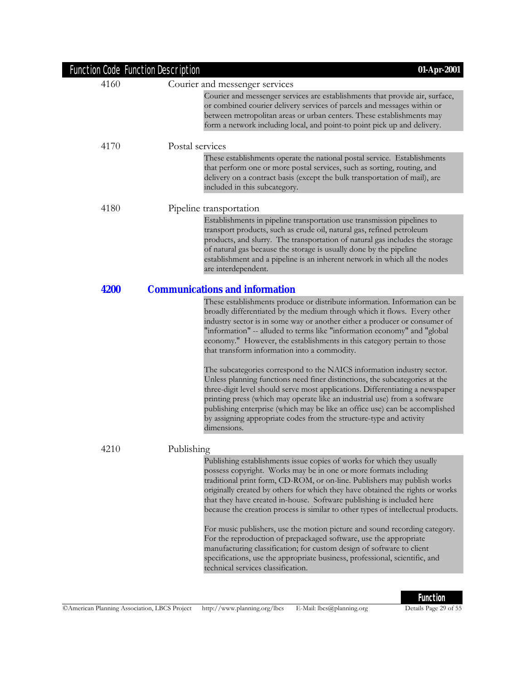| Function Code Function Description | 01-Apr-2001                                                                                                                                                                                                                                                                                                                                                                                                                                                                                                                                                                                                                                                                                                                                                                                                                                                                                                                             |
|------------------------------------|-----------------------------------------------------------------------------------------------------------------------------------------------------------------------------------------------------------------------------------------------------------------------------------------------------------------------------------------------------------------------------------------------------------------------------------------------------------------------------------------------------------------------------------------------------------------------------------------------------------------------------------------------------------------------------------------------------------------------------------------------------------------------------------------------------------------------------------------------------------------------------------------------------------------------------------------|
| 4160                               | Courier and messenger services                                                                                                                                                                                                                                                                                                                                                                                                                                                                                                                                                                                                                                                                                                                                                                                                                                                                                                          |
|                                    | Courier and messenger services are establishments that provide air, surface,<br>or combined courier delivery services of parcels and messages within or<br>between metropolitan areas or urban centers. These establishments may<br>form a network including local, and point-to point pick up and delivery.                                                                                                                                                                                                                                                                                                                                                                                                                                                                                                                                                                                                                            |
| 4170                               | Postal services                                                                                                                                                                                                                                                                                                                                                                                                                                                                                                                                                                                                                                                                                                                                                                                                                                                                                                                         |
|                                    | These establishments operate the national postal service. Establishments<br>that perform one or more postal services, such as sorting, routing, and<br>delivery on a contract basis (except the bulk transportation of mail), are<br>included in this subcategory.                                                                                                                                                                                                                                                                                                                                                                                                                                                                                                                                                                                                                                                                      |
| 4180                               | Pipeline transportation                                                                                                                                                                                                                                                                                                                                                                                                                                                                                                                                                                                                                                                                                                                                                                                                                                                                                                                 |
|                                    | Establishments in pipeline transportation use transmission pipelines to<br>transport products, such as crude oil, natural gas, refined petroleum<br>products, and slurry. The transportation of natural gas includes the storage<br>of natural gas because the storage is usually done by the pipeline<br>establishment and a pipeline is an inherent network in which all the nodes<br>are interdependent.                                                                                                                                                                                                                                                                                                                                                                                                                                                                                                                             |
| 4200                               | <b>Communications and information</b>                                                                                                                                                                                                                                                                                                                                                                                                                                                                                                                                                                                                                                                                                                                                                                                                                                                                                                   |
|                                    | These establishments produce or distribute information. Information can be<br>broadly differentiated by the medium through which it flows. Every other<br>industry sector is in some way or another either a producer or consumer of<br>"information" -- alluded to terms like "information economy" and "global<br>economy." However, the establishments in this category pertain to those<br>that transform information into a commodity.<br>The subcategories correspond to the NAICS information industry sector.<br>Unless planning functions need finer distinctions, the subcategories at the<br>three-digit level should serve most applications. Differentiating a newspaper<br>printing press (which may operate like an industrial use) from a software<br>publishing enterprise (which may be like an office use) can be accomplished<br>by assigning appropriate codes from the structure-type and activity<br>dimensions. |
| 4210                               | Publishing                                                                                                                                                                                                                                                                                                                                                                                                                                                                                                                                                                                                                                                                                                                                                                                                                                                                                                                              |
|                                    | Publishing establishments issue copies of works for which they usually<br>possess copyright. Works may be in one or more formats including<br>traditional print form, CD-ROM, or on-line. Publishers may publish works<br>originally created by others for which they have obtained the rights or works<br>that they have created in-house. Software publishing is included here<br>because the creation process is similar to other types of intellectual products.<br>For music publishers, use the motion picture and sound recording category.<br>For the reproduction of prepackaged software, use the appropriate<br>manufacturing classification; for custom design of software to client<br>specifications, use the appropriate business, professional, scientific, and<br>technical services classification.                                                                                                                   |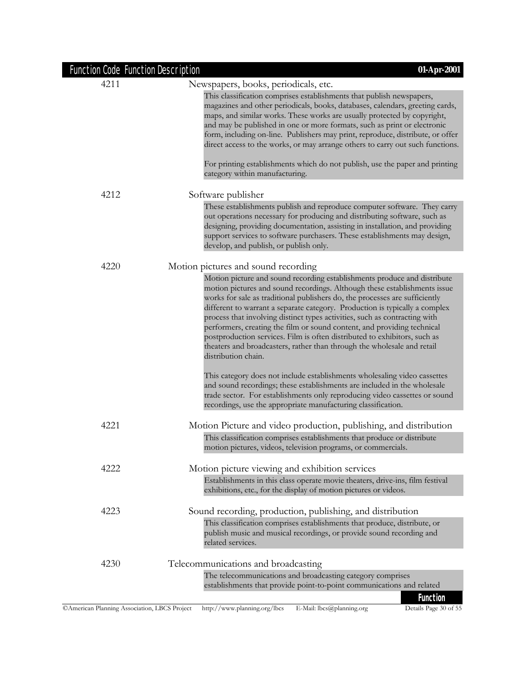| <b>Function Code Function Description</b> | 01-Apr-2001                                                                                                                                                                                                                                                                                                                                                                                                                                                                                                                                                                                                                                                 |
|-------------------------------------------|-------------------------------------------------------------------------------------------------------------------------------------------------------------------------------------------------------------------------------------------------------------------------------------------------------------------------------------------------------------------------------------------------------------------------------------------------------------------------------------------------------------------------------------------------------------------------------------------------------------------------------------------------------------|
| 4211                                      | Newspapers, books, periodicals, etc.                                                                                                                                                                                                                                                                                                                                                                                                                                                                                                                                                                                                                        |
|                                           | This classification comprises establishments that publish newspapers,<br>magazines and other periodicals, books, databases, calendars, greeting cards,<br>maps, and similar works. These works are usually protected by copyright,<br>and may be published in one or more formats, such as print or electronic<br>form, including on-line. Publishers may print, reproduce, distribute, or offer<br>direct access to the works, or may arrange others to carry out such functions.                                                                                                                                                                          |
|                                           | For printing establishments which do not publish, use the paper and printing<br>category within manufacturing.                                                                                                                                                                                                                                                                                                                                                                                                                                                                                                                                              |
| 4212                                      | Software publisher                                                                                                                                                                                                                                                                                                                                                                                                                                                                                                                                                                                                                                          |
|                                           | These establishments publish and reproduce computer software. They carry<br>out operations necessary for producing and distributing software, such as<br>designing, providing documentation, assisting in installation, and providing<br>support services to software purchasers. These establishments may design,<br>develop, and publish, or publish only.                                                                                                                                                                                                                                                                                                |
| 4220                                      | Motion pictures and sound recording                                                                                                                                                                                                                                                                                                                                                                                                                                                                                                                                                                                                                         |
|                                           | Motion picture and sound recording establishments produce and distribute<br>motion pictures and sound recordings. Although these establishments issue<br>works for sale as traditional publishers do, the processes are sufficiently<br>different to warrant a separate category. Production is typically a complex<br>process that involving distinct types activities, such as contracting with<br>performers, creating the film or sound content, and providing technical<br>postproduction services. Film is often distributed to exhibitors, such as<br>theaters and broadcasters, rather than through the wholesale and retail<br>distribution chain. |
|                                           | This category does not include establishments wholesaling video cassettes<br>and sound recordings; these establishments are included in the wholesale<br>trade sector. For establishments only reproducing video cassettes or sound<br>recordings, use the appropriate manufacturing classification.                                                                                                                                                                                                                                                                                                                                                        |
| 4221                                      | Motion Picture and video production, publishing, and distribution                                                                                                                                                                                                                                                                                                                                                                                                                                                                                                                                                                                           |
|                                           | This classification comprises establishments that produce or distribute<br>motion pictures, videos, television programs, or commercials.                                                                                                                                                                                                                                                                                                                                                                                                                                                                                                                    |
| 4222                                      | Motion picture viewing and exhibition services                                                                                                                                                                                                                                                                                                                                                                                                                                                                                                                                                                                                              |
|                                           | Establishments in this class operate movie theaters, drive-ins, film festival<br>exhibitions, etc., for the display of motion pictures or videos.                                                                                                                                                                                                                                                                                                                                                                                                                                                                                                           |
| 4223                                      | Sound recording, production, publishing, and distribution                                                                                                                                                                                                                                                                                                                                                                                                                                                                                                                                                                                                   |
|                                           | This classification comprises establishments that produce, distribute, or<br>publish music and musical recordings, or provide sound recording and<br>related services.                                                                                                                                                                                                                                                                                                                                                                                                                                                                                      |
| 4230                                      | Telecommunications and broadcasting                                                                                                                                                                                                                                                                                                                                                                                                                                                                                                                                                                                                                         |
|                                           | The telecommunications and broadcasting category comprises<br>establishments that provide point-to-point communications and related                                                                                                                                                                                                                                                                                                                                                                                                                                                                                                                         |
|                                           | <b>Function</b>                                                                                                                                                                                                                                                                                                                                                                                                                                                                                                                                                                                                                                             |

### ©American Planning Association, LBCS Project http://www.planning.org/lbcs E-Mail: lbcs@planning.org Details Page 30 of 55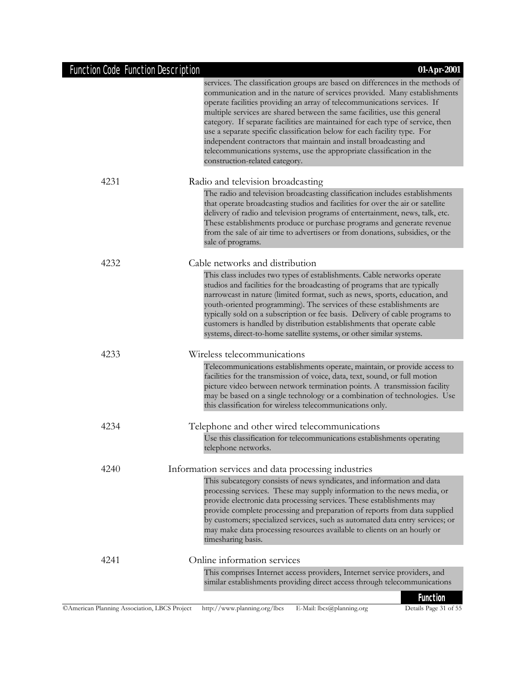|      | services. The classification groups are based on differences in the methods of<br>communication and in the nature of services provided. Many establishments<br>operate facilities providing an array of telecommunications services. If<br>multiple services are shared between the same facilities, use this general<br>category. If separate facilities are maintained for each type of service, then<br>use a separate specific classification below for each facility type. For<br>independent contractors that maintain and install broadcasting and<br>telecommunications systems, use the appropriate classification in the<br>construction-related category. |
|------|----------------------------------------------------------------------------------------------------------------------------------------------------------------------------------------------------------------------------------------------------------------------------------------------------------------------------------------------------------------------------------------------------------------------------------------------------------------------------------------------------------------------------------------------------------------------------------------------------------------------------------------------------------------------|
| 4231 | Radio and television broadcasting                                                                                                                                                                                                                                                                                                                                                                                                                                                                                                                                                                                                                                    |
|      | The radio and television broadcasting classification includes establishments<br>that operate broadcasting studios and facilities for over the air or satellite<br>delivery of radio and television programs of entertainment, news, talk, etc.<br>These establishments produce or purchase programs and generate revenue<br>from the sale of air time to advertisers or from donations, subsidies, or the<br>sale of programs.                                                                                                                                                                                                                                       |
| 4232 | Cable networks and distribution                                                                                                                                                                                                                                                                                                                                                                                                                                                                                                                                                                                                                                      |
|      | This class includes two types of establishments. Cable networks operate<br>studios and facilities for the broadcasting of programs that are typically<br>narrowcast in nature (limited format, such as news, sports, education, and<br>youth-oriented programming). The services of these establishments are<br>typically sold on a subscription or fee basis. Delivery of cable programs to<br>customers is handled by distribution establishments that operate cable<br>systems, direct-to-home satellite systems, or other similar systems.                                                                                                                       |
| 4233 | Wireless telecommunications                                                                                                                                                                                                                                                                                                                                                                                                                                                                                                                                                                                                                                          |
|      | Telecommunications establishments operate, maintain, or provide access to<br>facilities for the transmission of voice, data, text, sound, or full motion<br>picture video between network termination points. A transmission facility<br>may be based on a single technology or a combination of technologies. Use<br>this classification for wireless telecommunications only.                                                                                                                                                                                                                                                                                      |
| 4234 | Telephone and other wired telecommunications                                                                                                                                                                                                                                                                                                                                                                                                                                                                                                                                                                                                                         |
|      | Use this classification for telecommunications establishments operating<br>telephone networks.                                                                                                                                                                                                                                                                                                                                                                                                                                                                                                                                                                       |
| 4240 | Information services and data processing industries                                                                                                                                                                                                                                                                                                                                                                                                                                                                                                                                                                                                                  |
|      | This subcategory consists of news syndicates, and information and data<br>processing services. These may supply information to the news media, or<br>provide electronic data processing services. These establishments may<br>provide complete processing and preparation of reports from data supplied<br>by customers; specialized services, such as automated data entry services; or<br>may make data processing resources available to clients on an hourly or<br>timesharing basis.                                                                                                                                                                            |
| 4241 | Online information services                                                                                                                                                                                                                                                                                                                                                                                                                                                                                                                                                                                                                                          |
|      | This comprises Internet access providers, Internet service providers, and<br>similar establishments providing direct access through telecommunications                                                                                                                                                                                                                                                                                                                                                                                                                                                                                                               |
|      | Function                                                                                                                                                                                                                                                                                                                                                                                                                                                                                                                                                                                                                                                             |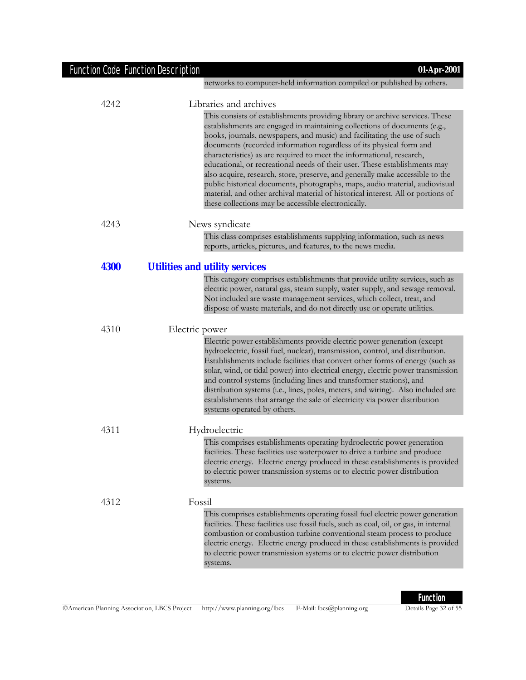| <b>Function Code Function Description</b> | 01-Apr-2001                                                                                                                                                                                                                                                                                                                                                                                                                                                                                                                                                                                                                                                                                                                                                                    |
|-------------------------------------------|--------------------------------------------------------------------------------------------------------------------------------------------------------------------------------------------------------------------------------------------------------------------------------------------------------------------------------------------------------------------------------------------------------------------------------------------------------------------------------------------------------------------------------------------------------------------------------------------------------------------------------------------------------------------------------------------------------------------------------------------------------------------------------|
|                                           | networks to computer-held information compiled or published by others.                                                                                                                                                                                                                                                                                                                                                                                                                                                                                                                                                                                                                                                                                                         |
| 4242                                      | Libraries and archives                                                                                                                                                                                                                                                                                                                                                                                                                                                                                                                                                                                                                                                                                                                                                         |
|                                           | This consists of establishments providing library or archive services. These<br>establishments are engaged in maintaining collections of documents (e.g.,<br>books, journals, newspapers, and music) and facilitating the use of such<br>documents (recorded information regardless of its physical form and<br>characteristics) as are required to meet the informational, research,<br>educational, or recreational needs of their user. These establishments may<br>also acquire, research, store, preserve, and generally make accessible to the<br>public historical documents, photographs, maps, audio material, audiovisual<br>material, and other archival material of historical interest. All or portions of<br>these collections may be accessible electronically. |
| 4243                                      | News syndicate                                                                                                                                                                                                                                                                                                                                                                                                                                                                                                                                                                                                                                                                                                                                                                 |
|                                           | This class comprises establishments supplying information, such as news<br>reports, articles, pictures, and features, to the news media.                                                                                                                                                                                                                                                                                                                                                                                                                                                                                                                                                                                                                                       |
| <b>4300</b>                               | <b>Utilities and utility services</b>                                                                                                                                                                                                                                                                                                                                                                                                                                                                                                                                                                                                                                                                                                                                          |
|                                           | This category comprises establishments that provide utility services, such as<br>electric power, natural gas, steam supply, water supply, and sewage removal.<br>Not included are waste management services, which collect, treat, and<br>dispose of waste materials, and do not directly use or operate utilities.                                                                                                                                                                                                                                                                                                                                                                                                                                                            |
| 4310                                      | Electric power                                                                                                                                                                                                                                                                                                                                                                                                                                                                                                                                                                                                                                                                                                                                                                 |
|                                           | Electric power establishments provide electric power generation (except<br>hydroelectric, fossil fuel, nuclear), transmission, control, and distribution.<br>Establishments include facilities that convert other forms of energy (such as<br>solar, wind, or tidal power) into electrical energy, electric power transmission<br>and control systems (including lines and transformer stations), and<br>distribution systems (i.e., lines, poles, meters, and wiring). Also included are<br>establishments that arrange the sale of electricity via power distribution<br>systems operated by others.                                                                                                                                                                         |
| 4311                                      | Hydroelectric                                                                                                                                                                                                                                                                                                                                                                                                                                                                                                                                                                                                                                                                                                                                                                  |
|                                           | This comprises establishments operating hydroelectric power generation<br>facilities. These facilities use waterpower to drive a turbine and produce<br>electric energy. Electric energy produced in these establishments is provided<br>to electric power transmission systems or to electric power distribution<br>systems.                                                                                                                                                                                                                                                                                                                                                                                                                                                  |
| 4312                                      | Fossil                                                                                                                                                                                                                                                                                                                                                                                                                                                                                                                                                                                                                                                                                                                                                                         |
|                                           | This comprises establishments operating fossil fuel electric power generation<br>facilities. These facilities use fossil fuels, such as coal, oil, or gas, in internal<br>combustion or combustion turbine conventional steam process to produce<br>electric energy. Electric energy produced in these establishments is provided<br>to electric power transmission systems or to electric power distribution<br>systems.                                                                                                                                                                                                                                                                                                                                                      |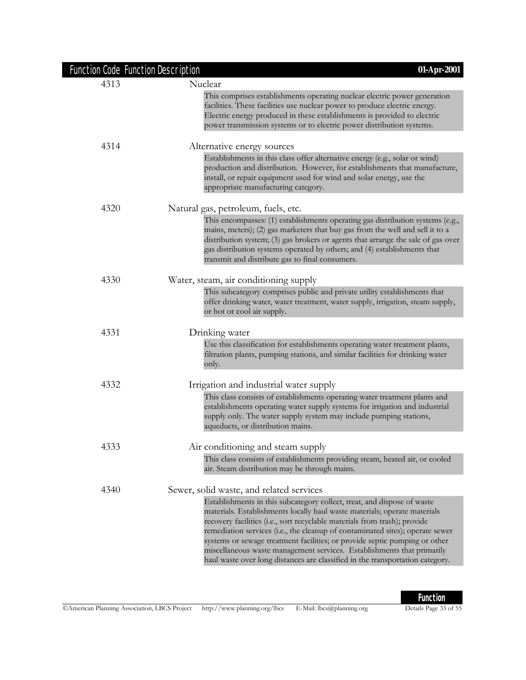| <b>Function Code Function Description</b> | 01-Apr-2001                                                                                                                                                                                                                                                                                                                                                                                                                                                                                                                                                                                             |
|-------------------------------------------|---------------------------------------------------------------------------------------------------------------------------------------------------------------------------------------------------------------------------------------------------------------------------------------------------------------------------------------------------------------------------------------------------------------------------------------------------------------------------------------------------------------------------------------------------------------------------------------------------------|
| 4313                                      | Nuclear                                                                                                                                                                                                                                                                                                                                                                                                                                                                                                                                                                                                 |
|                                           | This comprises establishments operating nuclear electric power generation<br>facilities. These facilities use nuclear power to produce electric energy.<br>Electric energy produced in these establishments is provided to electric<br>power transmission systems or to electric power distribution systems.                                                                                                                                                                                                                                                                                            |
| 4314                                      | Alternative energy sources                                                                                                                                                                                                                                                                                                                                                                                                                                                                                                                                                                              |
|                                           | Establishments in this class offer alternative energy (e.g., solar or wind)<br>production and distribution. However, for establishments that manufacture,<br>install, or repair equipment used for wind and solar energy, use the<br>appropriate manufacturing category.                                                                                                                                                                                                                                                                                                                                |
| 4320                                      | Natural gas, petroleum, fuels, etc.                                                                                                                                                                                                                                                                                                                                                                                                                                                                                                                                                                     |
|                                           | This encompasses: (1) establishments operating gas distribution systems (e.g.,<br>mains, meters); (2) gas marketers that buy gas from the well and sell it to a<br>distribution system; (3) gas brokers or agents that arrange the sale of gas over<br>gas distribution systems operated by others; and (4) establishments that<br>transmit and distribute gas to final consumers.                                                                                                                                                                                                                      |
| 4330                                      | Water, steam, air conditioning supply                                                                                                                                                                                                                                                                                                                                                                                                                                                                                                                                                                   |
|                                           | This subcategory comprises public and private utility establishments that<br>offer drinking water, water treatment, water supply, irrigation, steam supply,<br>or hot or cool air supply.                                                                                                                                                                                                                                                                                                                                                                                                               |
| 4331                                      | Drinking water                                                                                                                                                                                                                                                                                                                                                                                                                                                                                                                                                                                          |
|                                           | Use this classification for establishments operating water treatment plants,<br>filtration plants, pumping stations, and similar facilities for drinking water<br>only.                                                                                                                                                                                                                                                                                                                                                                                                                                 |
| 4332                                      | Irrigation and industrial water supply                                                                                                                                                                                                                                                                                                                                                                                                                                                                                                                                                                  |
|                                           | This class consists of establishments operating water treatment plants and<br>establishments operating water supply systems for irrigation and industrial<br>supply only. The water supply system may include pumping stations,<br>aqueducts, or distribution mains.                                                                                                                                                                                                                                                                                                                                    |
| 4333                                      | Air conditioning and steam supply                                                                                                                                                                                                                                                                                                                                                                                                                                                                                                                                                                       |
|                                           | This class consists of establishments providing steam, heated air, or cooled<br>air. Steam distribution may be through mains.                                                                                                                                                                                                                                                                                                                                                                                                                                                                           |
| 4340                                      | Sewer, solid waste, and related services<br>Establishments in this subcategory collect, treat, and dispose of waste<br>materials. Establishments locally haul waste materials; operate materials<br>recovery facilities (i.e., sort recyclable materials from trash); provide<br>remediation services (i.e., the cleanup of contaminated sites); operate sewer<br>systems or sewage treatment facilities; or provide septic pumping or other<br>miscellaneous waste management services. Establishments that primarily<br>haul waste over long distances are classified in the transportation category. |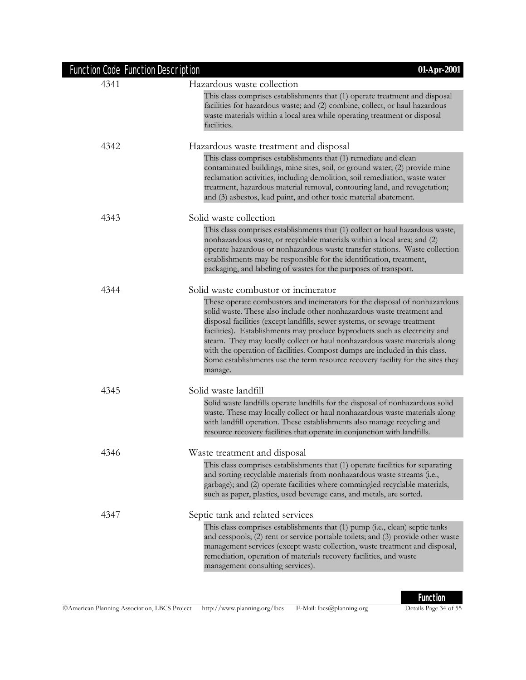| 4341 | Hazardous waste collection                                                                                                                                                                                                                                                                                                                                                                                                                                                                                                                                                |
|------|---------------------------------------------------------------------------------------------------------------------------------------------------------------------------------------------------------------------------------------------------------------------------------------------------------------------------------------------------------------------------------------------------------------------------------------------------------------------------------------------------------------------------------------------------------------------------|
|      | This class comprises establishments that (1) operate treatment and disposal<br>facilities for hazardous waste; and (2) combine, collect, or haul hazardous<br>waste materials within a local area while operating treatment or disposal<br>facilities.                                                                                                                                                                                                                                                                                                                    |
| 4342 | Hazardous waste treatment and disposal                                                                                                                                                                                                                                                                                                                                                                                                                                                                                                                                    |
|      | This class comprises establishments that (1) remediate and clean<br>contaminated buildings, mine sites, soil, or ground water; (2) provide mine<br>reclamation activities, including demolition, soil remediation, waste water<br>treatment, hazardous material removal, contouring land, and revegetation;<br>and (3) asbestos, lead paint, and other toxic material abatement.                                                                                                                                                                                          |
| 4343 | Solid waste collection                                                                                                                                                                                                                                                                                                                                                                                                                                                                                                                                                    |
|      | This class comprises establishments that (1) collect or haul hazardous waste,<br>nonhazardous waste, or recyclable materials within a local area; and (2)<br>operate hazardous or nonhazardous waste transfer stations. Waste collection<br>establishments may be responsible for the identification, treatment,<br>packaging, and labeling of wastes for the purposes of transport.                                                                                                                                                                                      |
| 4344 | Solid waste combustor or incinerator                                                                                                                                                                                                                                                                                                                                                                                                                                                                                                                                      |
|      | These operate combustors and incinerators for the disposal of nonhazardous<br>solid waste. These also include other nonhazardous waste treatment and<br>disposal facilities (except landfills, sewer systems, or sewage treatment<br>facilities). Establishments may produce byproducts such as electricity and<br>steam. They may locally collect or haul nonhazardous waste materials along<br>with the operation of facilities. Compost dumps are included in this class.<br>Some establishments use the term resource recovery facility for the sites they<br>manage. |
| 4345 | Solid waste landfill                                                                                                                                                                                                                                                                                                                                                                                                                                                                                                                                                      |
|      | Solid waste landfills operate landfills for the disposal of nonhazardous solid<br>waste. These may locally collect or haul nonhazardous waste materials along<br>with landfill operation. These establishments also manage recycling and<br>resource recovery facilities that operate in conjunction with landfills.                                                                                                                                                                                                                                                      |
| 4346 | Waste treatment and disposal                                                                                                                                                                                                                                                                                                                                                                                                                                                                                                                                              |
|      | This class comprises establishments that (1) operate facilities for separating<br>and sorting recyclable materials from nonhazardous waste streams (i.e.,<br>garbage); and (2) operate facilities where commingled recyclable materials,<br>such as paper, plastics, used beverage cans, and metals, are sorted.                                                                                                                                                                                                                                                          |
| 4347 | Septic tank and related services                                                                                                                                                                                                                                                                                                                                                                                                                                                                                                                                          |
|      | This class comprises establishments that (1) pump (i.e., clean) septic tanks<br>and cesspools; (2) rent or service portable toilets; and (3) provide other waste<br>management services (except waste collection, waste treatment and disposal,<br>remediation, operation of materials recovery facilities, and waste<br>management consulting services).                                                                                                                                                                                                                 |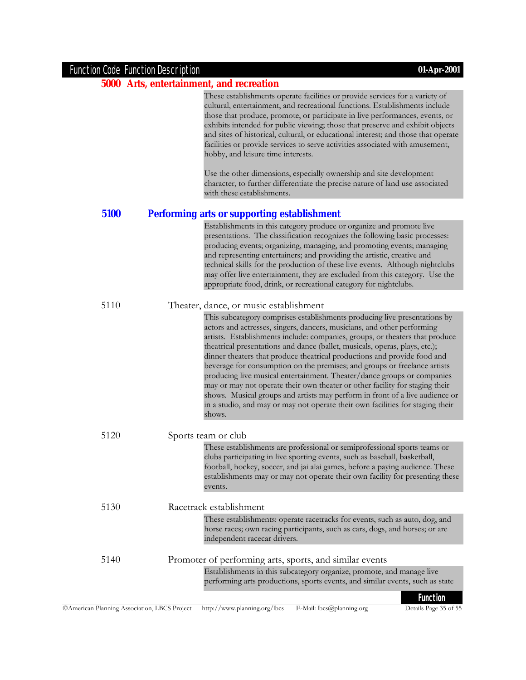## **5000 Arts, entertainment, and recreation**

|      | These establishments operate facilities or provide services for a variety of<br>cultural, entertainment, and recreational functions. Establishments include<br>those that produce, promote, or participate in live performances, events, or<br>exhibits intended for public viewing; those that preserve and exhibit objects<br>and sites of historical, cultural, or educational interest; and those that operate<br>facilities or provide services to serve activities associated with amusement,<br>hobby, and leisure time interests.<br>Use the other dimensions, especially ownership and site development<br>character, to further differentiate the precise nature of land use associated<br>with these establishments.                                                                                     |
|------|---------------------------------------------------------------------------------------------------------------------------------------------------------------------------------------------------------------------------------------------------------------------------------------------------------------------------------------------------------------------------------------------------------------------------------------------------------------------------------------------------------------------------------------------------------------------------------------------------------------------------------------------------------------------------------------------------------------------------------------------------------------------------------------------------------------------|
| 5100 | <b>Performing arts or supporting establishment</b>                                                                                                                                                                                                                                                                                                                                                                                                                                                                                                                                                                                                                                                                                                                                                                  |
|      | Establishments in this category produce or organize and promote live<br>presentations. The classification recognizes the following basic processes:<br>producing events; organizing, managing, and promoting events; managing<br>and representing entertainers; and providing the artistic, creative and<br>technical skills for the production of these live events. Although nightclubs<br>may offer live entertainment, they are excluded from this category. Use the<br>appropriate food, drink, or recreational category for nightclubs.                                                                                                                                                                                                                                                                       |
| 5110 | Theater, dance, or music establishment                                                                                                                                                                                                                                                                                                                                                                                                                                                                                                                                                                                                                                                                                                                                                                              |
|      | This subcategory comprises establishments producing live presentations by<br>actors and actresses, singers, dancers, musicians, and other performing<br>artists. Establishments include: companies, groups, or theaters that produce<br>theatrical presentations and dance (ballet, musicals, operas, plays, etc.);<br>dinner theaters that produce theatrical productions and provide food and<br>beverage for consumption on the premises; and groups or freelance artists<br>producing live musical entertainment. Theater/dance groups or companies<br>may or may not operate their own theater or other facility for staging their<br>shows. Musical groups and artists may perform in front of a live audience or<br>in a studio, and may or may not operate their own facilities for staging their<br>shows. |
| 5120 | Sports team or club                                                                                                                                                                                                                                                                                                                                                                                                                                                                                                                                                                                                                                                                                                                                                                                                 |
|      | These establishments are professional or semiprofessional sports teams or<br>clubs participating in live sporting events, such as baseball, basketball,<br>football, hockey, soccer, and jai alai games, before a paying audience. These<br>establishments may or may not operate their own facility for presenting these<br>events.                                                                                                                                                                                                                                                                                                                                                                                                                                                                                |
| 5130 | Racetrack establishment                                                                                                                                                                                                                                                                                                                                                                                                                                                                                                                                                                                                                                                                                                                                                                                             |
|      | These establishments: operate racetracks for events, such as auto, dog, and<br>horse races; own racing participants, such as cars, dogs, and horses; or are<br>independent racecar drivers.                                                                                                                                                                                                                                                                                                                                                                                                                                                                                                                                                                                                                         |
| 5140 | Promoter of performing arts, sports, and similar events                                                                                                                                                                                                                                                                                                                                                                                                                                                                                                                                                                                                                                                                                                                                                             |
|      | Establishments in this subcategory organize, promote, and manage live<br>performing arts productions, sports events, and similar events, such as state                                                                                                                                                                                                                                                                                                                                                                                                                                                                                                                                                                                                                                                              |
|      | <b>Function</b>                                                                                                                                                                                                                                                                                                                                                                                                                                                                                                                                                                                                                                                                                                                                                                                                     |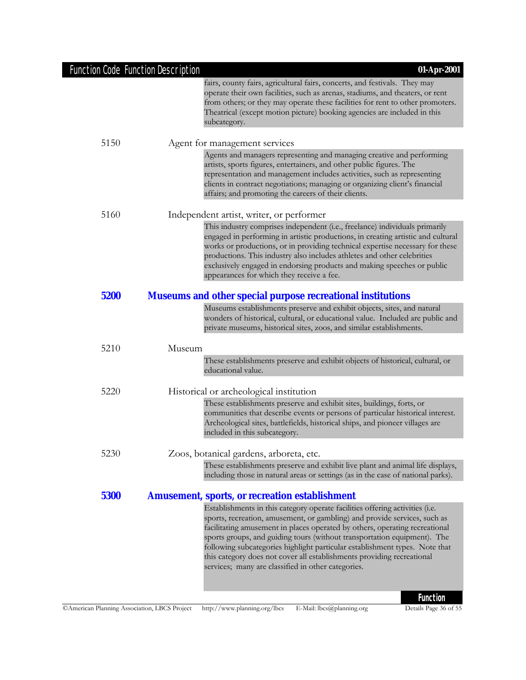| Function Code Function Description | 01-Apr-2001                                                                                                                                                                                                                                                                                                                                                                                                                                                                                                                         |
|------------------------------------|-------------------------------------------------------------------------------------------------------------------------------------------------------------------------------------------------------------------------------------------------------------------------------------------------------------------------------------------------------------------------------------------------------------------------------------------------------------------------------------------------------------------------------------|
|                                    | fairs, county fairs, agricultural fairs, concerts, and festivals. They may<br>operate their own facilities, such as arenas, stadiums, and theaters, or rent<br>from others; or they may operate these facilities for rent to other promoters.<br>Theatrical (except motion picture) booking agencies are included in this<br>subcategory.                                                                                                                                                                                           |
| 5150                               | Agent for management services                                                                                                                                                                                                                                                                                                                                                                                                                                                                                                       |
|                                    | Agents and managers representing and managing creative and performing<br>artists, sports figures, entertainers, and other public figures. The<br>representation and management includes activities, such as representing<br>clients in contract negotiations; managing or organizing client's financial<br>affairs; and promoting the careers of their clients.                                                                                                                                                                     |
| 5160                               | Independent artist, writer, or performer                                                                                                                                                                                                                                                                                                                                                                                                                                                                                            |
|                                    | This industry comprises independent (i.e., freelance) individuals primarily<br>engaged in performing in artistic productions, in creating artistic and cultural<br>works or productions, or in providing technical expertise necessary for these<br>productions. This industry also includes athletes and other celebrities<br>exclusively engaged in endorsing products and making speeches or public<br>appearances for which they receive a fee.                                                                                 |
| 5200                               | <b>Museums and other special purpose recreational institutions</b>                                                                                                                                                                                                                                                                                                                                                                                                                                                                  |
|                                    | Museums establishments preserve and exhibit objects, sites, and natural<br>wonders of historical, cultural, or educational value. Included are public and<br>private museums, historical sites, zoos, and similar establishments.                                                                                                                                                                                                                                                                                                   |
| 5210                               | Museum                                                                                                                                                                                                                                                                                                                                                                                                                                                                                                                              |
|                                    | These establishments preserve and exhibit objects of historical, cultural, or<br>educational value.                                                                                                                                                                                                                                                                                                                                                                                                                                 |
| 5220                               | Historical or archeological institution                                                                                                                                                                                                                                                                                                                                                                                                                                                                                             |
|                                    | These establishments preserve and exhibit sites, buildings, forts, or<br>communities that describe events or persons of particular historical interest.<br>Archeological sites, battlefields, historical ships, and pioneer villages are<br>included in this subcategory.                                                                                                                                                                                                                                                           |
| 5230                               | Zoos, botanical gardens, arboreta, etc.                                                                                                                                                                                                                                                                                                                                                                                                                                                                                             |
|                                    | These establishments preserve and exhibit live plant and animal life displays,<br>including those in natural areas or settings (as in the case of national parks).                                                                                                                                                                                                                                                                                                                                                                  |
| 5300                               | <b>Amusement, sports, or recreation establishment</b>                                                                                                                                                                                                                                                                                                                                                                                                                                                                               |
|                                    | Establishments in this category operate facilities offering activities (i.e.<br>sports, recreation, amusement, or gambling) and provide services, such as<br>facilitating amusement in places operated by others, operating recreational<br>sports groups, and guiding tours (without transportation equipment). The<br>following subcategories highlight particular establishment types. Note that<br>this category does not cover all establishments providing recreational<br>services; many are classified in other categories. |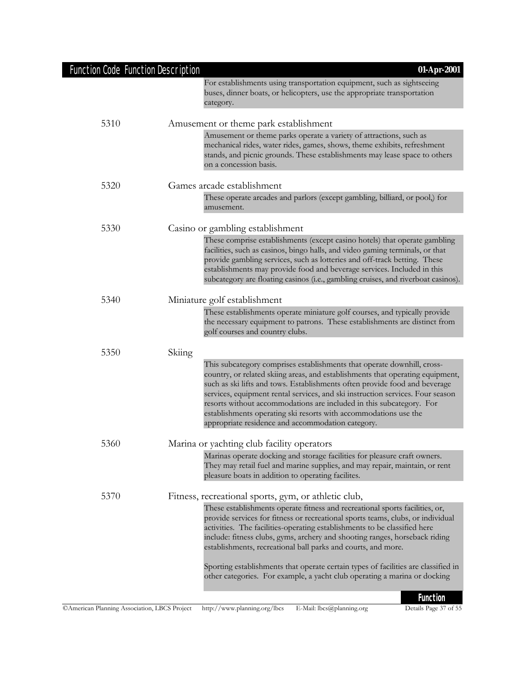| Function Code Function Description | $01-Apr-2001$                                                                                                                                                                                                                                                                                                                                                                                                                                                                                                              |
|------------------------------------|----------------------------------------------------------------------------------------------------------------------------------------------------------------------------------------------------------------------------------------------------------------------------------------------------------------------------------------------------------------------------------------------------------------------------------------------------------------------------------------------------------------------------|
|                                    | For establishments using transportation equipment, such as sightseeing<br>buses, dinner boats, or helicopters, use the appropriate transportation<br>category.                                                                                                                                                                                                                                                                                                                                                             |
| 5310                               | Amusement or theme park establishment                                                                                                                                                                                                                                                                                                                                                                                                                                                                                      |
|                                    | Amusement or theme parks operate a variety of attractions, such as<br>mechanical rides, water rides, games, shows, theme exhibits, refreshment<br>stands, and picnic grounds. These establishments may lease space to others<br>on a concession basis.                                                                                                                                                                                                                                                                     |
| 5320                               | Games arcade establishment                                                                                                                                                                                                                                                                                                                                                                                                                                                                                                 |
|                                    | These operate arcades and parlors (except gambling, billiard, or pool,) for<br>amusement.                                                                                                                                                                                                                                                                                                                                                                                                                                  |
| 5330                               | Casino or gambling establishment                                                                                                                                                                                                                                                                                                                                                                                                                                                                                           |
|                                    | These comprise establishments (except casino hotels) that operate gambling<br>facilities, such as casinos, bingo halls, and video gaming terminals, or that<br>provide gambling services, such as lotteries and off-track betting. These<br>establishments may provide food and beverage services. Included in this<br>subcategory are floating casinos (i.e., gambling cruises, and riverboat casinos).                                                                                                                   |
| 5340                               | Miniature golf establishment                                                                                                                                                                                                                                                                                                                                                                                                                                                                                               |
|                                    | These establishments operate miniature golf courses, and typically provide<br>the necessary equipment to patrons. These establishments are distinct from<br>golf courses and country clubs.                                                                                                                                                                                                                                                                                                                                |
| 5350                               | Skiing                                                                                                                                                                                                                                                                                                                                                                                                                                                                                                                     |
|                                    | This subcategory comprises establishments that operate downhill, cross-<br>country, or related skiing areas, and establishments that operating equipment,<br>such as ski lifts and tows. Establishments often provide food and beverage<br>services, equipment rental services, and ski instruction services. Four season<br>resorts without accommodations are included in this subcategory. For<br>establishments operating ski resorts with accommodations use the<br>appropriate residence and accommodation category. |
| 5360                               | Marina or yachting club facility operators                                                                                                                                                                                                                                                                                                                                                                                                                                                                                 |
|                                    | Marinas operate docking and storage facilities for pleasure craft owners.<br>They may retail fuel and marine supplies, and may repair, maintain, or rent<br>pleasure boats in addition to operating facilites.                                                                                                                                                                                                                                                                                                             |
| 5370                               | Fitness, recreational sports, gym, or athletic club,<br>These establishments operate fitness and recreational sports facilities, or,<br>provide services for fitness or recreational sports teams, clubs, or individual<br>activities. The facilities-operating establishments to be classified here                                                                                                                                                                                                                       |
|                                    | include: fitness clubs, gyms, archery and shooting ranges, horseback riding<br>establishments, recreational ball parks and courts, and more.                                                                                                                                                                                                                                                                                                                                                                               |
|                                    | Sporting establishments that operate certain types of facilities are classified in<br>other categories. For example, a yacht club operating a marina or docking                                                                                                                                                                                                                                                                                                                                                            |
|                                    | <b>Function</b>                                                                                                                                                                                                                                                                                                                                                                                                                                                                                                            |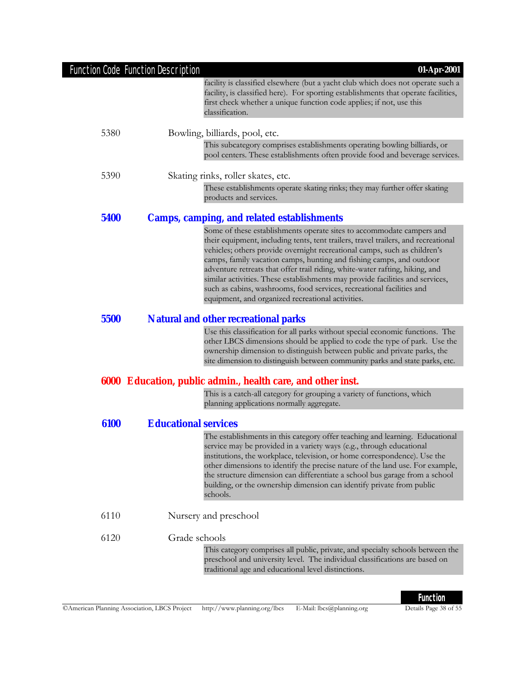|      | <b>Function Code Function Description</b><br>01-Apr-2001                                                                                                                                                                                                                                                                                                                                                                                                                                                                                                                                                        |
|------|-----------------------------------------------------------------------------------------------------------------------------------------------------------------------------------------------------------------------------------------------------------------------------------------------------------------------------------------------------------------------------------------------------------------------------------------------------------------------------------------------------------------------------------------------------------------------------------------------------------------|
|      | facility is classified elsewhere (but a yacht club which does not operate such a<br>facility, is classified here). For sporting establishments that operate facilities,<br>first check whether a unique function code applies; if not, use this<br>classification.                                                                                                                                                                                                                                                                                                                                              |
| 5380 | Bowling, billiards, pool, etc.                                                                                                                                                                                                                                                                                                                                                                                                                                                                                                                                                                                  |
|      | This subcategory comprises establishments operating bowling billiards, or<br>pool centers. These establishments often provide food and beverage services.                                                                                                                                                                                                                                                                                                                                                                                                                                                       |
| 5390 | Skating rinks, roller skates, etc.                                                                                                                                                                                                                                                                                                                                                                                                                                                                                                                                                                              |
|      | These establishments operate skating rinks; they may further offer skating<br>products and services.                                                                                                                                                                                                                                                                                                                                                                                                                                                                                                            |
| 5400 | <b>Camps, camping, and related establishments</b>                                                                                                                                                                                                                                                                                                                                                                                                                                                                                                                                                               |
|      | Some of these establishments operate sites to accommodate campers and<br>their equipment, including tents, tent trailers, travel trailers, and recreational<br>vehicles; others provide overnight recreational camps, such as children's<br>camps, family vacation camps, hunting and fishing camps, and outdoor<br>adventure retreats that offer trail riding, white-water rafting, hiking, and<br>similar activities. These establishments may provide facilities and services,<br>such as cabins, washrooms, food services, recreational facilities and<br>equipment, and organized recreational activities. |
| 5500 | <b>Natural and other recreational parks</b>                                                                                                                                                                                                                                                                                                                                                                                                                                                                                                                                                                     |
|      | Use this classification for all parks without special economic functions. The<br>other LBCS dimensions should be applied to code the type of park. Use the<br>ownership dimension to distinguish between public and private parks, the<br>site dimension to distinguish between community parks and state parks, etc.                                                                                                                                                                                                                                                                                           |
|      | 6000 Education, public admin., health care, and other inst.                                                                                                                                                                                                                                                                                                                                                                                                                                                                                                                                                     |
|      | This is a catch-all category for grouping a variety of functions, which<br>planning applications normally aggregate.                                                                                                                                                                                                                                                                                                                                                                                                                                                                                            |
| 6100 | <b>Educational services</b>                                                                                                                                                                                                                                                                                                                                                                                                                                                                                                                                                                                     |
|      | The establishments in this category offer teaching and learning. Educational<br>service may be provided in a variety ways (e.g., through educational<br>institutions, the workplace, television, or home correspondence). Use the<br>other dimensions to identify the precise nature of the land use. For example,<br>the structure dimension can differentiate a school bus garage from a school<br>building, or the ownership dimension can identify private from public<br>schools.                                                                                                                          |
| 6110 | Nursery and preschool                                                                                                                                                                                                                                                                                                                                                                                                                                                                                                                                                                                           |
| 6120 | Grade schools<br>This category comprises all public, private, and specialty schools between the<br>preschool and university level. The individual classifications are based on<br>traditional age and educational level distinctions.                                                                                                                                                                                                                                                                                                                                                                           |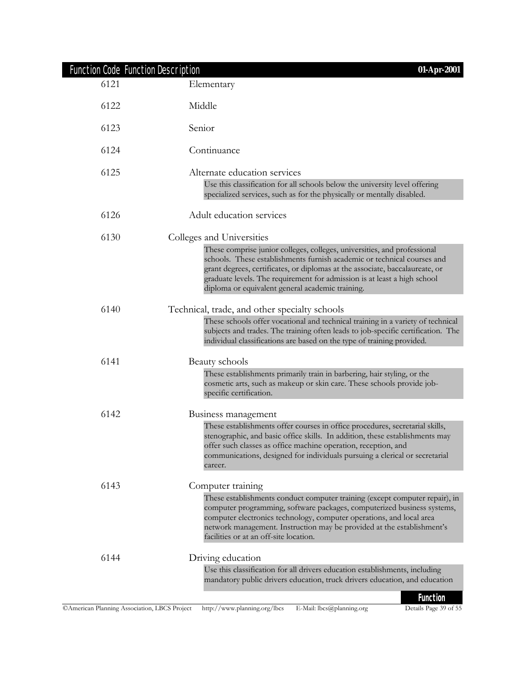|      | <b>Function Code Function Description</b><br>01-Apr-2001                                                                                                                                                                                                                                                                                                                                         |
|------|--------------------------------------------------------------------------------------------------------------------------------------------------------------------------------------------------------------------------------------------------------------------------------------------------------------------------------------------------------------------------------------------------|
| 6121 | Elementary                                                                                                                                                                                                                                                                                                                                                                                       |
| 6122 | Middle                                                                                                                                                                                                                                                                                                                                                                                           |
| 6123 | Senior                                                                                                                                                                                                                                                                                                                                                                                           |
| 6124 | Continuance                                                                                                                                                                                                                                                                                                                                                                                      |
| 6125 | Alternate education services<br>Use this classification for all schools below the university level offering<br>specialized services, such as for the physically or mentally disabled.                                                                                                                                                                                                            |
| 6126 | Adult education services                                                                                                                                                                                                                                                                                                                                                                         |
| 6130 | Colleges and Universities<br>These comprise junior colleges, colleges, universities, and professional<br>schools. These establishments furnish academic or technical courses and<br>grant degrees, certificates, or diplomas at the associate, baccalaureate, or<br>graduate levels. The requirement for admission is at least a high school<br>diploma or equivalent general academic training. |
| 6140 | Technical, trade, and other specialty schools<br>These schools offer vocational and technical training in a variety of technical<br>subjects and trades. The training often leads to job-specific certification. The<br>individual classifications are based on the type of training provided.                                                                                                   |
| 6141 | Beauty schools<br>These establishments primarily train in barbering, hair styling, or the<br>cosmetic arts, such as makeup or skin care. These schools provide job-                                                                                                                                                                                                                              |
| 6142 | specific certification.<br>Business management<br>These establishments offer courses in office procedures, secretarial skills,<br>stenographic, and basic office skills. In addition, these establishments may<br>offer such classes as office machine operation, reception, and<br>communications, designed for individuals pursuing a clerical or secretarial<br>career.                       |
| 6143 | Computer training<br>These establishments conduct computer training (except computer repair), in<br>computer programming, software packages, computerized business systems,<br>computer electronics technology, computer operations, and local area<br>network management. Instruction may be provided at the establishment's<br>facilities or at an off-site location.                          |
| 6144 | Driving education<br>Use this classification for all drivers education establishments, including<br>mandatory public drivers education, truck drivers education, and education<br><b>Function</b>                                                                                                                                                                                                |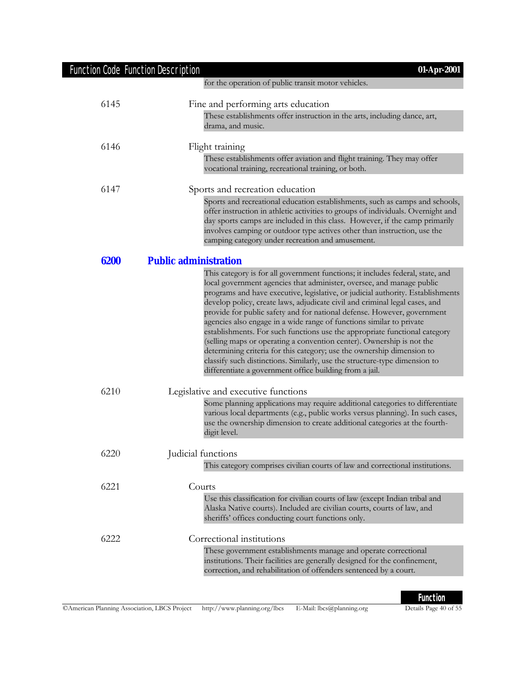| <b>Function Code Function Description</b> | $01-Apr-2001$                                                                                                                                                                                                                                                                                                                                                                                                                                                                                                                                                                                                                                                                                                                                                                                                                                          |
|-------------------------------------------|--------------------------------------------------------------------------------------------------------------------------------------------------------------------------------------------------------------------------------------------------------------------------------------------------------------------------------------------------------------------------------------------------------------------------------------------------------------------------------------------------------------------------------------------------------------------------------------------------------------------------------------------------------------------------------------------------------------------------------------------------------------------------------------------------------------------------------------------------------|
|                                           | for the operation of public transit motor vehicles.                                                                                                                                                                                                                                                                                                                                                                                                                                                                                                                                                                                                                                                                                                                                                                                                    |
| 6145                                      | Fine and performing arts education                                                                                                                                                                                                                                                                                                                                                                                                                                                                                                                                                                                                                                                                                                                                                                                                                     |
|                                           | These establishments offer instruction in the arts, including dance, art,<br>drama, and music.                                                                                                                                                                                                                                                                                                                                                                                                                                                                                                                                                                                                                                                                                                                                                         |
| 6146                                      | Flight training                                                                                                                                                                                                                                                                                                                                                                                                                                                                                                                                                                                                                                                                                                                                                                                                                                        |
|                                           | These establishments offer aviation and flight training. They may offer<br>vocational training, recreational training, or both.                                                                                                                                                                                                                                                                                                                                                                                                                                                                                                                                                                                                                                                                                                                        |
| 6147                                      | Sports and recreation education                                                                                                                                                                                                                                                                                                                                                                                                                                                                                                                                                                                                                                                                                                                                                                                                                        |
|                                           | Sports and recreational education establishments, such as camps and schools,<br>offer instruction in athletic activities to groups of individuals. Overnight and<br>day sports camps are included in this class. However, if the camp primarily<br>involves camping or outdoor type actives other than instruction, use the<br>camping category under recreation and amusement.                                                                                                                                                                                                                                                                                                                                                                                                                                                                        |
| 6200                                      | <b>Public administration</b>                                                                                                                                                                                                                                                                                                                                                                                                                                                                                                                                                                                                                                                                                                                                                                                                                           |
|                                           | This category is for all government functions; it includes federal, state, and<br>local government agencies that administer, oversee, and manage public<br>programs and have executive, legislative, or judicial authority. Establishments<br>develop policy, create laws, adjudicate civil and criminal legal cases, and<br>provide for public safety and for national defense. However, government<br>agencies also engage in a wide range of functions similar to private<br>establishments. For such functions use the appropriate functional category<br>(selling maps or operating a convention center). Ownership is not the<br>determining criteria for this category; use the ownership dimension to<br>classify such distinctions. Similarly, use the structure-type dimension to<br>differentiate a government office building from a jail. |
| 6210                                      | Legislative and executive functions                                                                                                                                                                                                                                                                                                                                                                                                                                                                                                                                                                                                                                                                                                                                                                                                                    |
|                                           | Some planning applications may require additional categories to differentiate<br>various local departments (e.g., public works versus planning). In such cases,<br>use the ownership dimension to create additional categories at the fourth-<br>digit level.                                                                                                                                                                                                                                                                                                                                                                                                                                                                                                                                                                                          |
| 6220                                      | Judicial functions                                                                                                                                                                                                                                                                                                                                                                                                                                                                                                                                                                                                                                                                                                                                                                                                                                     |
|                                           | This category comprises civilian courts of law and correctional institutions.                                                                                                                                                                                                                                                                                                                                                                                                                                                                                                                                                                                                                                                                                                                                                                          |
| 6221                                      | Courts                                                                                                                                                                                                                                                                                                                                                                                                                                                                                                                                                                                                                                                                                                                                                                                                                                                 |
|                                           | Use this classification for civilian courts of law (except Indian tribal and<br>Alaska Native courts). Included are civilian courts, courts of law, and<br>sheriffs' offices conducting court functions only.                                                                                                                                                                                                                                                                                                                                                                                                                                                                                                                                                                                                                                          |
| 6222                                      | Correctional institutions                                                                                                                                                                                                                                                                                                                                                                                                                                                                                                                                                                                                                                                                                                                                                                                                                              |
|                                           | These government establishments manage and operate correctional<br>institutions. Their facilities are generally designed for the confinement,<br>correction, and rehabilitation of offenders sentenced by a court.                                                                                                                                                                                                                                                                                                                                                                                                                                                                                                                                                                                                                                     |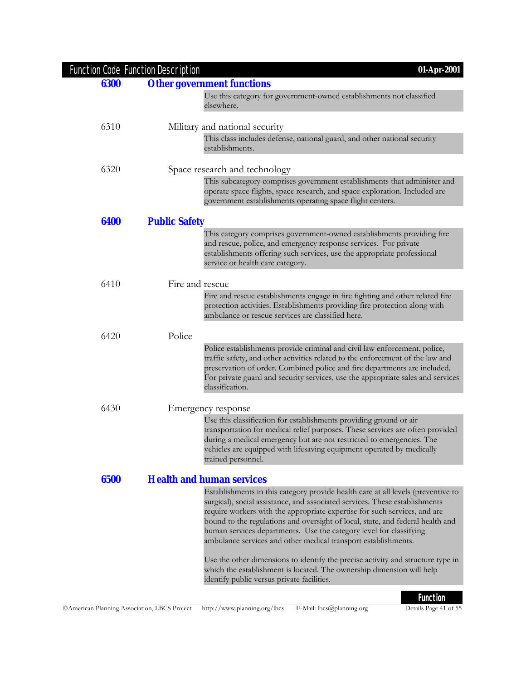|      | <b>Function Code Function Description</b> | 01-Apr-2001                                                                                                                                                                                                                                                                                                                                                                                                                                                                                                                                                                                                                                                                      |
|------|-------------------------------------------|----------------------------------------------------------------------------------------------------------------------------------------------------------------------------------------------------------------------------------------------------------------------------------------------------------------------------------------------------------------------------------------------------------------------------------------------------------------------------------------------------------------------------------------------------------------------------------------------------------------------------------------------------------------------------------|
| 6300 |                                           | <b>Other government functions</b>                                                                                                                                                                                                                                                                                                                                                                                                                                                                                                                                                                                                                                                |
|      |                                           | Use this category for government-owned establishments not classified<br>elsewhere.                                                                                                                                                                                                                                                                                                                                                                                                                                                                                                                                                                                               |
| 6310 |                                           | Military and national security                                                                                                                                                                                                                                                                                                                                                                                                                                                                                                                                                                                                                                                   |
|      |                                           | This class includes defense, national guard, and other national security<br>establishments.                                                                                                                                                                                                                                                                                                                                                                                                                                                                                                                                                                                      |
| 6320 |                                           | Space research and technology                                                                                                                                                                                                                                                                                                                                                                                                                                                                                                                                                                                                                                                    |
|      |                                           | This subcategory comprises government establishments that administer and<br>operate space flights, space research, and space exploration. Included are<br>government establishments operating space flight centers.                                                                                                                                                                                                                                                                                                                                                                                                                                                              |
| 6400 | <b>Public Safety</b>                      |                                                                                                                                                                                                                                                                                                                                                                                                                                                                                                                                                                                                                                                                                  |
|      |                                           | This category comprises government-owned establishments providing fire<br>and rescue, police, and emergency response services. For private<br>establishments offering such services, use the appropriate professional<br>service or health care category.                                                                                                                                                                                                                                                                                                                                                                                                                        |
| 6410 | Fire and rescue                           |                                                                                                                                                                                                                                                                                                                                                                                                                                                                                                                                                                                                                                                                                  |
|      |                                           | Fire and rescue establishments engage in fire fighting and other related fire<br>protection activities. Establishments providing fire protection along with<br>ambulance or rescue services are classified here.                                                                                                                                                                                                                                                                                                                                                                                                                                                                 |
| 6420 | Police                                    |                                                                                                                                                                                                                                                                                                                                                                                                                                                                                                                                                                                                                                                                                  |
|      |                                           | Police establishments provide criminal and civil law enforcement, police,<br>traffic safety, and other activities related to the enforcement of the law and<br>preservation of order. Combined police and fire departments are included.<br>For private guard and security services, use the appropriate sales and services<br>classification.                                                                                                                                                                                                                                                                                                                                   |
| 6430 |                                           | Emergency response                                                                                                                                                                                                                                                                                                                                                                                                                                                                                                                                                                                                                                                               |
|      |                                           | Use this classification for establishments providing ground or air<br>transportation for medical relief purposes. These services are often provided<br>during a medical emergency but are not restricted to emergencies. The<br>vehicles are equipped with lifesaving equipment operated by medically<br>trained personnel.                                                                                                                                                                                                                                                                                                                                                      |
| 6500 |                                           | <b>Health and human services</b>                                                                                                                                                                                                                                                                                                                                                                                                                                                                                                                                                                                                                                                 |
|      |                                           | Establishments in this category provide health care at all levels (preventive to<br>surgical), social assistance, and associated services. These establishments<br>require workers with the appropriate expertise for such services, and are<br>bound to the regulations and oversight of local, state, and federal health and<br>human services departments. Use the category level for classifying<br>ambulance services and other medical transport establishments.<br>Use the other dimensions to identify the precise activity and structure type in<br>which the establishment is located. The ownership dimension will help<br>identify public versus private facilities. |
|      |                                           | <b>Function</b>                                                                                                                                                                                                                                                                                                                                                                                                                                                                                                                                                                                                                                                                  |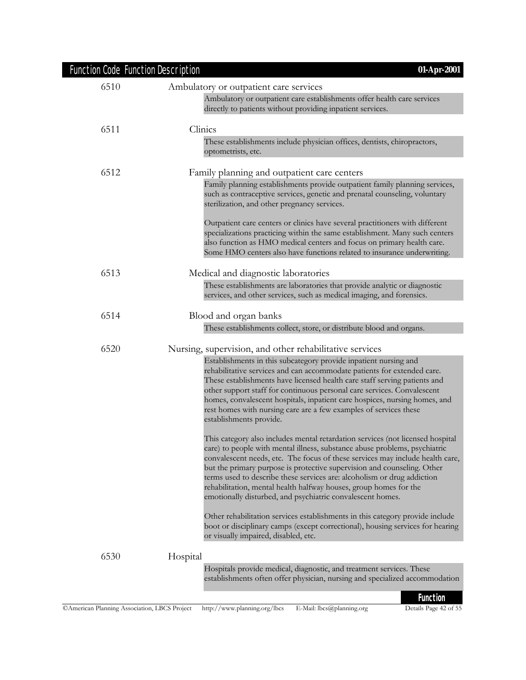| <b>Function Code Function Description</b> | 01-Apr-2001                                                                                                                                                                                                                                                                                                                                                                                                                                                                                                                                                                                                                                                                                                                                                                                                                                                                                                                                                                                                                                                                                                                                                                                                                                                                                       |
|-------------------------------------------|---------------------------------------------------------------------------------------------------------------------------------------------------------------------------------------------------------------------------------------------------------------------------------------------------------------------------------------------------------------------------------------------------------------------------------------------------------------------------------------------------------------------------------------------------------------------------------------------------------------------------------------------------------------------------------------------------------------------------------------------------------------------------------------------------------------------------------------------------------------------------------------------------------------------------------------------------------------------------------------------------------------------------------------------------------------------------------------------------------------------------------------------------------------------------------------------------------------------------------------------------------------------------------------------------|
| 6510                                      | Ambulatory or outpatient care services<br>Ambulatory or outpatient care establishments offer health care services<br>directly to patients without providing inpatient services.                                                                                                                                                                                                                                                                                                                                                                                                                                                                                                                                                                                                                                                                                                                                                                                                                                                                                                                                                                                                                                                                                                                   |
| 6511                                      | Clinics<br>These establishments include physician offices, dentists, chiropractors,<br>optometrists, etc.                                                                                                                                                                                                                                                                                                                                                                                                                                                                                                                                                                                                                                                                                                                                                                                                                                                                                                                                                                                                                                                                                                                                                                                         |
| 6512                                      | Family planning and outpatient care centers<br>Family planning establishments provide outpatient family planning services,<br>such as contraceptive services, genetic and prenatal counseling, voluntary<br>sterilization, and other pregnancy services.<br>Outpatient care centers or clinics have several practitioners with different<br>specializations practicing within the same establishment. Many such centers<br>also function as HMO medical centers and focus on primary health care.<br>Some HMO centers also have functions related to insurance underwriting.                                                                                                                                                                                                                                                                                                                                                                                                                                                                                                                                                                                                                                                                                                                      |
| 6513                                      | Medical and diagnostic laboratories<br>These establishments are laboratories that provide analytic or diagnostic<br>services, and other services, such as medical imaging, and forensics.                                                                                                                                                                                                                                                                                                                                                                                                                                                                                                                                                                                                                                                                                                                                                                                                                                                                                                                                                                                                                                                                                                         |
| 6514                                      | Blood and organ banks<br>These establishments collect, store, or distribute blood and organs.                                                                                                                                                                                                                                                                                                                                                                                                                                                                                                                                                                                                                                                                                                                                                                                                                                                                                                                                                                                                                                                                                                                                                                                                     |
| 6520                                      | Nursing, supervision, and other rehabilitative services<br>Establishments in this subcategory provide inpatient nursing and<br>rehabilitative services and can accommodate patients for extended care.<br>These establishments have licensed health care staff serving patients and<br>other support staff for continuous personal care services. Convalescent<br>homes, convalescent hospitals, inpatient care hospices, nursing homes, and<br>rest homes with nursing care are a few examples of services these<br>establishments provide.<br>This category also includes mental retardation services (not licensed hospital<br>care) to people with mental illness, substance abuse problems, psychiatric<br>convalescent needs, etc. The focus of these services may include health care,<br>but the primary purpose is protective supervision and counseling. Other<br>terms used to describe these services are: alcoholism or drug addiction<br>rehabilitation, mental health halfway houses, group homes for the<br>emotionally disturbed, and psychiatric convalescent homes.<br>Other rehabilitation services establishments in this category provide include<br>boot or disciplinary camps (except correctional), housing services for hearing<br>or visually impaired, disabled, etc. |
| 6530                                      | Hospital<br>Hospitals provide medical, diagnostic, and treatment services. These<br>establishments often offer physician, nursing and specialized accommodation                                                                                                                                                                                                                                                                                                                                                                                                                                                                                                                                                                                                                                                                                                                                                                                                                                                                                                                                                                                                                                                                                                                                   |
|                                           | <b>Function</b>                                                                                                                                                                                                                                                                                                                                                                                                                                                                                                                                                                                                                                                                                                                                                                                                                                                                                                                                                                                                                                                                                                                                                                                                                                                                                   |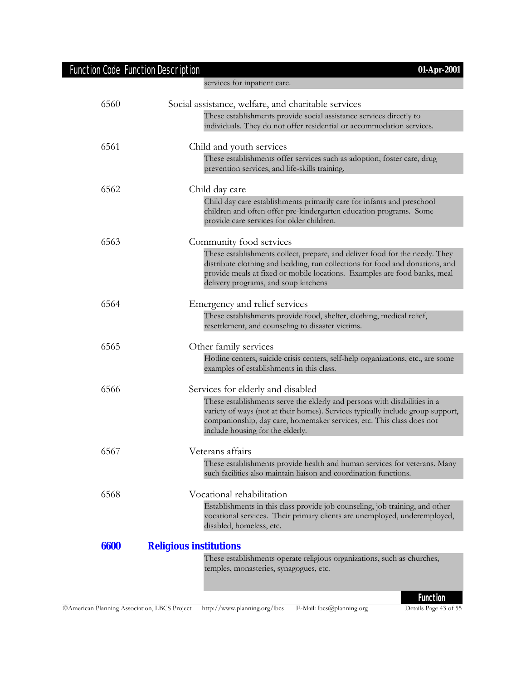# Function Code Function Description **01-Apr-2001**

| 6560 | Social assistance, welfare, and charitable services                                                                                                                                                                                                                              |
|------|----------------------------------------------------------------------------------------------------------------------------------------------------------------------------------------------------------------------------------------------------------------------------------|
|      | These establishments provide social assistance services directly to<br>individuals. They do not offer residential or accommodation services.                                                                                                                                     |
| 6561 | Child and youth services                                                                                                                                                                                                                                                         |
|      | These establishments offer services such as adoption, foster care, drug<br>prevention services, and life-skills training.                                                                                                                                                        |
| 6562 | Child day care                                                                                                                                                                                                                                                                   |
|      | Child day care establishments primarily care for infants and preschool<br>children and often offer pre-kindergarten education programs. Some<br>provide care services for older children.                                                                                        |
| 6563 | Community food services                                                                                                                                                                                                                                                          |
|      | These establishments collect, prepare, and deliver food for the needy. They<br>distribute clothing and bedding, run collections for food and donations, and<br>provide meals at fixed or mobile locations. Examples are food banks, meal<br>delivery programs, and soup kitchens |
| 6564 | Emergency and relief services                                                                                                                                                                                                                                                    |
|      | These establishments provide food, shelter, clothing, medical relief,<br>resettlement, and counseling to disaster victims.                                                                                                                                                       |
| 6565 | Other family services                                                                                                                                                                                                                                                            |
|      | Hotline centers, suicide crisis centers, self-help organizations, etc., are some<br>examples of establishments in this class.                                                                                                                                                    |
| 6566 | Services for elderly and disabled                                                                                                                                                                                                                                                |
|      | These establishments serve the elderly and persons with disabilities in a<br>variety of ways (not at their homes). Services typically include group support,<br>companionship, day care, homemaker services, etc. This class does not<br>include housing for the elderly.        |
| 6567 | Veterans affairs                                                                                                                                                                                                                                                                 |
|      | These establishments provide health and human services for veterans. Many<br>such facilities also maintain liaison and coordination functions                                                                                                                                    |
| 6568 | Vocational rehabilitation                                                                                                                                                                                                                                                        |
|      | Establishments in this class provide job counseling, job training, and other<br>vocational services. Their primary clients are unemployed, underemployed,<br>disabled, homeless, etc.                                                                                            |
| 6600 | <b>Religious institutions</b>                                                                                                                                                                                                                                                    |
|      | These establishments operate religious organizations, such as churches,<br>temples, monasteries, synagogues, etc.                                                                                                                                                                |

services for inpatient care.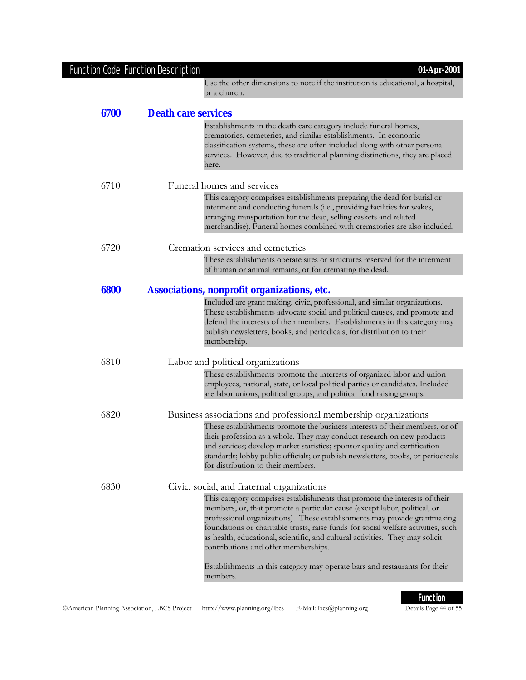|      | Function Code Function Description<br>01-Apr-2001                                                                                                                                                                                                                                                                                                                                                                                                  |
|------|----------------------------------------------------------------------------------------------------------------------------------------------------------------------------------------------------------------------------------------------------------------------------------------------------------------------------------------------------------------------------------------------------------------------------------------------------|
|      | Use the other dimensions to note if the institution is educational, a hospital,<br>or a church.                                                                                                                                                                                                                                                                                                                                                    |
| 6700 | <b>Death care services</b>                                                                                                                                                                                                                                                                                                                                                                                                                         |
|      | Establishments in the death care category include funeral homes,<br>crematories, cemeteries, and similar establishments. In economic<br>classification systems, these are often included along with other personal<br>services. However, due to traditional planning distinctions, they are placed<br>here.                                                                                                                                        |
| 6710 | Funeral homes and services                                                                                                                                                                                                                                                                                                                                                                                                                         |
|      | This category comprises establishments preparing the dead for burial or<br>interment and conducting funerals (i.e., providing facilities for wakes,<br>arranging transportation for the dead, selling caskets and related<br>merchandise). Funeral homes combined with crematories are also included.                                                                                                                                              |
| 6720 | Cremation services and cemeteries                                                                                                                                                                                                                                                                                                                                                                                                                  |
|      | These establishments operate sites or structures reserved for the interment<br>of human or animal remains, or for cremating the dead.                                                                                                                                                                                                                                                                                                              |
| 6800 | <b>Associations, nonprofit organizations, etc.</b>                                                                                                                                                                                                                                                                                                                                                                                                 |
|      | Included are grant making, civic, professional, and similar organizations.<br>These establishments advocate social and political causes, and promote and<br>defend the interests of their members. Establishments in this category may<br>publish newsletters, books, and periodicals, for distribution to their<br>membership.                                                                                                                    |
| 6810 | Labor and political organizations                                                                                                                                                                                                                                                                                                                                                                                                                  |
|      | These establishments promote the interests of organized labor and union<br>employees, national, state, or local political parties or candidates. Included<br>are labor unions, political groups, and political fund raising groups.                                                                                                                                                                                                                |
| 6820 | Business associations and professional membership organizations                                                                                                                                                                                                                                                                                                                                                                                    |
|      | These establishments promote the business interests of their members, or of<br>their profession as a whole. They may conduct research on new products<br>and services; develop market statistics; sponsor quality and certification<br>standards; lobby public officials; or publish newsletters, books, or periodicals<br>for distribution to their members.                                                                                      |
| 6830 | Civic, social, and fraternal organizations                                                                                                                                                                                                                                                                                                                                                                                                         |
|      | This category comprises establishments that promote the interests of their<br>members, or, that promote a particular cause (except labor, political, or<br>professional organizations). These establishments may provide grantmaking<br>foundations or charitable trusts, raise funds for social welfare activities, such<br>as health, educational, scientific, and cultural activities. They may solicit<br>contributions and offer memberships. |
|      | Establishments in this category may operate bars and restaurants for their<br>members.                                                                                                                                                                                                                                                                                                                                                             |
|      |                                                                                                                                                                                                                                                                                                                                                                                                                                                    |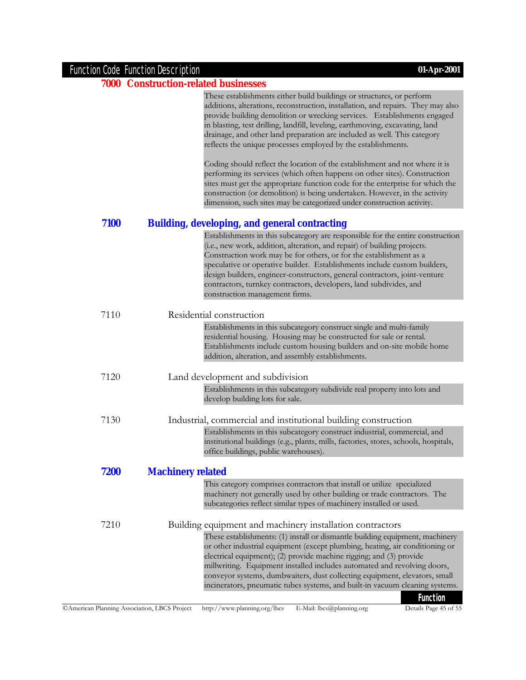| Function Code Function Description          | 01-Apr-2001                                                                                                                                                                                                                                                                                                                                                                                                                                                                                         |
|---------------------------------------------|-----------------------------------------------------------------------------------------------------------------------------------------------------------------------------------------------------------------------------------------------------------------------------------------------------------------------------------------------------------------------------------------------------------------------------------------------------------------------------------------------------|
| <b>7000 Construction-related businesses</b> |                                                                                                                                                                                                                                                                                                                                                                                                                                                                                                     |
|                                             | These establishments either build buildings or structures, or perform<br>additions, alterations, reconstruction, installation, and repairs. They may also<br>provide building demolition or wrecking services. Establishments engaged<br>in blasting, test drilling, landfill, leveling, earthmoving, excavating, land<br>drainage, and other land preparation are included as well. This category<br>reflects the unique processes employed by the establishments.                                 |
|                                             | Coding should reflect the location of the establishment and not where it is<br>performing its services (which often happens on other sites). Construction<br>sites must get the appropriate function code for the enterprise for which the<br>construction (or demolition) is being undertaken. However, in the activity<br>dimension, such sites may be categorized under construction activity.                                                                                                   |
| 7100                                        | <b>Building, developing, and general contracting</b>                                                                                                                                                                                                                                                                                                                                                                                                                                                |
|                                             | Establishments in this subcategory are responsible for the entire construction<br>(i.e., new work, addition, alteration, and repair) of building projects.<br>Construction work may be for others, or for the establishment as a<br>speculative or operative builder. Establishments include custom builders,<br>design builders, engineer-constructors, general contractors, joint-venture<br>contractors, turnkey contractors, developers, land subdivides, and<br>construction management firms. |
| 7110                                        | Residential construction                                                                                                                                                                                                                                                                                                                                                                                                                                                                            |
|                                             | Establishments in this subcategory construct single and multi-family<br>residential housing. Housing may be constructed for sale or rental.<br>Establishments include custom housing builders and on-site mobile home<br>addition, alteration, and assembly establishments.                                                                                                                                                                                                                         |
| 7120                                        | Land development and subdivision                                                                                                                                                                                                                                                                                                                                                                                                                                                                    |
|                                             | Establishments in this subcategory subdivide real property into lots and<br>develop building lots for sale.                                                                                                                                                                                                                                                                                                                                                                                         |
| 7130                                        | Industrial, commercial and institutional building construction                                                                                                                                                                                                                                                                                                                                                                                                                                      |
|                                             | Establishments in this subcategory construct industrial, commercial, and                                                                                                                                                                                                                                                                                                                                                                                                                            |

institutional buildings (e.g., plants, mills, factories, stores, schools, hospitals, office buildings, public warehouses). **7200 Machinery related**

This category comprises contractors that install or utilize specialized machinery not generally used by other building or trade contractors. The subcategories reflect similar types of machinery installed or used.

7210 Building equipment and machinery installation contractors These establishments: (1) install or dismantle building equipment, machinery or other industrial equipment (except plumbing, heating, air conditioning or electrical equipment); (2) provide machine rigging; and (3) provide millwriting. Equipment installed includes automated and revolving doors, conveyor systems, dumbwaiters, dust collecting equipment, elevators, small incinerators, pneumatic tubes systems, and built-in vacuum cleaning systems.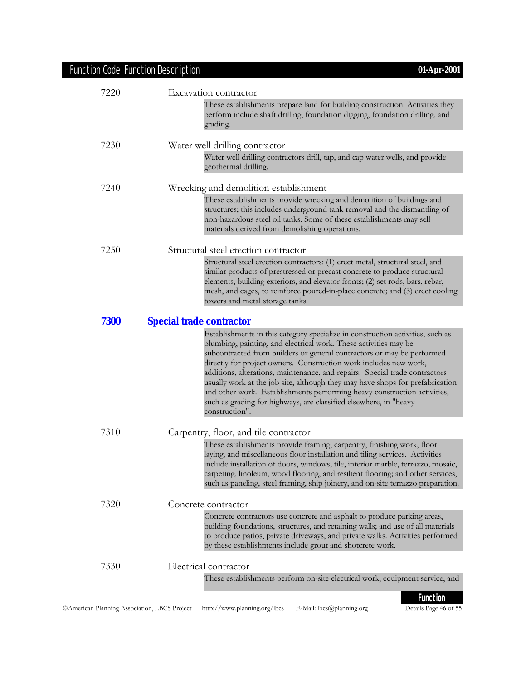# Function Code Function Description **01-Apr-2001**

| 7220        | Excavation contractor                                                                                                                                                                                                                                                                                                                                                                                                                                                                                                                                                                                                                |
|-------------|--------------------------------------------------------------------------------------------------------------------------------------------------------------------------------------------------------------------------------------------------------------------------------------------------------------------------------------------------------------------------------------------------------------------------------------------------------------------------------------------------------------------------------------------------------------------------------------------------------------------------------------|
|             | These establishments prepare land for building construction. Activities they<br>perform include shaft drilling, foundation digging, foundation drilling, and<br>grading.                                                                                                                                                                                                                                                                                                                                                                                                                                                             |
| 7230        | Water well drilling contractor                                                                                                                                                                                                                                                                                                                                                                                                                                                                                                                                                                                                       |
|             | Water well drilling contractors drill, tap, and cap water wells, and provide<br>geothermal drilling.                                                                                                                                                                                                                                                                                                                                                                                                                                                                                                                                 |
| 7240        | Wrecking and demolition establishment                                                                                                                                                                                                                                                                                                                                                                                                                                                                                                                                                                                                |
|             | These establishments provide wrecking and demolition of buildings and<br>structures; this includes underground tank removal and the dismantling of<br>non-hazardous steel oil tanks. Some of these establishments may sell<br>materials derived from demolishing operations.                                                                                                                                                                                                                                                                                                                                                         |
| 7250        | Structural steel erection contractor                                                                                                                                                                                                                                                                                                                                                                                                                                                                                                                                                                                                 |
|             | Structural steel erection contractors: (1) erect metal, structural steel, and<br>similar products of prestressed or precast concrete to produce structural<br>elements, building exteriors, and elevator fronts; (2) set rods, bars, rebar,<br>mesh, and cages, to reinforce poured-in-place concrete; and (3) erect cooling<br>towers and metal storage tanks.                                                                                                                                                                                                                                                                      |
| <b>7300</b> | <b>Special trade contractor</b>                                                                                                                                                                                                                                                                                                                                                                                                                                                                                                                                                                                                      |
|             | Establishments in this category specialize in construction activities, such as<br>plumbing, painting, and electrical work. These activities may be<br>subcontracted from builders or general contractors or may be performed<br>directly for project owners. Construction work includes new work,<br>additions, alterations, maintenance, and repairs. Special trade contractors<br>usually work at the job site, although they may have shops for prefabrication<br>and other work. Establishments performing heavy construction activities,<br>such as grading for highways, are classified elsewhere, in "heavy<br>construction". |
| 7310        | Carpentry, floor, and tile contractor                                                                                                                                                                                                                                                                                                                                                                                                                                                                                                                                                                                                |
|             | These establishments provide framing, carpentry, finishing work, floor<br>laying, and miscellaneous floor installation and tiling services. Activities<br>include installation of doors, windows, tile, interior marble, terrazzo, mosaic,<br>carpeting, linoleum, wood flooring, and resilient flooring; and other services,<br>such as paneling, steel framing, ship joinery, and on-site terrazzo preparation.                                                                                                                                                                                                                    |
| 7320        | Concrete contractor                                                                                                                                                                                                                                                                                                                                                                                                                                                                                                                                                                                                                  |
|             | Concrete contractors use concrete and asphalt to produce parking areas,<br>building foundations, structures, and retaining walls; and use of all materials<br>to produce patios, private driveways, and private walks. Activities performed<br>by these establishments include grout and shotcrete work.                                                                                                                                                                                                                                                                                                                             |
| 7330        | Electrical contractor                                                                                                                                                                                                                                                                                                                                                                                                                                                                                                                                                                                                                |
|             | These establishments perform on-site electrical work, equipment service, and                                                                                                                                                                                                                                                                                                                                                                                                                                                                                                                                                         |
|             | <b>Function</b>                                                                                                                                                                                                                                                                                                                                                                                                                                                                                                                                                                                                                      |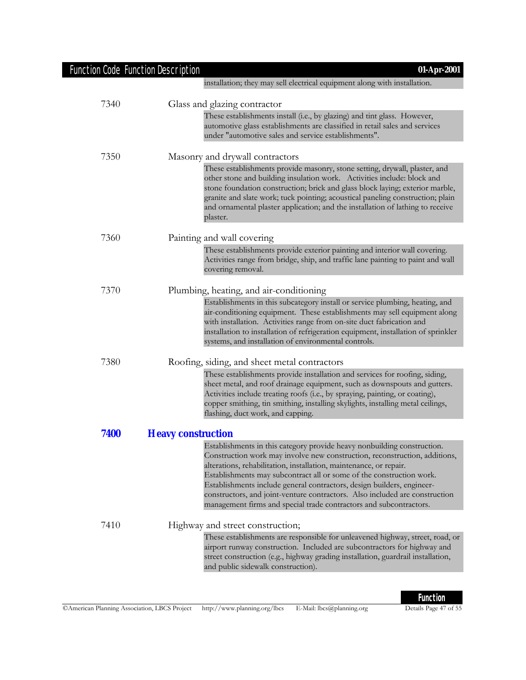| <b>Function Code Function Description</b> | 01-Apr-2001                                                                                                                                                                                                                                                                                                                                                                                                                                                                                                                        |
|-------------------------------------------|------------------------------------------------------------------------------------------------------------------------------------------------------------------------------------------------------------------------------------------------------------------------------------------------------------------------------------------------------------------------------------------------------------------------------------------------------------------------------------------------------------------------------------|
|                                           | installation; they may sell electrical equipment along with installation.                                                                                                                                                                                                                                                                                                                                                                                                                                                          |
| 7340                                      | Glass and glazing contractor                                                                                                                                                                                                                                                                                                                                                                                                                                                                                                       |
|                                           | These establishments install (i.e., by glazing) and tint glass. However,<br>automotive glass establishments are classified in retail sales and services<br>under "automotive sales and service establishments".                                                                                                                                                                                                                                                                                                                    |
| 7350                                      | Masonry and drywall contractors                                                                                                                                                                                                                                                                                                                                                                                                                                                                                                    |
|                                           | These establishments provide masonry, stone setting, drywall, plaster, and<br>other stone and building insulation work. Activities include: block and<br>stone foundation construction; brick and glass block laying; exterior marble,<br>granite and slate work; tuck pointing; acoustical paneling construction; plain<br>and ornamental plaster application; and the installation of lathing to receive<br>plaster.                                                                                                             |
| 7360                                      | Painting and wall covering                                                                                                                                                                                                                                                                                                                                                                                                                                                                                                         |
|                                           | These establishments provide exterior painting and interior wall covering.<br>Activities range from bridge, ship, and traffic lane painting to paint and wall<br>covering removal.                                                                                                                                                                                                                                                                                                                                                 |
| 7370                                      | Plumbing, heating, and air-conditioning                                                                                                                                                                                                                                                                                                                                                                                                                                                                                            |
|                                           | Establishments in this subcategory install or service plumbing, heating, and<br>air-conditioning equipment. These establishments may sell equipment along<br>with installation. Activities range from on-site duct fabrication and<br>installation to installation of refrigeration equipment, installation of sprinkler<br>systems, and installation of environmental controls.                                                                                                                                                   |
| 7380                                      | Roofing, siding, and sheet metal contractors                                                                                                                                                                                                                                                                                                                                                                                                                                                                                       |
|                                           | These establishments provide installation and services for roofing, siding,<br>sheet metal, and roof drainage equipment, such as downspouts and gutters.<br>Activities include treating roofs (i.e., by spraying, painting, or coating),<br>copper smithing, tin smithing, installing skylights, installing metal ceilings,<br>flashing, duct work, and capping.                                                                                                                                                                   |
| 7400                                      | <b>Heavy construction</b>                                                                                                                                                                                                                                                                                                                                                                                                                                                                                                          |
|                                           | Establishments in this category provide heavy nonbuilding construction.<br>Construction work may involve new construction, reconstruction, additions,<br>alterations, rehabilitation, installation, maintenance, or repair.<br>Establishments may subcontract all or some of the construction work.<br>Establishments include general contractors, design builders, engineer-<br>constructors, and joint-venture contractors. Also included are construction<br>management firms and special trade contractors and subcontractors. |
| 7410                                      | Highway and street construction;                                                                                                                                                                                                                                                                                                                                                                                                                                                                                                   |
|                                           | These establishments are responsible for unleavened highway, street, road, or<br>airport runway construction. Included are subcontractors for highway and<br>street construction (e.g., highway grading installation, guardrail installation,<br>and public sidewalk construction).                                                                                                                                                                                                                                                |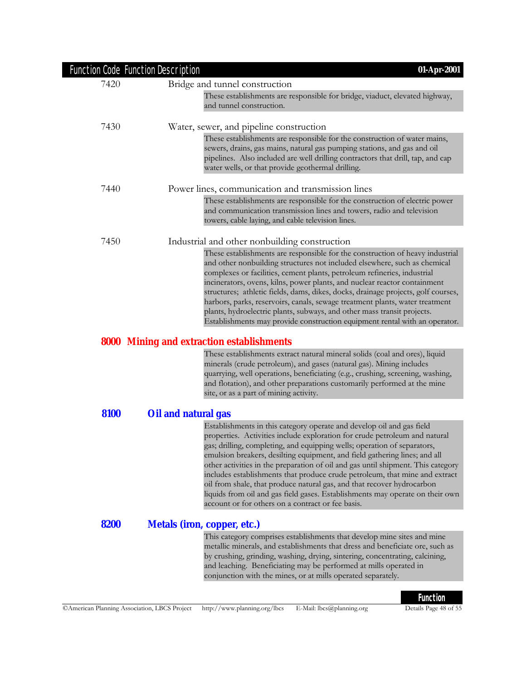|      | Function Code Function Description<br>01-Apr-2001                                                                                                                                                                                                                                                                                                                                                                                                                                                                                                                                                                                                                                                |
|------|--------------------------------------------------------------------------------------------------------------------------------------------------------------------------------------------------------------------------------------------------------------------------------------------------------------------------------------------------------------------------------------------------------------------------------------------------------------------------------------------------------------------------------------------------------------------------------------------------------------------------------------------------------------------------------------------------|
| 7420 | Bridge and tunnel construction                                                                                                                                                                                                                                                                                                                                                                                                                                                                                                                                                                                                                                                                   |
|      | These establishments are responsible for bridge, viaduct, elevated highway,<br>and tunnel construction.                                                                                                                                                                                                                                                                                                                                                                                                                                                                                                                                                                                          |
| 7430 | Water, sewer, and pipeline construction                                                                                                                                                                                                                                                                                                                                                                                                                                                                                                                                                                                                                                                          |
|      | These establishments are responsible for the construction of water mains,<br>sewers, drains, gas mains, natural gas pumping stations, and gas and oil<br>pipelines. Also included are well drilling contractors that drill, tap, and cap<br>water wells, or that provide geothermal drilling.                                                                                                                                                                                                                                                                                                                                                                                                    |
| 7440 | Power lines, communication and transmission lines                                                                                                                                                                                                                                                                                                                                                                                                                                                                                                                                                                                                                                                |
|      | These establishments are responsible for the construction of electric power<br>and communication transmission lines and towers, radio and television<br>towers, cable laying, and cable television lines.                                                                                                                                                                                                                                                                                                                                                                                                                                                                                        |
| 7450 | Industrial and other nonbuilding construction                                                                                                                                                                                                                                                                                                                                                                                                                                                                                                                                                                                                                                                    |
|      | These establishments are responsible for the construction of heavy industrial<br>and other nonbuilding structures not included elsewhere, such as chemical<br>complexes or facilities, cement plants, petroleum refineries, industrial<br>incinerators, ovens, kilns, power plants, and nuclear reactor containment<br>structures; athletic fields, dams, dikes, docks, drainage projects, golf courses,<br>harbors, parks, reservoirs, canals, sewage treatment plants, water treatment<br>plants, hydroelectric plants, subways, and other mass transit projects.<br>Establishments may provide construction equipment rental with an operator.                                                |
|      | <b>8000 Mining and extraction establishments</b>                                                                                                                                                                                                                                                                                                                                                                                                                                                                                                                                                                                                                                                 |
|      | These establishments extract natural mineral solids (coal and ores), liquid<br>minerals (crude petroleum), and gases (natural gas). Mining includes<br>quarrying, well operations, beneficiating (e.g., crushing, screening, washing,<br>and flotation), and other preparations customarily performed at the mine<br>site, or as a part of mining activity.                                                                                                                                                                                                                                                                                                                                      |
| 8100 | Oil and natural gas                                                                                                                                                                                                                                                                                                                                                                                                                                                                                                                                                                                                                                                                              |
|      | Establishments in this category operate and develop oil and gas field<br>properties. Activities include exploration for crude petroleum and natural<br>gas; drilling, completing, and equipping wells; operation of separators,<br>emulsion breakers, desilting equipment, and field gathering lines; and all<br>other activities in the preparation of oil and gas until shipment. This category<br>includes establishments that produce crude petroleum, that mine and extract<br>oil from shale, that produce natural gas, and that recover hydrocarbon<br>liquids from oil and gas field gases. Establishments may operate on their own<br>account or for others on a contract or fee basis. |
| 8200 | <b>Metals (iron, copper, etc.)</b>                                                                                                                                                                                                                                                                                                                                                                                                                                                                                                                                                                                                                                                               |
|      | This category comprises establishments that develop mine sites and mine<br>metallic minerals, and establishments that dress and beneficiate ore, such as<br>by crushing, grinding, washing, drying, sintering, concentrating, calcining,<br>and leaching. Beneficiating may be performed at mills operated in<br>conjunction with the mines, or at mills operated separately.                                                                                                                                                                                                                                                                                                                    |
|      | <b>Function</b>                                                                                                                                                                                                                                                                                                                                                                                                                                                                                                                                                                                                                                                                                  |
|      |                                                                                                                                                                                                                                                                                                                                                                                                                                                                                                                                                                                                                                                                                                  |

# ©American Planning Association, LBCS Project http://www.planning.org/lbcs E-Mail: lbcs@planning.org Details Page 48 of 55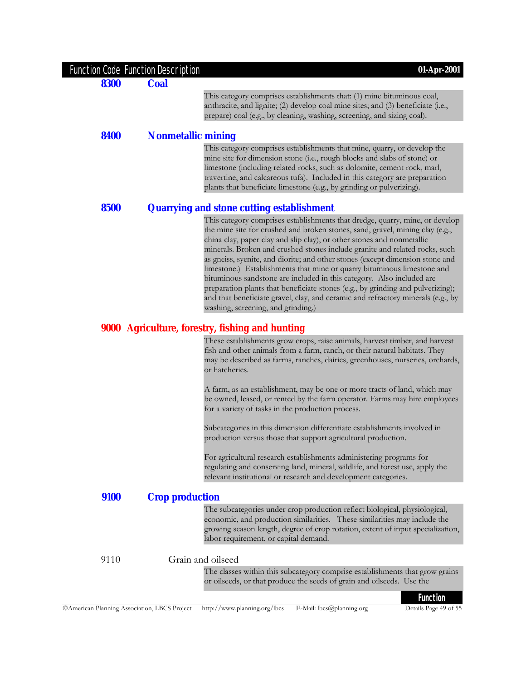| <b>Function Code Function Description</b>    |                           | 01-Apr-2001                                                                                                                                                                                                                                                                                                                                                                                                                                                                                                                                                                                                                                                                                                                                                              |
|----------------------------------------------|---------------------------|--------------------------------------------------------------------------------------------------------------------------------------------------------------------------------------------------------------------------------------------------------------------------------------------------------------------------------------------------------------------------------------------------------------------------------------------------------------------------------------------------------------------------------------------------------------------------------------------------------------------------------------------------------------------------------------------------------------------------------------------------------------------------|
| 8300                                         | <b>Coal</b>               |                                                                                                                                                                                                                                                                                                                                                                                                                                                                                                                                                                                                                                                                                                                                                                          |
|                                              |                           | This category comprises establishments that: (1) mine bituminous coal,<br>anthracite, and lignite; (2) develop coal mine sites; and (3) beneficiate (i.e.,<br>prepare) coal (e.g., by cleaning, washing, screening, and sizing coal).                                                                                                                                                                                                                                                                                                                                                                                                                                                                                                                                    |
| 8400                                         | <b>Nonmetallic mining</b> |                                                                                                                                                                                                                                                                                                                                                                                                                                                                                                                                                                                                                                                                                                                                                                          |
|                                              |                           | This category comprises establishments that mine, quarry, or develop the<br>mine site for dimension stone (i.e., rough blocks and slabs of stone) or<br>limestone (including related rocks, such as dolomite, cement rock, marl,<br>travertine, and calcareous tufa). Included in this category are preparation<br>plants that beneficiate limestone (e.g., by grinding or pulverizing).                                                                                                                                                                                                                                                                                                                                                                                 |
| 8500                                         |                           | <b>Quarrying and stone cutting establishment</b>                                                                                                                                                                                                                                                                                                                                                                                                                                                                                                                                                                                                                                                                                                                         |
|                                              |                           | This category comprises establishments that dredge, quarry, mine, or develop<br>the mine site for crushed and broken stones, sand, gravel, mining clay (e.g.,<br>china clay, paper clay and slip clay), or other stones and nonmetallic<br>minerals. Broken and crushed stones include granite and related rocks, such<br>as gneiss, syenite, and diorite; and other stones (except dimension stone and<br>limestone.) Establishments that mine or quarry bituminous limestone and<br>bituminous sandstone are included in this category. Also included are<br>preparation plants that beneficiate stones (e.g., by grinding and pulverizing);<br>and that beneficiate gravel, clay, and ceramic and refractory minerals (e.g., by<br>washing, screening, and grinding.) |
|                                              |                           | 9000 Agriculture, forestry, fishing and hunting                                                                                                                                                                                                                                                                                                                                                                                                                                                                                                                                                                                                                                                                                                                          |
|                                              |                           | These establishments grow crops, raise animals, harvest timber, and harvest<br>fish and other animals from a farm, ranch, or their natural habitats. They<br>may be described as farms, ranches, dairies, greenhouses, nurseries, orchards,<br>or hatcheries.                                                                                                                                                                                                                                                                                                                                                                                                                                                                                                            |
|                                              |                           | A farm, as an establishment, may be one or more tracts of land, which may<br>be owned, leased, or rented by the farm operator. Farms may hire employees<br>for a variety of tasks in the production process.                                                                                                                                                                                                                                                                                                                                                                                                                                                                                                                                                             |
|                                              |                           | Subcategories in this dimension differentiate establishments involved in<br>production versus those that support agricultural production.                                                                                                                                                                                                                                                                                                                                                                                                                                                                                                                                                                                                                                |
|                                              |                           | For agricultural research establishments administering programs for<br>regulating and conserving land, mineral, wildlife, and forest use, apply the<br>relevant institutional or research and development categories.                                                                                                                                                                                                                                                                                                                                                                                                                                                                                                                                                    |
| 9100                                         | <b>Crop production</b>    |                                                                                                                                                                                                                                                                                                                                                                                                                                                                                                                                                                                                                                                                                                                                                                          |
|                                              |                           | The subcategories under crop production reflect biological, physiological,<br>economic, and production similarities. These similarities may include the<br>growing season length, degree of crop rotation, extent of input specialization,<br>labor requirement, or capital demand.                                                                                                                                                                                                                                                                                                                                                                                                                                                                                      |
| 9110                                         |                           | Grain and oilseed                                                                                                                                                                                                                                                                                                                                                                                                                                                                                                                                                                                                                                                                                                                                                        |
|                                              |                           | The classes within this subcategory comprise establishments that grow grains<br>or oilseeds, or that produce the seeds of grain and oilseeds. Use the                                                                                                                                                                                                                                                                                                                                                                                                                                                                                                                                                                                                                    |
| CAmerican Planning Association, LBCS Project |                           | <b>Function</b><br>Details Page 49 of 55<br>http://www.planning.org/lbcs<br>E-Mail: lbcs@planning.org                                                                                                                                                                                                                                                                                                                                                                                                                                                                                                                                                                                                                                                                    |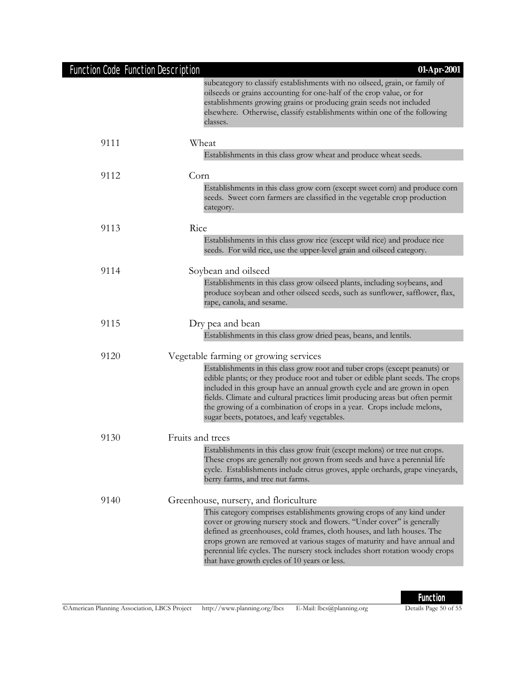# Function Code Function Description **01-Apr-2001**

|      | subcategory to classify establishments with no oilseed, grain, or family of<br>oilseeds or grains accounting for one-half of the crop value, or for<br>establishments growing grains or producing grain seeds not included<br>elsewhere. Otherwise, classify establishments within one of the following<br>classes.                                                                                                                                 |
|------|-----------------------------------------------------------------------------------------------------------------------------------------------------------------------------------------------------------------------------------------------------------------------------------------------------------------------------------------------------------------------------------------------------------------------------------------------------|
| 9111 | Wheat                                                                                                                                                                                                                                                                                                                                                                                                                                               |
|      | Establishments in this class grow wheat and produce wheat seeds.                                                                                                                                                                                                                                                                                                                                                                                    |
| 9112 | Corn                                                                                                                                                                                                                                                                                                                                                                                                                                                |
|      | Establishments in this class grow corn (except sweet corn) and produce corn<br>seeds. Sweet corn farmers are classified in the vegetable crop production<br>category.                                                                                                                                                                                                                                                                               |
| 9113 | Rice                                                                                                                                                                                                                                                                                                                                                                                                                                                |
|      | Establishments in this class grow rice (except wild rice) and produce rice<br>seeds. For wild rice, use the upper-level grain and oilseed category.                                                                                                                                                                                                                                                                                                 |
| 9114 | Soybean and oilseed                                                                                                                                                                                                                                                                                                                                                                                                                                 |
|      | Establishments in this class grow oilseed plants, including soybeans, and<br>produce soybean and other oilseed seeds, such as sunflower, safflower, flax,<br>rape, canola, and sesame.                                                                                                                                                                                                                                                              |
| 9115 | Dry pea and bean                                                                                                                                                                                                                                                                                                                                                                                                                                    |
|      | Establishments in this class grow dried peas, beans, and lentils.                                                                                                                                                                                                                                                                                                                                                                                   |
| 9120 | Vegetable farming or growing services                                                                                                                                                                                                                                                                                                                                                                                                               |
|      | Establishments in this class grow root and tuber crops (except peanuts) or<br>edible plants; or they produce root and tuber or edible plant seeds. The crops<br>included in this group have an annual growth cycle and are grown in open<br>fields. Climate and cultural practices limit producing areas but often permit<br>the growing of a combination of crops in a year. Crops include melons,<br>sugar beets, potatoes, and leafy vegetables. |
| 9130 | Fruits and trees                                                                                                                                                                                                                                                                                                                                                                                                                                    |
|      | Establishments in this class grow fruit (except melons) or tree nut crops.<br>These crops are generally not grown from seeds and have a perennial life<br>cycle. Establishments include citrus groves, apple orchards, grape vineyards,<br>berry farms, and tree nut farms.                                                                                                                                                                         |
| 9140 | Greenhouse, nursery, and floriculture                                                                                                                                                                                                                                                                                                                                                                                                               |
|      | This category comprises establishments growing crops of any kind under<br>cover or growing nursery stock and flowers. "Under cover" is generally<br>defined as greenhouses, cold frames, cloth houses, and lath houses. The<br>crops grown are removed at various stages of maturity and have annual and<br>perennial life cycles. The nursery stock includes short rotation woody crops<br>that have growth cycles of 10 years or less.            |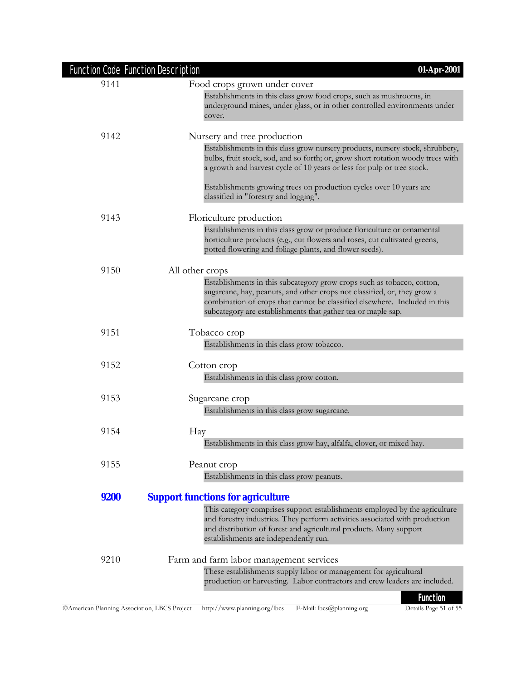|      | <b>Function Code Function Description</b><br>01-Apr-2001                                                                                                                                                                                                                                         |
|------|--------------------------------------------------------------------------------------------------------------------------------------------------------------------------------------------------------------------------------------------------------------------------------------------------|
| 9141 | Food crops grown under cover                                                                                                                                                                                                                                                                     |
|      | Establishments in this class grow food crops, such as mushrooms, in<br>underground mines, under glass, or in other controlled environments under<br>cover.                                                                                                                                       |
| 9142 | Nursery and tree production                                                                                                                                                                                                                                                                      |
|      | Establishments in this class grow nursery products, nursery stock, shrubbery,<br>bulbs, fruit stock, sod, and so forth; or, grow short rotation woody trees with<br>a growth and harvest cycle of 10 years or less for pulp or tree stock.                                                       |
|      | Establishments growing trees on production cycles over 10 years are<br>classified in "forestry and logging".                                                                                                                                                                                     |
| 9143 | Floriculture production                                                                                                                                                                                                                                                                          |
|      | Establishments in this class grow or produce floriculture or ornamental<br>horticulture products (e.g., cut flowers and roses, cut cultivated greens,<br>potted flowering and foliage plants, and flower seeds).                                                                                 |
| 9150 | All other crops                                                                                                                                                                                                                                                                                  |
|      | Establishments in this subcategory grow crops such as tobacco, cotton,<br>sugarcane, hay, peanuts, and other crops not classified, or, they grow a<br>combination of crops that cannot be classified elsewhere. Included in this<br>subcategory are establishments that gather tea or maple sap. |
| 9151 | Tobacco crop                                                                                                                                                                                                                                                                                     |
|      | Establishments in this class grow tobacco.                                                                                                                                                                                                                                                       |
| 9152 | Cotton crop                                                                                                                                                                                                                                                                                      |
|      | Establishments in this class grow cotton.                                                                                                                                                                                                                                                        |
| 9153 | Sugarcane crop                                                                                                                                                                                                                                                                                   |
|      | Establishments in this class grow sugarcane.                                                                                                                                                                                                                                                     |
| 9154 | Hay                                                                                                                                                                                                                                                                                              |
|      | Establishments in this class grow hay, alfalfa, clover, or mixed hay.                                                                                                                                                                                                                            |
| 9155 | Peanut crop                                                                                                                                                                                                                                                                                      |
|      | Establishments in this class grow peanuts.                                                                                                                                                                                                                                                       |
| 9200 | <b>Support functions for agriculture</b>                                                                                                                                                                                                                                                         |
|      | This category comprises support establishments employed by the agriculture<br>and forestry industries. They perform activities associated with production<br>and distribution of forest and agricultural products. Many support<br>establishments are independently run.                         |
| 9210 | Farm and farm labor management services                                                                                                                                                                                                                                                          |
|      | These establishments supply labor or management for agricultural<br>production or harvesting. Labor contractors and crew leaders are included.                                                                                                                                                   |
|      | <b>Function</b>                                                                                                                                                                                                                                                                                  |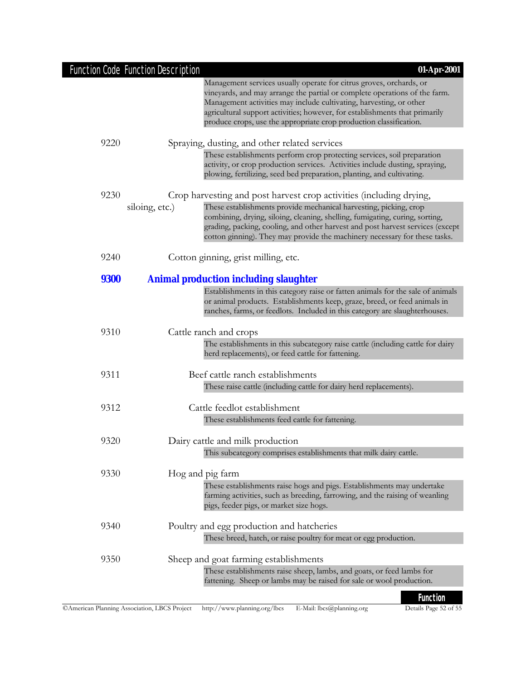|             | Function Code Function Description<br>01-Apr-2001                                                                                                                                                                                                                                                                                                                             |
|-------------|-------------------------------------------------------------------------------------------------------------------------------------------------------------------------------------------------------------------------------------------------------------------------------------------------------------------------------------------------------------------------------|
|             | Management services usually operate for citrus groves, orchards, or<br>vineyards, and may arrange the partial or complete operations of the farm.<br>Management activities may include cultivating, harvesting, or other<br>agricultural support activities; however, for establishments that primarily<br>produce crops, use the appropriate crop production classification. |
| 9220        | Spraying, dusting, and other related services                                                                                                                                                                                                                                                                                                                                 |
|             | These establishments perform crop protecting services, soil preparation<br>activity, or crop production services. Activities include dusting, spraying,<br>plowing, fertilizing, seed bed preparation, planting, and cultivating.                                                                                                                                             |
| 9230        | Crop harvesting and post harvest crop activities (including drying,                                                                                                                                                                                                                                                                                                           |
|             | siloing, etc.)<br>These establishments provide mechanical harvesting, picking, crop<br>combining, drying, siloing, cleaning, shelling, fumigating, curing, sorting,<br>grading, packing, cooling, and other harvest and post harvest services (except<br>cotton ginning). They may provide the machinery necessary for these tasks.                                           |
| 9240        | Cotton ginning, grist milling, etc.                                                                                                                                                                                                                                                                                                                                           |
| <b>9300</b> | <b>Animal production including slaughter</b>                                                                                                                                                                                                                                                                                                                                  |
|             | Establishments in this category raise or fatten animals for the sale of animals<br>or animal products. Establishments keep, graze, breed, or feed animals in<br>ranches, farms, or feedlots. Included in this category are slaughterhouses.                                                                                                                                   |
| 9310        | Cattle ranch and crops                                                                                                                                                                                                                                                                                                                                                        |
|             | The establishments in this subcategory raise cattle (including cattle for dairy<br>herd replacements), or feed cattle for fattening.                                                                                                                                                                                                                                          |
| 9311        | Beef cattle ranch establishments                                                                                                                                                                                                                                                                                                                                              |
|             | These raise cattle (including cattle for dairy herd replacements).                                                                                                                                                                                                                                                                                                            |
| 9312        | Cattle feedlot establishment                                                                                                                                                                                                                                                                                                                                                  |
|             | These establishments feed cattle for fattening.                                                                                                                                                                                                                                                                                                                               |
| 9320        | Dairy cattle and milk production                                                                                                                                                                                                                                                                                                                                              |
|             | This subcategory comprises establishments that milk dairy cattle.                                                                                                                                                                                                                                                                                                             |
| 9330        | Hog and pig farm<br>These establishments raise hogs and pigs. Establishments may undertake<br>farming activities, such as breeding, farrowing, and the raising of weanling<br>pigs, feeder pigs, or market size hogs.                                                                                                                                                         |
| 9340        | Poultry and egg production and hatcheries<br>These breed, hatch, or raise poultry for meat or egg production.                                                                                                                                                                                                                                                                 |
| 9350        | Sheep and goat farming establishments<br>These establishments raise sheep, lambs, and goats, or feed lambs for<br>fattening. Sheep or lambs may be raised for sale or wool production.                                                                                                                                                                                        |
|             | <b>Function</b>                                                                                                                                                                                                                                                                                                                                                               |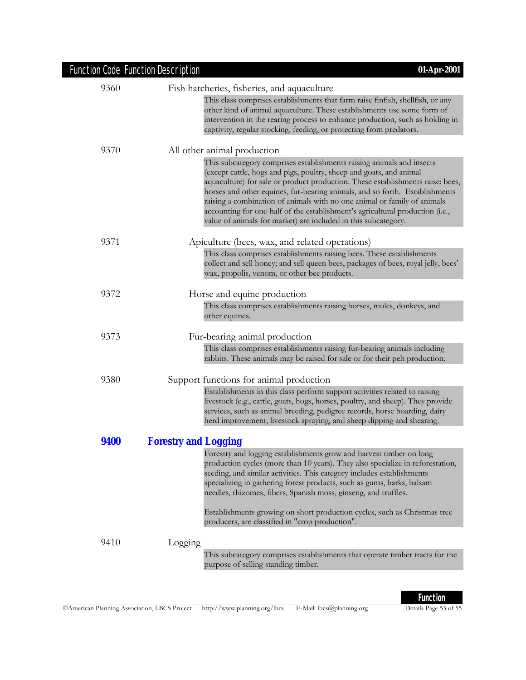| Function Code Function Description | 01-Apr-2001                                                                                                                                                                                                                                                                                                                                                                                                                                                                                                                                  |
|------------------------------------|----------------------------------------------------------------------------------------------------------------------------------------------------------------------------------------------------------------------------------------------------------------------------------------------------------------------------------------------------------------------------------------------------------------------------------------------------------------------------------------------------------------------------------------------|
| 9360                               | Fish hatcheries, fisheries, and aquaculture                                                                                                                                                                                                                                                                                                                                                                                                                                                                                                  |
|                                    | This class comprises establishments that farm raise finfish, shellfish, or any<br>other kind of animal aquaculture. These establishments use some form of<br>intervention in the rearing process to enhance production, such as holding in<br>captivity, regular stocking, feeding, or protecting from predators.                                                                                                                                                                                                                            |
| 9370                               | All other animal production                                                                                                                                                                                                                                                                                                                                                                                                                                                                                                                  |
|                                    | This subcategory comprises establishments raising animals and insects<br>(except cattle, hogs and pigs, poultry, sheep and goats, and animal<br>aquaculture) for sale or product production. These establishments raise: bees,<br>horses and other equines, fur-bearing animals, and so forth. Establishments<br>raising a combination of animals with no one animal or family of animals<br>accounting for one-half of the establishment's agricultural production (i.e.,<br>value of animals for market) are included in this subcategory. |
| 9371                               | Apiculture (bees, wax, and related operations)                                                                                                                                                                                                                                                                                                                                                                                                                                                                                               |
|                                    | This class comprises establishments raising bees. These establishments<br>collect and sell honey; and sell queen bees, packages of bees, royal jelly, bees'<br>wax, propolis, venom, or other bee products.                                                                                                                                                                                                                                                                                                                                  |
| 9372                               | Horse and equine production                                                                                                                                                                                                                                                                                                                                                                                                                                                                                                                  |
|                                    | This class comprises establishments raising horses, mules, donkeys, and<br>other equines.                                                                                                                                                                                                                                                                                                                                                                                                                                                    |
| 9373                               | Fur-bearing animal production                                                                                                                                                                                                                                                                                                                                                                                                                                                                                                                |
|                                    | This class comprises establishments raising fur-bearing animals including<br>rabbits. These animals may be raised for sale or for their pelt production.                                                                                                                                                                                                                                                                                                                                                                                     |
| 9380                               | Support functions for animal production                                                                                                                                                                                                                                                                                                                                                                                                                                                                                                      |
|                                    | Establishments in this class perform support activities related to raising<br>livestock (e.g., cattle, goats, hogs, horses, poultry, and sheep). They provide<br>services, such as animal breeding, pedigree records, horse boarding, dairy<br>herd improvement, livestock spraying, and sheep dipping and shearing.                                                                                                                                                                                                                         |
| 9400                               | <b>Forestry and Logging</b>                                                                                                                                                                                                                                                                                                                                                                                                                                                                                                                  |
|                                    | Forestry and logging establishments grow and harvest timber on long<br>production cycles (more than 10 years). They also specialize in reforestation,<br>seeding, and similar activities. This category includes establishments<br>specializing in gathering forest products, such as gums, barks, balsam<br>needles, rhizomes, fibers, Spanish moss, ginseng, and truffles.<br>Establishments growing on short production cycles, such as Christmas tree                                                                                    |
|                                    | producers, are classified in "crop production".                                                                                                                                                                                                                                                                                                                                                                                                                                                                                              |
| 9410                               | Logging                                                                                                                                                                                                                                                                                                                                                                                                                                                                                                                                      |
|                                    | This subcategory comprises establishments that operate timber tracts for the<br>purpose of selling standing timber.                                                                                                                                                                                                                                                                                                                                                                                                                          |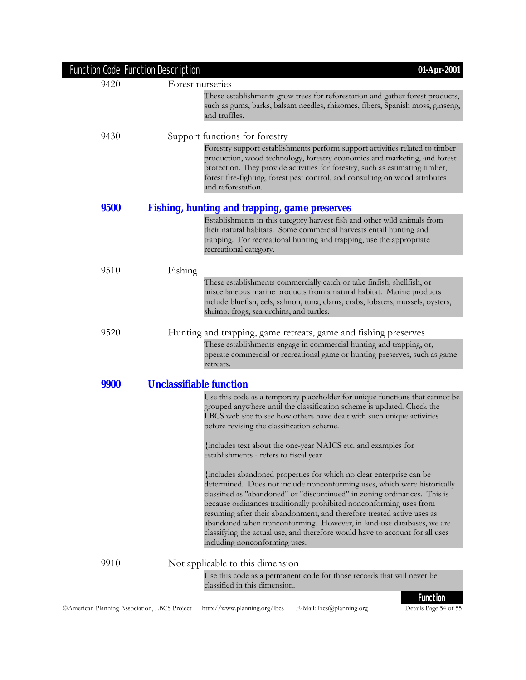|             | Function Code Function Description | 01-Apr-2001                                                                                                                                                                                                                                                                                                                                                                                                                                                                                                                                                            |
|-------------|------------------------------------|------------------------------------------------------------------------------------------------------------------------------------------------------------------------------------------------------------------------------------------------------------------------------------------------------------------------------------------------------------------------------------------------------------------------------------------------------------------------------------------------------------------------------------------------------------------------|
| 9420        | Forest nurseries                   |                                                                                                                                                                                                                                                                                                                                                                                                                                                                                                                                                                        |
|             |                                    | These establishments grow trees for reforestation and gather forest products,<br>such as gums, barks, balsam needles, rhizomes, fibers, Spanish moss, ginseng,<br>and truffles.                                                                                                                                                                                                                                                                                                                                                                                        |
| 9430        |                                    | Support functions for forestry                                                                                                                                                                                                                                                                                                                                                                                                                                                                                                                                         |
|             |                                    | Forestry support establishments perform support activities related to timber<br>production, wood technology, forestry economics and marketing, and forest<br>protection. They provide activities for forestry, such as estimating timber,<br>forest fire-fighting, forest pest control, and consulting on wood attributes<br>and reforestation.                                                                                                                                                                                                                        |
| <b>9500</b> |                                    | <b>Fishing, hunting and trapping, game preserves</b>                                                                                                                                                                                                                                                                                                                                                                                                                                                                                                                   |
|             |                                    | Establishments in this category harvest fish and other wild animals from<br>their natural habitats. Some commercial harvests entail hunting and<br>trapping. For recreational hunting and trapping, use the appropriate<br>recreational category.                                                                                                                                                                                                                                                                                                                      |
| 9510        | Fishing                            |                                                                                                                                                                                                                                                                                                                                                                                                                                                                                                                                                                        |
|             |                                    | These establishments commercially catch or take finfish, shellfish, or<br>miscellaneous marine products from a natural habitat. Marine products<br>include bluefish, eels, salmon, tuna, clams, crabs, lobsters, mussels, oysters,<br>shrimp, frogs, sea urchins, and turtles.                                                                                                                                                                                                                                                                                         |
| 9520        |                                    | Hunting and trapping, game retreats, game and fishing preserves                                                                                                                                                                                                                                                                                                                                                                                                                                                                                                        |
|             |                                    | These establishments engage in commercial hunting and trapping, or,<br>operate commercial or recreational game or hunting preserves, such as game<br>retreats.                                                                                                                                                                                                                                                                                                                                                                                                         |
| <b>9900</b> | <b>Unclassifiable function</b>     |                                                                                                                                                                                                                                                                                                                                                                                                                                                                                                                                                                        |
|             |                                    | Use this code as a temporary placeholder for unique functions that cannot be<br>grouped anywhere until the classification scheme is updated. Check the<br>LBCS web site to see how others have dealt with such unique activities<br>before revising the classification scheme.                                                                                                                                                                                                                                                                                         |
|             |                                    | {includes text about the one-year NAICS etc. and examples for<br>establishments - refers to fiscal year                                                                                                                                                                                                                                                                                                                                                                                                                                                                |
|             |                                    | {includes abandoned properties for which no clear enterprise can be<br>determined. Does not include nonconforming uses, which were historically<br>classified as "abandoned" or "discontinued" in zoning ordinances. This is<br>because ordinances traditionally prohibited nonconforming uses from<br>resuming after their abandonment, and therefore treated active uses as<br>abandoned when nonconforming. However, in land-use databases, we are<br>classifying the actual use, and therefore would have to account for all uses<br>including nonconforming uses. |
| 9910        |                                    | Not applicable to this dimension                                                                                                                                                                                                                                                                                                                                                                                                                                                                                                                                       |
|             |                                    | Use this code as a permanent code for those records that will never be<br>classified in this dimension.                                                                                                                                                                                                                                                                                                                                                                                                                                                                |
|             |                                    | <b>Function</b>                                                                                                                                                                                                                                                                                                                                                                                                                                                                                                                                                        |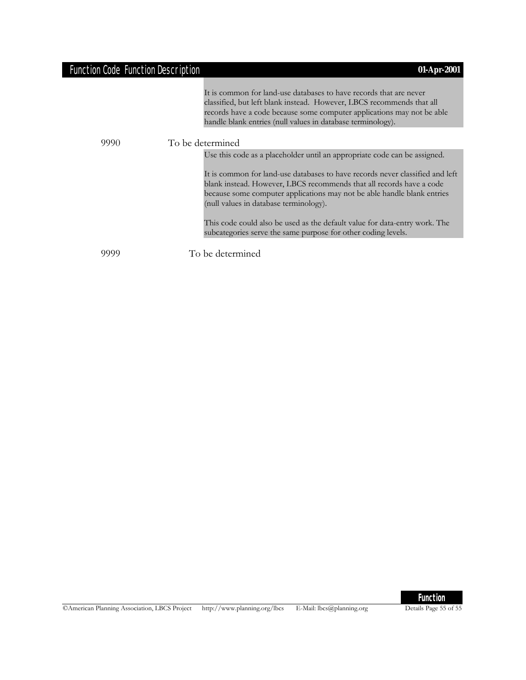# Function Code Function Description **01-Apr-2001**

|      | It is common for land-use databases to have records that are never<br>classified, but left blank instead. However, LBCS recommends that all<br>records have a code because some computer applications may not be able<br>handle blank entries (null values in database terminology). |
|------|--------------------------------------------------------------------------------------------------------------------------------------------------------------------------------------------------------------------------------------------------------------------------------------|
| 9990 | To be determined                                                                                                                                                                                                                                                                     |
|      | Use this code as a placeholder until an appropriate code can be assigned.                                                                                                                                                                                                            |
|      | It is common for land-use databases to have records never classified and left<br>blank instead. However, LBCS recommends that all records have a code<br>because some computer applications may not be able handle blank entries<br>(null values in database terminology).           |
|      | This code could also be used as the default value for data-entry work. The<br>subcategories serve the same purpose for other coding levels.                                                                                                                                          |
|      | To be determined                                                                                                                                                                                                                                                                     |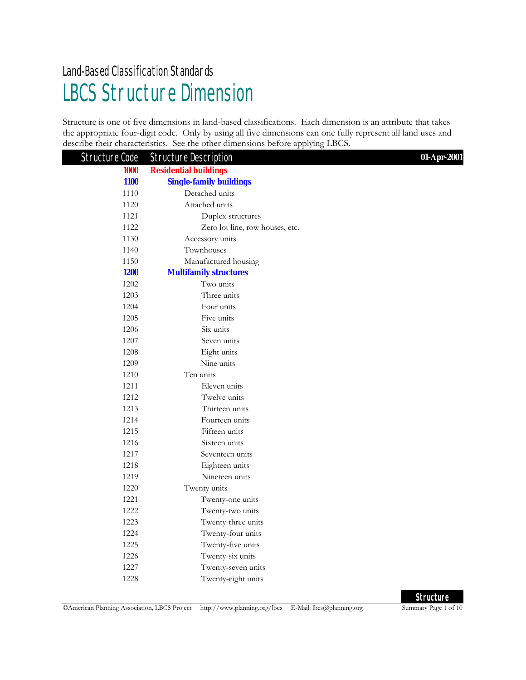# LBCS Structure Dimension Land-Based Classification Standards

Structure is one of five dimensions in land-based classifications. Each dimension is an attribute that takes the appropriate four-digit code. Only by using all five dimensions can one fully represent all land uses and describe their characteristics. See the other dimensions before applying LBCS.

| Structure Code | <b>Structure Description</b>    | 01-Apr-2001 |
|----------------|---------------------------------|-------------|
| 1000           | <b>Residential buildings</b>    |             |
| <b>1100</b>    | <b>Single-family buildings</b>  |             |
| 1110           | Detached units                  |             |
| 1120           | Attached units                  |             |
| 1121           | Duplex structures               |             |
| 1122           | Zero lot line, row houses, etc. |             |
| 1130           | Accessory units                 |             |
| 1140           | Townhouses                      |             |
| 1150           | Manufactured housing            |             |
| <b>1200</b>    | <b>Multifamily structures</b>   |             |
| 1202           | Two units                       |             |
| 1203           | Three units                     |             |
| 1204           | Four units                      |             |
| 1205           | Five units                      |             |
| 1206           | Six units                       |             |
| 1207           | Seven units                     |             |
| 1208           | Eight units                     |             |
| 1209           | Nine units                      |             |
| 1210           | Ten units                       |             |
| 1211           | Eleven units                    |             |
| 1212           | Twelve units                    |             |
| 1213           | Thirteen units                  |             |
| 1214           | Fourteen units                  |             |
| 1215           | Fifteen units                   |             |
| 1216           | Sixteen units                   |             |
| 1217           | Seventeen units                 |             |
| 1218           | Eighteen units                  |             |
| 1219           | Nineteen units                  |             |
| 1220           | Twenty units                    |             |
| 1221           | Twenty-one units                |             |
| 1222           | Twenty-two units                |             |
| 1223           | Twenty-three units              |             |
| 1224           | Twenty-four units               |             |
| 1225           | Twenty-five units               |             |
| 1226           | Twenty-six units                |             |
| 1227           | Twenty-seven units              |             |
| 1228           | Twenty-eight units              |             |

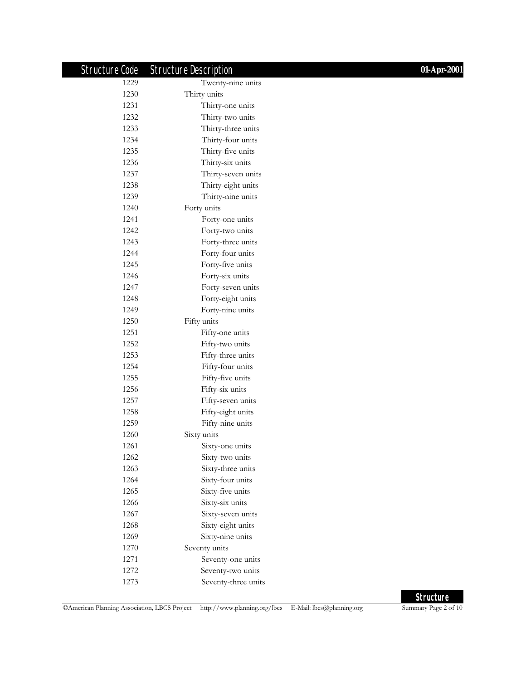| Structure Code | <b>Structure Description</b> | 01-Apr-2001 |
|----------------|------------------------------|-------------|
| 1229           | Twenty-nine units            |             |
| 1230           | Thirty units                 |             |
| 1231           | Thirty-one units             |             |
| 1232           | Thirty-two units             |             |
| 1233           | Thirty-three units           |             |
| 1234           | Thirty-four units            |             |
| 1235           | Thirty-five units            |             |
| 1236           | Thirty-six units             |             |
| 1237           | Thirty-seven units           |             |
| 1238           | Thirty-eight units           |             |
| 1239           | Thirty-nine units            |             |
| 1240           | Forty units                  |             |
| 1241           | Forty-one units              |             |
| 1242           | Forty-two units              |             |
| 1243           | Forty-three units            |             |
| 1244           | Forty-four units             |             |
| 1245           | Forty-five units             |             |
| 1246           | Forty-six units              |             |
| 1247           | Forty-seven units            |             |
| 1248           | Forty-eight units            |             |
| 1249           | Forty-nine units             |             |
| 1250           | Fifty units                  |             |
| 1251           | Fifty-one units              |             |
| 1252           | Fifty-two units              |             |
| 1253           | Fifty-three units            |             |
| 1254           | Fifty-four units             |             |
| 1255           | Fifty-five units             |             |
| 1256           | Fifty-six units              |             |
| 1257           | Fifty-seven units            |             |
| 1258           | Fifty-eight units            |             |
| 1259           | Fifty-nine units             |             |
| 1260           | Sixty units                  |             |
| 1261           | Sixty-one units              |             |
| 1262           | Sixty-two units              |             |
| 1263           | Sixty-three units            |             |
| 1264           | Sixty-four units             |             |
| 1265           | Sixty-five units             |             |
| 1266           | Sixty-six units              |             |
| 1267           | Sixty-seven units            |             |
| 1268           | Sixty-eight units            |             |
| 1269           | Sixty-nine units             |             |
| 1270           | Seventy units                |             |
| 1271           | Seventy-one units            |             |
| 1272           | Seventy-two units            |             |
| 1273           | Seventy-three units          |             |

**Structure**<br>
Summary Page 2 of 10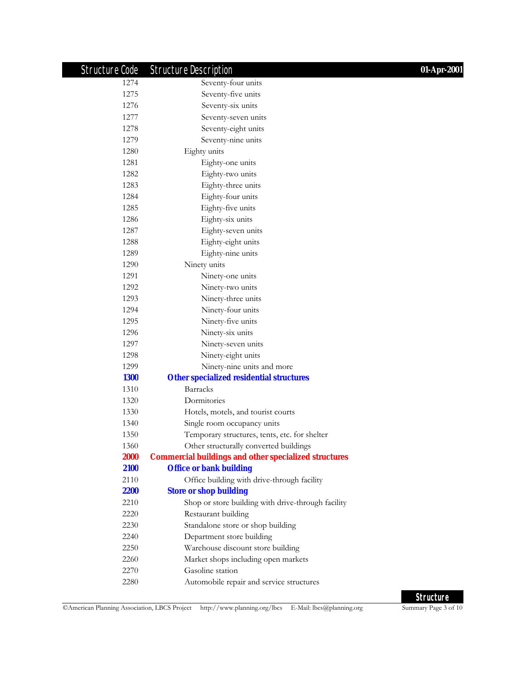| Structure Code | <b>Structure Description</b>                                 | 01-Apr-2001 |
|----------------|--------------------------------------------------------------|-------------|
| 1274           | Seventy-four units                                           |             |
| 1275           | Seventy-five units                                           |             |
| 1276           | Seventy-six units                                            |             |
| 1277           | Seventy-seven units                                          |             |
| 1278           | Seventy-eight units                                          |             |
| 1279           | Seventy-nine units                                           |             |
| 1280           | Eighty units                                                 |             |
| 1281           | Eighty-one units                                             |             |
| 1282           | Eighty-two units                                             |             |
| 1283           | Eighty-three units                                           |             |
| 1284           | Eighty-four units                                            |             |
| 1285           | Eighty-five units                                            |             |
| 1286           | Eighty-six units                                             |             |
| 1287           | Eighty-seven units                                           |             |
| 1288           | Eighty-eight units                                           |             |
| 1289           | Eighty-nine units                                            |             |
| 1290           | Ninety units                                                 |             |
| 1291           | Ninety-one units                                             |             |
| 1292           | Ninety-two units                                             |             |
| 1293           | Ninety-three units                                           |             |
| 1294           | Ninety-four units                                            |             |
| 1295           | Ninety-five units                                            |             |
| 1296           | Ninety-six units                                             |             |
| 1297           | Ninety-seven units                                           |             |
| 1298           | Ninety-eight units                                           |             |
| 1299           | Ninety-nine units and more                                   |             |
| <b>1300</b>    | <b>Other specialized residential structures</b>              |             |
| 1310           | <b>Barracks</b>                                              |             |
| 1320           | Dormitories                                                  |             |
| 1330           | Hotels, motels, and tourist courts                           |             |
| 1340           | Single room occupancy units                                  |             |
| 1350           | Temporary structures, tents, etc. for shelter                |             |
| 1360           | Other structurally converted buildings                       |             |
| <b>2000</b>    | <b>Commercial buildings and other specialized structures</b> |             |
| 2100           | <b>Office or bank building</b>                               |             |
| 2110           | Office building with drive-through facility                  |             |
| <b>2200</b>    | <b>Store or shop building</b>                                |             |
| 2210           | Shop or store building with drive-through facility           |             |
| 2220           | Restaurant building                                          |             |
| 2230           | Standalone store or shop building                            |             |
| 2240           | Department store building                                    |             |
| 2250           | Warehouse discount store building                            |             |
| 2260           | Market shops including open markets                          |             |
| 2270           | Gasoline station                                             |             |
| 2280           | Automobile repair and service structures                     |             |

©American Planning Association, LBCS Project http://www.planning.org/lbcs E-Mail: lbcs@planning.org

**Structure**<br>
Summary Page 3 of 10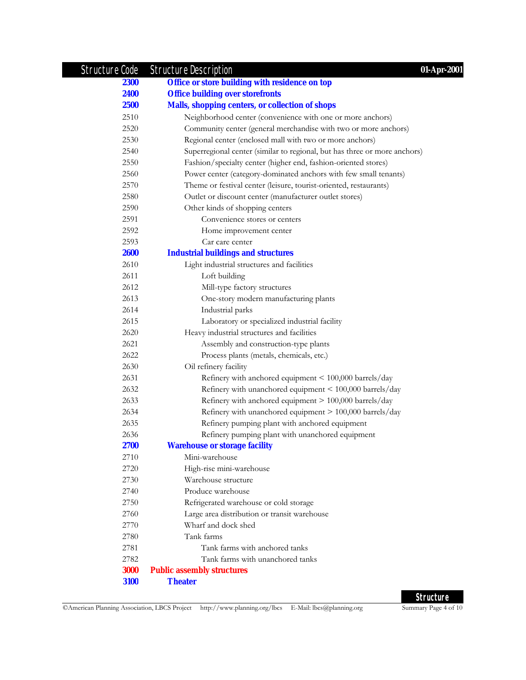| Structure Code | <b>Structure Description</b><br>01-Apr-2001                               |
|----------------|---------------------------------------------------------------------------|
| <b>2300</b>    | Office or store building with residence on top                            |
| 2400           | <b>Office building over storefronts</b>                                   |
| <b>2500</b>    | <b>Malls, shopping centers, or collection of shops</b>                    |
| 2510           | Neighborhood center (convenience with one or more anchors)                |
| 2520           | Community center (general merchandise with two or more anchors)           |
| 2530           | Regional center (enclosed mall with two or more anchors)                  |
| 2540           | Superregional center (similar to regional, but has three or more anchors) |
| 2550           | Fashion/specialty center (higher end, fashion-oriented stores)            |
| 2560           | Power center (category-dominated anchors with few small tenants)          |
| 2570           | Theme or festival center (leisure, tourist-oriented, restaurants)         |
| 2580           | Outlet or discount center (manufacturer outlet stores)                    |
| 2590           | Other kinds of shopping centers                                           |
| 2591           | Convenience stores or centers                                             |
| 2592           | Home improvement center                                                   |
| 2593           | Car care center                                                           |
| <b>2600</b>    | <b>Industrial buildings and structures</b>                                |
| 2610           | Light industrial structures and facilities                                |
| 2611           | Loft building                                                             |
| 2612           | Mill-type factory structures                                              |
| 2613           | One-story modern manufacturing plants                                     |
| 2614           | Industrial parks                                                          |
| 2615           | Laboratory or specialized industrial facility                             |
| 2620           | Heavy industrial structures and facilities                                |
| 2621           | Assembly and construction-type plants                                     |
| 2622           | Process plants (metals, chemicals, etc.)                                  |
| 2630           | Oil refinery facility                                                     |
| 2631           | Refinery with anchored equipment < 100,000 barrels/day                    |
| 2632           | Refinery with unanchored equipment < 100,000 barrels/day                  |
| 2633           | Refinery with anchored equipment > 100,000 barrels/day                    |
| 2634           | Refinery with unanchored equipment > 100,000 barrels/day                  |
| 2635           | Refinery pumping plant with anchored equipment                            |
| 2636           | Refinery pumping plant with unanchored equipment                          |
| 2700           | <b>Warehouse or storage facility</b>                                      |
| 2710           | Mini-warehouse                                                            |
| 2720           | High-rise mini-warehouse                                                  |
| 2730           | Warehouse structure                                                       |
| 2740           | Produce warehouse                                                         |
| 2750           | Refrigerated warehouse or cold storage                                    |
| 2760           | Large area distribution or transit warehouse                              |
| 2770           | Wharf and dock shed                                                       |
| 2780           | Tank farms                                                                |
| 2781           | Tank farms with anchored tanks                                            |
| 2782           | Tank farms with unanchored tanks                                          |
| <b>3000</b>    | <b>Public assembly structures</b>                                         |
| 3100           | <b>Theater</b>                                                            |

**Structure**<br>
Summary Page 4 of 10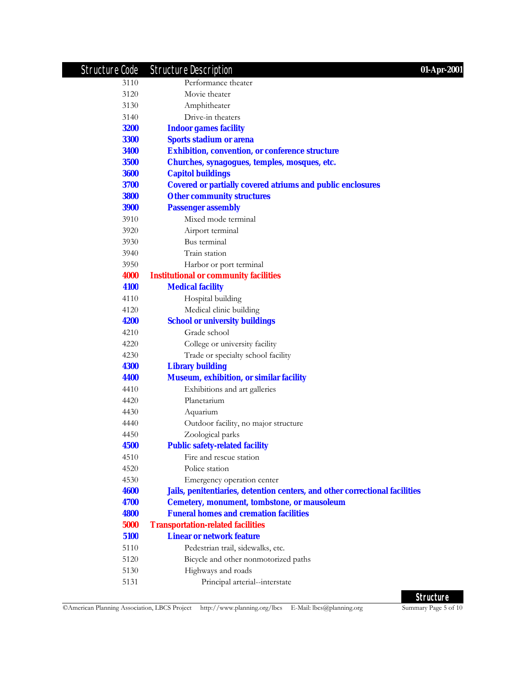| Structure Code | <b>Structure Description</b><br>01-Apr-2001                                 |
|----------------|-----------------------------------------------------------------------------|
| 3110           | Performance theater                                                         |
| 3120           | Movie theater                                                               |
| 3130           | Amphitheater                                                                |
| 3140           | Drive-in theaters                                                           |
| <b>3200</b>    | <b>Indoor games facility</b>                                                |
| <b>3300</b>    | <b>Sports stadium or arena</b>                                              |
| <b>3400</b>    | <b>Exhibition, convention, or conference structure</b>                      |
| <b>3500</b>    | Churches, synagogues, temples, mosques, etc.                                |
| <b>3600</b>    | <b>Capitol buildings</b>                                                    |
| 3700           | <b>Covered or partially covered atriums and public enclosures</b>           |
| <b>3800</b>    | <b>Other community structures</b>                                           |
| <b>3900</b>    | <b>Passenger assembly</b>                                                   |
| 3910           | Mixed mode terminal                                                         |
| 3920           | Airport terminal                                                            |
| 3930           | Bus terminal                                                                |
| 3940           | Train station                                                               |
| 3950           | Harbor or port terminal                                                     |
| 4000           | <b>Institutional or community facilities</b>                                |
| 4100           | <b>Medical facility</b>                                                     |
| 4110           | Hospital building                                                           |
| 4120           | Medical clinic building                                                     |
| 4200           | <b>School or university buildings</b>                                       |
| 4210           | Grade school                                                                |
| 4220           | College or university facility                                              |
| 4230           | Trade or specialty school facility                                          |
| 4300           | <b>Library building</b>                                                     |
| 4400           | <b>Museum, exhibition, or similar facility</b>                              |
| 4410           | Exhibitions and art galleries                                               |
| 4420           | Planetarium                                                                 |
| 4430           | Aquarium                                                                    |
| 4440           | Outdoor facility, no major structure                                        |
| 4450           | Zoological parks                                                            |
| <b>4500</b>    | <b>Public safety-related facility</b>                                       |
| 4510           | Fire and rescue station                                                     |
| 4520           | Police station                                                              |
| 4530           | Emergency operation center                                                  |
| <b>4600</b>    | Jails, penitentiaries, detention centers, and other correctional facilities |
| 4700           | <b>Cemetery, monument, tombstone, or mausoleum</b>                          |
| <b>4800</b>    | <b>Funeral homes and cremation facilities</b>                               |
| 5000           | <b>Transportation-related facilities</b>                                    |
| 5100           | <b>Linear or network feature</b>                                            |
| 5110           | Pedestrian trail, sidewalks, etc.                                           |
| 5120           | Bicycle and other nonmotorized paths                                        |
| 5130           | Highways and roads                                                          |
| 5131           | Principal arterial--interstate                                              |
|                |                                                                             |

**Structure**<br>
Summary Page 5 of 10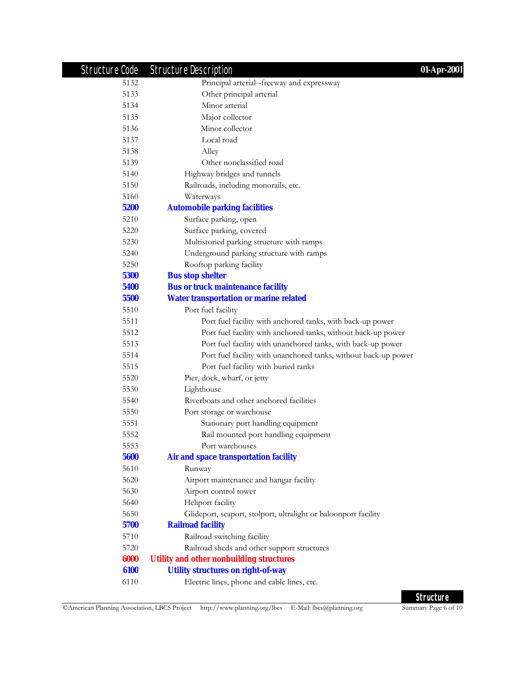| Structure Code | <b>Structure Description</b><br>01-Apr-2001                     |  |
|----------------|-----------------------------------------------------------------|--|
| 5132           | Principal arterial--freeway and expressway                      |  |
| 5133           | Other principal arterial                                        |  |
| 5134           | Minor arterial                                                  |  |
| 5135           | Major collector                                                 |  |
| 5136           | Minor collector                                                 |  |
| 5137           | Local road                                                      |  |
| 5138           | Alley                                                           |  |
| 5139           | Other nonclassified road                                        |  |
| 5140           | Highway bridges and tunnels                                     |  |
| 5150           | Railroads, including monorails, etc.                            |  |
| 5160           | Waterways                                                       |  |
| 5200           | <b>Automobile parking facilities</b>                            |  |
| 5210           | Surface parking, open                                           |  |
| 5220           | Surface parking, covered                                        |  |
| 5230           | Multistoried parking structure with ramps                       |  |
| 5240           | Underground parking structure with ramps                        |  |
| 5250           | Rooftop parking facility                                        |  |
| 5300           | <b>Bus stop shelter</b>                                         |  |
| 5400           | <b>Bus or truck maintenance facility</b>                        |  |
| 5500           | <b>Water transportation or marine related</b>                   |  |
| 5510           | Port fuel facility                                              |  |
| 5511           | Port fuel facility with anchored tanks, with back-up power      |  |
| 5512           | Port fuel facility with anchored tanks, without back-up power   |  |
| 5513           | Port fuel facility with unanchored tanks, with back-up power    |  |
| 5514           | Port fuel facility with unanchored tanks, without back-up power |  |
| 5515           | Port fuel facility with buried tanks                            |  |
| 5520           | Pier, dock, wharf, or jetty                                     |  |
| 5530           | Lighthouse                                                      |  |
| 5540           | Riverboats and other anchored facilities                        |  |
| 5550           | Port storage or warehouse                                       |  |
| 5551           | Stationary port handling equipment                              |  |
| 5552           | Rail mounted port handling equipment                            |  |
| 5553           | Port warehouses                                                 |  |
| 5600           | Air and space transportation facility                           |  |
| 5610           | Runway                                                          |  |
| 5620           | Airport maintenance and hangar facility                         |  |
| 5630           | Airport control tower                                           |  |
| 5640           | Heliport facility                                               |  |
| 5650           | Glideport, seaport, stolport, ultralight or baloonport facility |  |
| 5700           | <b>Railroad facility</b>                                        |  |
| 5710           | Railroad switching facility                                     |  |
| 5720           | Railroad sheds and other support structures                     |  |
| 6000           | <b>Utility and other nonbuilding structures</b>                 |  |
| 6100           | <b>Utility structures on right-of-way</b>                       |  |
| 6110           | Electric lines, phone and cable lines, etc.                     |  |
|                |                                                                 |  |

**Structure**<br>
Summary Page 6 of 10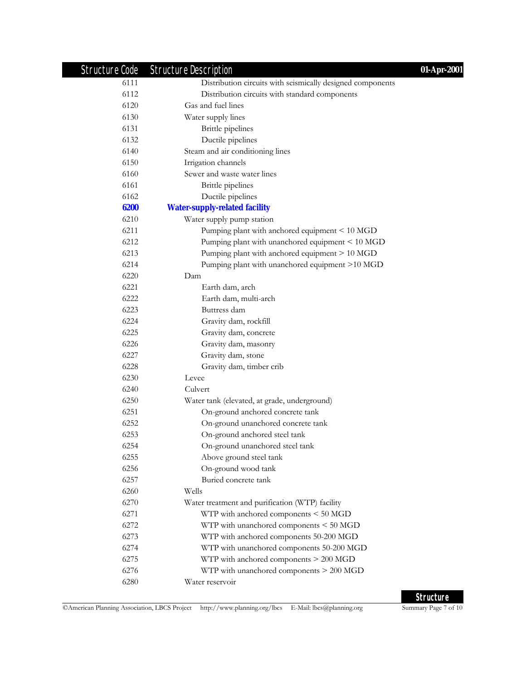| Structure Code | <b>Structure Description</b>                               | 01-Apr-2001 |
|----------------|------------------------------------------------------------|-------------|
| 6111           | Distribution circuits with seismically designed components |             |
| 6112           | Distribution circuits with standard components             |             |
| 6120           | Gas and fuel lines                                         |             |
| 6130           | Water supply lines                                         |             |
| 6131           | Brittle pipelines                                          |             |
| 6132           | Ductile pipelines                                          |             |
| 6140           | Steam and air conditioning lines                           |             |
| 6150           | Irrigation channels                                        |             |
| 6160           | Sewer and waste water lines                                |             |
| 6161           | Brittle pipelines                                          |             |
| 6162           | Ductile pipelines                                          |             |
| 6200           | <b>Water-supply-related facility</b>                       |             |
| 6210           | Water supply pump station                                  |             |
| 6211           | Pumping plant with anchored equipment < 10 MGD             |             |
| 6212           | Pumping plant with unanchored equipment < 10 MGD           |             |
| 6213           | Pumping plant with anchored equipment > 10 MGD             |             |
| 6214           | Pumping plant with unanchored equipment >10 MGD            |             |
| 6220           | Dam                                                        |             |
| 6221           | Earth dam, arch                                            |             |
| 6222           | Earth dam, multi-arch                                      |             |
| 6223           | Buttress dam                                               |             |
| 6224           | Gravity dam, rockfill                                      |             |
| 6225           | Gravity dam, concrete                                      |             |
| 6226           | Gravity dam, masonry                                       |             |
| 6227           | Gravity dam, stone                                         |             |
| 6228           | Gravity dam, timber crib                                   |             |
| 6230           | Levee                                                      |             |
| 6240           | Culvert                                                    |             |
| 6250           | Water tank (elevated, at grade, underground)               |             |
| 6251           | On-ground anchored concrete tank                           |             |
| 6252           | On-ground unanchored concrete tank                         |             |
| 6253           | On-ground anchored steel tank                              |             |
| 6254           | On-ground unanchored steel tank                            |             |
| 6255           | Above ground steel tank                                    |             |
| 6256           | On-ground wood tank                                        |             |
| 6257           | Buried concrete tank                                       |             |
| 6260           | Wells                                                      |             |
| 6270           | Water treatment and purification (WTP) facility            |             |
| 6271           | WTP with anchored components < 50 MGD                      |             |
| 6272           | WTP with unanchored components < 50 MGD                    |             |
| 6273           | WTP with anchored components 50-200 MGD                    |             |
| 6274           | WTP with unanchored components 50-200 MGD                  |             |
| 6275           | WTP with anchored components > 200 MGD                     |             |
| 6276           | WTP with unanchored components > 200 MGD                   |             |
| 6280           | Water reservoir                                            |             |

©American Planning Association, LBCS Project http://www.planning.org/lbcs E-Mail: lbcs@planning.org

**Structure**<br>
Summary Page 7 of 10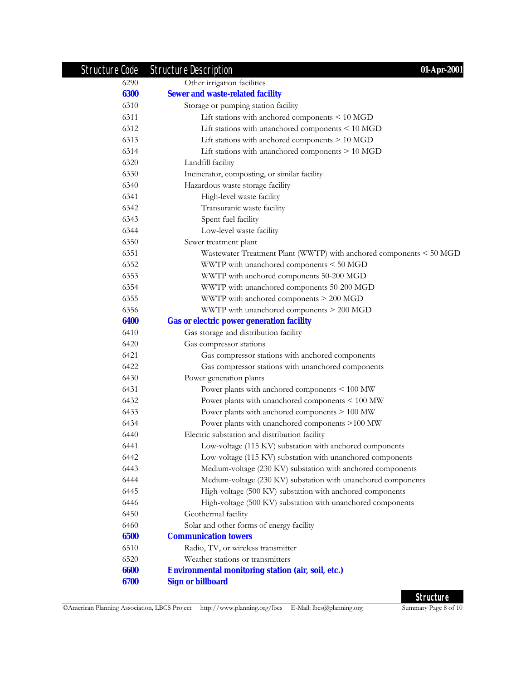| Structure Code | <b>Structure Description</b><br>01-Apr-2001                         |
|----------------|---------------------------------------------------------------------|
| 6290           | Other irrigation facilities                                         |
| 6300           | <b>Sewer and waste-related facility</b>                             |
| 6310           | Storage or pumping station facility                                 |
| 6311           | Lift stations with anchored components $\leq 10$ MGD                |
| 6312           | Lift stations with unanchored components < 10 MGD                   |
| 6313           | Lift stations with anchored components $> 10$ MGD                   |
| 6314           | Lift stations with unanchored components > 10 MGD                   |
| 6320           | Landfill facility                                                   |
| 6330           | Incinerator, composting, or similar facility                        |
| 6340           | Hazardous waste storage facility                                    |
| 6341           | High-level waste facility                                           |
| 6342           | Transuranic waste facility                                          |
| 6343           | Spent fuel facility                                                 |
| 6344           | Low-level waste facility                                            |
| 6350           | Sewer treatment plant                                               |
| 6351           | Wastewater Treatment Plant (WWTP) with anchored components < 50 MGD |
| 6352           | WWTP with unanchored components < 50 MGD                            |
| 6353           | WWTP with anchored components 50-200 MGD                            |
| 6354           | WWTP with unanchored components 50-200 MGD                          |
| 6355           | WWTP with anchored components > 200 MGD                             |
| 6356           | WWTP with unanchored components > 200 MGD                           |
| 6400           | <b>Gas or electric power generation facility</b>                    |
| 6410           | Gas storage and distribution facility                               |
| 6420           | Gas compressor stations                                             |
| 6421           | Gas compressor stations with anchored components                    |
| 6422           | Gas compressor stations with unanchored components                  |
| 6430           | Power generation plants                                             |
| 6431           | Power plants with anchored components < 100 MW                      |
| 6432           | Power plants with unanchored components < 100 MW                    |
| 6433           | Power plants with anchored components > 100 MW                      |
| 6434           | Power plants with unanchored components >100 MW                     |
| 6440           | Electric substation and distribution facility                       |
| 6441           | Low-voltage (115 KV) substation with anchored components            |
| 6442           | Low-voltage (115 KV) substation with unanchored components          |
| 6443           | Medium-voltage (230 KV) substation with anchored components         |
| 6444           | Medium-voltage (230 KV) substation with unanchored components       |
| 6445           | High-voltage (500 KV) substation with anchored components           |
| 6446           | High-voltage (500 KV) substation with unanchored components         |
| 6450           | Geothermal facility                                                 |
| 6460           | Solar and other forms of energy facility                            |
| 6500           | <b>Communication towers</b>                                         |
| 6510           | Radio, TV, or wireless transmitter                                  |
| 6520           | Weather stations or transmitters                                    |
| 6600           | <b>Environmental monitoring station (air, soil, etc.)</b>           |
| 6700           | <b>Sign or billboard</b>                                            |

**Structure**<br>
Summary Page 8 of 10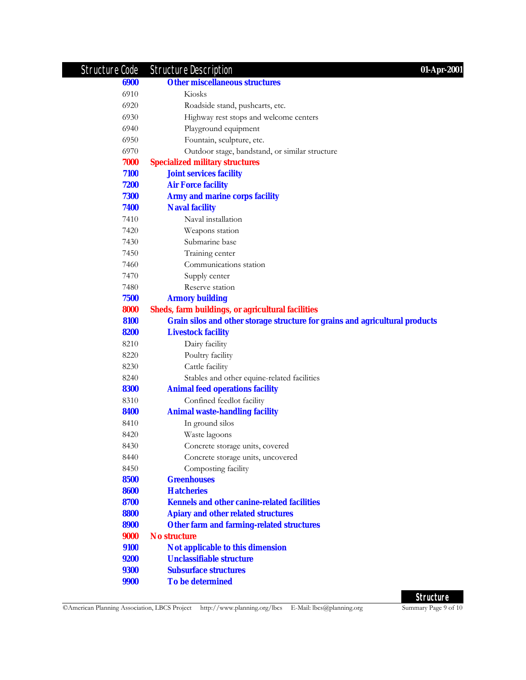| Structure Code | <b>Structure Description</b><br>01-Apr-2001                                  |  |
|----------------|------------------------------------------------------------------------------|--|
| 6900           | <b>Other miscellaneous structures</b>                                        |  |
| 6910           | Kiosks                                                                       |  |
| 6920           | Roadside stand, pushcarts, etc.                                              |  |
| 6930           | Highway rest stops and welcome centers                                       |  |
| 6940           | Playground equipment                                                         |  |
| 6950           | Fountain, sculpture, etc.                                                    |  |
| 6970           | Outdoor stage, bandstand, or similar structure                               |  |
| 7000           | <b>Specialized military structures</b>                                       |  |
| 7100           | <b>Joint services facility</b>                                               |  |
| 7200           | <b>Air Force facility</b>                                                    |  |
| 7300           | <b>Army and marine corps facility</b>                                        |  |
| 7400           | <b>Naval facility</b>                                                        |  |
| 7410           | Naval installation                                                           |  |
| 7420           | Weapons station                                                              |  |
| 7430           | Submarine base                                                               |  |
| 7450           | Training center                                                              |  |
| 7460           | Communications station                                                       |  |
| 7470           | Supply center                                                                |  |
| 7480           | Reserve station                                                              |  |
| 7500           | <b>Armory building</b>                                                       |  |
| 8000           | <b>Sheds, farm buildings, or agricultural facilities</b>                     |  |
| 8100           | Grain silos and other storage structure for grains and agricultural products |  |
| 8200           | <b>Livestock facility</b>                                                    |  |
| 8210           | Dairy facility                                                               |  |
| 8220           | Poultry facility                                                             |  |
| 8230           | Cattle facility                                                              |  |
| 8240           | Stables and other equine-related facilities                                  |  |
| 8300           | <b>Animal feed operations facility</b>                                       |  |
| 8310           | Confined feedlot facility                                                    |  |
| 8400           | <b>Animal waste-handling facility</b>                                        |  |
| 8410           | In ground silos                                                              |  |
| 8420           | Waste lagoons                                                                |  |
| 8430           | Concrete storage units, covered                                              |  |
| 8440           | Concrete storage units, uncovered                                            |  |
| 8450           | Composting facility                                                          |  |
| 8500           | <b>Greenhouses</b>                                                           |  |
| 8600           | <b>Hatcheries</b>                                                            |  |
| 8700           | <b>Kennels and other canine-related facilities</b>                           |  |
| 8800           | <b>Apiary and other related structures</b>                                   |  |
| 8900           | <b>Other farm and farming-related structures</b>                             |  |
| 9000           | <b>No structure</b>                                                          |  |
| 9100           | Not applicable to this dimension                                             |  |
| 9200           | <b>Unclassifiable structure</b>                                              |  |
| <b>9300</b>    | <b>Subsurface structures</b>                                                 |  |
| <b>9900</b>    | <b>To be determined</b>                                                      |  |

**Structure**<br>
Summary Page 9 of 10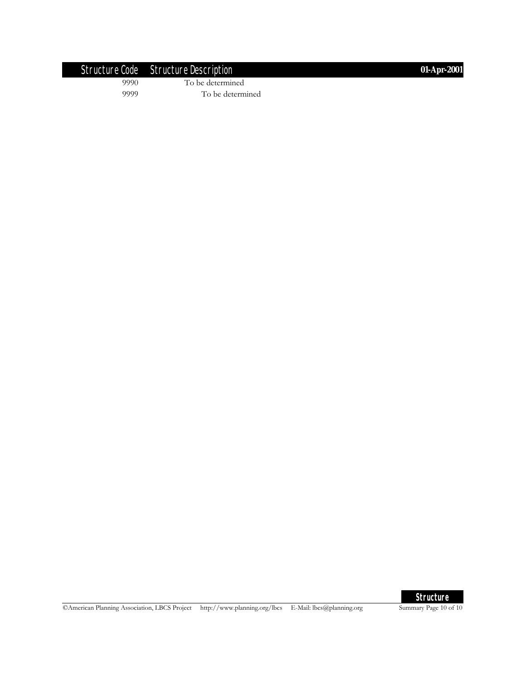|      | Structure Code Structure Description | 01-Apr-2001 |
|------|--------------------------------------|-------------|
| 9990 | To be determined                     |             |
| 9999 | To be determined                     |             |



©American Planning Association, LBCS Project http://www.planning.org/lbcs E-Mail: lbcs@planning.org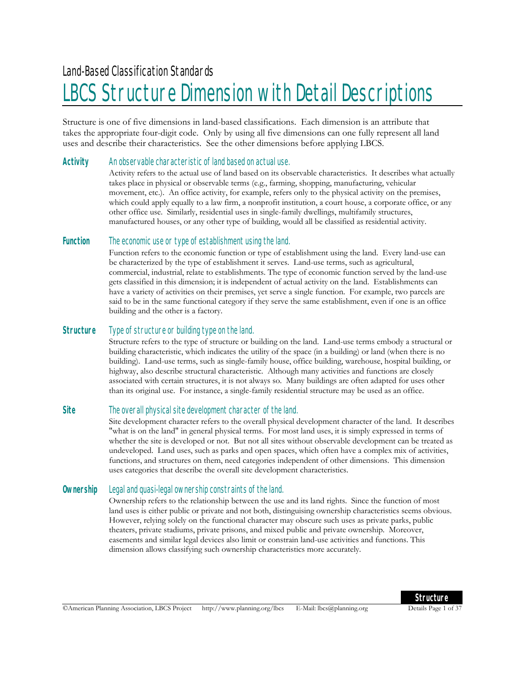# LBCS Structure Dimension with Detail Descriptions

Structure is one of five dimensions in land-based classifications. Each dimension is an attribute that takes the appropriate four-digit code. Only by using all five dimensions can one fully represent all land uses and describe their characteristics. See the other dimensions before applying LBCS.

#### **Activity** An observable characteristic of land based on actual use.

Activity refers to the actual use of land based on its observable characteristics. It describes what actually takes place in physical or observable terms (e.g., farming, shopping, manufacturing, vehicular movement, etc.). An office activity, for example, refers only to the physical activity on the premises, which could apply equally to a law firm, a nonprofit institution, a court house, a corporate office, or any other office use. Similarly, residential uses in single-family dwellings, multifamily structures, manufactured houses, or any other type of building, would all be classified as residential activity.

#### **Function** The economic use or type of establishment using the land.

Function refers to the economic function or type of establishment using the land. Every land-use can be characterized by the type of establishment it serves. Land-use terms, such as agricultural, commercial, industrial, relate to establishments. The type of economic function served by the land-use gets classified in this dimension; it is independent of actual activity on the land. Establishments can have a variety of activities on their premises, yet serve a single function. For example, two parcels are said to be in the same functional category if they serve the same establishment, even if one is an office building and the other is a factory.

#### **Structure** Type of structure or building type on the land.

Structure refers to the type of structure or building on the land. Land-use terms embody a structural or building characteristic, which indicates the utility of the space (in a building) or land (when there is no building). Land-use terms, such as single-family house, office building, warehouse, hospital building, or highway, also describe structural characteristic. Although many activities and functions are closely associated with certain structures, it is not always so. Many buildings are often adapted for uses other than its original use. For instance, a single-family residential structure may be used as an office.

#### **Site** The overall physical site development character of the land.

Site development character refers to the overall physical development character of the land. It describes "what is on the land" in general physical terms. For most land uses, it is simply expressed in terms of whether the site is developed or not. But not all sites without observable development can be treated as undeveloped. Land uses, such as parks and open spaces, which often have a complex mix of activities, functions, and structures on them, need categories independent of other dimensions. This dimension uses categories that describe the overall site development characteristics.

#### **Ownership** Legal and quasi-legal ownership constraints of the land.

Ownership refers to the relationship between the use and its land rights. Since the function of most land uses is either public or private and not both, distinguising ownership characteristics seems obvious. However, relying solely on the functional character may obscure such uses as private parks, public theaters, private stadiums, private prisons, and mixed public and private ownership. Moreover, easements and similar legal devices also limit or constrain land-use activities and functions. This dimension allows classifying such ownership characteristics more accurately.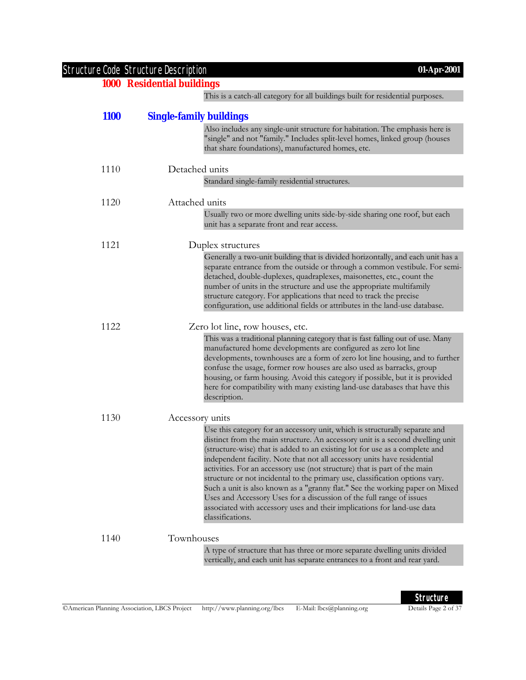|             | <b>Structure Code Structure Description</b><br>01-Apr-2001<br><b>1000 Residential buildings</b>                                                                                                                                                                                                                                                                                                                                                                                                                                                                                                                                                                                                                                             |
|-------------|---------------------------------------------------------------------------------------------------------------------------------------------------------------------------------------------------------------------------------------------------------------------------------------------------------------------------------------------------------------------------------------------------------------------------------------------------------------------------------------------------------------------------------------------------------------------------------------------------------------------------------------------------------------------------------------------------------------------------------------------|
|             | This is a catch-all category for all buildings built for residential purposes.                                                                                                                                                                                                                                                                                                                                                                                                                                                                                                                                                                                                                                                              |
|             |                                                                                                                                                                                                                                                                                                                                                                                                                                                                                                                                                                                                                                                                                                                                             |
| <b>1100</b> | <b>Single-family buildings</b>                                                                                                                                                                                                                                                                                                                                                                                                                                                                                                                                                                                                                                                                                                              |
|             | Also includes any single-unit structure for habitation. The emphasis here is<br>"single" and not "family." Includes split-level homes, linked group (houses<br>that share foundations), manufactured homes, etc.                                                                                                                                                                                                                                                                                                                                                                                                                                                                                                                            |
| 1110        | Detached units                                                                                                                                                                                                                                                                                                                                                                                                                                                                                                                                                                                                                                                                                                                              |
|             | Standard single-family residential structures.                                                                                                                                                                                                                                                                                                                                                                                                                                                                                                                                                                                                                                                                                              |
| 1120        | Attached units                                                                                                                                                                                                                                                                                                                                                                                                                                                                                                                                                                                                                                                                                                                              |
|             | Usually two or more dwelling units side-by-side sharing one roof, but each<br>unit has a separate front and rear access.                                                                                                                                                                                                                                                                                                                                                                                                                                                                                                                                                                                                                    |
| 1121        | Duplex structures                                                                                                                                                                                                                                                                                                                                                                                                                                                                                                                                                                                                                                                                                                                           |
|             | Generally a two-unit building that is divided horizontally, and each unit has a<br>separate entrance from the outside or through a common vestibule. For semi-<br>detached, double-duplexes, quadraplexes, maisonettes, etc., count the<br>number of units in the structure and use the appropriate multifamily<br>structure category. For applications that need to track the precise<br>configuration, use additional fields or attributes in the land-use database.                                                                                                                                                                                                                                                                      |
| 1122        | Zero lot line, row houses, etc.                                                                                                                                                                                                                                                                                                                                                                                                                                                                                                                                                                                                                                                                                                             |
|             | This was a traditional planning category that is fast falling out of use. Many<br>manufactured home developments are configured as zero lot line<br>developments, townhouses are a form of zero lot line housing, and to further<br>confuse the usage, former row houses are also used as barracks, group<br>housing, or farm housing. Avoid this category if possible, but it is provided<br>here for compatibility with many existing land-use databases that have this<br>description.                                                                                                                                                                                                                                                   |
| 1130        | Accessory units                                                                                                                                                                                                                                                                                                                                                                                                                                                                                                                                                                                                                                                                                                                             |
|             | Use this category for an accessory unit, which is structurally separate and<br>distinct from the main structure. An accessory unit is a second dwelling unit<br>(structure-wise) that is added to an existing lot for use as a complete and<br>independent facility. Note that not all accessory units have residential<br>activities. For an accessory use (not structure) that is part of the main<br>structure or not incidental to the primary use, classification options vary.<br>Such a unit is also known as a "granny flat." See the working paper on Mixed<br>Uses and Accessory Uses for a discussion of the full range of issues<br>associated with accessory uses and their implications for land-use data<br>classifications. |
| 1140        | Townhouses                                                                                                                                                                                                                                                                                                                                                                                                                                                                                                                                                                                                                                                                                                                                  |
|             | A type of structure that has three or more separate dwelling units divided<br>vertically, and each unit has separate entrances to a front and rear yard.                                                                                                                                                                                                                                                                                                                                                                                                                                                                                                                                                                                    |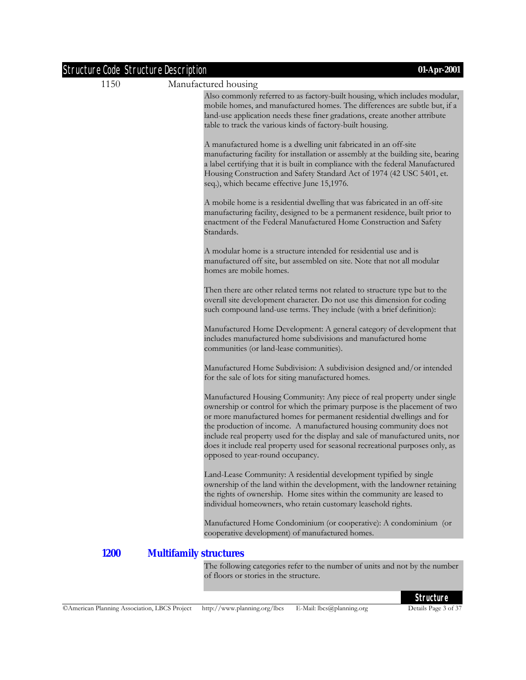| <b>Structure Code Structure Description</b> | 01-Apr-2001                                                                                                                                                                                                                                                                                                                                                                                                                                                                                                    |
|---------------------------------------------|----------------------------------------------------------------------------------------------------------------------------------------------------------------------------------------------------------------------------------------------------------------------------------------------------------------------------------------------------------------------------------------------------------------------------------------------------------------------------------------------------------------|
| 1150                                        | Manufactured housing                                                                                                                                                                                                                                                                                                                                                                                                                                                                                           |
|                                             | Also commonly referred to as factory-built housing, which includes modular,<br>mobile homes, and manufactured homes. The differences are subtle but, if a<br>land-use application needs these finer gradations, create another attribute<br>table to track the various kinds of factory-built housing.                                                                                                                                                                                                         |
|                                             | A manufactured home is a dwelling unit fabricated in an off-site<br>manufacturing facility for installation or assembly at the building site, bearing<br>a label certifying that it is built in compliance with the federal Manufactured<br>Housing Construction and Safety Standard Act of 1974 (42 USC 5401, et.<br>seq.), which became effective June 15,1976.                                                                                                                                              |
|                                             | A mobile home is a residential dwelling that was fabricated in an off-site<br>manufacturing facility, designed to be a permanent residence, built prior to<br>enactment of the Federal Manufactured Home Construction and Safety<br>Standards.                                                                                                                                                                                                                                                                 |
|                                             | A modular home is a structure intended for residential use and is<br>manufactured off site, but assembled on site. Note that not all modular<br>homes are mobile homes.                                                                                                                                                                                                                                                                                                                                        |
|                                             | Then there are other related terms not related to structure type but to the<br>overall site development character. Do not use this dimension for coding<br>such compound land-use terms. They include (with a brief definition):                                                                                                                                                                                                                                                                               |
|                                             | Manufactured Home Development: A general category of development that<br>includes manufactured home subdivisions and manufactured home<br>communities (or land-lease communities).                                                                                                                                                                                                                                                                                                                             |
|                                             | Manufactured Home Subdivision: A subdivision designed and/or intended<br>for the sale of lots for siting manufactured homes.                                                                                                                                                                                                                                                                                                                                                                                   |
|                                             | Manufactured Housing Community: Any piece of real property under single<br>ownership or control for which the primary purpose is the placement of two<br>or more manufactured homes for permanent residential dwellings and for<br>the production of income. A manufactured housing community does not<br>include real property used for the display and sale of manufactured units, nor<br>does it include real property used for seasonal recreational purposes only, as<br>opposed to year-round occupancy. |
|                                             | Land-Lease Community: A residential development typified by single<br>ownership of the land within the development, with the landowner retaining<br>the rights of ownership. Home sites within the community are leased to<br>individual homeowners, who retain customary leasehold rights.                                                                                                                                                                                                                    |
|                                             | Manufactured Home Condominium (or cooperative): A condominium (or<br>cooperative development) of manufactured homes.                                                                                                                                                                                                                                                                                                                                                                                           |
| <b>1200</b>                                 | <b>Multifamily structures</b>                                                                                                                                                                                                                                                                                                                                                                                                                                                                                  |
|                                             | The following categories refer to the number of units and not by the number<br>of floors or stories in the structure.                                                                                                                                                                                                                                                                                                                                                                                          |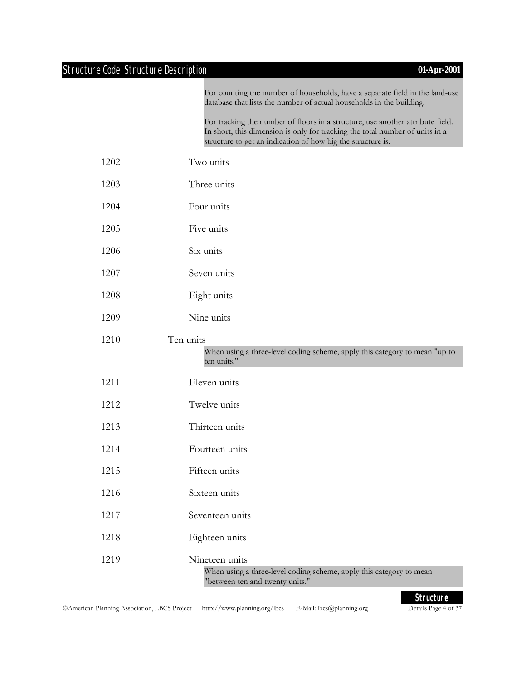### Structure Code Structure Description **01-Apr-2001**

For counting the number of households, have a separate field in the land-use database that lists the number of actual households in the building.

For tracking the number of floors in a structure, use another attribute field. In short, this dimension is only for tracking the total number of units in a structure to get an indication of how big the structure is.

- 1202 Two units
- 1203 Three units
- 1204 Four units
- 1205 Five units
- 1206 Six units
- 1207 Seven units
- 1208 Eight units
- 1209 Nine units

## 1210 Ten units

When using a three-level coding scheme, apply this category to mean "up to ten units."

- 1211 Eleven units
- 1212 Twelve units
- 1213 Thirteen units
- 1214 Fourteen units
- 1215 Fifteen units
- 1216 Sixteen units
- 1217 Seventeen units
- 1218 Eighteen units
- 1219 Nineteen units

When using a three-level coding scheme, apply this category to mean "between ten and twenty units."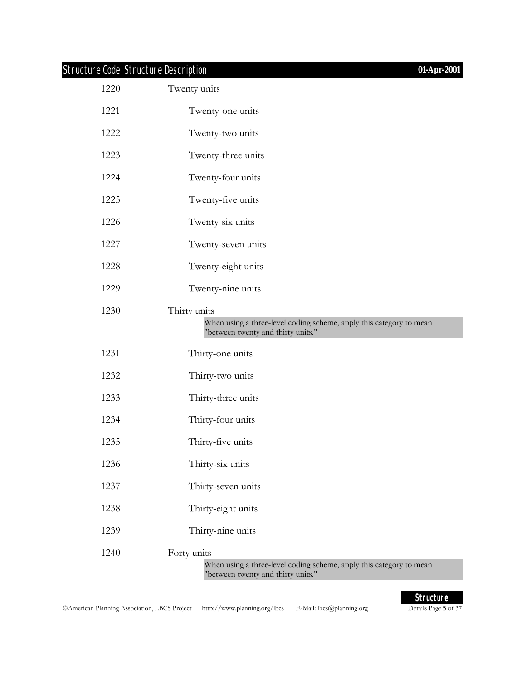# Structure Code Structure Description **01-Apr-2001**

| 1220 | Twenty units                                                                                                             |
|------|--------------------------------------------------------------------------------------------------------------------------|
| 1221 | Twenty-one units                                                                                                         |
| 1222 | Twenty-two units                                                                                                         |
| 1223 | Twenty-three units                                                                                                       |
| 1224 | Twenty-four units                                                                                                        |
| 1225 | Twenty-five units                                                                                                        |
| 1226 | Twenty-six units                                                                                                         |
| 1227 | Twenty-seven units                                                                                                       |
| 1228 | Twenty-eight units                                                                                                       |
| 1229 | Twenty-nine units                                                                                                        |
| 1230 | Thirty units                                                                                                             |
|      | When using a three-level coding scheme, apply this category to mean<br>"between twenty and thirty units."                |
| 1231 | Thirty-one units                                                                                                         |
| 1232 | Thirty-two units                                                                                                         |
| 1233 | Thirty-three units                                                                                                       |
| 1234 | Thirty-four units                                                                                                        |
| 1235 | Thirty-five units                                                                                                        |
| 1236 | Thirty-six units                                                                                                         |
| 1237 | Thirty-seven units                                                                                                       |
| 1238 | Thirty-eight units                                                                                                       |
| 1239 | Thirty-nine units                                                                                                        |
| 1240 | Forty units<br>When using a three-level coding scheme, apply this category to mean<br>"between twenty and thirty units." |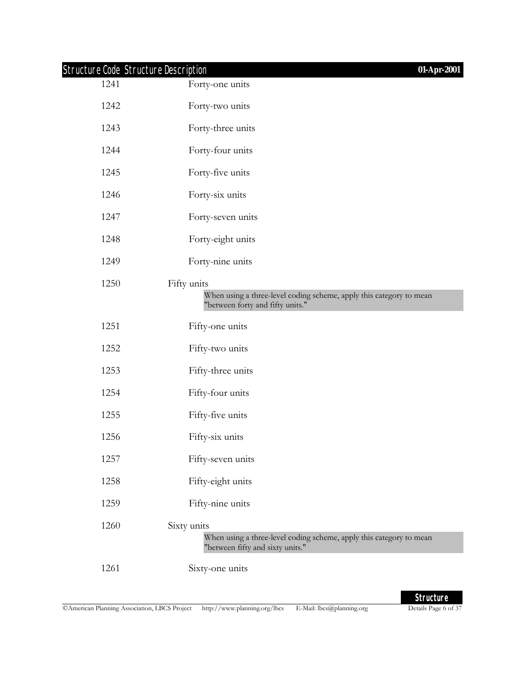|      | Structure Code Structure Description<br>01-Apr-2001                                                                    |
|------|------------------------------------------------------------------------------------------------------------------------|
| 1241 | Forty-one units                                                                                                        |
| 1242 | Forty-two units                                                                                                        |
| 1243 | Forty-three units                                                                                                      |
| 1244 | Forty-four units                                                                                                       |
| 1245 | Forty-five units                                                                                                       |
| 1246 | Forty-six units                                                                                                        |
| 1247 | Forty-seven units                                                                                                      |
| 1248 | Forty-eight units                                                                                                      |
| 1249 | Forty-nine units                                                                                                       |
| 1250 | Fifty units<br>When using a three-level coding scheme, apply this category to mean<br>"between forty and fifty units." |
| 1251 | Fifty-one units                                                                                                        |
| 1252 | Fifty-two units                                                                                                        |
| 1253 | Fifty-three units                                                                                                      |
| 1254 | Fifty-four units                                                                                                       |
| 1255 | Fifty-five units                                                                                                       |
| 1256 | Fifty-six units                                                                                                        |
| 1257 | Fifty-seven units                                                                                                      |
| 1258 | Fifty-eight units                                                                                                      |
| 1259 | Fifty-nine units                                                                                                       |
| 1260 | Sixty units<br>When using a three-level coding scheme, apply this category to mean<br>"between fifty and sixty units." |
| 1261 | Sixty-one units                                                                                                        |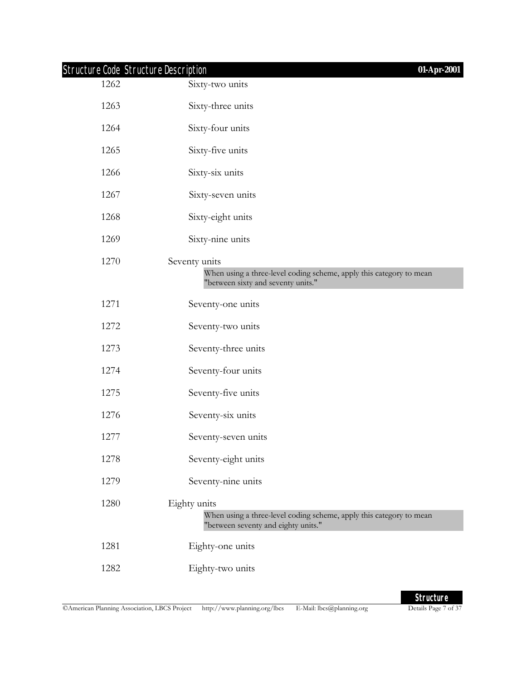|      | <b>Structure Code Structure Description</b><br>01-Apr-2001                                                                 |
|------|----------------------------------------------------------------------------------------------------------------------------|
| 1262 | Sixty-two units                                                                                                            |
| 1263 | Sixty-three units                                                                                                          |
| 1264 | Sixty-four units                                                                                                           |
| 1265 | Sixty-five units                                                                                                           |
| 1266 | Sixty-six units                                                                                                            |
| 1267 | Sixty-seven units                                                                                                          |
| 1268 | Sixty-eight units                                                                                                          |
| 1269 | Sixty-nine units                                                                                                           |
| 1270 | Seventy units<br>When using a three-level coding scheme, apply this category to mean<br>"between sixty and seventy units." |
| 1271 | Seventy-one units                                                                                                          |
| 1272 | Seventy-two units                                                                                                          |
| 1273 | Seventy-three units                                                                                                        |
| 1274 | Seventy-four units                                                                                                         |
| 1275 | Seventy-five units                                                                                                         |
| 1276 | Seventy-six units                                                                                                          |
| 1277 | Seventy-seven units                                                                                                        |
| 1278 | Seventy-eight units                                                                                                        |
| 1279 | Seventy-nine units                                                                                                         |
| 1280 | Eighty units<br>When using a three-level coding scheme, apply this category to mean<br>"between seventy and eighty units." |
| 1281 | Eighty-one units                                                                                                           |
| 1282 | Eighty-two units                                                                                                           |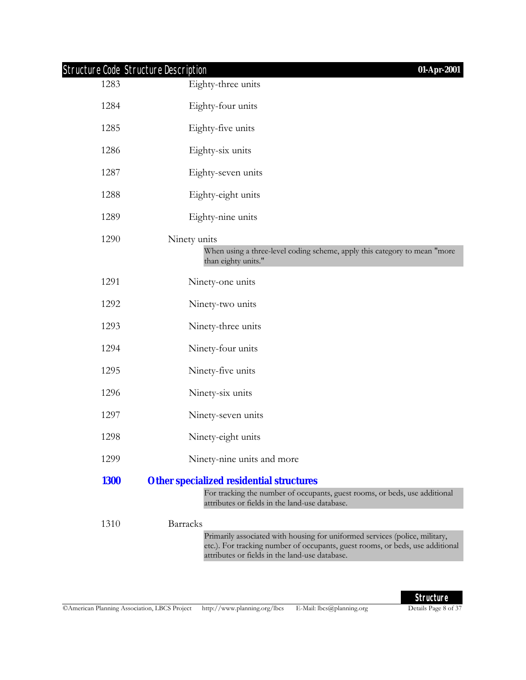| <b>Structure Code Structure Description</b> | 01-Apr-2001                                                                                                                                                                                                                       |
|---------------------------------------------|-----------------------------------------------------------------------------------------------------------------------------------------------------------------------------------------------------------------------------------|
| 1283                                        | Eighty-three units                                                                                                                                                                                                                |
| 1284                                        | Eighty-four units                                                                                                                                                                                                                 |
| 1285                                        | Eighty-five units                                                                                                                                                                                                                 |
| 1286                                        | Eighty-six units                                                                                                                                                                                                                  |
| 1287                                        | Eighty-seven units                                                                                                                                                                                                                |
| 1288                                        | Eighty-eight units                                                                                                                                                                                                                |
| 1289                                        | Eighty-nine units                                                                                                                                                                                                                 |
| 1290                                        | Ninety units<br>When using a three-level coding scheme, apply this category to mean "more<br>than eighty units."                                                                                                                  |
| 1291                                        | Ninety-one units                                                                                                                                                                                                                  |
| 1292                                        | Ninety-two units                                                                                                                                                                                                                  |
| 1293                                        | Ninety-three units                                                                                                                                                                                                                |
| 1294                                        | Ninety-four units                                                                                                                                                                                                                 |
| 1295                                        | Ninety-five units                                                                                                                                                                                                                 |
| 1296                                        | Ninety-six units                                                                                                                                                                                                                  |
| 1297                                        | Ninety-seven units                                                                                                                                                                                                                |
| 1298                                        | Ninety-eight units                                                                                                                                                                                                                |
| 1299                                        | Ninety-nine units and more                                                                                                                                                                                                        |
| <b>1300</b>                                 | <b>Other specialized residential structures</b>                                                                                                                                                                                   |
|                                             | For tracking the number of occupants, guest rooms, or beds, use additional<br>attributes or fields in the land-use database.                                                                                                      |
| 1310                                        | <b>Barracks</b><br>Primarily associated with housing for uniformed services (police, military,<br>etc.). For tracking number of occupants, guest rooms, or beds, use additional<br>attributes or fields in the land-use database. |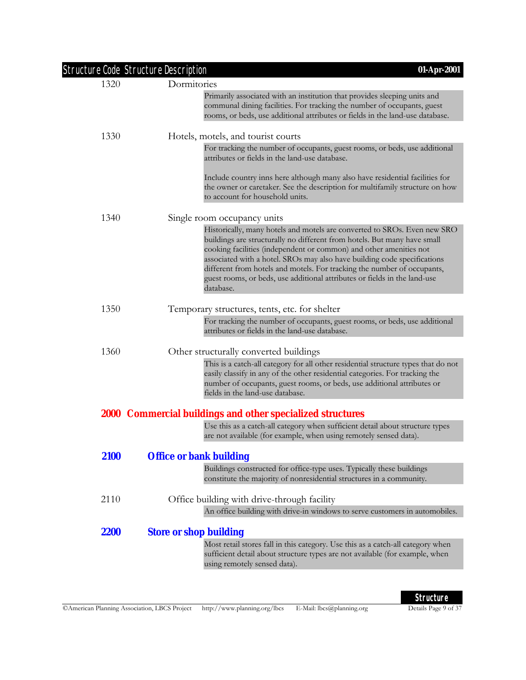|      | Structure Code Structure Description<br>01-Apr-2001                                                                                                                                                                                                                                                                                                                                                                                                                         |
|------|-----------------------------------------------------------------------------------------------------------------------------------------------------------------------------------------------------------------------------------------------------------------------------------------------------------------------------------------------------------------------------------------------------------------------------------------------------------------------------|
| 1320 | Dormitories                                                                                                                                                                                                                                                                                                                                                                                                                                                                 |
|      | Primarily associated with an institution that provides sleeping units and<br>communal dining facilities. For tracking the number of occupants, guest<br>rooms, or beds, use additional attributes or fields in the land-use database.                                                                                                                                                                                                                                       |
| 1330 | Hotels, motels, and tourist courts                                                                                                                                                                                                                                                                                                                                                                                                                                          |
|      | For tracking the number of occupants, guest rooms, or beds, use additional<br>attributes or fields in the land-use database.                                                                                                                                                                                                                                                                                                                                                |
|      | Include country inns here although many also have residential facilities for<br>the owner or caretaker. See the description for multifamily structure on how<br>to account for household units.                                                                                                                                                                                                                                                                             |
| 1340 | Single room occupancy units                                                                                                                                                                                                                                                                                                                                                                                                                                                 |
|      | Historically, many hotels and motels are converted to SROs. Even new SRO<br>buildings are structurally no different from hotels. But many have small<br>cooking facilities (independent or common) and other amenities not<br>associated with a hotel. SROs may also have building code specifications<br>different from hotels and motels. For tracking the number of occupants,<br>guest rooms, or beds, use additional attributes or fields in the land-use<br>database. |
| 1350 | Temporary structures, tents, etc. for shelter                                                                                                                                                                                                                                                                                                                                                                                                                               |
|      | For tracking the number of occupants, guest rooms, or beds, use additional<br>attributes or fields in the land-use database.                                                                                                                                                                                                                                                                                                                                                |
| 1360 | Other structurally converted buildings                                                                                                                                                                                                                                                                                                                                                                                                                                      |
|      | This is a catch-all category for all other residential structure types that do not<br>easily classify in any of the other residential categories. For tracking the<br>number of occupants, guest rooms, or beds, use additional attributes or<br>fields in the land-use database.                                                                                                                                                                                           |
|      | 2000 Commercial buildings and other specialized structures                                                                                                                                                                                                                                                                                                                                                                                                                  |
|      | Use this as a catch-all category when sufficient detail about structure types<br>are not available (for example, when using remotely sensed data).                                                                                                                                                                                                                                                                                                                          |
| 2100 | <b>Office or bank building</b>                                                                                                                                                                                                                                                                                                                                                                                                                                              |
|      | Buildings constructed for office-type uses. Typically these buildings<br>constitute the majority of nonresidential structures in a community.                                                                                                                                                                                                                                                                                                                               |
| 2110 | Office building with drive-through facility                                                                                                                                                                                                                                                                                                                                                                                                                                 |
|      | An office building with drive-in windows to serve customers in automobiles.                                                                                                                                                                                                                                                                                                                                                                                                 |
| 2200 | <b>Store or shop building</b>                                                                                                                                                                                                                                                                                                                                                                                                                                               |
|      | Most retail stores fall in this category. Use this as a catch-all category when<br>sufficient detail about structure types are not available (for example, when<br>using remotely sensed data).                                                                                                                                                                                                                                                                             |
|      |                                                                                                                                                                                                                                                                                                                                                                                                                                                                             |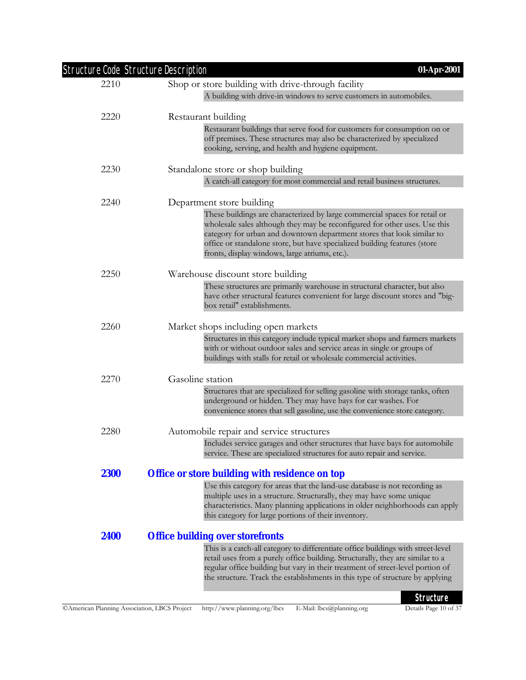|             | Structure Code Structure Description<br>01-Apr-2001                                                                                                                                                                                                                                                                                                               |
|-------------|-------------------------------------------------------------------------------------------------------------------------------------------------------------------------------------------------------------------------------------------------------------------------------------------------------------------------------------------------------------------|
| 2210        | Shop or store building with drive-through facility                                                                                                                                                                                                                                                                                                                |
|             | A building with drive-in windows to serve customers in automobiles.                                                                                                                                                                                                                                                                                               |
| 2220        | Restaurant building                                                                                                                                                                                                                                                                                                                                               |
|             | Restaurant buildings that serve food for customers for consumption on or<br>off premises. These structures may also be characterized by specialized<br>cooking, serving, and health and hygiene equipment.                                                                                                                                                        |
| 2230        | Standalone store or shop building                                                                                                                                                                                                                                                                                                                                 |
|             | A catch-all category for most commercial and retail business structures.                                                                                                                                                                                                                                                                                          |
| 2240        | Department store building                                                                                                                                                                                                                                                                                                                                         |
|             | These buildings are characterized by large commercial spaces for retail or<br>wholesale sales although they may be reconfigured for other uses. Use this<br>category for urban and downtown department stores that look similar to<br>office or standalone store, but have specialized building features (store<br>fronts, display windows, large atriums, etc.). |
| 2250        | Warehouse discount store building                                                                                                                                                                                                                                                                                                                                 |
|             | These structures are primarily warehouse in structural character, but also<br>have other structural features convenient for large discount stores and "big-<br>box retail" establishments.                                                                                                                                                                        |
| 2260        | Market shops including open markets                                                                                                                                                                                                                                                                                                                               |
|             | Structures in this category include typical market shops and farmers markets<br>with or without outdoor sales and service areas in single or groups of<br>buildings with stalls for retail or wholesale commercial activities.                                                                                                                                    |
| 2270        | Gasoline station                                                                                                                                                                                                                                                                                                                                                  |
|             | Structures that are specialized for selling gasoline with storage tanks, often<br>underground or hidden. They may have bays for car washes. For<br>convenience stores that sell gasoline, use the convenience store category.                                                                                                                                     |
|             |                                                                                                                                                                                                                                                                                                                                                                   |
| 2280        | Automobile repair and service structures                                                                                                                                                                                                                                                                                                                          |
|             | Includes service garages and other structures that have bays for automobile<br>service. These are specialized structures for auto repair and service.                                                                                                                                                                                                             |
| <b>2300</b> | <b>Office or store building with residence on top</b>                                                                                                                                                                                                                                                                                                             |
|             | Use this category for areas that the land-use database is not recording as<br>multiple uses in a structure. Structurally, they may have some unique<br>characteristics. Many planning applications in older neighborhoods can apply<br>this category for large portions of their inventory.                                                                       |
| 2400        | <b>Office building over storefronts</b>                                                                                                                                                                                                                                                                                                                           |
|             | This is a catch-all category to differentiate office buildings with street-level<br>retail uses from a purely office building. Structurally, they are similar to a<br>regular office building but vary in their treatment of street-level portion of<br>the structure. Track the establishments in this type of structure by applying                             |
|             | <b>Structure</b>                                                                                                                                                                                                                                                                                                                                                  |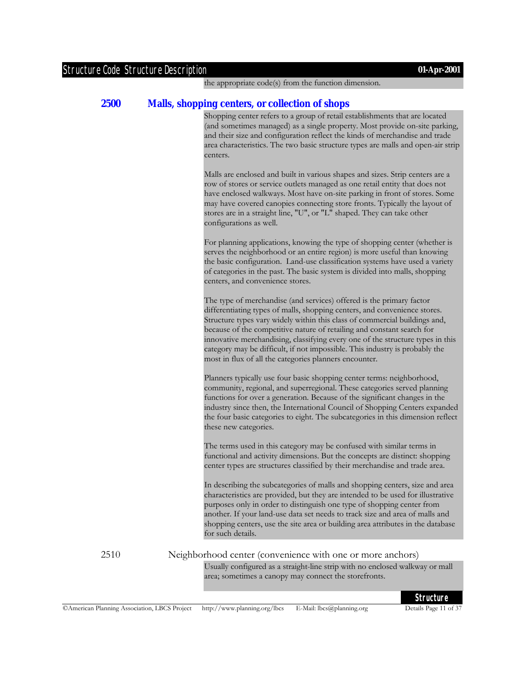the appropriate code(s) from the function dimension.

#### **2500 Malls, shopping centers, or collection of shops**

Shopping center refers to a group of retail establishments that are located (and sometimes managed) as a single property. Most provide on-site parking, and their size and configuration reflect the kinds of merchandise and trade area characteristics. The two basic structure types are malls and open-air strip centers.

Malls are enclosed and built in various shapes and sizes. Strip centers are a row of stores or service outlets managed as one retail entity that does not have enclosed walkways. Most have on-site parking in front of stores. Some may have covered canopies connecting store fronts. Typically the layout of stores are in a straight line, "U", or "L" shaped. They can take other configurations as well.

For planning applications, knowing the type of shopping center (whether is serves the neighborhood or an entire region) is more useful than knowing the basic configuration. Land-use classification systems have used a variety of categories in the past. The basic system is divided into malls, shopping centers, and convenience stores.

The type of merchandise (and services) offered is the primary factor differentiating types of malls, shopping centers, and convenience stores. Structure types vary widely within this class of commercial buildings and, because of the competitive nature of retailing and constant search for innovative merchandising, classifying every one of the structure types in this category may be difficult, if not impossible. This industry is probably the most in flux of all the categories planners encounter.

Planners typically use four basic shopping center terms: neighborhood, community, regional, and superregional. These categories served planning functions for over a generation. Because of the significant changes in the industry since then, the International Council of Shopping Centers expanded the four basic categories to eight. The subcategories in this dimension reflect these new categories.

The terms used in this category may be confused with similar terms in functional and activity dimensions. But the concepts are distinct: shopping center types are structures classified by their merchandise and trade area.

In describing the subcategories of malls and shopping centers, size and area characteristics are provided, but they are intended to be used for illustrative purposes only in order to distinguish one type of shopping center from another. If your land-use data set needs to track size and area of malls and shopping centers, use the site area or building area attributes in the database for such details.

2510 Neighborhood center (convenience with one or more anchors)

Usually configured as a straight-line strip with no enclosed walkway or mall area; sometimes a canopy may connect the storefronts.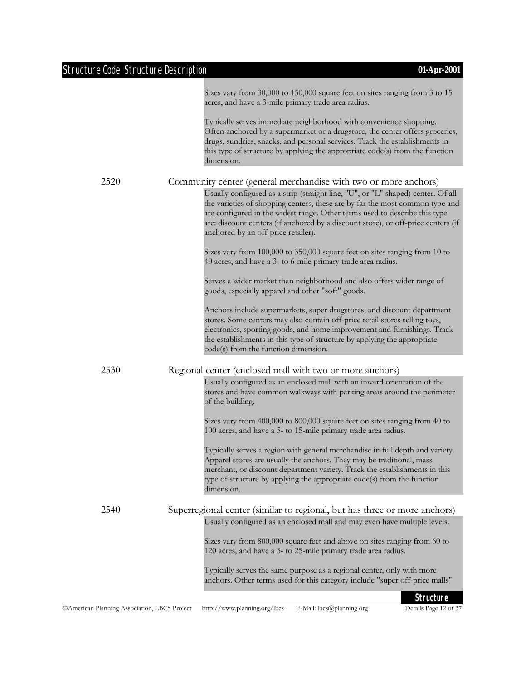|      | Sizes vary from 30,000 to 150,000 square feet on sites ranging from 3 to 15<br>acres, and have a 3-mile primary trade area radius.                                                                                                                                                                                                                                         |
|------|----------------------------------------------------------------------------------------------------------------------------------------------------------------------------------------------------------------------------------------------------------------------------------------------------------------------------------------------------------------------------|
|      | Typically serves immediate neighborhood with convenience shopping.<br>Often anchored by a supermarket or a drugstore, the center offers groceries,<br>drugs, sundries, snacks, and personal services. Track the establishments in<br>this type of structure by applying the appropriate code(s) from the function<br>dimension.                                            |
| 2520 | Community center (general merchandise with two or more anchors)                                                                                                                                                                                                                                                                                                            |
|      | Usually configured as a strip (straight line, "U", or "L" shaped) center. Of all<br>the varieties of shopping centers, these are by far the most common type and<br>are configured in the widest range. Other terms used to describe this type<br>are: discount centers (if anchored by a discount store), or off-price centers (if<br>anchored by an off-price retailer). |
|      | Sizes vary from 100,000 to 350,000 square feet on sites ranging from 10 to<br>40 acres, and have a 3- to 6-mile primary trade area radius.                                                                                                                                                                                                                                 |
|      | Serves a wider market than neighborhood and also offers wider range of<br>goods, especially apparel and other "soft" goods.                                                                                                                                                                                                                                                |
|      | Anchors include supermarkets, super drugstores, and discount department<br>stores. Some centers may also contain off-price retail stores selling toys,<br>electronics, sporting goods, and home improvement and furnishings. Track<br>the establishments in this type of structure by applying the appropriate<br>code(s) from the function dimension.                     |
| 2530 | Regional center (enclosed mall with two or more anchors)                                                                                                                                                                                                                                                                                                                   |
|      | Usually configured as an enclosed mall with an inward orientation of the<br>stores and have common walkways with parking areas around the perimeter<br>of the building.                                                                                                                                                                                                    |
|      | Sizes vary from 400,000 to 800,000 square feet on sites ranging from 40 to<br>100 acres, and have a 5- to 15-mile primary trade area radius.                                                                                                                                                                                                                               |
|      | Typically serves a region with general merchandise in full depth and variety.<br>Apparel stores are usually the anchors. They may be traditional, mass<br>merchant, or discount department variety. Track the establishments in this<br>type of structure by applying the appropriate code(s) from the function<br>dimension.                                              |
| 2540 | Superregional center (similar to regional, but has three or more anchors)                                                                                                                                                                                                                                                                                                  |
|      | Usually configured as an enclosed mall and may even have multiple levels.                                                                                                                                                                                                                                                                                                  |
|      | Sizes vary from 800,000 square feet and above on sites ranging from 60 to<br>120 acres, and have a 5- to 25-mile primary trade area radius.                                                                                                                                                                                                                                |
|      | Typically serves the same purpose as a regional center, only with more<br>anchors. Other terms used for this category include "super off-price malls"                                                                                                                                                                                                                      |
|      | <b>Structure</b>                                                                                                                                                                                                                                                                                                                                                           |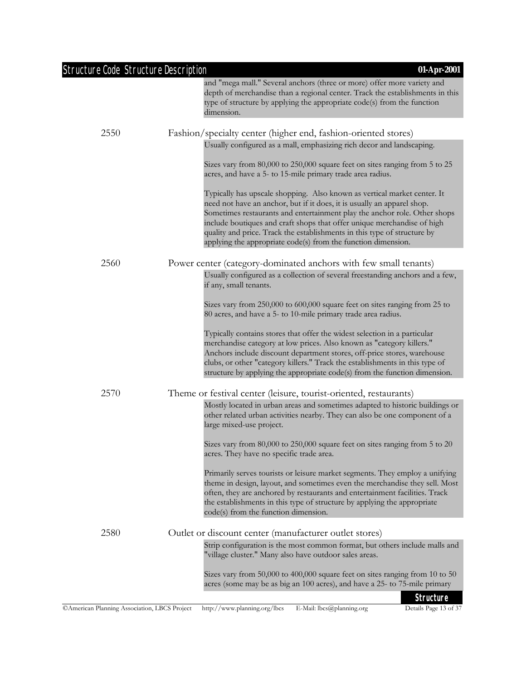| <b>Structure Code Structure Description</b>  | 01-Apr-2001                                                                                                                                                                                                                                                                                                                                                                                                                                              |
|----------------------------------------------|----------------------------------------------------------------------------------------------------------------------------------------------------------------------------------------------------------------------------------------------------------------------------------------------------------------------------------------------------------------------------------------------------------------------------------------------------------|
|                                              | and "mega mall." Several anchors (three or more) offer more variety and<br>depth of merchandise than a regional center. Track the establishments in this<br>type of structure by applying the appropriate code(s) from the function<br>dimension.                                                                                                                                                                                                        |
| 2550                                         | Fashion/specialty center (higher end, fashion-oriented stores)                                                                                                                                                                                                                                                                                                                                                                                           |
|                                              | Usually configured as a mall, emphasizing rich decor and landscaping.                                                                                                                                                                                                                                                                                                                                                                                    |
|                                              | Sizes vary from 80,000 to 250,000 square feet on sites ranging from 5 to 25<br>acres, and have a 5- to 15-mile primary trade area radius.                                                                                                                                                                                                                                                                                                                |
|                                              | Typically has upscale shopping. Also known as vertical market center. It<br>need not have an anchor, but if it does, it is usually an apparel shop.<br>Sometimes restaurants and entertainment play the anchor role. Other shops<br>include boutiques and craft shops that offer unique merchandise of high<br>quality and price. Track the establishments in this type of structure by<br>applying the appropriate code(s) from the function dimension. |
| 2560                                         | Power center (category-dominated anchors with few small tenants)                                                                                                                                                                                                                                                                                                                                                                                         |
|                                              | Usually configured as a collection of several freestanding anchors and a few,<br>if any, small tenants.                                                                                                                                                                                                                                                                                                                                                  |
|                                              | Sizes vary from 250,000 to 600,000 square feet on sites ranging from 25 to<br>80 acres, and have a 5- to 10-mile primary trade area radius.                                                                                                                                                                                                                                                                                                              |
|                                              | Typically contains stores that offer the widest selection in a particular<br>merchandise category at low prices. Also known as "category killers."<br>Anchors include discount department stores, off-price stores, warehouse<br>clubs, or other "category killers." Track the establishments in this type of<br>structure by applying the appropriate code(s) from the function dimension.                                                              |
| 2570                                         | Theme or festival center (leisure, tourist-oriented, restaurants)                                                                                                                                                                                                                                                                                                                                                                                        |
|                                              | Mostly located in urban areas and sometimes adapted to historic buildings or<br>other related urban activities nearby. They can also be one component of a<br>large mixed-use project.                                                                                                                                                                                                                                                                   |
|                                              | Sizes vary from 80,000 to 250,000 square feet on sites ranging from 5 to 20<br>acres. They have no specific trade area.                                                                                                                                                                                                                                                                                                                                  |
|                                              | Primarily serves tourists or leisure market segments. They employ a unifying<br>theme in design, layout, and sometimes even the merchandise they sell. Most<br>often, they are anchored by restaurants and entertainment facilities. Track<br>the establishments in this type of structure by applying the appropriate<br>code(s) from the function dimension.                                                                                           |
| 2580                                         | Outlet or discount center (manufacturer outlet stores)                                                                                                                                                                                                                                                                                                                                                                                                   |
|                                              | Strip configuration is the most common format, but others include malls and<br>"village cluster." Many also have outdoor sales areas.                                                                                                                                                                                                                                                                                                                    |
|                                              | Sizes vary from 50,000 to 400,000 square feet on sites ranging from 10 to 50<br>acres (some may be as big an 100 acres), and have a 25- to 75-mile primary                                                                                                                                                                                                                                                                                               |
| CAmerican Planning Association, LBCS Project | <b>Structure</b><br>Details Page 13 of 37<br>http://www.planning.org/lbcs<br>E-Mail: lbcs@planning.org                                                                                                                                                                                                                                                                                                                                                   |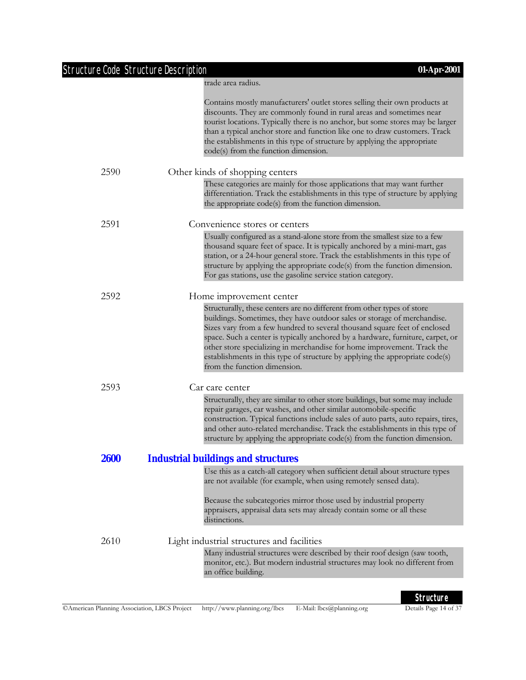| <b>Structure Code Structure Description</b> | 01-Apr-2001                                                                                                                                                                                                                                                                                                                                                                                                                                                                                                   |
|---------------------------------------------|---------------------------------------------------------------------------------------------------------------------------------------------------------------------------------------------------------------------------------------------------------------------------------------------------------------------------------------------------------------------------------------------------------------------------------------------------------------------------------------------------------------|
|                                             | trade area radius.                                                                                                                                                                                                                                                                                                                                                                                                                                                                                            |
|                                             | Contains mostly manufacturers' outlet stores selling their own products at<br>discounts. They are commonly found in rural areas and sometimes near<br>tourist locations. Typically there is no anchor, but some stores may be larger<br>than a typical anchor store and function like one to draw customers. Track<br>the establishments in this type of structure by applying the appropriate<br>code(s) from the function dimension.                                                                        |
| 2590                                        | Other kinds of shopping centers                                                                                                                                                                                                                                                                                                                                                                                                                                                                               |
|                                             | These categories are mainly for those applications that may want further<br>differentiation. Track the establishments in this type of structure by applying<br>the appropriate code(s) from the function dimension.                                                                                                                                                                                                                                                                                           |
| 2591                                        | Convenience stores or centers                                                                                                                                                                                                                                                                                                                                                                                                                                                                                 |
|                                             | Usually configured as a stand-alone store from the smallest size to a few<br>thousand square feet of space. It is typically anchored by a mini-mart, gas<br>station, or a 24-hour general store. Track the establishments in this type of<br>structure by applying the appropriate code(s) from the function dimension.<br>For gas stations, use the gasoline service station category.                                                                                                                       |
| 2592                                        | Home improvement center                                                                                                                                                                                                                                                                                                                                                                                                                                                                                       |
|                                             | Structurally, these centers are no different from other types of store<br>buildings. Sometimes, they have outdoor sales or storage of merchandise.<br>Sizes vary from a few hundred to several thousand square feet of enclosed<br>space. Such a center is typically anchored by a hardware, furniture, carpet, or<br>other store specializing in merchandise for home improvement. Track the<br>establishments in this type of structure by applying the appropriate code(s)<br>from the function dimension. |
| 2593                                        | Car care center                                                                                                                                                                                                                                                                                                                                                                                                                                                                                               |
|                                             | Structurally, they are similar to other store buildings, but some may include<br>repair garages, car washes, and other similar automobile-specific<br>construction. Typical functions include sales of auto parts, auto repairs, tires,<br>and other auto-related merchandise. Track the establishments in this type of<br>structure by applying the appropriate code(s) from the function dimension.                                                                                                         |
| <b>2600</b>                                 | <b>Industrial buildings and structures</b>                                                                                                                                                                                                                                                                                                                                                                                                                                                                    |
|                                             | Use this as a catch-all category when sufficient detail about structure types<br>are not available (for example, when using remotely sensed data).<br>Because the subcategories mirror those used by industrial property<br>appraisers, appraisal data sets may already contain some or all these<br>distinctions.                                                                                                                                                                                            |
| 2610                                        | Light industrial structures and facilities                                                                                                                                                                                                                                                                                                                                                                                                                                                                    |
|                                             | Many industrial structures were described by their roof design (saw tooth,<br>monitor, etc.). But modern industrial structures may look no different from<br>an office building.                                                                                                                                                                                                                                                                                                                              |
|                                             |                                                                                                                                                                                                                                                                                                                                                                                                                                                                                                               |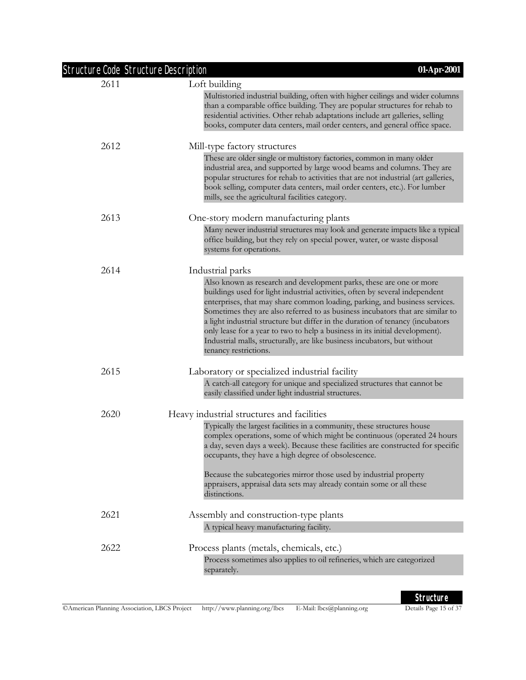| <b>Structure Code Structure Description</b><br>2611 | Loft building                                                                                                                                                                                                                                                                                                                                                                                                                                                                                                                                                                                |
|-----------------------------------------------------|----------------------------------------------------------------------------------------------------------------------------------------------------------------------------------------------------------------------------------------------------------------------------------------------------------------------------------------------------------------------------------------------------------------------------------------------------------------------------------------------------------------------------------------------------------------------------------------------|
|                                                     | Multistoried industrial building, often with higher ceilings and wider columns<br>than a comparable office building. They are popular structures for rehab to<br>residential activities. Other rehab adaptations include art galleries, selling<br>books, computer data centers, mail order centers, and general office space.                                                                                                                                                                                                                                                               |
| 2612                                                | Mill-type factory structures                                                                                                                                                                                                                                                                                                                                                                                                                                                                                                                                                                 |
|                                                     | These are older single or multistory factories, common in many older<br>industrial area, and supported by large wood beams and columns. They are<br>popular structures for rehab to activities that are not industrial (art galleries,<br>book selling, computer data centers, mail order centers, etc.). For lumber<br>mills, see the agricultural facilities category.                                                                                                                                                                                                                     |
| 2613                                                | One-story modern manufacturing plants                                                                                                                                                                                                                                                                                                                                                                                                                                                                                                                                                        |
|                                                     | Many newer industrial structures may look and generate impacts like a typical<br>office building, but they rely on special power, water, or waste disposal<br>systems for operations.                                                                                                                                                                                                                                                                                                                                                                                                        |
| 2614                                                | Industrial parks                                                                                                                                                                                                                                                                                                                                                                                                                                                                                                                                                                             |
|                                                     | Also known as research and development parks, these are one or more<br>buildings used for light industrial activities, often by several independent<br>enterprises, that may share common loading, parking, and business services.<br>Sometimes they are also referred to as business incubators that are similar to<br>a light industrial structure but differ in the duration of tenancy (incubators<br>only lease for a year to two to help a business in its initial development).<br>Industrial malls, structurally, are like business incubators, but without<br>tenancy restrictions. |
| 2615                                                | Laboratory or specialized industrial facility                                                                                                                                                                                                                                                                                                                                                                                                                                                                                                                                                |
|                                                     | A catch-all category for unique and specialized structures that cannot be<br>easily classified under light industrial structures.                                                                                                                                                                                                                                                                                                                                                                                                                                                            |
| 2620                                                | Heavy industrial structures and facilities                                                                                                                                                                                                                                                                                                                                                                                                                                                                                                                                                   |
|                                                     | Typically the largest facilities in a community, these structures house<br>complex operations, some of which might be continuous (operated 24 hours<br>a day, seven days a week). Because these facilities are constructed for specific<br>occupants, they have a high degree of obsolescence.                                                                                                                                                                                                                                                                                               |
|                                                     | Because the subcategories mirror those used by industrial property<br>appraisers, appraisal data sets may already contain some or all these<br>distinctions.                                                                                                                                                                                                                                                                                                                                                                                                                                 |
| 2621                                                | Assembly and construction-type plants                                                                                                                                                                                                                                                                                                                                                                                                                                                                                                                                                        |
|                                                     | A typical heavy manufacturing facility.                                                                                                                                                                                                                                                                                                                                                                                                                                                                                                                                                      |
| 2622                                                | Process plants (metals, chemicals, etc.)<br>Process sometimes also applies to oil refineries, which are categorized<br>separately.                                                                                                                                                                                                                                                                                                                                                                                                                                                           |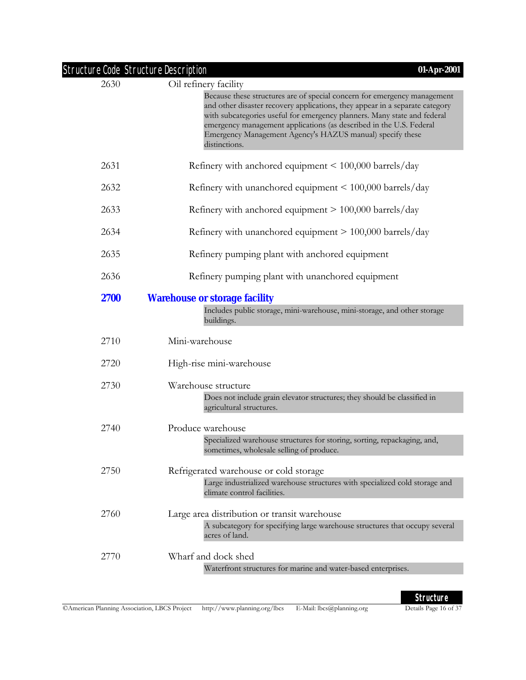|             | <b>Structure Code Structure Description</b><br>01-Apr-2001                                                                                                                                                                                                                                                                                                                                |
|-------------|-------------------------------------------------------------------------------------------------------------------------------------------------------------------------------------------------------------------------------------------------------------------------------------------------------------------------------------------------------------------------------------------|
| 2630        | Oil refinery facility                                                                                                                                                                                                                                                                                                                                                                     |
|             | Because these structures are of special concern for emergency management<br>and other disaster recovery applications, they appear in a separate category<br>with subcategories useful for emergency planners. Many state and federal<br>emergency management applications (as described in the U.S. Federal<br>Emergency Management Agency's HAZUS manual) specify these<br>distinctions. |
| 2631        | Refinery with anchored equipment < 100,000 barrels/day                                                                                                                                                                                                                                                                                                                                    |
| 2632        | Refinery with unanchored equipment $\leq 100,000$ barrels/day                                                                                                                                                                                                                                                                                                                             |
| 2633        | Refinery with anchored equipment > 100,000 barrels/day                                                                                                                                                                                                                                                                                                                                    |
| 2634        | Refinery with unanchored equipment $> 100,000$ barrels/day                                                                                                                                                                                                                                                                                                                                |
| 2635        | Refinery pumping plant with anchored equipment                                                                                                                                                                                                                                                                                                                                            |
| 2636        | Refinery pumping plant with unanchored equipment                                                                                                                                                                                                                                                                                                                                          |
| <b>2700</b> | <b>Warehouse or storage facility</b>                                                                                                                                                                                                                                                                                                                                                      |
|             | Includes public storage, mini-warehouse, mini-storage, and other storage<br>buildings.                                                                                                                                                                                                                                                                                                    |
| 2710        | Mini-warehouse                                                                                                                                                                                                                                                                                                                                                                            |
| 2720        | High-rise mini-warehouse                                                                                                                                                                                                                                                                                                                                                                  |
| 2730        | Warehouse structure                                                                                                                                                                                                                                                                                                                                                                       |
|             | Does not include grain elevator structures; they should be classified in<br>agricultural structures.                                                                                                                                                                                                                                                                                      |
| 2740        | Produce warehouse                                                                                                                                                                                                                                                                                                                                                                         |
|             | Specialized warehouse structures for storing, sorting, repackaging, and,<br>sometimes, wholesale selling of produce.                                                                                                                                                                                                                                                                      |
| 2750        | Refrigerated warehouse or cold storage                                                                                                                                                                                                                                                                                                                                                    |
|             | Large industrialized warehouse structures with specialized cold storage and<br>climate control facilities.                                                                                                                                                                                                                                                                                |
| 2760        | Large area distribution or transit warehouse                                                                                                                                                                                                                                                                                                                                              |
|             | A subcategory for specifying large warehouse structures that occupy several<br>acres of land.                                                                                                                                                                                                                                                                                             |
| 2770        | Wharf and dock shed                                                                                                                                                                                                                                                                                                                                                                       |
|             | Waterfront structures for marine and water-based enterprises.                                                                                                                                                                                                                                                                                                                             |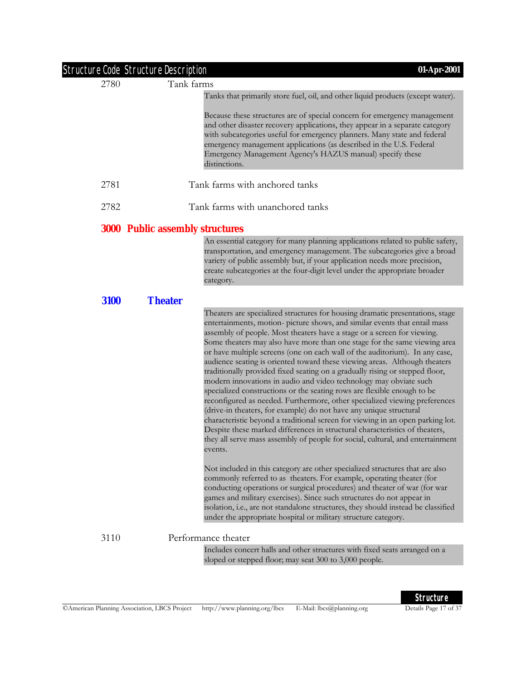| Structure Code Structure Description |                                        | 01-Apr-2001                                                                                                                                                                                                                                                                                                                                                                                                                                                                                                                                                                                                                                                                                                                                                                                                                                                                                                                                                                                                                                                                                                                        |
|--------------------------------------|----------------------------------------|------------------------------------------------------------------------------------------------------------------------------------------------------------------------------------------------------------------------------------------------------------------------------------------------------------------------------------------------------------------------------------------------------------------------------------------------------------------------------------------------------------------------------------------------------------------------------------------------------------------------------------------------------------------------------------------------------------------------------------------------------------------------------------------------------------------------------------------------------------------------------------------------------------------------------------------------------------------------------------------------------------------------------------------------------------------------------------------------------------------------------------|
| 2780                                 | Tank farms                             |                                                                                                                                                                                                                                                                                                                                                                                                                                                                                                                                                                                                                                                                                                                                                                                                                                                                                                                                                                                                                                                                                                                                    |
|                                      |                                        | Tanks that primarily store fuel, oil, and other liquid products (except water).                                                                                                                                                                                                                                                                                                                                                                                                                                                                                                                                                                                                                                                                                                                                                                                                                                                                                                                                                                                                                                                    |
|                                      |                                        | Because these structures are of special concern for emergency management<br>and other disaster recovery applications, they appear in a separate category<br>with subcategories useful for emergency planners. Many state and federal<br>emergency management applications (as described in the U.S. Federal<br>Emergency Management Agency's HAZUS manual) specify these<br>distinctions.                                                                                                                                                                                                                                                                                                                                                                                                                                                                                                                                                                                                                                                                                                                                          |
| 2781                                 |                                        | Tank farms with anchored tanks                                                                                                                                                                                                                                                                                                                                                                                                                                                                                                                                                                                                                                                                                                                                                                                                                                                                                                                                                                                                                                                                                                     |
| 2782                                 |                                        | Tank farms with unanchored tanks                                                                                                                                                                                                                                                                                                                                                                                                                                                                                                                                                                                                                                                                                                                                                                                                                                                                                                                                                                                                                                                                                                   |
|                                      | <b>3000 Public assembly structures</b> |                                                                                                                                                                                                                                                                                                                                                                                                                                                                                                                                                                                                                                                                                                                                                                                                                                                                                                                                                                                                                                                                                                                                    |
|                                      |                                        | An essential category for many planning applications related to public safety,<br>transportation, and emergency management. The subcategories give a broad<br>variety of public assembly but, if your application needs more precision,<br>create subcategories at the four-digit level under the appropriate broader<br>category.                                                                                                                                                                                                                                                                                                                                                                                                                                                                                                                                                                                                                                                                                                                                                                                                 |
| 3100                                 | <b>Theater</b>                         |                                                                                                                                                                                                                                                                                                                                                                                                                                                                                                                                                                                                                                                                                                                                                                                                                                                                                                                                                                                                                                                                                                                                    |
|                                      |                                        | Theaters are specialized structures for housing dramatic presentations, stage<br>entertainments, motion- picture shows, and similar events that entail mass<br>assembly of people. Most theaters have a stage or a screen for viewing.<br>Some theaters may also have more than one stage for the same viewing area<br>or have multiple screens (one on each wall of the auditorium). In any case,<br>audience seating is oriented toward these viewing areas. Although theaters<br>traditionally provided fixed seating on a gradually rising or stepped floor,<br>modern innovations in audio and video technology may obviate such<br>specialized constructions or the seating rows are flexible enough to be<br>reconfigured as needed. Furthermore, other specialized viewing preferences<br>(drive-in theaters, for example) do not have any unique structural<br>characteristic beyond a traditional screen for viewing in an open parking lot.<br>Despite these marked differences in structural characteristics of theaters,<br>they all serve mass assembly of people for social, cultural, and entertainment<br>events. |
|                                      |                                        | Not included in this category are other specialized structures that are also<br>commonly referred to as theaters. For example, operating theater (for<br>conducting operations or surgical procedures) and theater of war (for war<br>games and military exercises). Since such structures do not appear in<br>isolation, i.e., are not standalone structures, they should instead be classified<br>under the appropriate hospital or military structure category.                                                                                                                                                                                                                                                                                                                                                                                                                                                                                                                                                                                                                                                                 |
| 3110                                 |                                        | Performance theater                                                                                                                                                                                                                                                                                                                                                                                                                                                                                                                                                                                                                                                                                                                                                                                                                                                                                                                                                                                                                                                                                                                |
|                                      |                                        | Includes concert halls and other structures with fixed seats arranged on a<br>sloped or stepped floor; may seat 300 to 3,000 people.                                                                                                                                                                                                                                                                                                                                                                                                                                                                                                                                                                                                                                                                                                                                                                                                                                                                                                                                                                                               |
|                                      |                                        |                                                                                                                                                                                                                                                                                                                                                                                                                                                                                                                                                                                                                                                                                                                                                                                                                                                                                                                                                                                                                                                                                                                                    |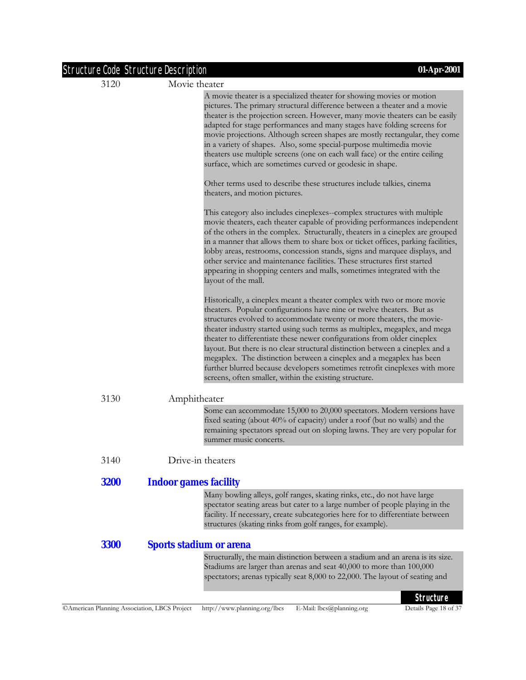| <b>Structure Code Structure Description</b> |                                                                                                                                                                                                                                                                                                                                                                                                                                                                                                                                                                                                                                                                                     | 01-Apr-2001 |
|---------------------------------------------|-------------------------------------------------------------------------------------------------------------------------------------------------------------------------------------------------------------------------------------------------------------------------------------------------------------------------------------------------------------------------------------------------------------------------------------------------------------------------------------------------------------------------------------------------------------------------------------------------------------------------------------------------------------------------------------|-------------|
| 3120                                        | Movie theater                                                                                                                                                                                                                                                                                                                                                                                                                                                                                                                                                                                                                                                                       |             |
|                                             | A movie theater is a specialized theater for showing movies or motion<br>pictures. The primary structural difference between a theater and a movie<br>theater is the projection screen. However, many movie theaters can be easily<br>adapted for stage performances and many stages have folding screens for<br>movie projections. Although screen shapes are mostly rectangular, they come<br>in a variety of shapes. Also, some special-purpose multimedia movie<br>theaters use multiple screens (one on each wall face) or the entire ceiling<br>surface, which are sometimes curved or geodesic in shape.                                                                     |             |
|                                             | Other terms used to describe these structures include talkies, cinema<br>theaters, and motion pictures.                                                                                                                                                                                                                                                                                                                                                                                                                                                                                                                                                                             |             |
|                                             | This category also includes cineplexes-complex structures with multiple<br>movie theaters, each theater capable of providing performances independent<br>of the others in the complex. Structurally, theaters in a cineplex are grouped<br>in a manner that allows them to share box or ticket offices, parking facilities,<br>lobby areas, restrooms, concession stands, signs and marquee displays, and<br>other service and maintenance facilities. These structures first started<br>appearing in shopping centers and malls, sometimes integrated with the<br>layout of the mall.                                                                                              |             |
|                                             | Historically, a cineplex meant a theater complex with two or more movie<br>theaters. Popular configurations have nine or twelve theaters. But as<br>structures evolved to accommodate twenty or more theaters, the movie-<br>theater industry started using such terms as multiplex, megaplex, and mega<br>theater to differentiate these newer configurations from older cineplex<br>layout. But there is no clear structural distinction between a cineplex and a<br>megaplex. The distinction between a cineplex and a megaplex has been<br>further blurred because developers sometimes retrofit cineplexes with more<br>screens, often smaller, within the existing structure. |             |
| 3130                                        | Amphitheater                                                                                                                                                                                                                                                                                                                                                                                                                                                                                                                                                                                                                                                                        |             |
|                                             | Some can accommodate 15,000 to 20,000 spectators. Modern versions have<br>fixed seating (about 40% of capacity) under a roof (but no walls) and the<br>remaining spectators spread out on sloping lawns. They are very popular for<br>summer music concerts.                                                                                                                                                                                                                                                                                                                                                                                                                        |             |
| 3140                                        | Drive-in theaters                                                                                                                                                                                                                                                                                                                                                                                                                                                                                                                                                                                                                                                                   |             |
| <b>3200</b>                                 | <b>Indoor games facility</b>                                                                                                                                                                                                                                                                                                                                                                                                                                                                                                                                                                                                                                                        |             |
|                                             | Many bowling alleys, golf ranges, skating rinks, etc., do not have large<br>spectator seating areas but cater to a large number of people playing in the<br>facility. If necessary, create subcategories here for to differentiate between<br>structures (skating rinks from golf ranges, for example).                                                                                                                                                                                                                                                                                                                                                                             |             |
| <b>3300</b>                                 | <b>Sports stadium or arena</b>                                                                                                                                                                                                                                                                                                                                                                                                                                                                                                                                                                                                                                                      |             |
|                                             | Structurally, the main distinction between a stadium and an arena is its size.<br>Stadiums are larger than arenas and seat 40,000 to more than 100,000<br>spectators; arenas typically seat 8,000 to 22,000. The layout of seating and                                                                                                                                                                                                                                                                                                                                                                                                                                              |             |
|                                             |                                                                                                                                                                                                                                                                                                                                                                                                                                                                                                                                                                                                                                                                                     | Structure   |

Details Page 18 of 37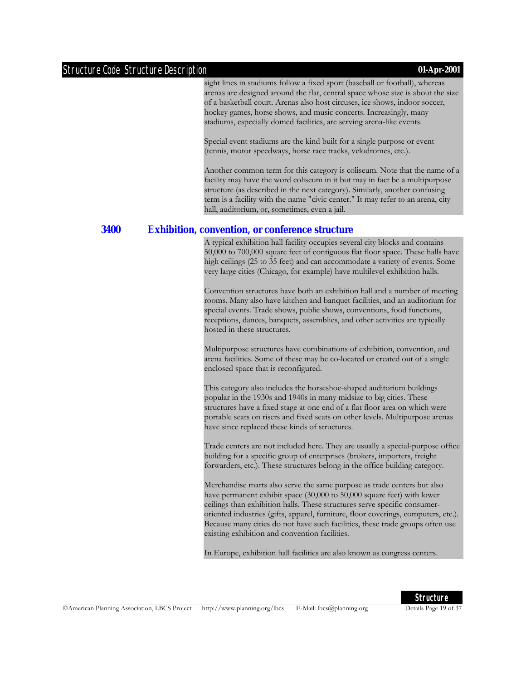sight lines in stadiums follow a fixed sport (baseball or football), whereas arenas are designed around the flat, central space whose size is about the size of a basketball court. Arenas also host circuses, ice shows, indoor soccer, hockey games, horse shows, and music concerts. Increasingly, many stadiums, especially domed facilities, are serving arena-like events.

Special event stadiums are the kind built for a single purpose or event (tennis, motor speedways, horse race tracks, velodromes, etc.).

Another common term for this category is coliseum. Note that the name of a facility may have the word coliseum in it but may in fact be a multipurpose structure (as described in the next category). Similarly, another confusing term is a facility with the name "civic center." It may refer to an arena, city hall, auditorium, or, sometimes, even a jail.

#### **3400 Exhibition, convention, or conference structure**

A typical exhibition hall facility occupies several city blocks and contains 50,000 to 700,000 square feet of contiguous flat floor space. These halls have high ceilings (25 to 35 feet) and can accommodate a variety of events. Some very large cities (Chicago, for example) have multilevel exhibition halls.

Convention structures have both an exhibition hall and a number of meeting rooms. Many also have kitchen and banquet facilities, and an auditorium for special events. Trade shows, public shows, conventions, food functions, receptions, dances, banquets, assemblies, and other activities are typically hosted in these structures.

Multipurpose structures have combinations of exhibition, convention, and arena facilities. Some of these may be co-located or created out of a single enclosed space that is reconfigured.

This category also includes the horseshoe-shaped auditorium buildings popular in the 1930s and 1940s in many midsize to big cities. These structures have a fixed stage at one end of a flat floor area on which were portable seats on risers and fixed seats on other levels. Multipurpose arenas have since replaced these kinds of structures.

Trade centers are not included here. They are usually a special-purpose office building for a specific group of enterprises (brokers, importers, freight forwarders, etc.). These structures belong in the office building category.

Merchandise marts also serve the same purpose as trade centers but also have permanent exhibit space (30,000 to 50,000 square feet) with lower ceilings than exhibition halls. These structures serve specific consumeroriented industries (gifts, apparel, furniture, floor coverings, computers, etc.). Because many cities do not have such facilities, these trade groups often use existing exhibition and convention facilities.

In Europe, exhibition hall facilities are also known as congress centers.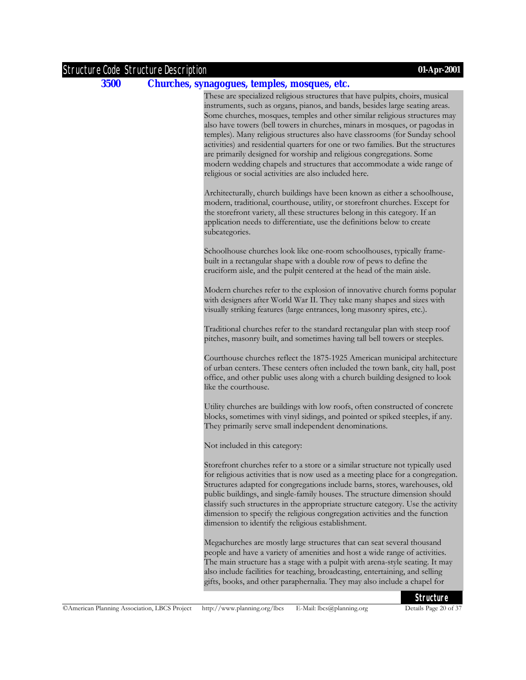#### **3500 Churches, synagogues, temples, mosques, etc.**

These are specialized religious structures that have pulpits, choirs, musical instruments, such as organs, pianos, and bands, besides large seating areas. Some churches, mosques, temples and other similar religious structures may also have towers (bell towers in churches, minars in mosques, or pagodas in temples). Many religious structures also have classrooms (for Sunday school activities) and residential quarters for one or two families. But the structures are primarily designed for worship and religious congregations. Some modern wedding chapels and structures that accommodate a wide range of religious or social activities are also included here.

Architecturally, church buildings have been known as either a schoolhouse, modern, traditional, courthouse, utility, or storefront churches. Except for the storefront variety, all these structures belong in this category. If an application needs to differentiate, use the definitions below to create subcategories.

Schoolhouse churches look like one-room schoolhouses, typically framebuilt in a rectangular shape with a double row of pews to define the cruciform aisle, and the pulpit centered at the head of the main aisle.

Modern churches refer to the explosion of innovative church forms popular with designers after World War II. They take many shapes and sizes with visually striking features (large entrances, long masonry spires, etc.).

Traditional churches refer to the standard rectangular plan with steep roof pitches, masonry built, and sometimes having tall bell towers or steeples.

Courthouse churches reflect the 1875-1925 American municipal architecture of urban centers. These centers often included the town bank, city hall, post office, and other public uses along with a church building designed to look like the courthouse.

Utility churches are buildings with low roofs, often constructed of concrete blocks, sometimes with vinyl sidings, and pointed or spiked steeples, if any. They primarily serve small independent denominations.

Not included in this category:

Storefront churches refer to a store or a similar structure not typically used for religious activities that is now used as a meeting place for a congregation. Structures adapted for congregations include barns, stores, warehouses, old public buildings, and single-family houses. The structure dimension should classify such structures in the appropriate structure category. Use the activity dimension to specify the religious congregation activities and the function dimension to identify the religious establishment.

Megachurches are mostly large structures that can seat several thousand people and have a variety of amenities and host a wide range of activities. The main structure has a stage with a pulpit with arena-style seating. It may also include facilities for teaching, broadcasting, entertaining, and selling gifts, books, and other paraphernalia. They may also include a chapel for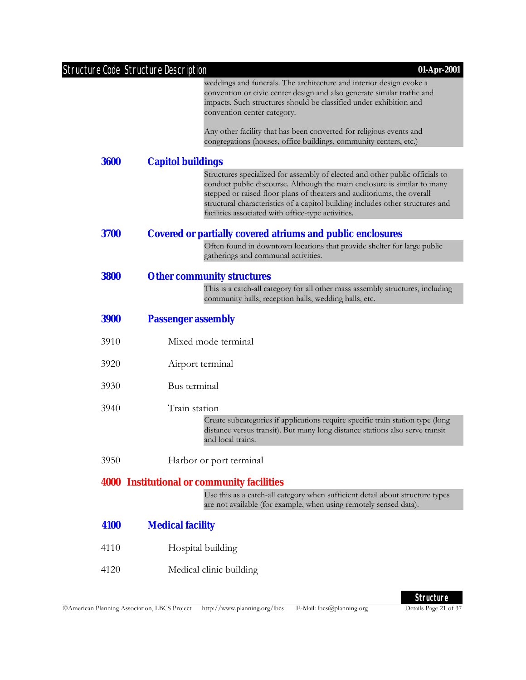|             | <b>Structure Code Structure Description</b><br>01-Apr-2001                                                                                                                                                                                                                                                                                                                 |
|-------------|----------------------------------------------------------------------------------------------------------------------------------------------------------------------------------------------------------------------------------------------------------------------------------------------------------------------------------------------------------------------------|
|             | weddings and funerals. The architecture and interior design evoke a<br>convention or civic center design and also generate similar traffic and<br>impacts. Such structures should be classified under exhibition and<br>convention center category.                                                                                                                        |
|             | Any other facility that has been converted for religious events and<br>congregations (houses, office buildings, community centers, etc.)                                                                                                                                                                                                                                   |
| 3600        | <b>Capitol buildings</b>                                                                                                                                                                                                                                                                                                                                                   |
|             | Structures specialized for assembly of elected and other public officials to<br>conduct public discourse. Although the main enclosure is similar to many<br>stepped or raised floor plans of theaters and auditoriums, the overall<br>structural characteristics of a capitol building includes other structures and<br>facilities associated with office-type activities. |
| 3700        | <b>Covered or partially covered atriums and public enclosures</b>                                                                                                                                                                                                                                                                                                          |
|             | Often found in downtown locations that provide shelter for large public<br>gatherings and communal activities.                                                                                                                                                                                                                                                             |
| <b>3800</b> | <b>Other community structures</b>                                                                                                                                                                                                                                                                                                                                          |
|             | This is a catch-all category for all other mass assembly structures, including<br>community halls, reception halls, wedding halls, etc.                                                                                                                                                                                                                                    |
| <b>3900</b> | <b>Passenger assembly</b>                                                                                                                                                                                                                                                                                                                                                  |
| 3910        | Mixed mode terminal                                                                                                                                                                                                                                                                                                                                                        |
| 3920        | Airport terminal                                                                                                                                                                                                                                                                                                                                                           |
| 3930        | Bus terminal                                                                                                                                                                                                                                                                                                                                                               |
| 3940        | Train station                                                                                                                                                                                                                                                                                                                                                              |
|             | Create subcategories if applications require specific train station type (long<br>distance versus transit). But many long distance stations also serve transit<br>and local trains.                                                                                                                                                                                        |
| 3950        | Harbor or port terminal                                                                                                                                                                                                                                                                                                                                                    |
|             | <b>4000 Institutional or community facilities</b>                                                                                                                                                                                                                                                                                                                          |
|             | Use this as a catch-all category when sufficient detail about structure types<br>are not available (for example, when using remotely sensed data).                                                                                                                                                                                                                         |
| 4100        | <b>Medical facility</b>                                                                                                                                                                                                                                                                                                                                                    |
| 4110        | Hospital building                                                                                                                                                                                                                                                                                                                                                          |
| 4120        | Medical clinic building                                                                                                                                                                                                                                                                                                                                                    |

**Structure**<br>Details Page 21 of 37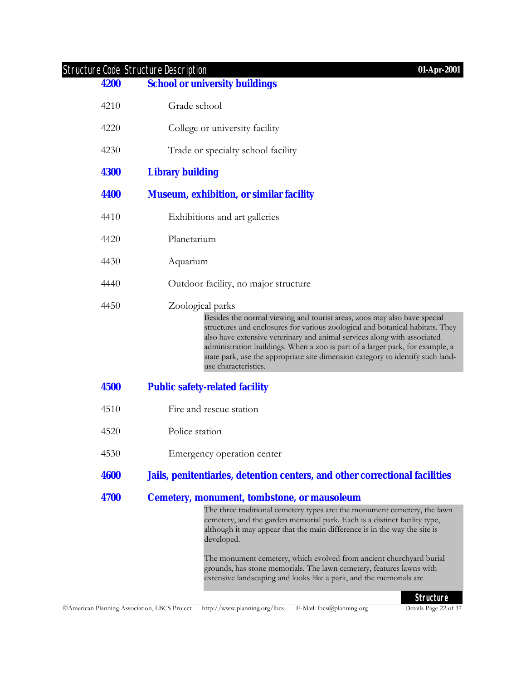| 4200        | <b>School or university buildings</b>                                                                                                                                                                                                                                                                                                                                                                                                                |  |
|-------------|------------------------------------------------------------------------------------------------------------------------------------------------------------------------------------------------------------------------------------------------------------------------------------------------------------------------------------------------------------------------------------------------------------------------------------------------------|--|
| 4210        | Grade school                                                                                                                                                                                                                                                                                                                                                                                                                                         |  |
| 4220        | College or university facility                                                                                                                                                                                                                                                                                                                                                                                                                       |  |
| 4230        | Trade or specialty school facility                                                                                                                                                                                                                                                                                                                                                                                                                   |  |
| <b>4300</b> | <b>Library building</b>                                                                                                                                                                                                                                                                                                                                                                                                                              |  |
| 4400        | <b>Museum, exhibition, or similar facility</b>                                                                                                                                                                                                                                                                                                                                                                                                       |  |
| 4410        | Exhibitions and art galleries                                                                                                                                                                                                                                                                                                                                                                                                                        |  |
| 4420        | Planetarium                                                                                                                                                                                                                                                                                                                                                                                                                                          |  |
| 4430        | Aquarium                                                                                                                                                                                                                                                                                                                                                                                                                                             |  |
| 4440        | Outdoor facility, no major structure                                                                                                                                                                                                                                                                                                                                                                                                                 |  |
| 4450        | Zoological parks<br>Besides the normal viewing and tourist areas, zoos may also have special<br>structures and enclosures for various zoological and botanical habitats. They<br>also have extensive veterinary and animal services along with associated<br>administration buildings. When a zoo is part of a larger park, for example, a<br>state park, use the appropriate site dimension category to identify such land-<br>use characteristics. |  |
| 4500        | <b>Public safety-related facility</b>                                                                                                                                                                                                                                                                                                                                                                                                                |  |
| 4510        | Fire and rescue station                                                                                                                                                                                                                                                                                                                                                                                                                              |  |
| 4520        | Police station                                                                                                                                                                                                                                                                                                                                                                                                                                       |  |
| 4530        | Emergency operation center                                                                                                                                                                                                                                                                                                                                                                                                                           |  |
| <b>4600</b> | Jails, penitentiaries, detention centers, and other correctional facilities                                                                                                                                                                                                                                                                                                                                                                          |  |
| <b>4700</b> | <b>Cemetery, monument, tombstone, or mausoleum</b>                                                                                                                                                                                                                                                                                                                                                                                                   |  |
|             | The three traditional cemetery types are: the monument cemetery, the lawn<br>cemetery, and the garden memorial park. Each is a distinct facility type,<br>although it may appear that the main difference is in the way the site is<br>developed.<br>The monument cemetery, which evolved from ancient churchyard burial<br>grounds, has stone memorials. The lawn cemetery, features lawns with                                                     |  |
|             | extensive landscaping and looks like a park, and the memorials are<br><b>Structure</b>                                                                                                                                                                                                                                                                                                                                                               |  |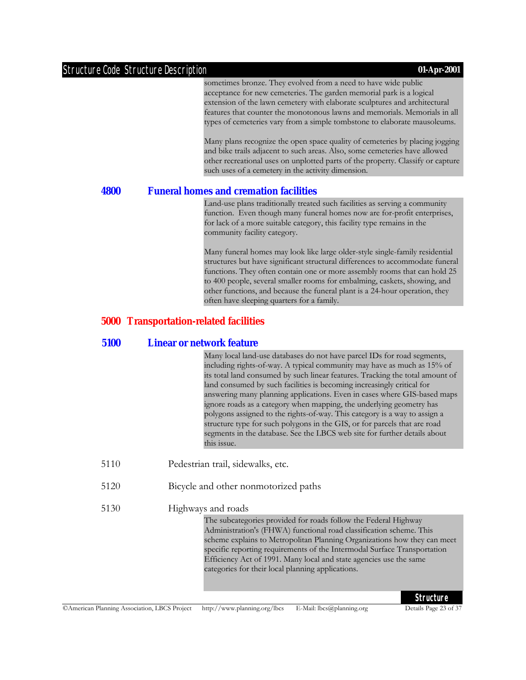sometimes bronze. They evolved from a need to have wide public acceptance for new cemeteries. The garden memorial park is a logical extension of the lawn cemetery with elaborate sculptures and architectural features that counter the monotonous lawns and memorials. Memorials in all types of cemeteries vary from a simple tombstone to elaborate mausoleums.

Many plans recognize the open space quality of cemeteries by placing jogging and bike trails adjacent to such areas. Also, some cemeteries have allowed other recreational uses on unplotted parts of the property. Classify or capture such uses of a cemetery in the activity dimension.

#### **4800 Funeral homes and cremation facilities**

Land-use plans traditionally treated such facilities as serving a community function. Even though many funeral homes now are for-profit enterprises, for lack of a more suitable category, this facility type remains in the community facility category.

Many funeral homes may look like large older-style single-family residential structures but have significant structural differences to accommodate funeral functions. They often contain one or more assembly rooms that can hold 25 to 400 people, several smaller rooms for embalming, caskets, showing, and other functions, and because the funeral plant is a 24-hour operation, they often have sleeping quarters for a family.

#### **5000 Transportation-related facilities**

#### **5100 Linear or network feature**

Many local land-use databases do not have parcel IDs for road segments, including rights-of-way. A typical community may have as much as 15% of its total land consumed by such linear features. Tracking the total amount of land consumed by such facilities is becoming increasingly critical for answering many planning applications. Even in cases where GIS-based maps ignore roads as a category when mapping, the underlying geometry has polygons assigned to the rights-of-way. This category is a way to assign a structure type for such polygons in the GIS, or for parcels that are road segments in the database. See the LBCS web site for further details about this issue.

- 5110 Pedestrian trail, sidewalks, etc.
- 5120 Bicycle and other nonmotorized paths
- 5130 Highways and roads

The subcategories provided for roads follow the Federal Highway Administration's (FHWA) functional road classification scheme. This scheme explains to Metropolitan Planning Organizations how they can meet specific reporting requirements of the Intermodal Surface Transportation Efficiency Act of 1991. Many local and state agencies use the same categories for their local planning applications.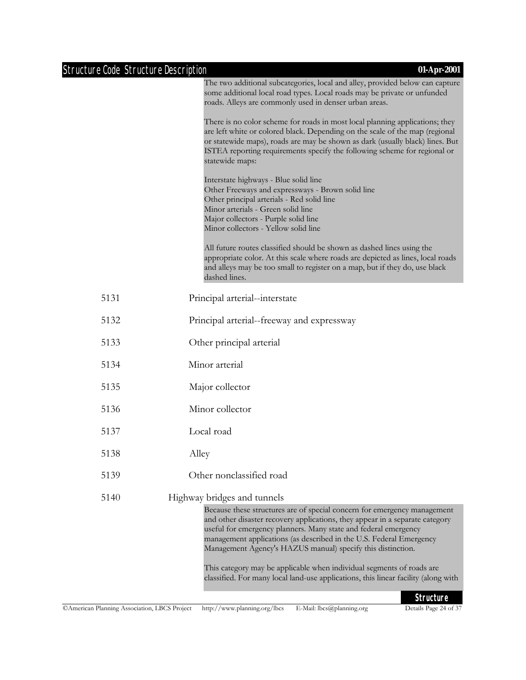| <b>Structure Code Structure Description</b> | 01-Apr-2001                                                                                                                                                                                                                                                                                                                                                                                                                                                                                                                                                     |
|---------------------------------------------|-----------------------------------------------------------------------------------------------------------------------------------------------------------------------------------------------------------------------------------------------------------------------------------------------------------------------------------------------------------------------------------------------------------------------------------------------------------------------------------------------------------------------------------------------------------------|
|                                             | The two additional subcategories, local and alley, provided below can capture<br>some additional local road types. Local roads may be private or unfunded<br>roads. Alleys are commonly used in denser urban areas.                                                                                                                                                                                                                                                                                                                                             |
|                                             | There is no color scheme for roads in most local planning applications; they<br>are left white or colored black. Depending on the scale of the map (regional<br>or statewide maps), roads are may be shown as dark (usually black) lines. But<br>ISTEA reporting requirements specify the following scheme for regional or<br>statewide maps:                                                                                                                                                                                                                   |
|                                             | Interstate highways - Blue solid line<br>Other Freeways and expressways - Brown solid line<br>Other principal arterials - Red solid line<br>Minor arterials - Green solid line<br>Major collectors - Purple solid line<br>Minor collectors - Yellow solid line                                                                                                                                                                                                                                                                                                  |
|                                             | All future routes classified should be shown as dashed lines using the<br>appropriate color. At this scale where roads are depicted as lines, local roads<br>and alleys may be too small to register on a map, but if they do, use black<br>dashed lines.                                                                                                                                                                                                                                                                                                       |
| 5131                                        | Principal arterial--interstate                                                                                                                                                                                                                                                                                                                                                                                                                                                                                                                                  |
| 5132                                        | Principal arterial--freeway and expressway                                                                                                                                                                                                                                                                                                                                                                                                                                                                                                                      |
| 5133                                        | Other principal arterial                                                                                                                                                                                                                                                                                                                                                                                                                                                                                                                                        |
| 5134                                        | Minor arterial                                                                                                                                                                                                                                                                                                                                                                                                                                                                                                                                                  |
| 5135                                        | Major collector                                                                                                                                                                                                                                                                                                                                                                                                                                                                                                                                                 |
| 5136                                        | Minor collector                                                                                                                                                                                                                                                                                                                                                                                                                                                                                                                                                 |
| 5137                                        | Local road                                                                                                                                                                                                                                                                                                                                                                                                                                                                                                                                                      |
| 5138                                        | Alley                                                                                                                                                                                                                                                                                                                                                                                                                                                                                                                                                           |
| 5139                                        | Other nonclassified road                                                                                                                                                                                                                                                                                                                                                                                                                                                                                                                                        |
| 5140                                        | Highway bridges and tunnels<br>Because these structures are of special concern for emergency management<br>and other disaster recovery applications, they appear in a separate category<br>useful for emergency planners. Many state and federal emergency<br>management applications (as described in the U.S. Federal Emergency<br>Management Agency's HAZUS manual) specify this distinction.<br>This category may be applicable when individual segments of roads are<br>classified. For many local land-use applications, this linear facility (along with |
|                                             | $C$ <sub>tructuro</sub>                                                                                                                                                                                                                                                                                                                                                                                                                                                                                                                                         |

**Structure**<br>Details Page 24 of 37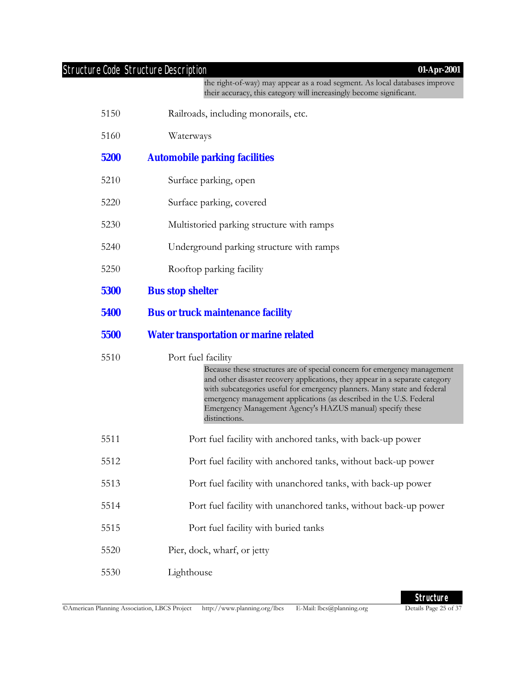the right-of-way) may appear as a road segment. As local databases improve their accuracy, this category will increasingly become significant.

- 5150 Railroads, including monorails, etc.
- 5160 Waterways

#### **5200 Automobile parking facilities**

- 5210 Surface parking, open
- 5220 Surface parking, covered
- 5230 Multistoried parking structure with ramps
- 5240 Underground parking structure with ramps
- 5250 Rooftop parking facility
- **5300 Bus stop shelter**
- **5400 Bus or truck maintenance facility**

#### **5500 Water transportation or marine related**

5510 Port fuel facility

Because these structures are of special concern for emergency management and other disaster recovery applications, they appear in a separate category with subcategories useful for emergency planners. Many state and federal emergency management applications (as described in the U.S. Federal Emergency Management Agency's HAZUS manual) specify these distinctions.

- 5511 Port fuel facility with anchored tanks, with back-up power
- 5512 Port fuel facility with anchored tanks, without back-up power
- 5513 Port fuel facility with unanchored tanks, with back-up power
- 5514 Port fuel facility with unanchored tanks, without back-up power
- 5515 Port fuel facility with buried tanks
- 5520 Pier, dock, wharf, or jetty
- 5530 Lighthouse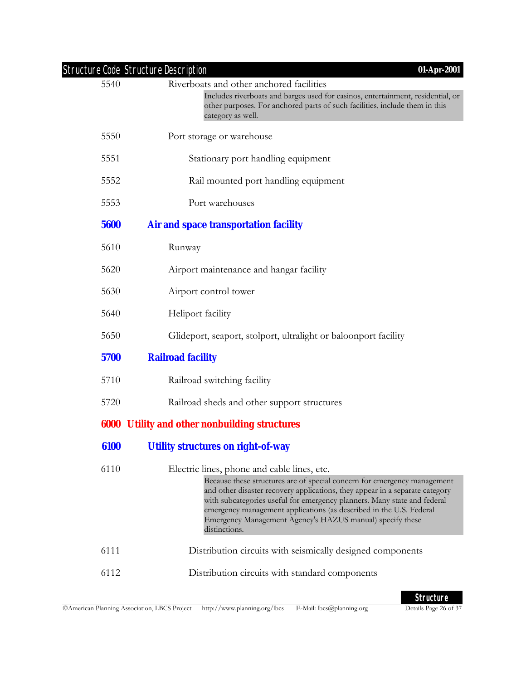|      | <b>Structure Code Structure Description</b><br>01-Apr-2001                                                                                                                                                                                                                                                                                                                                                                               |
|------|------------------------------------------------------------------------------------------------------------------------------------------------------------------------------------------------------------------------------------------------------------------------------------------------------------------------------------------------------------------------------------------------------------------------------------------|
| 5540 | Riverboats and other anchored facilities                                                                                                                                                                                                                                                                                                                                                                                                 |
|      | Includes riverboats and barges used for casinos, entertainment, residential, or<br>other purposes. For anchored parts of such facilities, include them in this<br>category as well.                                                                                                                                                                                                                                                      |
| 5550 | Port storage or warehouse                                                                                                                                                                                                                                                                                                                                                                                                                |
| 5551 | Stationary port handling equipment                                                                                                                                                                                                                                                                                                                                                                                                       |
| 5552 | Rail mounted port handling equipment                                                                                                                                                                                                                                                                                                                                                                                                     |
| 5553 | Port warehouses                                                                                                                                                                                                                                                                                                                                                                                                                          |
| 5600 | <b>Air and space transportation facility</b>                                                                                                                                                                                                                                                                                                                                                                                             |
| 5610 | Runway                                                                                                                                                                                                                                                                                                                                                                                                                                   |
| 5620 | Airport maintenance and hangar facility                                                                                                                                                                                                                                                                                                                                                                                                  |
| 5630 | Airport control tower                                                                                                                                                                                                                                                                                                                                                                                                                    |
| 5640 | Heliport facility                                                                                                                                                                                                                                                                                                                                                                                                                        |
| 5650 | Glideport, seaport, stolport, ultralight or baloonport facility                                                                                                                                                                                                                                                                                                                                                                          |
| 5700 | <b>Railroad facility</b>                                                                                                                                                                                                                                                                                                                                                                                                                 |
| 5710 | Railroad switching facility                                                                                                                                                                                                                                                                                                                                                                                                              |
| 5720 | Railroad sheds and other support structures                                                                                                                                                                                                                                                                                                                                                                                              |
|      | <b>6000 Utility and other nonbuilding structures</b>                                                                                                                                                                                                                                                                                                                                                                                     |
| 6100 | <b>Utility structures on right-of-way</b>                                                                                                                                                                                                                                                                                                                                                                                                |
| 6110 | Electric lines, phone and cable lines, etc.<br>Because these structures are of special concern for emergency management<br>and other disaster recovery applications, they appear in a separate category<br>with subcategories useful for emergency planners. Many state and federal<br>emergency management applications (as described in the U.S. Federal<br>Emergency Management Agency's HAZUS manual) specify these<br>distinctions. |
| 6111 | Distribution circuits with seismically designed components                                                                                                                                                                                                                                                                                                                                                                               |
| 6112 | Distribution circuits with standard components                                                                                                                                                                                                                                                                                                                                                                                           |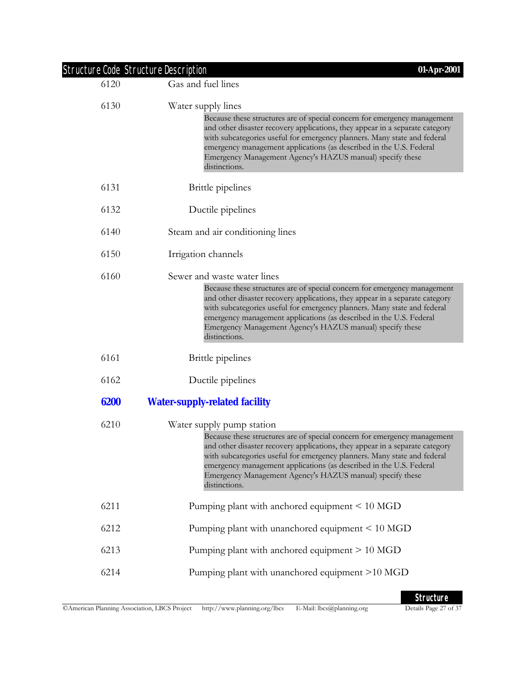|      | <b>Structure Code Structure Description</b><br>01-Apr-2001                                                                                                                                                                                                                                                                                                                                |
|------|-------------------------------------------------------------------------------------------------------------------------------------------------------------------------------------------------------------------------------------------------------------------------------------------------------------------------------------------------------------------------------------------|
| 6120 | Gas and fuel lines                                                                                                                                                                                                                                                                                                                                                                        |
| 6130 | Water supply lines                                                                                                                                                                                                                                                                                                                                                                        |
|      | Because these structures are of special concern for emergency management<br>and other disaster recovery applications, they appear in a separate category<br>with subcategories useful for emergency planners. Many state and federal<br>emergency management applications (as described in the U.S. Federal<br>Emergency Management Agency's HAZUS manual) specify these<br>distinctions. |
| 6131 | <b>Brittle</b> pipelines                                                                                                                                                                                                                                                                                                                                                                  |
| 6132 | Ductile pipelines                                                                                                                                                                                                                                                                                                                                                                         |
| 6140 | Steam and air conditioning lines                                                                                                                                                                                                                                                                                                                                                          |
| 6150 | Irrigation channels                                                                                                                                                                                                                                                                                                                                                                       |
| 6160 | Sewer and waste water lines                                                                                                                                                                                                                                                                                                                                                               |
|      | Because these structures are of special concern for emergency management<br>and other disaster recovery applications, they appear in a separate category<br>with subcategories useful for emergency planners. Many state and federal<br>emergency management applications (as described in the U.S. Federal<br>Emergency Management Agency's HAZUS manual) specify these<br>distinctions. |
| 6161 | <b>Brittle</b> pipelines                                                                                                                                                                                                                                                                                                                                                                  |
| 6162 | Ductile pipelines                                                                                                                                                                                                                                                                                                                                                                         |
| 6200 | <b>Water-supply-related facility</b>                                                                                                                                                                                                                                                                                                                                                      |
| 6210 | Water supply pump station                                                                                                                                                                                                                                                                                                                                                                 |
|      | Because these structures are of special concern for emergency management<br>and other disaster recovery applications, they appear in a separate category<br>with subcategories useful for emergency planners. Many state and federal<br>emergency management applications (as described in the U.S. Federal<br>Emergency Management Agency's HAZUS manual) specify these<br>distinctions. |
| 6211 | Pumping plant with anchored equipment < 10 MGD                                                                                                                                                                                                                                                                                                                                            |
| 6212 | Pumping plant with unanchored equipment < 10 MGD                                                                                                                                                                                                                                                                                                                                          |
| 6213 | Pumping plant with anchored equipment > 10 MGD                                                                                                                                                                                                                                                                                                                                            |
| 6214 | Pumping plant with unanchored equipment >10 MGD                                                                                                                                                                                                                                                                                                                                           |
|      |                                                                                                                                                                                                                                                                                                                                                                                           |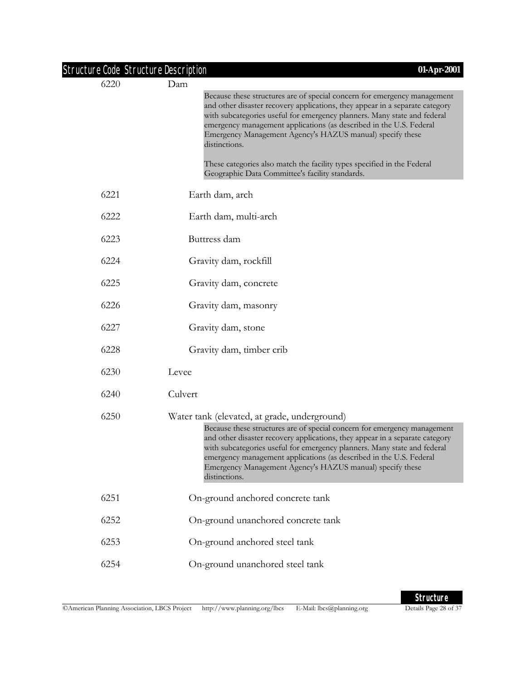| Structure Code Structure Description |                                                                                                                                                                                                                                                                                                                                                                                                                                           | 01-Apr-2001 |
|--------------------------------------|-------------------------------------------------------------------------------------------------------------------------------------------------------------------------------------------------------------------------------------------------------------------------------------------------------------------------------------------------------------------------------------------------------------------------------------------|-------------|
| 6220                                 | Dam                                                                                                                                                                                                                                                                                                                                                                                                                                       |             |
|                                      | Because these structures are of special concern for emergency management<br>and other disaster recovery applications, they appear in a separate category<br>with subcategories useful for emergency planners. Many state and federal<br>emergency management applications (as described in the U.S. Federal<br>Emergency Management Agency's HAZUS manual) specify these<br>distinctions.                                                 |             |
|                                      | These categories also match the facility types specified in the Federal<br>Geographic Data Committee's facility standards.                                                                                                                                                                                                                                                                                                                |             |
| 6221                                 | Earth dam, arch                                                                                                                                                                                                                                                                                                                                                                                                                           |             |
| 6222                                 | Earth dam, multi-arch                                                                                                                                                                                                                                                                                                                                                                                                                     |             |
| 6223                                 | Buttress dam                                                                                                                                                                                                                                                                                                                                                                                                                              |             |
| 6224                                 | Gravity dam, rockfill                                                                                                                                                                                                                                                                                                                                                                                                                     |             |
| 6225                                 | Gravity dam, concrete                                                                                                                                                                                                                                                                                                                                                                                                                     |             |
| 6226                                 | Gravity dam, masonry                                                                                                                                                                                                                                                                                                                                                                                                                      |             |
| 6227                                 | Gravity dam, stone                                                                                                                                                                                                                                                                                                                                                                                                                        |             |
| 6228                                 | Gravity dam, timber crib                                                                                                                                                                                                                                                                                                                                                                                                                  |             |
| 6230                                 | Levee                                                                                                                                                                                                                                                                                                                                                                                                                                     |             |
| 6240                                 | Culvert                                                                                                                                                                                                                                                                                                                                                                                                                                   |             |
| 6250                                 | Water tank (elevated, at grade, underground)<br>Because these structures are of special concern for emergency management<br>and other disaster recovery applications, they appear in a separate category<br>with subcategories useful for emergency planners. Many state and federal<br>emergency management applications (as described in the U.S. Federal<br>Emergency Management Agency's HAZUS manual) specify these<br>distinctions. |             |
| 6251                                 | On-ground anchored concrete tank                                                                                                                                                                                                                                                                                                                                                                                                          |             |
| 6252                                 | On-ground unanchored concrete tank                                                                                                                                                                                                                                                                                                                                                                                                        |             |
| 6253                                 | On-ground anchored steel tank                                                                                                                                                                                                                                                                                                                                                                                                             |             |
| 6254                                 | On-ground unanchored steel tank                                                                                                                                                                                                                                                                                                                                                                                                           |             |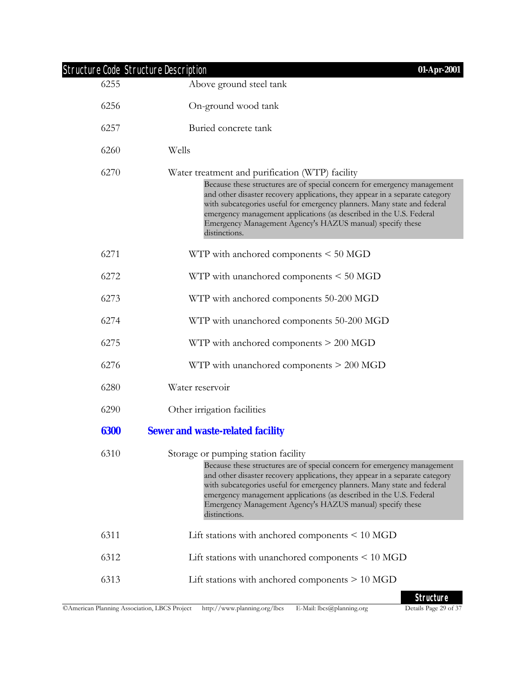|      | <b>Structure Code Structure Description</b><br>01-Apr-2001                                                                                                                                                                                                                                                                                                                                                                                   |
|------|----------------------------------------------------------------------------------------------------------------------------------------------------------------------------------------------------------------------------------------------------------------------------------------------------------------------------------------------------------------------------------------------------------------------------------------------|
| 6255 | Above ground steel tank                                                                                                                                                                                                                                                                                                                                                                                                                      |
| 6256 | On-ground wood tank                                                                                                                                                                                                                                                                                                                                                                                                                          |
| 6257 | Buried concrete tank                                                                                                                                                                                                                                                                                                                                                                                                                         |
| 6260 | Wells                                                                                                                                                                                                                                                                                                                                                                                                                                        |
| 6270 | Water treatment and purification (WTP) facility<br>Because these structures are of special concern for emergency management<br>and other disaster recovery applications, they appear in a separate category<br>with subcategories useful for emergency planners. Many state and federal<br>emergency management applications (as described in the U.S. Federal<br>Emergency Management Agency's HAZUS manual) specify these<br>distinctions. |
| 6271 | WTP with anchored components $\leq 50$ MGD                                                                                                                                                                                                                                                                                                                                                                                                   |
| 6272 | WTP with unanchored components $\leq 50$ MGD                                                                                                                                                                                                                                                                                                                                                                                                 |
| 6273 | WTP with anchored components 50-200 MGD                                                                                                                                                                                                                                                                                                                                                                                                      |
| 6274 | WTP with unanchored components 50-200 MGD                                                                                                                                                                                                                                                                                                                                                                                                    |
| 6275 | WTP with anchored components $> 200$ MGD                                                                                                                                                                                                                                                                                                                                                                                                     |
| 6276 | WTP with unanchored components $> 200$ MGD                                                                                                                                                                                                                                                                                                                                                                                                   |
| 6280 | Water reservoir                                                                                                                                                                                                                                                                                                                                                                                                                              |
| 6290 | Other irrigation facilities                                                                                                                                                                                                                                                                                                                                                                                                                  |
| 6300 | <b>Sewer and waste-related facility</b>                                                                                                                                                                                                                                                                                                                                                                                                      |
| 6310 | Storage or pumping station facility<br>Because these structures are of special concern for emergency management<br>and other disaster recovery applications, they appear in a separate category<br>with subcategories useful for emergency planners. Many state and federal<br>emergency management applications (as described in the U.S. Federal<br>Emergency Management Agency's HAZUS manual) specify these<br>distinctions.             |
| 6311 | Lift stations with anchored components $\leq 10$ MGD                                                                                                                                                                                                                                                                                                                                                                                         |
| 6312 | Lift stations with unanchored components $\leq 10$ MGD                                                                                                                                                                                                                                                                                                                                                                                       |
| 6313 | Lift stations with anchored components $> 10$ MGD                                                                                                                                                                                                                                                                                                                                                                                            |
|      | Chruchuro                                                                                                                                                                                                                                                                                                                                                                                                                                    |

**Structure**<br>Details Page 29 of 37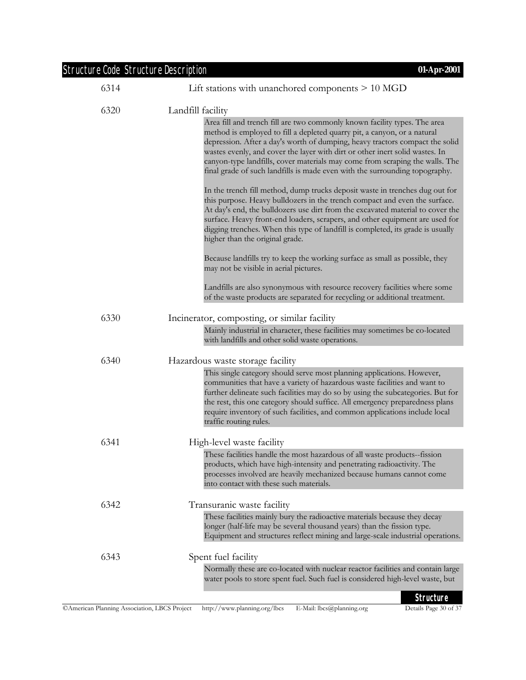| Structure Code Structure Description | 01-Apr-2001                                                                                                                                                                                                                                                                                                                                                                                                                                                                                                                                                                                                                                                                                                                                                                                                                                                                                                                                                                                                                                                                                                                                                                                                                                           |
|--------------------------------------|-------------------------------------------------------------------------------------------------------------------------------------------------------------------------------------------------------------------------------------------------------------------------------------------------------------------------------------------------------------------------------------------------------------------------------------------------------------------------------------------------------------------------------------------------------------------------------------------------------------------------------------------------------------------------------------------------------------------------------------------------------------------------------------------------------------------------------------------------------------------------------------------------------------------------------------------------------------------------------------------------------------------------------------------------------------------------------------------------------------------------------------------------------------------------------------------------------------------------------------------------------|
| 6314                                 | Lift stations with unanchored components $> 10$ MGD                                                                                                                                                                                                                                                                                                                                                                                                                                                                                                                                                                                                                                                                                                                                                                                                                                                                                                                                                                                                                                                                                                                                                                                                   |
| 6320                                 | Landfill facility<br>Area fill and trench fill are two commonly known facility types. The area<br>method is employed to fill a depleted quarry pit, a canyon, or a natural<br>depression. After a day's worth of dumping, heavy tractors compact the solid<br>wastes evenly, and cover the layer with dirt or other inert solid wastes. In<br>canyon-type landfills, cover materials may come from scraping the walls. The<br>final grade of such landfills is made even with the surrounding topography.<br>In the trench fill method, dump trucks deposit waste in trenches dug out for<br>this purpose. Heavy bulldozers in the trench compact and even the surface.<br>At day's end, the bulldozers use dirt from the excavated material to cover the<br>surface. Heavy front-end loaders, scrapers, and other equipment are used for<br>digging trenches. When this type of landfill is completed, its grade is usually<br>higher than the original grade.<br>Because landfills try to keep the working surface as small as possible, they<br>may not be visible in aerial pictures.<br>Landfills are also synonymous with resource recovery facilities where some<br>of the waste products are separated for recycling or additional treatment. |
|                                      |                                                                                                                                                                                                                                                                                                                                                                                                                                                                                                                                                                                                                                                                                                                                                                                                                                                                                                                                                                                                                                                                                                                                                                                                                                                       |
| 6330                                 | Incinerator, composting, or similar facility<br>Mainly industrial in character, these facilities may sometimes be co-located<br>with landfills and other solid waste operations.                                                                                                                                                                                                                                                                                                                                                                                                                                                                                                                                                                                                                                                                                                                                                                                                                                                                                                                                                                                                                                                                      |
| 6340                                 | Hazardous waste storage facility<br>This single category should serve most planning applications. However,<br>communities that have a variety of hazardous waste facilities and want to<br>further delineate such facilities may do so by using the subcategories. But for<br>the rest, this one category should suffice. All emergency preparedness plans<br>require inventory of such facilities, and common applications include local<br>traffic routing rules.                                                                                                                                                                                                                                                                                                                                                                                                                                                                                                                                                                                                                                                                                                                                                                                   |
| 6341                                 | High-level waste facility<br>These facilities handle the most hazardous of all waste products-fission<br>products, which have high-intensity and penetrating radioactivity. The<br>processes involved are heavily mechanized because humans cannot come                                                                                                                                                                                                                                                                                                                                                                                                                                                                                                                                                                                                                                                                                                                                                                                                                                                                                                                                                                                               |
| 6342                                 | into contact with these such materials.<br>Transuranic waste facility<br>These facilities mainly bury the radioactive materials because they decay<br>longer (half-life may be several thousand years) than the fission type.<br>Equipment and structures reflect mining and large-scale industrial operations.                                                                                                                                                                                                                                                                                                                                                                                                                                                                                                                                                                                                                                                                                                                                                                                                                                                                                                                                       |
| 6343                                 | Spent fuel facility<br>Normally these are co-located with nuclear reactor facilities and contain large<br>water pools to store spent fuel. Such fuel is considered high-level waste, but                                                                                                                                                                                                                                                                                                                                                                                                                                                                                                                                                                                                                                                                                                                                                                                                                                                                                                                                                                                                                                                              |
|                                      | <b>Structure</b>                                                                                                                                                                                                                                                                                                                                                                                                                                                                                                                                                                                                                                                                                                                                                                                                                                                                                                                                                                                                                                                                                                                                                                                                                                      |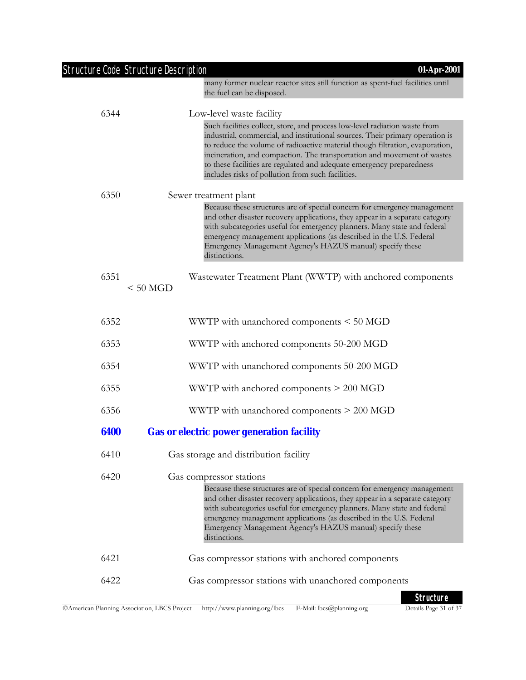|      | <b>Structure Code Structure Description</b><br>01-Apr-2001                                                                                                                                                                                                                                                                                                                                                                                           |
|------|------------------------------------------------------------------------------------------------------------------------------------------------------------------------------------------------------------------------------------------------------------------------------------------------------------------------------------------------------------------------------------------------------------------------------------------------------|
|      | many former nuclear reactor sites still function as spent-fuel facilities until<br>the fuel can be disposed.                                                                                                                                                                                                                                                                                                                                         |
| 6344 | Low-level waste facility                                                                                                                                                                                                                                                                                                                                                                                                                             |
|      | Such facilities collect, store, and process low-level radiation waste from<br>industrial, commercial, and institutional sources. Their primary operation is<br>to reduce the volume of radioactive material though filtration, evaporation,<br>incineration, and compaction. The transportation and movement of wastes<br>to these facilities are regulated and adequate emergency preparedness<br>includes risks of pollution from such facilities. |
| 6350 | Sewer treatment plant                                                                                                                                                                                                                                                                                                                                                                                                                                |
|      | Because these structures are of special concern for emergency management<br>and other disaster recovery applications, they appear in a separate category<br>with subcategories useful for emergency planners. Many state and federal<br>emergency management applications (as described in the U.S. Federal<br>Emergency Management Agency's HAZUS manual) specify these<br>distinctions.                                                            |
| 6351 | Wastewater Treatment Plant (WWTP) with anchored components<br>$< 50$ MGD                                                                                                                                                                                                                                                                                                                                                                             |
| 6352 | WWTP with unanchored components < 50 MGD                                                                                                                                                                                                                                                                                                                                                                                                             |
| 6353 | WWTP with anchored components 50-200 MGD                                                                                                                                                                                                                                                                                                                                                                                                             |
| 6354 | WWTP with unanchored components 50-200 MGD                                                                                                                                                                                                                                                                                                                                                                                                           |
| 6355 | WWTP with anchored components > 200 MGD                                                                                                                                                                                                                                                                                                                                                                                                              |
| 6356 | WWTP with unanchored components > 200 MGD                                                                                                                                                                                                                                                                                                                                                                                                            |
| 6400 | <b>Gas or electric power generation facility</b>                                                                                                                                                                                                                                                                                                                                                                                                     |
| 6410 | Gas storage and distribution facility                                                                                                                                                                                                                                                                                                                                                                                                                |
| 6420 | Gas compressor stations<br>Because these structures are of special concern for emergency management<br>and other disaster recovery applications, they appear in a separate category<br>with subcategories useful for emergency planners. Many state and federal<br>emergency management applications (as described in the U.S. Federal<br>Emergency Management Agency's HAZUS manual) specify these<br>distinctions.                                 |
| 6421 | Gas compressor stations with anchored components                                                                                                                                                                                                                                                                                                                                                                                                     |
| 6422 | Gas compressor stations with unanchored components                                                                                                                                                                                                                                                                                                                                                                                                   |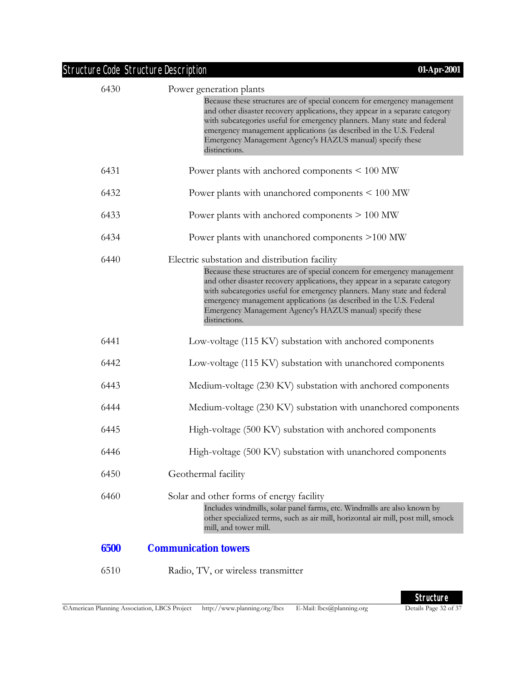| Structure Code Structure Description | 01-Apr-2001                                                                                                                                                                                                                                                                                                                                                                                                          |
|--------------------------------------|----------------------------------------------------------------------------------------------------------------------------------------------------------------------------------------------------------------------------------------------------------------------------------------------------------------------------------------------------------------------------------------------------------------------|
| 6430                                 | Power generation plants<br>Because these structures are of special concern for emergency management<br>and other disaster recovery applications, they appear in a separate category<br>with subcategories useful for emergency planners. Many state and federal<br>emergency management applications (as described in the U.S. Federal<br>Emergency Management Agency's HAZUS manual) specify these<br>distinctions. |
| 6431                                 | Power plants with anchored components < 100 MW                                                                                                                                                                                                                                                                                                                                                                       |
| 6432                                 | Power plants with unanchored components < 100 MW                                                                                                                                                                                                                                                                                                                                                                     |
| 6433                                 | Power plants with anchored components $> 100$ MW                                                                                                                                                                                                                                                                                                                                                                     |
| 6434                                 | Power plants with unanchored components >100 MW                                                                                                                                                                                                                                                                                                                                                                      |
| 6440                                 | Electric substation and distribution facility                                                                                                                                                                                                                                                                                                                                                                        |
|                                      | Because these structures are of special concern for emergency management<br>and other disaster recovery applications, they appear in a separate category<br>with subcategories useful for emergency planners. Many state and federal<br>emergency management applications (as described in the U.S. Federal<br>Emergency Management Agency's HAZUS manual) specify these<br>distinctions.                            |
| 6441                                 | Low-voltage (115 KV) substation with anchored components                                                                                                                                                                                                                                                                                                                                                             |
| 6442                                 | Low-voltage (115 KV) substation with unanchored components                                                                                                                                                                                                                                                                                                                                                           |
| 6443                                 | Medium-voltage (230 KV) substation with anchored components                                                                                                                                                                                                                                                                                                                                                          |
| 6444                                 | Medium-voltage (230 KV) substation with unanchored components                                                                                                                                                                                                                                                                                                                                                        |
| 6445                                 | High-voltage (500 KV) substation with anchored components                                                                                                                                                                                                                                                                                                                                                            |
| 6446                                 | High-voltage (500 KV) substation with unanchored components                                                                                                                                                                                                                                                                                                                                                          |
| 6450                                 | Geothermal facility                                                                                                                                                                                                                                                                                                                                                                                                  |
| 6460                                 | Solar and other forms of energy facility<br>Includes windmills, solar panel farms, etc. Windmills are also known by<br>other specialized terms, such as air mill, horizontal air mill, post mill, smock<br>mill, and tower mill.                                                                                                                                                                                     |
| 6500                                 | <b>Communication towers</b>                                                                                                                                                                                                                                                                                                                                                                                          |

6510 Radio, TV, or wireless transmitter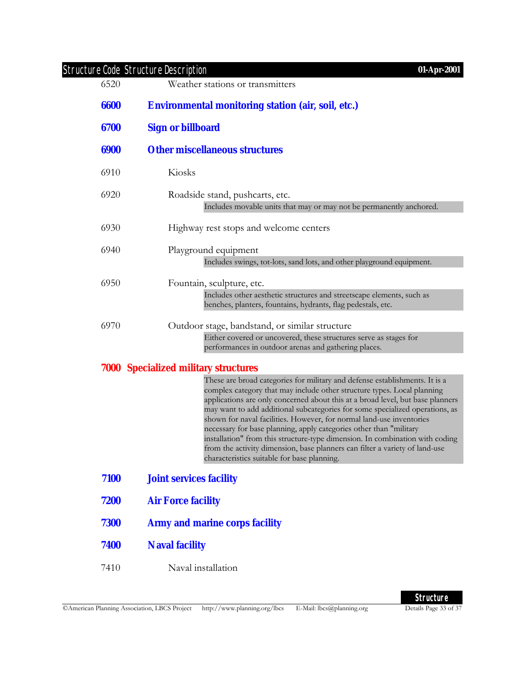| 6520 | <b>Structure Code Structure Description</b><br>01-Apr-2001<br>Weather stations or transmitters                                                                                                                                                                                                                                                                                                                                                                                                                                                                                                                                                                                       |
|------|--------------------------------------------------------------------------------------------------------------------------------------------------------------------------------------------------------------------------------------------------------------------------------------------------------------------------------------------------------------------------------------------------------------------------------------------------------------------------------------------------------------------------------------------------------------------------------------------------------------------------------------------------------------------------------------|
| 6600 | <b>Environmental monitoring station (air, soil, etc.)</b>                                                                                                                                                                                                                                                                                                                                                                                                                                                                                                                                                                                                                            |
|      |                                                                                                                                                                                                                                                                                                                                                                                                                                                                                                                                                                                                                                                                                      |
| 6700 | <b>Sign or billboard</b>                                                                                                                                                                                                                                                                                                                                                                                                                                                                                                                                                                                                                                                             |
| 6900 | <b>Other miscellaneous structures</b>                                                                                                                                                                                                                                                                                                                                                                                                                                                                                                                                                                                                                                                |
| 6910 | Kiosks                                                                                                                                                                                                                                                                                                                                                                                                                                                                                                                                                                                                                                                                               |
| 6920 | Roadside stand, pushcarts, etc.<br>Includes movable units that may or may not be permanently anchored.                                                                                                                                                                                                                                                                                                                                                                                                                                                                                                                                                                               |
| 6930 | Highway rest stops and welcome centers                                                                                                                                                                                                                                                                                                                                                                                                                                                                                                                                                                                                                                               |
| 6940 | Playground equipment                                                                                                                                                                                                                                                                                                                                                                                                                                                                                                                                                                                                                                                                 |
|      | Includes swings, tot-lots, sand lots, and other playground equipment.                                                                                                                                                                                                                                                                                                                                                                                                                                                                                                                                                                                                                |
| 6950 | Fountain, sculpture, etc.<br>Includes other aesthetic structures and streetscape elements, such as<br>benches, planters, fountains, hydrants, flag pedestals, etc.                                                                                                                                                                                                                                                                                                                                                                                                                                                                                                                   |
| 6970 | Outdoor stage, bandstand, or similar structure                                                                                                                                                                                                                                                                                                                                                                                                                                                                                                                                                                                                                                       |
|      | Either covered or uncovered, these structures serve as stages for<br>performances in outdoor arenas and gathering places.                                                                                                                                                                                                                                                                                                                                                                                                                                                                                                                                                            |
|      | <b>7000 Specialized military structures</b>                                                                                                                                                                                                                                                                                                                                                                                                                                                                                                                                                                                                                                          |
|      | These are broad categories for military and defense establishments. It is a<br>complex category that may include other structure types. Local planning<br>applications are only concerned about this at a broad level, but base planners<br>may want to add additional subcategories for some specialized operations, as<br>shown for naval facilities. However, for normal land-use inventories<br>necessary for base planning, apply categories other than "military<br>installation" from this structure-type dimension. In combination with coding<br>from the activity dimension, base planners can filter a variety of land-use<br>characteristics suitable for base planning. |
| 7100 | <b>Joint services facility</b>                                                                                                                                                                                                                                                                                                                                                                                                                                                                                                                                                                                                                                                       |
| 7200 | <b>Air Force facility</b>                                                                                                                                                                                                                                                                                                                                                                                                                                                                                                                                                                                                                                                            |
| 7300 | <b>Army and marine corps facility</b>                                                                                                                                                                                                                                                                                                                                                                                                                                                                                                                                                                                                                                                |
| 7400 | <b>Naval facility</b>                                                                                                                                                                                                                                                                                                                                                                                                                                                                                                                                                                                                                                                                |
| 7410 | Naval installation                                                                                                                                                                                                                                                                                                                                                                                                                                                                                                                                                                                                                                                                   |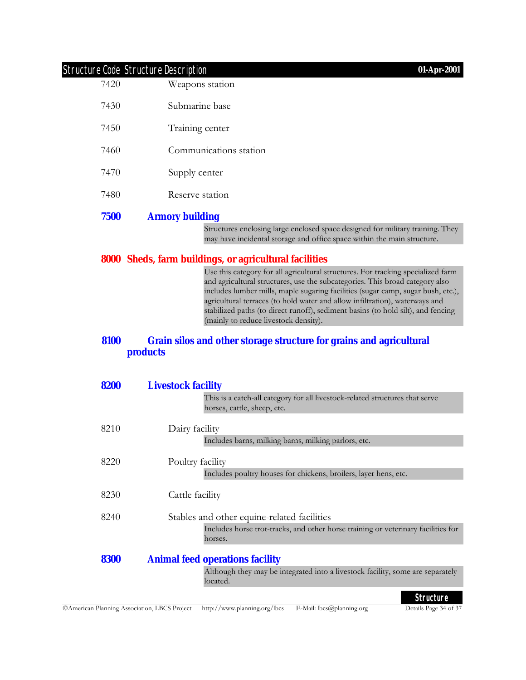| 7420         | Weapons station                                                                                                                                                                                                                                                                                                                                                                                                                                                  |
|--------------|------------------------------------------------------------------------------------------------------------------------------------------------------------------------------------------------------------------------------------------------------------------------------------------------------------------------------------------------------------------------------------------------------------------------------------------------------------------|
| 7430         | Submarine base                                                                                                                                                                                                                                                                                                                                                                                                                                                   |
| 7450         | Training center                                                                                                                                                                                                                                                                                                                                                                                                                                                  |
| 7460         | Communications station                                                                                                                                                                                                                                                                                                                                                                                                                                           |
| 7470         | Supply center                                                                                                                                                                                                                                                                                                                                                                                                                                                    |
| 7480         | Reserve station                                                                                                                                                                                                                                                                                                                                                                                                                                                  |
| 7500         | <b>Armory building</b>                                                                                                                                                                                                                                                                                                                                                                                                                                           |
|              | Structures enclosing large enclosed space designed for military training. They<br>may have incidental storage and office space within the main structure.                                                                                                                                                                                                                                                                                                        |
|              | 8000 Sheds, farm buildings, or agricultural facilities                                                                                                                                                                                                                                                                                                                                                                                                           |
|              | Use this category for all agricultural structures. For tracking specialized farm<br>and agricultural structures, use the subcategories. This broad category also<br>includes lumber mills, maple sugaring facilities (sugar camp, sugar bush, etc.),<br>agricultural terraces (to hold water and allow infiltration), waterways and<br>stabilized paths (to direct runoff), sediment basins (to hold silt), and fencing<br>(mainly to reduce livestock density). |
| 8100<br>8200 | Grain silos and other storage structure for grains and agricultural<br><b>products</b><br><b>Livestock facility</b>                                                                                                                                                                                                                                                                                                                                              |
|              | This is a catch-all category for all livestock-related structures that serve<br>horses, cattle, sheep, etc.                                                                                                                                                                                                                                                                                                                                                      |
| 8210         | Dairy facility                                                                                                                                                                                                                                                                                                                                                                                                                                                   |
|              | Includes barns, milking barns, milking parlors, etc.                                                                                                                                                                                                                                                                                                                                                                                                             |
| 8220         | Poultry facility<br>Includes poultry houses for chickens, broilers, layer hens, etc.                                                                                                                                                                                                                                                                                                                                                                             |
| 8230         | Cattle facility                                                                                                                                                                                                                                                                                                                                                                                                                                                  |
| 8240         | Stables and other equine-related facilities<br>Includes horse trot-tracks, and other horse training or veterinary facilities for                                                                                                                                                                                                                                                                                                                                 |
|              | horses.                                                                                                                                                                                                                                                                                                                                                                                                                                                          |
| 8300         | <b>Animal feed operations facility</b>                                                                                                                                                                                                                                                                                                                                                                                                                           |
|              | Although they may be integrated into a livestock facility, some are separately<br>located.                                                                                                                                                                                                                                                                                                                                                                       |
|              | <b>Structure</b>                                                                                                                                                                                                                                                                                                                                                                                                                                                 |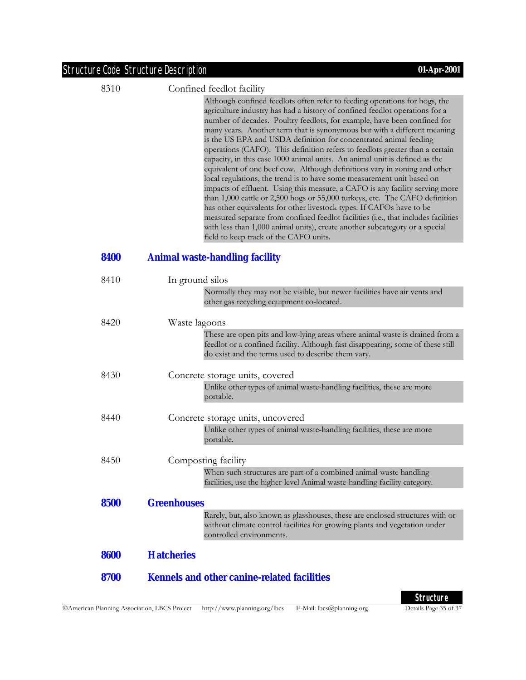8310 Confined feedlot facility

Although confined feedlots often refer to feeding operations for hogs, the agriculture industry has had a history of confined feedlot operations for a number of decades. Poultry feedlots, for example, have been confined for many years. Another term that is synonymous but with a different meaning is the US EPA and USDA definition for concentrated animal feeding operations (CAFO). This definition refers to feedlots greater than a certain capacity, in this case 1000 animal units. An animal unit is defined as the equivalent of one beef cow. Although definitions vary in zoning and other local regulations, the trend is to have some measurement unit based on impacts of effluent. Using this measure, a CAFO is any facility serving more than 1,000 cattle or 2,500 hogs or 55,000 turkeys, etc. The CAFO definition has other equivalents for other livestock types. If CAFOs have to be measured separate from confined feedlot facilities (i.e., that includes facilities with less than 1,000 animal units), create another subcategory or a special field to keep track of the CAFO units.

#### **8400 Animal waste-handling facility**

| 8410 | In ground silos                                                                                                                                                                                                       |
|------|-----------------------------------------------------------------------------------------------------------------------------------------------------------------------------------------------------------------------|
|      | Normally they may not be visible, but newer facilities have air vents and                                                                                                                                             |
|      | other gas recycling equipment co-located.                                                                                                                                                                             |
| 8420 | Waste lagoons                                                                                                                                                                                                         |
|      | These are open pits and low-lying areas where animal waste is drained from a<br>feedlot or a confined facility. Although fast disappearing, some of these still<br>do exist and the terms used to describe them vary. |
| 8430 | Concrete storage units, covered                                                                                                                                                                                       |
|      | Unlike other types of animal waste-handling facilities, these are more<br>portable.                                                                                                                                   |
| 8440 | Concrete storage units, uncovered                                                                                                                                                                                     |
|      | Unlike other types of animal waste-handling facilities, these are more<br>portable.                                                                                                                                   |
| 8450 | Composting facility                                                                                                                                                                                                   |
|      | When such structures are part of a combined animal-waste handling<br>facilities, use the higher-level Animal waste-handling facility category.                                                                        |
| 8500 | <b>Greenhouses</b>                                                                                                                                                                                                    |
|      | Rarely, but, also known as glasshouses, these are enclosed structures with or<br>without climate control facilities for growing plants and vegetation under<br>controlled environments.                               |
| 8600 | <b>Hatcheries</b>                                                                                                                                                                                                     |
| 8700 | <b>Kennels and other canine-related facilities</b>                                                                                                                                                                    |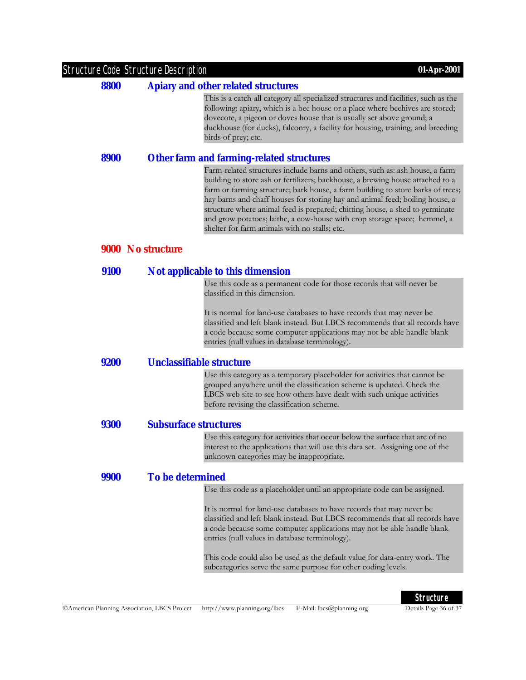| <b>Structure Code Structure Description</b> | 01-Apr-2001                                                                                                                                                                                                                                                                                                                                                                                                                                                                                                                                     |  |  |
|---------------------------------------------|-------------------------------------------------------------------------------------------------------------------------------------------------------------------------------------------------------------------------------------------------------------------------------------------------------------------------------------------------------------------------------------------------------------------------------------------------------------------------------------------------------------------------------------------------|--|--|
| 8800                                        | <b>Apiary and other related structures</b>                                                                                                                                                                                                                                                                                                                                                                                                                                                                                                      |  |  |
|                                             | This is a catch-all category all specialized structures and facilities, such as the<br>following: apiary, which is a bee house or a place where beehives are stored;<br>dovecote, a pigeon or doves house that is usually set above ground; a<br>duckhouse (for ducks), falconry, a facility for housing, training, and breeding<br>birds of prey; etc.                                                                                                                                                                                         |  |  |
| 8900                                        | <b>Other farm and farming-related structures</b>                                                                                                                                                                                                                                                                                                                                                                                                                                                                                                |  |  |
|                                             | Farm-related structures include barns and others, such as: ash house, a farm<br>building to store ash or fertilizers; backhouse, a brewing house attached to a<br>farm or farming structure; bark house, a farm building to store barks of trees;<br>hay barns and chaff houses for storing hay and animal feed; boiling house, a<br>structure where animal feed is prepared; chitting house, a shed to germinate<br>and grow potatoes; laithe, a cow-house with crop storage space; hemmel, a<br>shelter for farm animals with no stalls; etc. |  |  |
|                                             | 9000 No structure                                                                                                                                                                                                                                                                                                                                                                                                                                                                                                                               |  |  |
| 9100                                        | Not applicable to this dimension                                                                                                                                                                                                                                                                                                                                                                                                                                                                                                                |  |  |
|                                             | Use this code as a permanent code for those records that will never be<br>classified in this dimension.                                                                                                                                                                                                                                                                                                                                                                                                                                         |  |  |
|                                             | It is normal for land-use databases to have records that may never be<br>classified and left blank instead. But LBCS recommends that all records have<br>a code because some computer applications may not be able handle blank<br>entries (null values in database terminology).                                                                                                                                                                                                                                                               |  |  |
| 9200                                        | <b>Unclassifiable structure</b>                                                                                                                                                                                                                                                                                                                                                                                                                                                                                                                 |  |  |
|                                             | Use this category as a temporary placeholder for activities that cannot be<br>grouped anywhere until the classification scheme is updated. Check the<br>LBCS web site to see how others have dealt with such unique activities<br>before revising the classification scheme.                                                                                                                                                                                                                                                                    |  |  |
| <b>9300</b>                                 | <b>Subsurface structures</b>                                                                                                                                                                                                                                                                                                                                                                                                                                                                                                                    |  |  |
|                                             | Use this category for activities that occur below the surface that are of no<br>interest to the applications that will use this data set. Assigning one of the<br>unknown categories may be inappropriate.                                                                                                                                                                                                                                                                                                                                      |  |  |
| 9900                                        | <b>To be determined</b>                                                                                                                                                                                                                                                                                                                                                                                                                                                                                                                         |  |  |
|                                             | Use this code as a placeholder until an appropriate code can be assigned.                                                                                                                                                                                                                                                                                                                                                                                                                                                                       |  |  |
|                                             | It is normal for land-use databases to have records that may never be<br>classified and left blank instead. But LBCS recommends that all records have<br>a code because some computer applications may not be able handle blank<br>entries (null values in database terminology).                                                                                                                                                                                                                                                               |  |  |
|                                             | This code could also be used as the default value for data-entry work. The<br>subcategories serve the same purpose for other coding levels.                                                                                                                                                                                                                                                                                                                                                                                                     |  |  |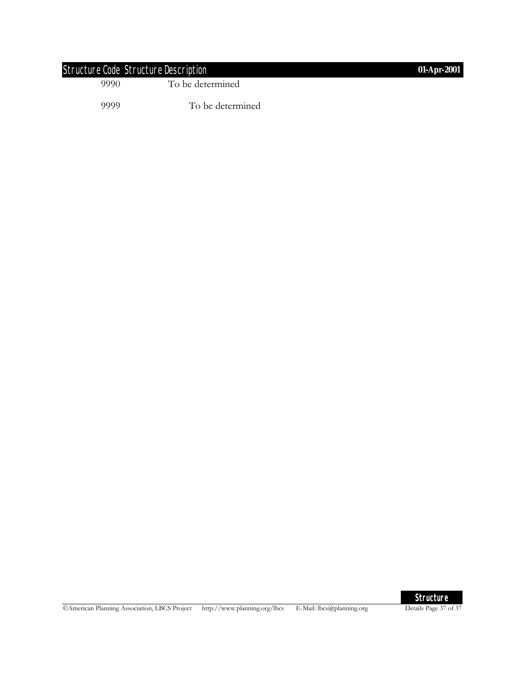| Structure Code Structure Description |                  | 01-Apr-2001 |
|--------------------------------------|------------------|-------------|
| 9990                                 | To be determined |             |
| 9999                                 | To be determined |             |

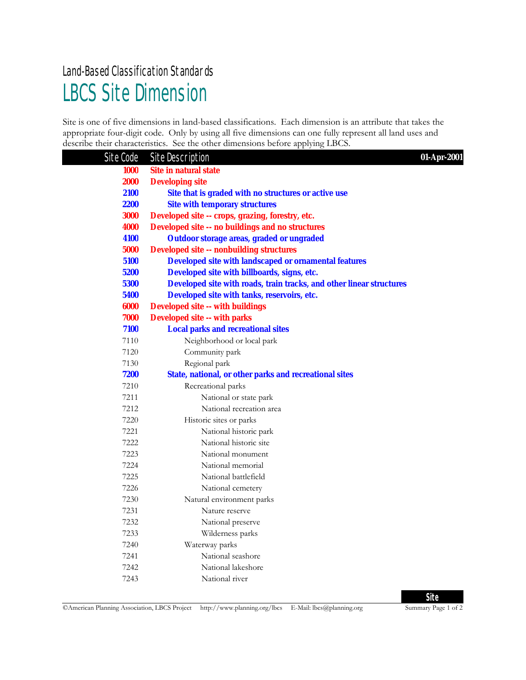## LBCS Site Dimension Land-Based Classification Standards

Site is one of five dimensions in land-based classifications. Each dimension is an attribute that takes the appropriate four-digit code. Only by using all five dimensions can one fully represent all land uses and describe their characteristics. See the other dimensions before applying LBCS.

| Site Code   | <b>Site Description</b>                                              | 01-Apr-2001 |
|-------------|----------------------------------------------------------------------|-------------|
| <b>1000</b> | Site in natural state                                                |             |
| <b>2000</b> | <b>Developing site</b>                                               |             |
| 2100        | Site that is graded with no structures or active use                 |             |
| 2200        | <b>Site with temporary structures</b>                                |             |
| 3000        | Developed site -- crops, grazing, forestry, etc.                     |             |
| 4000        | <b>Developed site -- no buildings and no structures</b>              |             |
| 4100        | Outdoor storage areas, graded or ungraded                            |             |
| 5000        | <b>Developed site -- nonbuilding structures</b>                      |             |
| 5100        | <b>Developed site with landscaped or ornamental features</b>         |             |
| 5200        | Developed site with billboards, signs, etc.                          |             |
| 5300        | Developed site with roads, train tracks, and other linear structures |             |
| 5400        | Developed site with tanks, reservoirs, etc.                          |             |
| 6000        | <b>Developed site -- with buildings</b>                              |             |
| 7000        | <b>Developed site -- with parks</b>                                  |             |
| 7100        | <b>Local parks and recreational sites</b>                            |             |
| 7110        | Neighborhood or local park                                           |             |
| 7120        | Community park                                                       |             |
| 7130        | Regional park                                                        |             |
| 7200        | <b>State, national, or other parks and recreational sites</b>        |             |
| 7210        | Recreational parks                                                   |             |
| 7211        | National or state park                                               |             |
| 7212        | National recreation area                                             |             |
| 7220        | Historic sites or parks                                              |             |
| 7221        | National historic park                                               |             |
| 7222        | National historic site                                               |             |
| 7223        | National monument                                                    |             |
| 7224        | National memorial                                                    |             |
| 7225        | National battlefield                                                 |             |
| 7226        | National cemetery                                                    |             |
| 7230        | Natural environment parks                                            |             |
| 7231        | Nature reserve                                                       |             |
| 7232        | National preserve                                                    |             |
| 7233        | Wilderness parks                                                     |             |
| 7240        | Waterway parks                                                       |             |
| 7241        | National seashore                                                    |             |
| 7242        | National lakeshore                                                   |             |
| 7243        | National river                                                       |             |

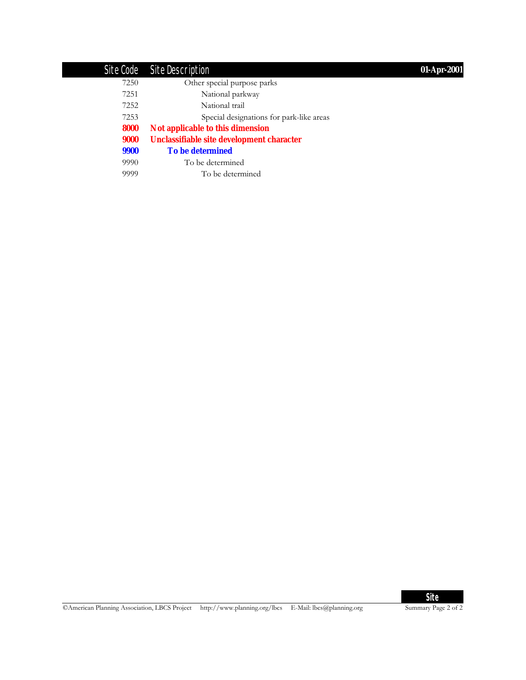## Site Code Site Description **01-Apr-2001**

| 7250 | Other special purpose parks               |
|------|-------------------------------------------|
| 7251 | National parkway                          |
| 7252 | National trail                            |
| 7253 | Special designations for park-like areas  |
| 8000 | Not applicable to this dimension          |
| 9000 | Unclassifiable site development character |
| 9900 | <b>To be determined</b>                   |
| 9990 | To be determined                          |
| 9999 | To be determined                          |

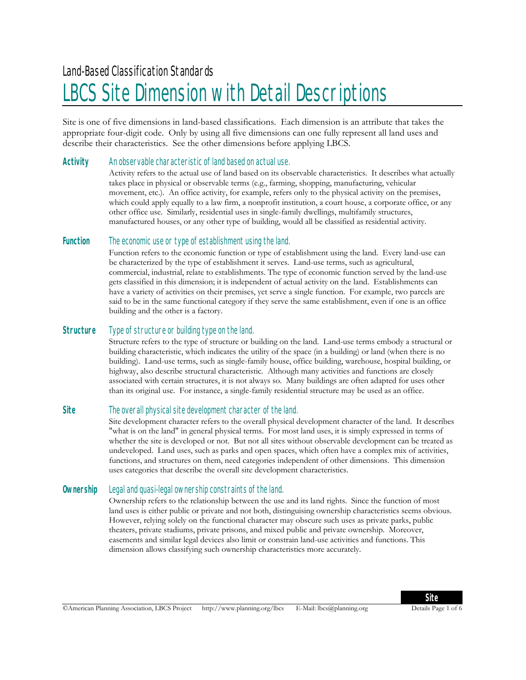# LBCS Site Dimension with Detail Descriptions

Site is one of five dimensions in land-based classifications. Each dimension is an attribute that takes the appropriate four-digit code. Only by using all five dimensions can one fully represent all land uses and describe their characteristics. See the other dimensions before applying LBCS.

#### **Activity** An observable characteristic of land based on actual use.

Activity refers to the actual use of land based on its observable characteristics. It describes what actually takes place in physical or observable terms (e.g., farming, shopping, manufacturing, vehicular movement, etc.). An office activity, for example, refers only to the physical activity on the premises, which could apply equally to a law firm, a nonprofit institution, a court house, a corporate office, or any other office use. Similarly, residential uses in single-family dwellings, multifamily structures, manufactured houses, or any other type of building, would all be classified as residential activity.

#### **Function** The economic use or type of establishment using the land.

Function refers to the economic function or type of establishment using the land. Every land-use can be characterized by the type of establishment it serves. Land-use terms, such as agricultural, commercial, industrial, relate to establishments. The type of economic function served by the land-use gets classified in this dimension; it is independent of actual activity on the land. Establishments can have a variety of activities on their premises, yet serve a single function. For example, two parcels are said to be in the same functional category if they serve the same establishment, even if one is an office building and the other is a factory.

#### **Structure** Type of structure or building type on the land.

Structure refers to the type of structure or building on the land. Land-use terms embody a structural or building characteristic, which indicates the utility of the space (in a building) or land (when there is no building). Land-use terms, such as single-family house, office building, warehouse, hospital building, or highway, also describe structural characteristic. Although many activities and functions are closely associated with certain structures, it is not always so. Many buildings are often adapted for uses other than its original use. For instance, a single-family residential structure may be used as an office.

#### **Site** The overall physical site development character of the land.

Site development character refers to the overall physical development character of the land. It describes "what is on the land" in general physical terms. For most land uses, it is simply expressed in terms of whether the site is developed or not. But not all sites without observable development can be treated as undeveloped. Land uses, such as parks and open spaces, which often have a complex mix of activities, functions, and structures on them, need categories independent of other dimensions. This dimension uses categories that describe the overall site development characteristics.

#### **Ownership** Legal and quasi-legal ownership constraints of the land.

Ownership refers to the relationship between the use and its land rights. Since the function of most land uses is either public or private and not both, distinguising ownership characteristics seems obvious. However, relying solely on the functional character may obscure such uses as private parks, public theaters, private stadiums, private prisons, and mixed public and private ownership. Moreover, easements and similar legal devices also limit or constrain land-use activities and functions. This dimension allows classifying such ownership characteristics more accurately.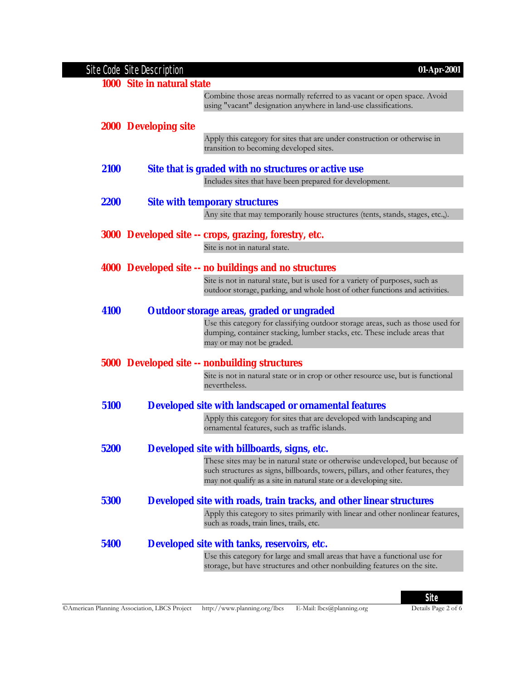|             | Site Code Site Description<br>01-Apr-2001                                                                                                                                                                                           |
|-------------|-------------------------------------------------------------------------------------------------------------------------------------------------------------------------------------------------------------------------------------|
|             | 1000 Site in natural state                                                                                                                                                                                                          |
|             | Combine those areas normally referred to as vacant or open space. Avoid<br>using "vacant" designation anywhere in land-use classifications.                                                                                         |
|             | <b>2000</b> Developing site                                                                                                                                                                                                         |
|             | Apply this category for sites that are under construction or otherwise in<br>transition to becoming developed sites.                                                                                                                |
| 2100        | Site that is graded with no structures or active use                                                                                                                                                                                |
|             | Includes sites that have been prepared for development.                                                                                                                                                                             |
| <b>2200</b> | <b>Site with temporary structures</b>                                                                                                                                                                                               |
|             | Any site that may temporarily house structures (tents, stands, stages, etc.,).                                                                                                                                                      |
|             | 3000 Developed site -- crops, grazing, forestry, etc.                                                                                                                                                                               |
|             | Site is not in natural state.                                                                                                                                                                                                       |
|             |                                                                                                                                                                                                                                     |
|             | 4000 Developed site -- no buildings and no structures                                                                                                                                                                               |
|             | Site is not in natural state, but is used for a variety of purposes, such as<br>outdoor storage, parking, and whole host of other functions and activities.                                                                         |
| 4100        | Outdoor storage areas, graded or ungraded                                                                                                                                                                                           |
|             | Use this category for classifying outdoor storage areas, such as those used for<br>dumping, container stacking, lumber stacks, etc. These include areas that<br>may or may not be graded.                                           |
|             | <b>5000 Developed site -- nonbuilding structures</b>                                                                                                                                                                                |
|             | Site is not in natural state or in crop or other resource use, but is functional<br>nevertheless.                                                                                                                                   |
| 5100        | <b>Developed site with landscaped or ornamental features</b>                                                                                                                                                                        |
|             | Apply this category for sites that are developed with landscaping and<br>ornamental features, such as traffic islands.                                                                                                              |
|             |                                                                                                                                                                                                                                     |
| 5200        | Developed site with billboards, signs, etc.                                                                                                                                                                                         |
|             | These sites may be in natural state or otherwise undeveloped, but because of<br>such structures as signs, billboards, towers, pillars, and other features, they<br>may not qualify as a site in natural state or a developing site. |
| 5300        | Developed site with roads, train tracks, and other linear structures                                                                                                                                                                |
|             | Apply this category to sites primarily with linear and other nonlinear features,<br>such as roads, train lines, trails, etc.                                                                                                        |
| 5400        | Developed site with tanks, reservoirs, etc.                                                                                                                                                                                         |
|             | Use this category for large and small areas that have a functional use for<br>storage, but have structures and other nonbuilding features on the site.                                                                              |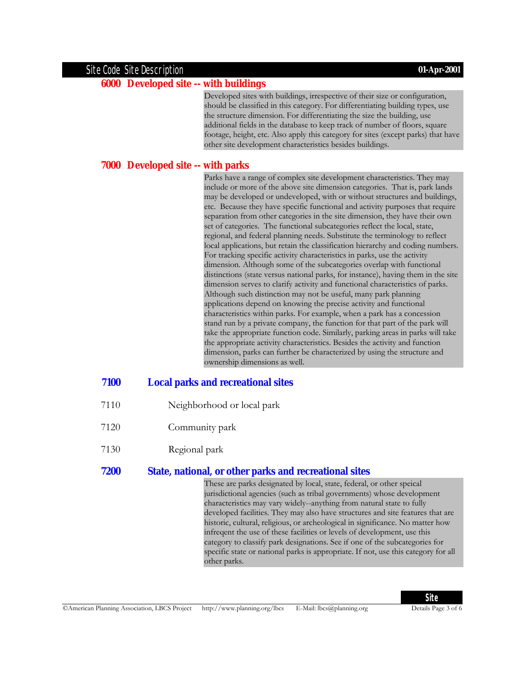#### Site Code Site Description **01-Apr-2001**

#### **6000 Developed site -- with buildings**

Developed sites with buildings, irrespective of their size or configuration, should be classified in this category. For differentiating building types, use the structure dimension. For differentiating the size the building, use additional fields in the database to keep track of number of floors, square footage, height, etc. Also apply this category for sites (except parks) that have other site development characteristics besides buildings.

#### **7000 Developed site -- with parks**

Parks have a range of complex site development characteristics. They may include or more of the above site dimension categories. That is, park lands may be developed or undeveloped, with or without structures and buildings, etc. Because they have specific functional and activity purposes that require separation from other categories in the site dimension, they have their own set of categories. The functional subcategories reflect the local, state, regional, and federal planning needs. Substitute the terminology to reflect local applications, but retain the classification hierarchy and coding numbers. For tracking specific activity characteristics in parks, use the activity dimension. Although some of the subcategories overlap with functional distinctions (state versus national parks, for instance), having them in the site dimension serves to clarify activity and functional characteristics of parks. Although such distinction may not be useful, many park planning applications depend on knowing the precise activity and functional characteristics within parks. For example, when a park has a concession stand run by a private company, the function for that part of the park will take the appropriate function code. Similarly, parking areas in parks will take the appropriate activity characteristics. Besides the activity and function dimension, parks can further be characterized by using the structure and ownership dimensions as well.

#### **7100 Local parks and recreational sites**

- 7110 Neighborhood or local park
- 7120 Community park
- 7130 Regional park

#### **7200 State, national, or other parks and recreational sites**

These are parks designated by local, state, federal, or other speical jurisdictional agencies (such as tribal governments) whose development characteristics may vary widely--anything from natural state to fully developed facilities. They may also have structures and site features that are historic, cultural, religious, or archeological in significance. No matter how infreqent the use of these facilities or levels of development, use this category to classify park designations. See if one of the subcategories for specific state or national parks is appropriate. If not, use this category for all other parks.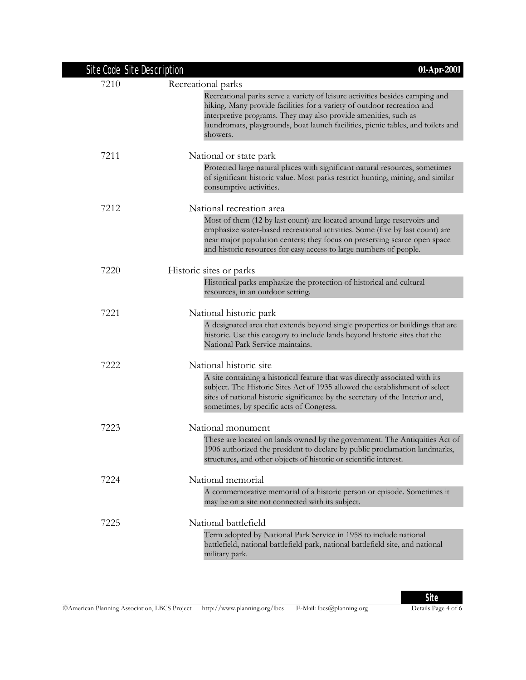| Site Code Site Description | 01-Apr-2001                                                                                                                                                                                                                                                                                                                |
|----------------------------|----------------------------------------------------------------------------------------------------------------------------------------------------------------------------------------------------------------------------------------------------------------------------------------------------------------------------|
| 7210                       | Recreational parks                                                                                                                                                                                                                                                                                                         |
|                            | Recreational parks serve a variety of leisure activities besides camping and<br>hiking. Many provide facilities for a variety of outdoor recreation and<br>interpretive programs. They may also provide amenities, such as<br>laundromats, playgrounds, boat launch facilities, picnic tables, and toilets and<br>showers. |
| 7211                       | National or state park                                                                                                                                                                                                                                                                                                     |
|                            | Protected large natural places with significant natural resources, sometimes<br>of significant historic value. Most parks restrict hunting, mining, and similar<br>consumptive activities.                                                                                                                                 |
| 7212                       | National recreation area                                                                                                                                                                                                                                                                                                   |
|                            | Most of them (12 by last count) are located around large reservoirs and<br>emphasize water-based recreational activities. Some (five by last count) are<br>near major population centers; they focus on preserving scarce open space<br>and historic resources for easy access to large numbers of people.                 |
| 7220                       | Historic sites or parks                                                                                                                                                                                                                                                                                                    |
|                            | Historical parks emphasize the protection of historical and cultural<br>resources, in an outdoor setting.                                                                                                                                                                                                                  |
| 7221                       | National historic park                                                                                                                                                                                                                                                                                                     |
|                            | A designated area that extends beyond single properties or buildings that are<br>historic. Use this category to include lands beyond historic sites that the<br>National Park Service maintains.                                                                                                                           |
| 7222                       | National historic site                                                                                                                                                                                                                                                                                                     |
|                            | A site containing a historical feature that was directly associated with its<br>subject. The Historic Sites Act of 1935 allowed the establishment of select<br>sites of national historic significance by the secretary of the Interior and,<br>sometimes, by specific acts of Congress.                                   |
| 7223                       | National monument                                                                                                                                                                                                                                                                                                          |
|                            | These are located on lands owned by the government. The Antiquities Act of<br>1906 authorized the president to declare by public proclamation landmarks,<br>structures, and other objects of historic or scientific interest.                                                                                              |
| 7224                       | National memorial                                                                                                                                                                                                                                                                                                          |
|                            | A commemorative memorial of a historic person or episode. Sometimes it<br>may be on a site not connected with its subject.                                                                                                                                                                                                 |
| 7225                       | National battlefield                                                                                                                                                                                                                                                                                                       |
|                            | Term adopted by National Park Service in 1958 to include national<br>battlefield, national battlefield park, national battlefield site, and national<br>military park.                                                                                                                                                     |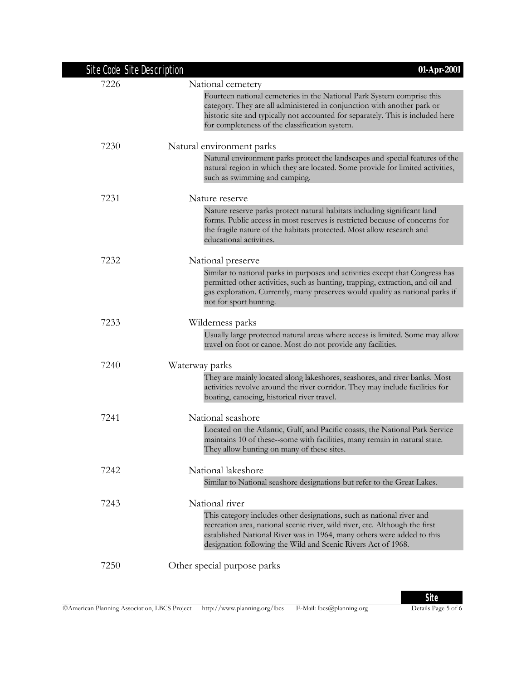| Site Code Site Description | 01-Apr-2001                                                                                                                                                                                                                                                                                     |
|----------------------------|-------------------------------------------------------------------------------------------------------------------------------------------------------------------------------------------------------------------------------------------------------------------------------------------------|
| 7226                       | National cemetery                                                                                                                                                                                                                                                                               |
|                            | Fourteen national cemeteries in the National Park System comprise this<br>category. They are all administered in conjunction with another park or<br>historic site and typically not accounted for separately. This is included here<br>for completeness of the classification system.          |
| 7230                       | Natural environment parks                                                                                                                                                                                                                                                                       |
|                            | Natural environment parks protect the landscapes and special features of the<br>natural region in which they are located. Some provide for limited activities,<br>such as swimming and camping.                                                                                                 |
| 7231                       | Nature reserve                                                                                                                                                                                                                                                                                  |
|                            | Nature reserve parks protect natural habitats including significant land<br>forms. Public access in most reserves is restricted because of concerns for<br>the fragile nature of the habitats protected. Most allow research and<br>educational activities.                                     |
| 7232                       | National preserve                                                                                                                                                                                                                                                                               |
|                            | Similar to national parks in purposes and activities except that Congress has<br>permitted other activities, such as hunting, trapping, extraction, and oil and<br>gas exploration. Currently, many preserves would qualify as national parks if<br>not for sport hunting.                      |
| 7233                       | Wilderness parks                                                                                                                                                                                                                                                                                |
|                            | Usually large protected natural areas where access is limited. Some may allow<br>travel on foot or canoe. Most do not provide any facilities.                                                                                                                                                   |
| 7240                       | Waterway parks                                                                                                                                                                                                                                                                                  |
|                            | They are mainly located along lakeshores, seashores, and river banks. Most<br>activities revolve around the river corridor. They may include facilities for<br>boating, canoeing, historical river travel.                                                                                      |
| 7241                       | National seashore                                                                                                                                                                                                                                                                               |
|                            | Located on the Atlantic, Gulf, and Pacific coasts, the National Park Service<br>maintains 10 of these-some with facilities, many remain in natural state.<br>They allow hunting on many of these sites.                                                                                         |
| 7242                       | National lakeshore                                                                                                                                                                                                                                                                              |
|                            | Similar to National seashore designations but refer to the Great Lakes.                                                                                                                                                                                                                         |
| 7243                       | National river                                                                                                                                                                                                                                                                                  |
|                            | This category includes other designations, such as national river and<br>recreation area, national scenic river, wild river, etc. Although the first<br>established National River was in 1964, many others were added to this<br>designation following the Wild and Scenic Rivers Act of 1968. |
| 7250                       | Other special purpose parks                                                                                                                                                                                                                                                                     |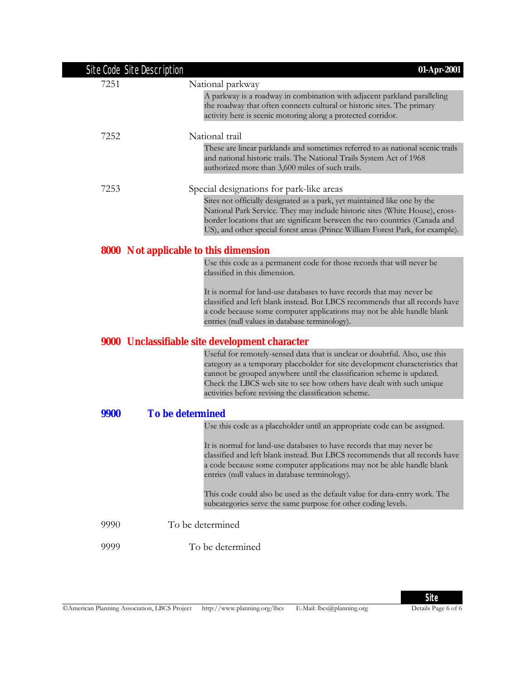| Site Code Site Description | 01-Apr-2001                                                                                                                                                                                                                                                                                                                                                              |
|----------------------------|--------------------------------------------------------------------------------------------------------------------------------------------------------------------------------------------------------------------------------------------------------------------------------------------------------------------------------------------------------------------------|
| 7251                       | National parkway                                                                                                                                                                                                                                                                                                                                                         |
|                            | A parkway is a roadway in combination with adjacent parkland paralleling<br>the roadway that often connects cultural or historic sites. The primary<br>activity here is scenic motoring along a protected corridor.                                                                                                                                                      |
| 7252                       | National trail                                                                                                                                                                                                                                                                                                                                                           |
|                            | These are linear parklands and sometimes referred to as national scenic trails<br>and national historic trails. The National Trails System Act of 1968<br>authorized more than 3,600 miles of such trails.                                                                                                                                                               |
| 7253                       | Special designations for park-like areas                                                                                                                                                                                                                                                                                                                                 |
|                            | Sites not officially designated as a park, yet maintained like one by the<br>National Park Service. They may include historic sites (White House), cross-<br>border locations that are significant between the two countries (Canada and<br>US), and other special forest areas (Prince William Forest Park, for example).                                               |
|                            | <b>8000</b> Not applicable to this dimension                                                                                                                                                                                                                                                                                                                             |
|                            | Use this code as a permanent code for those records that will never be<br>classified in this dimension.                                                                                                                                                                                                                                                                  |
|                            | It is normal for land-use databases to have records that may never be<br>classified and left blank instead. But LBCS recommends that all records have<br>a code because some computer applications may not be able handle blank<br>entries (null values in database terminology).                                                                                        |
|                            | <b>9000</b> Unclassifiable site development character                                                                                                                                                                                                                                                                                                                    |
|                            | Useful for remotely-sensed data that is unclear or doubtful. Also, use this<br>category as a temporary placeholder for site development characteristics that<br>cannot be grouped anywhere until the classification scheme is updated.<br>Check the LBCS web site to see how others have dealt with such unique<br>activities before revising the classification scheme. |
| 9900                       | <b>To be determined</b>                                                                                                                                                                                                                                                                                                                                                  |
|                            | Use this code as a placeholder until an appropriate code can be assigned.                                                                                                                                                                                                                                                                                                |
|                            | It is normal for land-use databases to have records that may never be<br>classified and left blank instead. But LBCS recommends that all records have<br>a code because some computer applications may not be able handle blank<br>entries (null values in database terminology).                                                                                        |
|                            | This code could also be used as the default value for data-entry work. The<br>subcategories serve the same purpose for other coding levels.                                                                                                                                                                                                                              |
| 9990                       | To be determined                                                                                                                                                                                                                                                                                                                                                         |
| 9999                       | To be determined                                                                                                                                                                                                                                                                                                                                                         |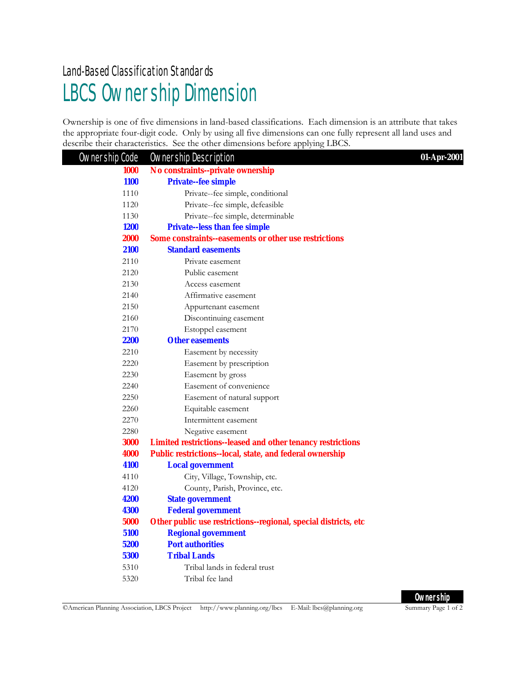### LBCS Ownership Dimension Land-Based Classification Standards

Ownership is one of five dimensions in land-based classifications. Each dimension is an attribute that takes the appropriate four-digit code. Only by using all five dimensions can one fully represent all land uses and describe their characteristics. See the other dimensions before applying LBCS.

| Ownership Code | <b>Ownership Description</b>                                       | 01-Apr-2001 |
|----------------|--------------------------------------------------------------------|-------------|
| <b>1000</b>    | No constraints--private ownership                                  |             |
| <b>1100</b>    | <b>Private-fee simple</b>                                          |             |
| 1110           | Private--fee simple, conditional                                   |             |
| 1120           | Private--fee simple, defeasible                                    |             |
| 1130           | Private--fee simple, determinable                                  |             |
| <b>1200</b>    | <b>Private-less than fee simple</b>                                |             |
| <b>2000</b>    | <b>Some constraints--easements or other use restrictions</b>       |             |
| 2100           | <b>Standard easements</b>                                          |             |
| 2110           | Private easement                                                   |             |
| 2120           | Public easement                                                    |             |
| 2130           | Access easement                                                    |             |
| 2140           | Affirmative easement                                               |             |
| 2150           | Appurtenant easement                                               |             |
| 2160           | Discontinuing easement                                             |             |
| 2170           | Estoppel easement                                                  |             |
| <b>2200</b>    | <b>Other easements</b>                                             |             |
| 2210           | Easement by necessity                                              |             |
| 2220           | Easement by prescription                                           |             |
| 2230           | Easement by gross                                                  |             |
| 2240           | Easement of convenience                                            |             |
| 2250           | Easement of natural support                                        |             |
| 2260           | Equitable easement                                                 |             |
| 2270           | Intermittent easement                                              |             |
| 2280           | Negative easement                                                  |             |
| 3000           | <b>Limited restrictions--leased and other tenancy restrictions</b> |             |
| 4000           | Public restrictions--local, state, and federal ownership           |             |
| 4100           | <b>Local government</b>                                            |             |
| 4110           | City, Village, Township, etc.                                      |             |
| 4120           | County, Parish, Province, etc.                                     |             |
| 4200           | <b>State government</b>                                            |             |
| <b>4300</b>    | <b>Federal government</b>                                          |             |
| 5000           | Other public use restrictions-regional, special districts, etc     |             |
| 5100           | <b>Regional government</b>                                         |             |
| 5200           | <b>Port authorities</b>                                            |             |
| <b>5300</b>    | <b>Tribal Lands</b>                                                |             |
| 5310           | Tribal lands in federal trust                                      |             |
| 5320           | Tribal fee land                                                    |             |

**Ownership**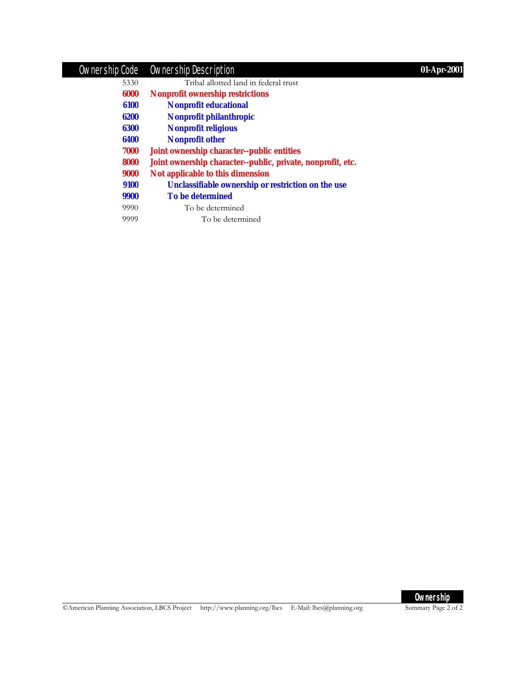### Ownership Code Ownership Description **01-Apr-2001**

| 5330 | Tribal allotted land in federal trust                       |
|------|-------------------------------------------------------------|
| 6000 | <b>Nonprofit ownership restrictions</b>                     |
| 6100 | <b>Nonprofit educational</b>                                |
| 6200 | Nonprofit philanthropic                                     |
| 6300 | <b>Nonprofit religious</b>                                  |
| 6400 | <b>Nonprofit other</b>                                      |
| 7000 | Joint ownership character--public entities                  |
| 8000 | Joint ownership character--public, private, nonprofit, etc. |
| 9000 | Not applicable to this dimension                            |
| 9100 | Unclassifiable ownership or restriction on the use          |
| 9900 | <b>To be determined</b>                                     |
| 9990 | To be determined                                            |
| 9999 | To be determined                                            |

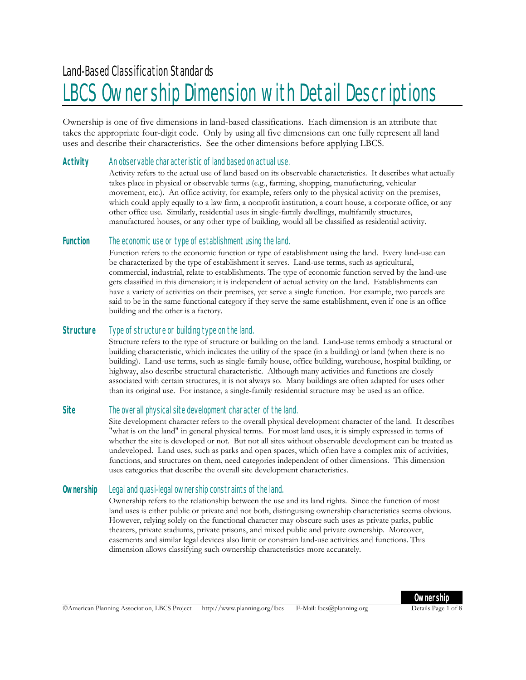### LBCS Ownership Dimension with Detail Descriptions

Ownership is one of five dimensions in land-based classifications. Each dimension is an attribute that takes the appropriate four-digit code. Only by using all five dimensions can one fully represent all land uses and describe their characteristics. See the other dimensions before applying LBCS.

#### **Activity** An observable characteristic of land based on actual use.

Activity refers to the actual use of land based on its observable characteristics. It describes what actually takes place in physical or observable terms (e.g., farming, shopping, manufacturing, vehicular movement, etc.). An office activity, for example, refers only to the physical activity on the premises, which could apply equally to a law firm, a nonprofit institution, a court house, a corporate office, or any other office use. Similarly, residential uses in single-family dwellings, multifamily structures, manufactured houses, or any other type of building, would all be classified as residential activity.

#### **Function** The economic use or type of establishment using the land.

Function refers to the economic function or type of establishment using the land. Every land-use can be characterized by the type of establishment it serves. Land-use terms, such as agricultural, commercial, industrial, relate to establishments. The type of economic function served by the land-use gets classified in this dimension; it is independent of actual activity on the land. Establishments can have a variety of activities on their premises, yet serve a single function. For example, two parcels are said to be in the same functional category if they serve the same establishment, even if one is an office building and the other is a factory.

#### **Structure** Type of structure or building type on the land.

Structure refers to the type of structure or building on the land. Land-use terms embody a structural or building characteristic, which indicates the utility of the space (in a building) or land (when there is no building). Land-use terms, such as single-family house, office building, warehouse, hospital building, or highway, also describe structural characteristic. Although many activities and functions are closely associated with certain structures, it is not always so. Many buildings are often adapted for uses other than its original use. For instance, a single-family residential structure may be used as an office.

#### **Site** The overall physical site development character of the land.

Site development character refers to the overall physical development character of the land. It describes "what is on the land" in general physical terms. For most land uses, it is simply expressed in terms of whether the site is developed or not. But not all sites without observable development can be treated as undeveloped. Land uses, such as parks and open spaces, which often have a complex mix of activities, functions, and structures on them, need categories independent of other dimensions. This dimension uses categories that describe the overall site development characteristics.

#### **Ownership** Legal and quasi-legal ownership constraints of the land.

Ownership refers to the relationship between the use and its land rights. Since the function of most land uses is either public or private and not both, distinguising ownership characteristics seems obvious. However, relying solely on the functional character may obscure such uses as private parks, public theaters, private stadiums, private prisons, and mixed public and private ownership. Moreover, easements and similar legal devices also limit or constrain land-use activities and functions. This dimension allows classifying such ownership characteristics more accurately.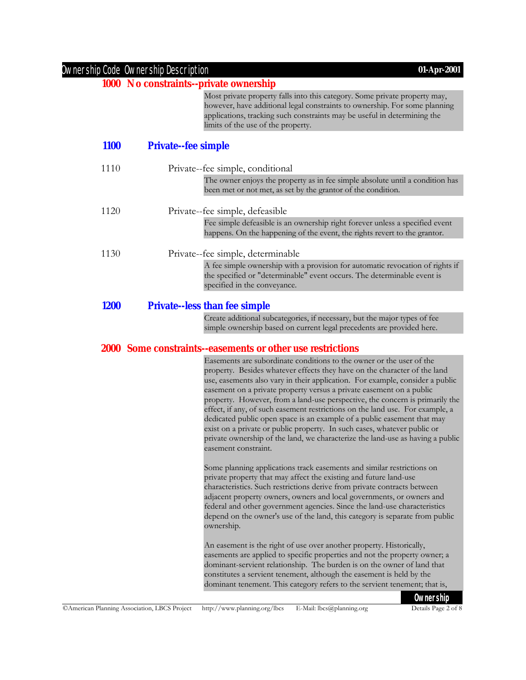|             | Ownership Code Ownership Description   | 01-Apr-2001                                                                                                                                                                                                                                                                                                                                                                                                                                                                                                                                                                                                                                                          |
|-------------|----------------------------------------|----------------------------------------------------------------------------------------------------------------------------------------------------------------------------------------------------------------------------------------------------------------------------------------------------------------------------------------------------------------------------------------------------------------------------------------------------------------------------------------------------------------------------------------------------------------------------------------------------------------------------------------------------------------------|
|             | 1000 No constraints--private ownership |                                                                                                                                                                                                                                                                                                                                                                                                                                                                                                                                                                                                                                                                      |
|             |                                        | Most private property falls into this category. Some private property may,<br>however, have additional legal constraints to ownership. For some planning<br>applications, tracking such constraints may be useful in determining the<br>limits of the use of the property.                                                                                                                                                                                                                                                                                                                                                                                           |
| <b>1100</b> | <b>Private--fee simple</b>             |                                                                                                                                                                                                                                                                                                                                                                                                                                                                                                                                                                                                                                                                      |
| 1110        |                                        | Private-fee simple, conditional                                                                                                                                                                                                                                                                                                                                                                                                                                                                                                                                                                                                                                      |
|             |                                        | The owner enjoys the property as in fee simple absolute until a condition has<br>been met or not met, as set by the grantor of the condition.                                                                                                                                                                                                                                                                                                                                                                                                                                                                                                                        |
| 1120        |                                        | Private-fee simple, defeasible                                                                                                                                                                                                                                                                                                                                                                                                                                                                                                                                                                                                                                       |
|             |                                        | Fee simple defeasible is an ownership right forever unless a specified event<br>happens. On the happening of the event, the rights revert to the grantor.                                                                                                                                                                                                                                                                                                                                                                                                                                                                                                            |
| 1130        |                                        | Private-fee simple, determinable                                                                                                                                                                                                                                                                                                                                                                                                                                                                                                                                                                                                                                     |
|             |                                        | A fee simple ownership with a provision for automatic revocation of rights if<br>the specified or "determinable" event occurs. The determinable event is<br>specified in the conveyance.                                                                                                                                                                                                                                                                                                                                                                                                                                                                             |
| <b>1200</b> |                                        | <b>Private-less than fee simple</b>                                                                                                                                                                                                                                                                                                                                                                                                                                                                                                                                                                                                                                  |
|             |                                        | Create additional subcategories, if necessary, but the major types of fee<br>simple ownership based on current legal precedents are provided here.                                                                                                                                                                                                                                                                                                                                                                                                                                                                                                                   |
|             |                                        | 2000 Some constraints-easements or other use restrictions                                                                                                                                                                                                                                                                                                                                                                                                                                                                                                                                                                                                            |
|             |                                        | Easements are subordinate conditions to the owner or the user of the                                                                                                                                                                                                                                                                                                                                                                                                                                                                                                                                                                                                 |
|             |                                        | property. Besides whatever effects they have on the character of the land<br>use, easements also vary in their application. For example, consider a public<br>easement on a private property versus a private easement on a public<br>property. However, from a land-use perspective, the concern is primarily the<br>effect, if any, of such easement restrictions on the land use. For example, a<br>dedicated public open space is an example of a public easement that may<br>exist on a private or public property. In such cases, whatever public or<br>private ownership of the land, we characterize the land-use as having a public<br>easement constraint. |
|             |                                        | Some planning applications track easements and similar restrictions on<br>private property that may affect the existing and future land-use<br>characteristics. Such restrictions derive from private contracts between<br>adjacent property owners, owners and local governments, or owners and<br>federal and other government agencies. Since the land-use characteristics<br>depend on the owner's use of the land, this category is separate from public<br>ownership.                                                                                                                                                                                          |
|             |                                        | An easement is the right of use over another property. Historically,<br>easements are applied to specific properties and not the property owner; a<br>dominant-servient relationship. The burden is on the owner of land that<br>constitutes a servient tenement, although the easement is held by the<br>dominant tenement. This category refers to the servient tenement; that is,                                                                                                                                                                                                                                                                                 |

**Ownership**<br>Details Page 2 of 8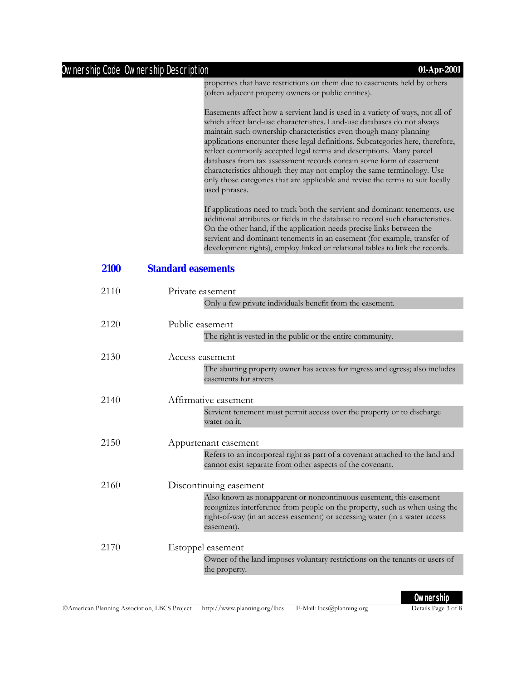#### Ownership Code Ownership Description **01-Apr-2001**

properties that have restrictions on them due to easements held by others (often adjacent property owners or public entities).

Easements affect how a servient land is used in a variety of ways, not all of which affect land-use characteristics. Land-use databases do not always maintain such ownership characteristics even though many planning applications encounter these legal definitions. Subcategories here, therefore, reflect commonly accepted legal terms and descriptions. Many parcel databases from tax assessment records contain some form of easement characteristics although they may not employ the same terminology. Use only those categories that are applicable and revise the terms to suit locally used phrases.

If applications need to track both the servient and dominant tenements, use additional attributes or fields in the database to record such characteristics. On the other hand, if the application needs precise links between the servient and dominant tenements in an easement (for example, transfer of development rights), employ linked or relational tables to link the records.

#### **2100 Standard easements**

| 2110 | Private easement                                                                                                                                                                                                                              |
|------|-----------------------------------------------------------------------------------------------------------------------------------------------------------------------------------------------------------------------------------------------|
|      | Only a few private individuals benefit from the easement.                                                                                                                                                                                     |
| 2120 | Public easement                                                                                                                                                                                                                               |
|      | The right is vested in the public or the entire community.                                                                                                                                                                                    |
| 2130 | Access easement                                                                                                                                                                                                                               |
|      | The abutting property owner has access for ingress and egress; also includes<br>easements for streets                                                                                                                                         |
| 2140 | Affirmative easement                                                                                                                                                                                                                          |
|      | Servient tenement must permit access over the property or to discharge<br>water on it.                                                                                                                                                        |
| 2150 | Appurtenant easement                                                                                                                                                                                                                          |
|      | Refers to an incorporeal right as part of a covenant attached to the land and<br>cannot exist separate from other aspects of the covenant.                                                                                                    |
| 2160 | Discontinuing easement                                                                                                                                                                                                                        |
|      | Also known as nonapparent or noncontinuous easement, this easement<br>recognizes interference from people on the property, such as when using the<br>right-of-way (in an access easement) or accessing water (in a water access<br>easement). |
| 2170 | Estoppel easement                                                                                                                                                                                                                             |
|      | Owner of the land imposes voluntary restrictions on the tenants or users of<br>the property.                                                                                                                                                  |
|      |                                                                                                                                                                                                                                               |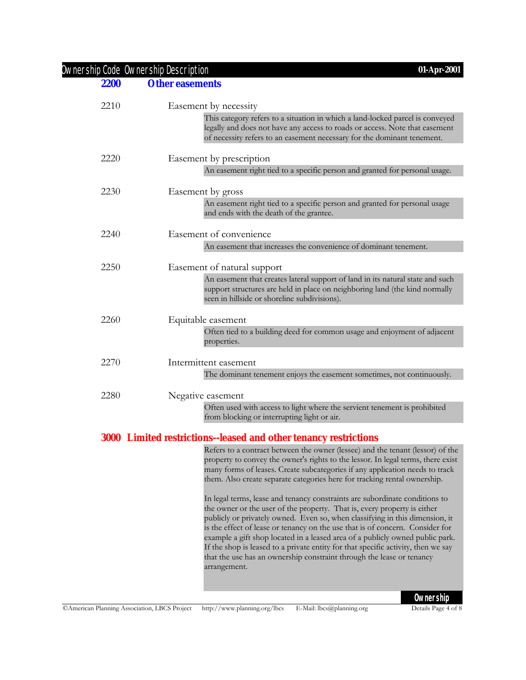#### Ownership Code Ownership Description **01-Apr-2001**

#### **2200 Other easements**

| 2210 | Easement by necessity<br>This category refers to a situation in which a land-locked parcel is conveyed<br>legally and does not have any access to roads or access. Note that easement<br>of necessity refers to an easement necessary for the dominant tenement.                                                                                                                                                                                                                                                                                                           |
|------|----------------------------------------------------------------------------------------------------------------------------------------------------------------------------------------------------------------------------------------------------------------------------------------------------------------------------------------------------------------------------------------------------------------------------------------------------------------------------------------------------------------------------------------------------------------------------|
| 2220 | Easement by prescription                                                                                                                                                                                                                                                                                                                                                                                                                                                                                                                                                   |
|      | An easement right tied to a specific person and granted for personal usage.                                                                                                                                                                                                                                                                                                                                                                                                                                                                                                |
| 2230 | Easement by gross                                                                                                                                                                                                                                                                                                                                                                                                                                                                                                                                                          |
|      | An easement right tied to a specific person and granted for personal usage<br>and ends with the death of the grantee.                                                                                                                                                                                                                                                                                                                                                                                                                                                      |
| 2240 | Easement of convenience                                                                                                                                                                                                                                                                                                                                                                                                                                                                                                                                                    |
|      | An easement that increases the convenience of dominant tenement.                                                                                                                                                                                                                                                                                                                                                                                                                                                                                                           |
| 2250 | Easement of natural support                                                                                                                                                                                                                                                                                                                                                                                                                                                                                                                                                |
|      | An easement that creates lateral support of land in its natural state and such<br>support structures are held in place on neighboring land (the kind normally<br>seen in hillside or shoreline subdivisions).                                                                                                                                                                                                                                                                                                                                                              |
| 2260 | Equitable easement                                                                                                                                                                                                                                                                                                                                                                                                                                                                                                                                                         |
|      | Often tied to a building deed for common usage and enjoyment of adjacent<br>properties.                                                                                                                                                                                                                                                                                                                                                                                                                                                                                    |
| 2270 | Intermittent easement                                                                                                                                                                                                                                                                                                                                                                                                                                                                                                                                                      |
|      | The dominant tenement enjoys the easement sometimes, not continuously.                                                                                                                                                                                                                                                                                                                                                                                                                                                                                                     |
| 2280 | Negative easement                                                                                                                                                                                                                                                                                                                                                                                                                                                                                                                                                          |
|      | Often used with access to light where the servient tenement is prohibited<br>from blocking or interrupting light or air.                                                                                                                                                                                                                                                                                                                                                                                                                                                   |
|      | 3000 Limited restrictions--leased and other tenancy restrictions                                                                                                                                                                                                                                                                                                                                                                                                                                                                                                           |
|      | Refers to a contract between the owner (lessee) and the tenant (lessor) of the<br>property to convey the owner's rights to the lessor. In legal terms, there exist<br>many forms of leases. Create subcategories if any application needs to track<br>them. Also create separate categories here for tracking rental ownership.<br>In legal terms, lease and tenancy constraints are subordinate conditions to<br>the owner or the user of the property. That is, every property is either<br>publicly or privately owned. Even so, when classifying in this dimension, it |

is the effect of lease or tenancy on the use that is of concern. Consider for example a gift shop located in a leased area of a publicly owned public park. If the shop is leased to a private entity for that specific activity, then we say that the use has an ownership constraint through the lease or tenancy

arrangement.

**Ownership**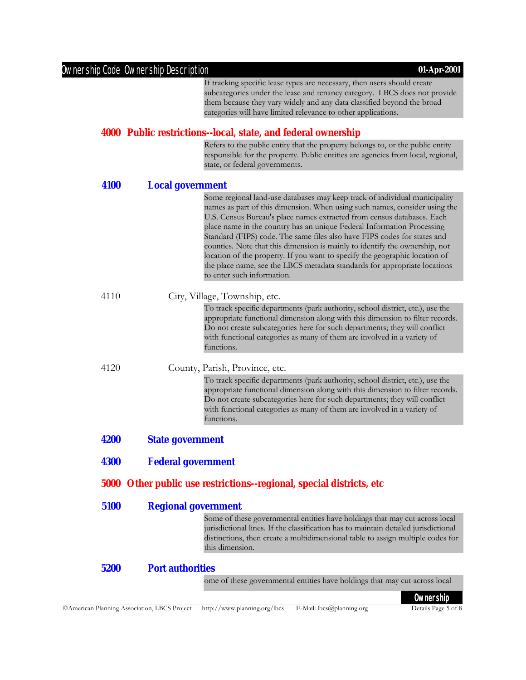|             | Ownership Code Ownership Description | 01-Apr-2001                                                                                                                                                                                                                                                                                                                           |
|-------------|--------------------------------------|---------------------------------------------------------------------------------------------------------------------------------------------------------------------------------------------------------------------------------------------------------------------------------------------------------------------------------------|
|             |                                      | If tracking specific lease types are necessary, then users should create                                                                                                                                                                                                                                                              |
|             |                                      | subcategories under the lease and tenancy category. LBCS does not provide                                                                                                                                                                                                                                                             |
|             |                                      | them because they vary widely and any data classified beyond the broad                                                                                                                                                                                                                                                                |
|             |                                      | categories will have limited relevance to other applications.                                                                                                                                                                                                                                                                         |
|             |                                      | 4000 Public restrictions--local, state, and federal ownership                                                                                                                                                                                                                                                                         |
|             |                                      | Refers to the public entity that the property belongs to, or the public entity<br>responsible for the property. Public entities are agencies from local, regional,<br>state, or federal governments.                                                                                                                                  |
| 4100        | <b>Local government</b>              |                                                                                                                                                                                                                                                                                                                                       |
|             |                                      | Some regional land-use databases may keep track of individual municipality                                                                                                                                                                                                                                                            |
|             |                                      | names as part of this dimension. When using such names, consider using the<br>U.S. Census Bureau's place names extracted from census databases. Each<br>place name in the country has an unique Federal Information Processing<br>Standard (FIPS) code. The same files also have FIPS codes for states and                            |
|             |                                      | counties. Note that this dimension is mainly to identify the ownership, not                                                                                                                                                                                                                                                           |
|             |                                      | location of the property. If you want to specify the geographic location of                                                                                                                                                                                                                                                           |
|             |                                      | the place name, see the LBCS metadata standards for appropriate locations<br>to enter such information.                                                                                                                                                                                                                               |
| 4110        |                                      |                                                                                                                                                                                                                                                                                                                                       |
|             |                                      | City, Village, Township, etc.                                                                                                                                                                                                                                                                                                         |
|             |                                      | To track specific departments (park authority, school district, etc.), use the<br>appropriate functional dimension along with this dimension to filter records.<br>Do not create subcategories here for such departments; they will conflict<br>with functional categories as many of them are involved in a variety of<br>functions. |
| 4120        |                                      | County, Parish, Province, etc.                                                                                                                                                                                                                                                                                                        |
|             |                                      | To track specific departments (park authority, school district, etc.), use the<br>appropriate functional dimension along with this dimension to filter records.<br>Do not create subcategories here for such departments; they will conflict<br>with functional categories as many of them are involved in a variety of<br>functions. |
| 4200        | <b>State government</b>              |                                                                                                                                                                                                                                                                                                                                       |
| <b>4300</b> | <b>Federal government</b>            |                                                                                                                                                                                                                                                                                                                                       |
| <b>5000</b> |                                      | Other public use restrictions-regional, special districts, etc                                                                                                                                                                                                                                                                        |
|             |                                      |                                                                                                                                                                                                                                                                                                                                       |
| 5100        | <b>Regional government</b>           |                                                                                                                                                                                                                                                                                                                                       |
|             |                                      | Some of these governmental entities have holdings that may cut across local<br>jurisdictional lines. If the classification has to maintain detailed jurisdictional<br>distinctions, then create a multidimensional table to assign multiple codes for<br>this dimension.                                                              |
| 5200        | <b>Port authorities</b>              |                                                                                                                                                                                                                                                                                                                                       |
|             |                                      | ome of these governmental entities have holdings that may cut across local                                                                                                                                                                                                                                                            |
|             |                                      |                                                                                                                                                                                                                                                                                                                                       |

**Ownership**<br>Details Page 5 of 8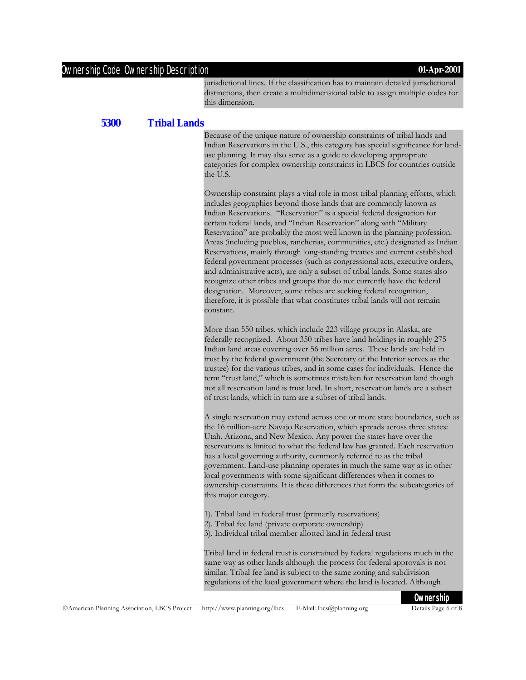#### Ownership Code Ownership Description **01-Apr-2001**

jurisdictional lines. If the classification has to maintain detailed jurisdictional distinctions, then create a multidimensional table to assign multiple codes for this dimension.

#### **5300 Tribal Lands**

Because of the unique nature of ownership constraints of tribal lands and Indian Reservations in the U.S., this category has special significance for landuse planning. It may also serve as a guide to developing appropriate categories for complex ownership constraints in LBCS for countries outside the U.S.

Ownership constraint plays a vital role in most tribal planning efforts, which includes geographies beyond those lands that are commonly known as Indian Reservations. "Reservation" is a special federal designation for certain federal lands, and "Indian Reservation" along with "Military Reservation" are probably the most well known in the planning profession. Areas (including pueblos, rancherias, communities, etc.) designated as Indian Reservations, mainly through long-standing treaties and current established federal government processes (such as congressional acts, executive orders, and administrative acts), are only a subset of tribal lands. Some states also recognize other tribes and groups that do not currently have the federal designation. Moreover, some tribes are seeking federal recognition, therefore, it is possible that what constitutes tribal lands will not remain constant.

More than 550 tribes, which include 223 village groups in Alaska, are federally recognized. About 350 tribes have land holdings in roughly 275 Indian land areas covering over 56 million acres. These lands are held in trust by the federal government (the Secretary of the Interior serves as the trustee) for the various tribes, and in some cases for individuals. Hence the term "trust land," which is sometimes mistaken for reservation land though not all reservation land is trust land. In short, reservation lands are a subset of trust lands, which in turn are a subset of tribal lands.

A single reservation may extend across one or more state boundaries, such as the 16 million-acre Navajo Reservation, which spreads across three states: Utah, Arizona, and New Mexico. Any power the states have over the reservations is limited to what the federal law has granted. Each reservation has a local governing authority, commonly referred to as the tribal government. Land-use planning operates in much the same way as in other local governments with some significant differences when it comes to ownership constraints. It is these differences that form the subcategories of this major category.

- 1). Tribal land in federal trust (primarily reservations)
- 2). Tribal fee land (private corporate ownership)
- 3). Individual tribal member allotted land in federal trust

Tribal land in federal trust is constrained by federal regulations much in the same way as other lands although the process for federal approvals is not similar. Tribal fee land is subject to the same zoning and subdivision regulations of the local government where the land is located. Although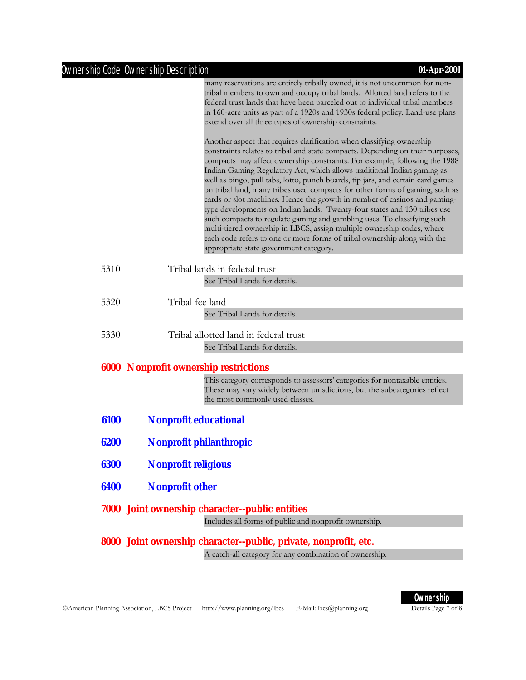|      | Ownership Code Ownership Description<br>01-Apr-2001                                                                                                                                                                                                                                                                                                                                                                                                                                                                                                                                                                                                                                                                                                                                                                                                                                                                                                                                                                                                                                                                                                                                                                                                                                                           |
|------|---------------------------------------------------------------------------------------------------------------------------------------------------------------------------------------------------------------------------------------------------------------------------------------------------------------------------------------------------------------------------------------------------------------------------------------------------------------------------------------------------------------------------------------------------------------------------------------------------------------------------------------------------------------------------------------------------------------------------------------------------------------------------------------------------------------------------------------------------------------------------------------------------------------------------------------------------------------------------------------------------------------------------------------------------------------------------------------------------------------------------------------------------------------------------------------------------------------------------------------------------------------------------------------------------------------|
|      | many reservations are entirely tribally owned, it is not uncommon for non-<br>tribal members to own and occupy tribal lands. Allotted land refers to the<br>federal trust lands that have been parceled out to individual tribal members<br>in 160-acre units as part of a 1920s and 1930s federal policy. Land-use plans<br>extend over all three types of ownership constraints.<br>Another aspect that requires clarification when classifying ownership<br>constraints relates to tribal and state compacts. Depending on their purposes,<br>compacts may affect ownership constraints. For example, following the 1988<br>Indian Gaming Regulatory Act, which allows traditional Indian gaming as<br>well as bingo, pull tabs, lotto, punch boards, tip jars, and certain card games<br>on tribal land, many tribes used compacts for other forms of gaming, such as<br>cards or slot machines. Hence the growth in number of casinos and gaming-<br>type developments on Indian lands. Twenty-four states and 130 tribes use<br>such compacts to regulate gaming and gambling uses. To classifying such<br>multi-tiered ownership in LBCS, assign multiple ownership codes, where<br>each code refers to one or more forms of tribal ownership along with the<br>appropriate state government category. |
| 5310 | Tribal lands in federal trust                                                                                                                                                                                                                                                                                                                                                                                                                                                                                                                                                                                                                                                                                                                                                                                                                                                                                                                                                                                                                                                                                                                                                                                                                                                                                 |
|      | See Tribal Lands for details.                                                                                                                                                                                                                                                                                                                                                                                                                                                                                                                                                                                                                                                                                                                                                                                                                                                                                                                                                                                                                                                                                                                                                                                                                                                                                 |
| 5320 | Tribal fee land<br>See Tribal Lands for details.                                                                                                                                                                                                                                                                                                                                                                                                                                                                                                                                                                                                                                                                                                                                                                                                                                                                                                                                                                                                                                                                                                                                                                                                                                                              |
| 5330 | Tribal allotted land in federal trust                                                                                                                                                                                                                                                                                                                                                                                                                                                                                                                                                                                                                                                                                                                                                                                                                                                                                                                                                                                                                                                                                                                                                                                                                                                                         |
|      | See Tribal Lands for details.                                                                                                                                                                                                                                                                                                                                                                                                                                                                                                                                                                                                                                                                                                                                                                                                                                                                                                                                                                                                                                                                                                                                                                                                                                                                                 |
|      | <b>6000 Nonprofit ownership restrictions</b>                                                                                                                                                                                                                                                                                                                                                                                                                                                                                                                                                                                                                                                                                                                                                                                                                                                                                                                                                                                                                                                                                                                                                                                                                                                                  |
|      | This category corresponds to assessors' categories for nontaxable entities.<br>These may vary widely between jurisdictions, but the subcategories reflect<br>the most commonly used classes.                                                                                                                                                                                                                                                                                                                                                                                                                                                                                                                                                                                                                                                                                                                                                                                                                                                                                                                                                                                                                                                                                                                  |
| 6100 | <b>Nonprofit educational</b>                                                                                                                                                                                                                                                                                                                                                                                                                                                                                                                                                                                                                                                                                                                                                                                                                                                                                                                                                                                                                                                                                                                                                                                                                                                                                  |
| 6200 | Nonprofit philanthropic                                                                                                                                                                                                                                                                                                                                                                                                                                                                                                                                                                                                                                                                                                                                                                                                                                                                                                                                                                                                                                                                                                                                                                                                                                                                                       |
| 6300 | <b>Nonprofit religious</b>                                                                                                                                                                                                                                                                                                                                                                                                                                                                                                                                                                                                                                                                                                                                                                                                                                                                                                                                                                                                                                                                                                                                                                                                                                                                                    |
| 6400 | <b>Nonprofit other</b>                                                                                                                                                                                                                                                                                                                                                                                                                                                                                                                                                                                                                                                                                                                                                                                                                                                                                                                                                                                                                                                                                                                                                                                                                                                                                        |
|      | <b>7000</b> Joint ownership character--public entities                                                                                                                                                                                                                                                                                                                                                                                                                                                                                                                                                                                                                                                                                                                                                                                                                                                                                                                                                                                                                                                                                                                                                                                                                                                        |
|      | Includes all forms of public and nonprofit ownership.                                                                                                                                                                                                                                                                                                                                                                                                                                                                                                                                                                                                                                                                                                                                                                                                                                                                                                                                                                                                                                                                                                                                                                                                                                                         |
|      |                                                                                                                                                                                                                                                                                                                                                                                                                                                                                                                                                                                                                                                                                                                                                                                                                                                                                                                                                                                                                                                                                                                                                                                                                                                                                                               |
|      | 8000 Joint ownership character--public, private, nonprofit, etc.                                                                                                                                                                                                                                                                                                                                                                                                                                                                                                                                                                                                                                                                                                                                                                                                                                                                                                                                                                                                                                                                                                                                                                                                                                              |
|      | A catch all category for any combination of ownership                                                                                                                                                                                                                                                                                                                                                                                                                                                                                                                                                                                                                                                                                                                                                                                                                                                                                                                                                                                                                                                                                                                                                                                                                                                         |

A catch-all category for any combination of ownership.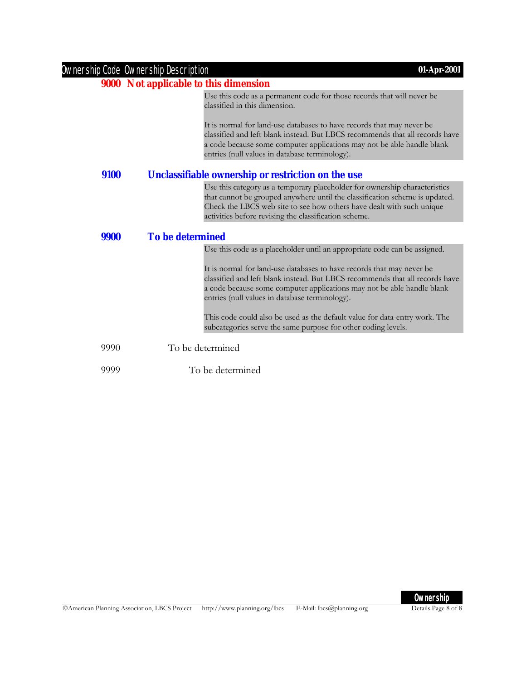|      | Ownership Code Ownership Description<br>01-Apr-2001                                                                                                                                                                                                                                         |
|------|---------------------------------------------------------------------------------------------------------------------------------------------------------------------------------------------------------------------------------------------------------------------------------------------|
|      | 9000 Not applicable to this dimension                                                                                                                                                                                                                                                       |
|      | Use this code as a permanent code for those records that will never be<br>classified in this dimension.                                                                                                                                                                                     |
|      | It is normal for land-use databases to have records that may never be<br>classified and left blank instead. But LBCS recommends that all records have<br>a code because some computer applications may not be able handle blank<br>entries (null values in database terminology).           |
| 9100 | Unclassifiable ownership or restriction on the use                                                                                                                                                                                                                                          |
|      | Use this category as a temporary placeholder for ownership characteristics<br>that cannot be grouped anywhere until the classification scheme is updated.<br>Check the LBCS web site to see how others have dealt with such unique<br>activities before revising the classification scheme. |
| 9900 | <b>To be determined</b>                                                                                                                                                                                                                                                                     |
|      | Use this code as a placeholder until an appropriate code can be assigned.                                                                                                                                                                                                                   |
|      | It is normal for land-use databases to have records that may never be<br>classified and left blank instead. But LBCS recommends that all records have<br>a code because some computer applications may not be able handle blank<br>entries (null values in database terminology).           |
|      | This code could also be used as the default value for data-entry work. The<br>subcategories serve the same purpose for other coding levels.                                                                                                                                                 |
| 9990 | To be determined                                                                                                                                                                                                                                                                            |
| 9999 | To be determined                                                                                                                                                                                                                                                                            |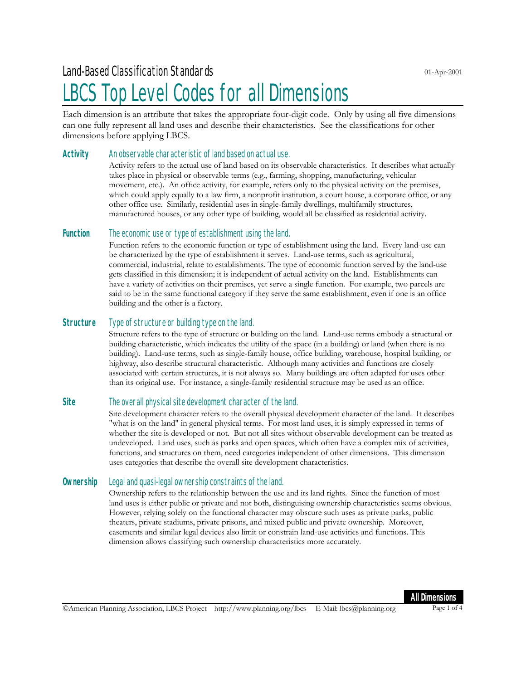### LBCS Top Level Codes for all Dimensions

Each dimension is an attribute that takes the appropriate four-digit code. Only by using all five dimensions can one fully represent all land uses and describe their characteristics. See the classifications for other dimensions before applying LBCS.

#### **Activity** An observable characteristic of land based on actual use.

Activity refers to the actual use of land based on its observable characteristics. It describes what actually takes place in physical or observable terms (e.g., farming, shopping, manufacturing, vehicular movement, etc.). An office activity, for example, refers only to the physical activity on the premises, which could apply equally to a law firm, a nonprofit institution, a court house, a corporate office, or any other office use. Similarly, residential uses in single-family dwellings, multifamily structures, manufactured houses, or any other type of building, would all be classified as residential activity.

#### **Function** The economic use or type of establishment using the land.

Function refers to the economic function or type of establishment using the land. Every land-use can be characterized by the type of establishment it serves. Land-use terms, such as agricultural, commercial, industrial, relate to establishments. The type of economic function served by the land-use gets classified in this dimension; it is independent of actual activity on the land. Establishments can have a variety of activities on their premises, yet serve a single function. For example, two parcels are said to be in the same functional category if they serve the same establishment, even if one is an office building and the other is a factory.

#### **Structure** Type of structure or building type on the land.

Structure refers to the type of structure or building on the land. Land-use terms embody a structural or building characteristic, which indicates the utility of the space (in a building) or land (when there is no building). Land-use terms, such as single-family house, office building, warehouse, hospital building, or highway, also describe structural characteristic. Although many activities and functions are closely associated with certain structures, it is not always so. Many buildings are often adapted for uses other than its original use. For instance, a single-family residential structure may be used as an office.

#### **Site** The overall physical site development character of the land.

Site development character refers to the overall physical development character of the land. It describes "what is on the land" in general physical terms. For most land uses, it is simply expressed in terms of whether the site is developed or not. But not all sites without observable development can be treated as undeveloped. Land uses, such as parks and open spaces, which often have a complex mix of activities, functions, and structures on them, need categories independent of other dimensions. This dimension uses categories that describe the overall site development characteristics.

#### **Ownership** Legal and quasi-legal ownership constraints of the land.

Ownership refers to the relationship between the use and its land rights. Since the function of most land uses is either public or private and not both, distinguising ownership characteristics seems obvious. However, relying solely on the functional character may obscure such uses as private parks, public theaters, private stadiums, private prisons, and mixed public and private ownership. Moreover, easements and similar legal devices also limit or constrain land-use activities and functions. This dimension allows classifying such ownership characteristics more accurately.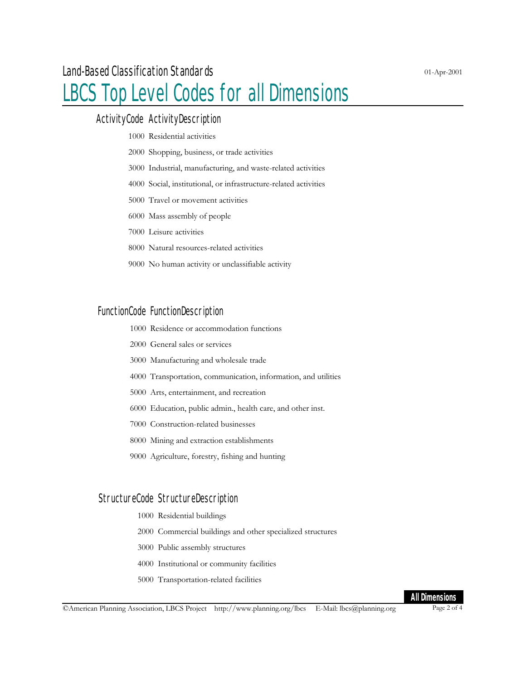### LBCS Top Level Codes for all Dimensions

#### ActivityCode ActivityDescription

- Residential activities
- Shopping, business, or trade activities
- Industrial, manufacturing, and waste-related activities
- Social, institutional, or infrastructure-related activities
- Travel or movement activities
- Mass assembly of people
- Leisure activities
- Natural resources-related activities
- No human activity or unclassifiable activity

#### FunctionCode FunctionDescription

- Residence or accommodation functions
- General sales or services
- Manufacturing and wholesale trade
- Transportation, communication, information, and utilities
- Arts, entertainment, and recreation
- Education, public admin., health care, and other inst.
- Construction-related businesses
- Mining and extraction establishments
- Agriculture, forestry, fishing and hunting

#### StructureCode StructureDescription

- Residential buildings
- Commercial buildings and other specialized structures
- Public assembly structures
- Institutional or community facilities
- Transportation-related facilities

<sup>©</sup>American Planning Association, LBCS Project http://www.planning.org/lbcs E-Mail: lbcs@planning.org Page 2 of 4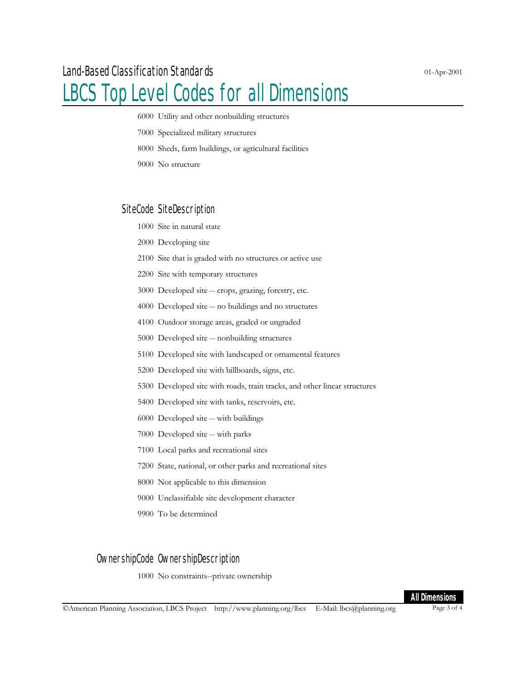### LBCS Top Level Codes for all Dimensions

- Utility and other nonbuilding structures
- Specialized military structures
- Sheds, farm buildings, or agricultural facilities
- No structure

#### SiteCode SiteDescription

- Site in natural state
- Developing site
- Site that is graded with no structures or active use
- Site with temporary structures
- Developed site -- crops, grazing, forestry, etc.
- Developed site -- no buildings and no structures
- Outdoor storage areas, graded or ungraded
- Developed site -- nonbuilding structures
- Developed site with landscaped or ornamental features
- Developed site with billboards, signs, etc.
- Developed site with roads, train tracks, and other linear structures
- Developed site with tanks, reservoirs, etc.
- Developed site -- with buildings
- Developed site -- with parks
- Local parks and recreational sites
- State, national, or other parks and recreational sites
- Not applicable to this dimension
- Unclassifiable site development character
- To be determined

#### OwnershipCode OwnershipDescription

No constraints--private ownership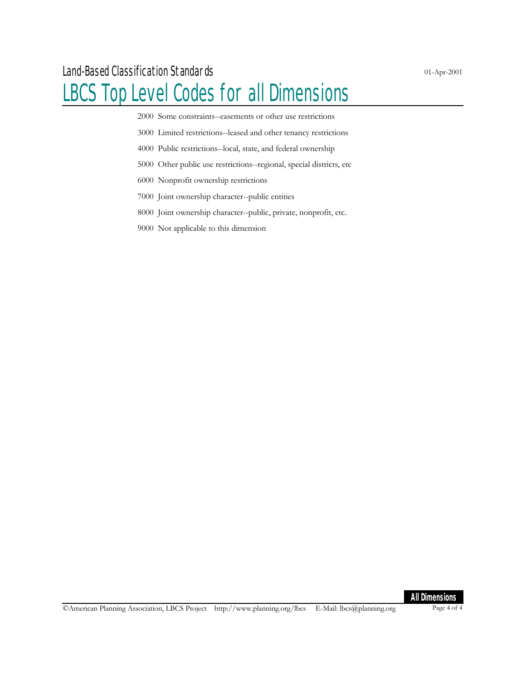## LBCS Top Level Codes for all Dimensions

Some constraints--easements or other use restrictions

Limited restrictions--leased and other tenancy restrictions

- Public restrictions--local, state, and federal ownership
- Other public use restrictions--regional, special districts, etc
- Nonprofit ownership restrictions
- Joint ownership character--public entities
- Joint ownership character--public, private, nonprofit, etc.
- Not applicable to this dimension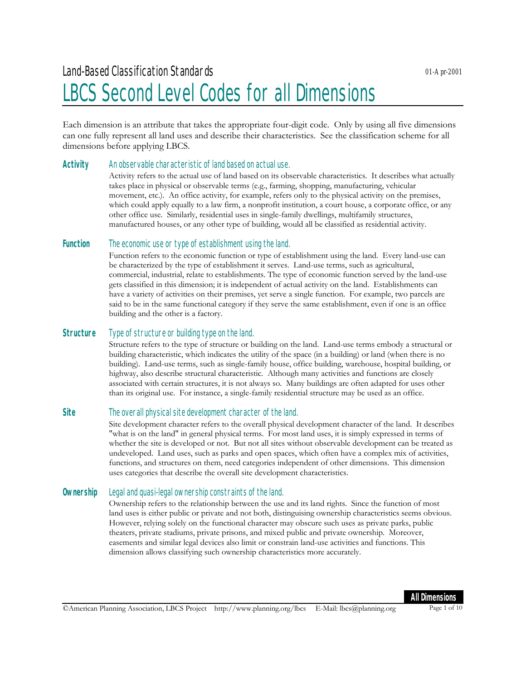### Land-Based Classification Standards LBCS Second Level Codes for all Dimensions

Each dimension is an attribute that takes the appropriate four-digit code. Only by using all five dimensions can one fully represent all land uses and describe their characteristics. See the classification scheme for all dimensions before applying LBCS.

#### **Activity** An observable characteristic of land based on actual use.

Activity refers to the actual use of land based on its observable characteristics. It describes what actually takes place in physical or observable terms (e.g., farming, shopping, manufacturing, vehicular movement, etc.). An office activity, for example, refers only to the physical activity on the premises, which could apply equally to a law firm, a nonprofit institution, a court house, a corporate office, or any other office use. Similarly, residential uses in single-family dwellings, multifamily structures, manufactured houses, or any other type of building, would all be classified as residential activity.

#### **Function** The economic use or type of establishment using the land.

Function refers to the economic function or type of establishment using the land. Every land-use can be characterized by the type of establishment it serves. Land-use terms, such as agricultural, commercial, industrial, relate to establishments. The type of economic function served by the land-use gets classified in this dimension; it is independent of actual activity on the land. Establishments can have a variety of activities on their premises, yet serve a single function. For example, two parcels are said to be in the same functional category if they serve the same establishment, even if one is an office building and the other is a factory.

#### **Structure** Type of structure or building type on the land.

Structure refers to the type of structure or building on the land. Land-use terms embody a structural or building characteristic, which indicates the utility of the space (in a building) or land (when there is no building). Land-use terms, such as single-family house, office building, warehouse, hospital building, or highway, also describe structural characteristic. Although many activities and functions are closely associated with certain structures, it is not always so. Many buildings are often adapted for uses other than its original use. For instance, a single-family residential structure may be used as an office.

#### **Site** The overall physical site development character of the land.

Site development character refers to the overall physical development character of the land. It describes "what is on the land" in general physical terms. For most land uses, it is simply expressed in terms of whether the site is developed or not. But not all sites without observable development can be treated as undeveloped. Land uses, such as parks and open spaces, which often have a complex mix of activities, functions, and structures on them, need categories independent of other dimensions. This dimension uses categories that describe the overall site development characteristics.

#### **Ownership** Legal and quasi-legal ownership constraints of the land.

Ownership refers to the relationship between the use and its land rights. Since the function of most land uses is either public or private and not both, distinguising ownership characteristics seems obvious. However, relying solely on the functional character may obscure such uses as private parks, public theaters, private stadiums, private prisons, and mixed public and private ownership. Moreover, easements and similar legal devices also limit or constrain land-use activities and functions. This dimension allows classifying such ownership characteristics more accurately.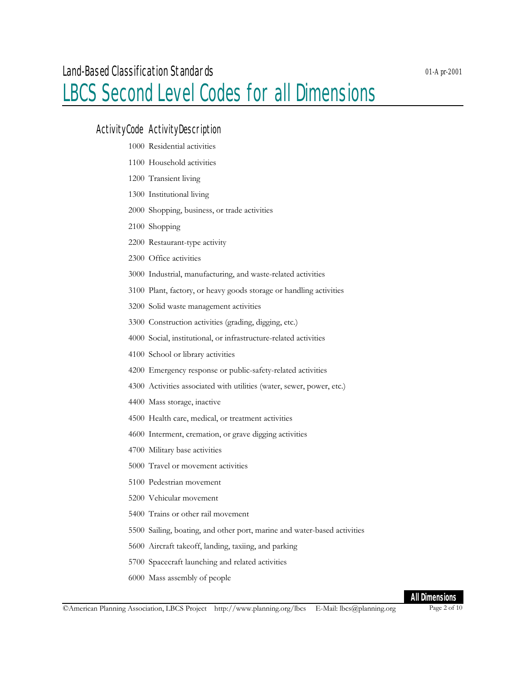### LBCS Second Level Codes for all Dimensions

#### ActivityCode ActivityDescription

- Residential activities
- Household activities
- Transient living
- Institutional living
- Shopping, business, or trade activities
- Shopping
- Restaurant-type activity
- Office activities
- Industrial, manufacturing, and waste-related activities
- Plant, factory, or heavy goods storage or handling activities
- Solid waste management activities
- Construction activities (grading, digging, etc.)
- Social, institutional, or infrastructure-related activities
- School or library activities
- Emergency response or public-safety-related activities
- Activities associated with utilities (water, sewer, power, etc.)
- Mass storage, inactive
- Health care, medical, or treatment activities
- Interment, cremation, or grave digging activities
- Military base activities
- Travel or movement activities
- Pedestrian movement
- Vehicular movement
- Trains or other rail movement
- Sailing, boating, and other port, marine and water-based activities
- Aircraft takeoff, landing, taxiing, and parking
- Spacecraft launching and related activities
- Mass assembly of people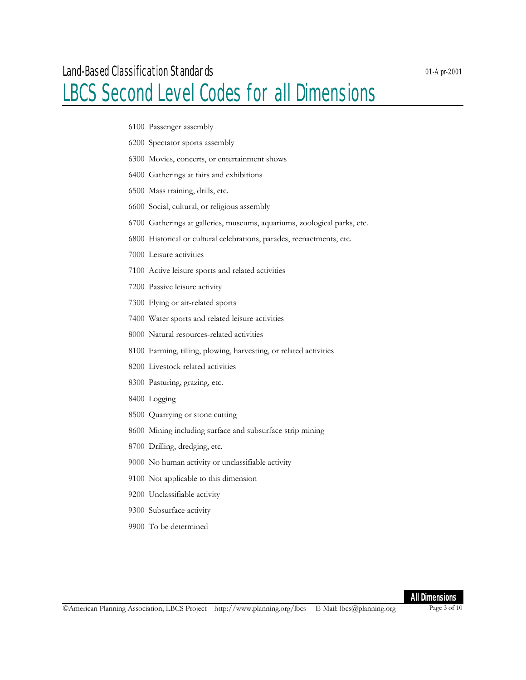### LBCS Second Level Codes for all Dimensions

- Passenger assembly
- Spectator sports assembly
- Movies, concerts, or entertainment shows
- Gatherings at fairs and exhibitions
- Mass training, drills, etc.
- Social, cultural, or religious assembly
- Gatherings at galleries, museums, aquariums, zoological parks, etc.
- Historical or cultural celebrations, parades, reenactments, etc.
- Leisure activities
- Active leisure sports and related activities
- Passive leisure activity
- Flying or air-related sports
- Water sports and related leisure activities
- Natural resources-related activities
- Farming, tilling, plowing, harvesting, or related activities
- Livestock related activities
- Pasturing, grazing, etc.
- Logging
- Quarrying or stone cutting
- Mining including surface and subsurface strip mining
- Drilling, dredging, etc.
- No human activity or unclassifiable activity
- Not applicable to this dimension
- Unclassifiable activity
- Subsurface activity
- To be determined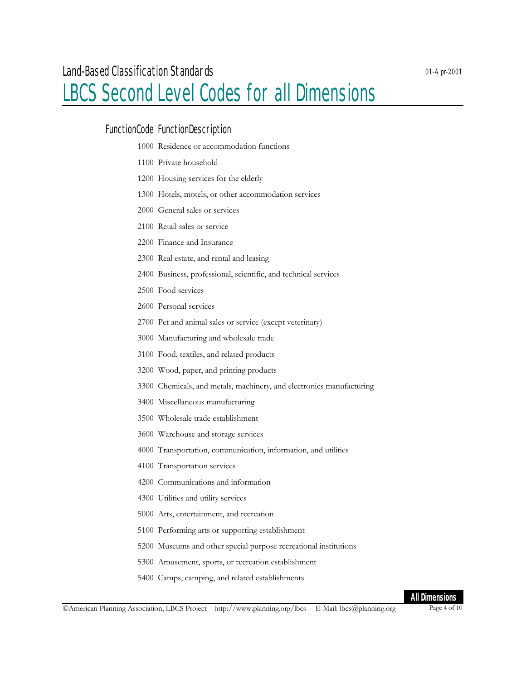### LBCS Second Level Codes for all Dimensions

#### FunctionCode FunctionDescription

- Residence or accommodation functions
- Private household
- Housing services for the elderly
- Hotels, motels, or other accommodation services
- General sales or services
- Retail sales or service
- Finance and Insurance
- Real estate, and rental and leasing
- Business, professional, scientific, and technical services
- Food services
- Personal services
- Pet and animal sales or service (except veterinary)
- Manufacturing and wholesale trade
- Food, textiles, and related products
- Wood, paper, and printing products
- Chemicals, and metals, machinery, and electronics manufacturing
- Miscellaneous manufacturing
- Wholesale trade establishment
- Warehouse and storage services
- Transportation, communication, information, and utilities
- Transportation services
- Communications and information
- Utilities and utility services
- Arts, entertainment, and recreation
- Performing arts or supporting establishment
- Museums and other special purpose recreational institutions
- Amusement, sports, or recreation establishment
- Camps, camping, and related establishments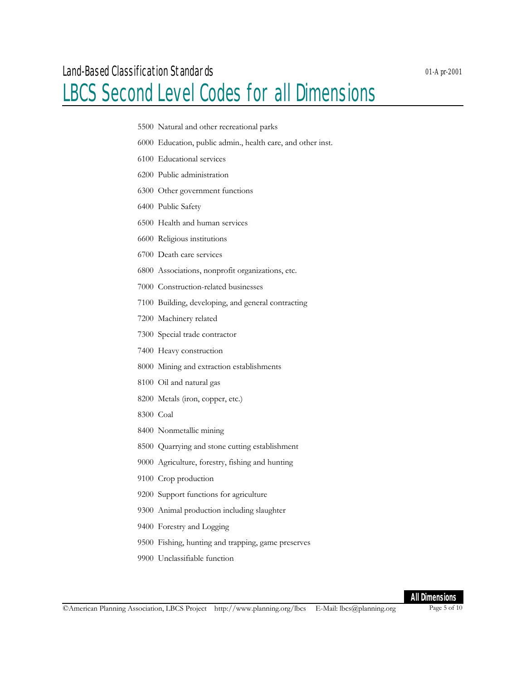### LBCS Second Level Codes for all Dimensions

- Natural and other recreational parks
- Education, public admin., health care, and other inst.
- Educational services
- Public administration
- Other government functions
- Public Safety
- Health and human services
- Religious institutions
- Death care services
- Associations, nonprofit organizations, etc.
- Construction-related businesses
- Building, developing, and general contracting
- Machinery related
- Special trade contractor
- Heavy construction
- Mining and extraction establishments
- Oil and natural gas
- Metals (iron, copper, etc.)
- Coal
- Nonmetallic mining
- Quarrying and stone cutting establishment
- Agriculture, forestry, fishing and hunting
- Crop production
- Support functions for agriculture
- Animal production including slaughter
- Forestry and Logging
- Fishing, hunting and trapping, game preserves
- Unclassifiable function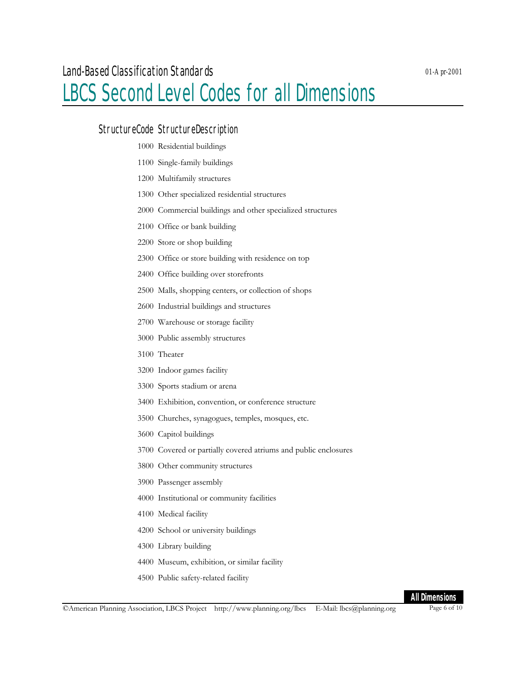### LBCS Second Level Codes for all Dimensions

#### StructureCode StructureDescription

- Residential buildings
- Single-family buildings
- Multifamily structures
- Other specialized residential structures
- Commercial buildings and other specialized structures
- Office or bank building
- Store or shop building
- Office or store building with residence on top
- Office building over storefronts
- Malls, shopping centers, or collection of shops
- Industrial buildings and structures
- Warehouse or storage facility
- Public assembly structures
- Theater
- Indoor games facility
- Sports stadium or arena
- Exhibition, convention, or conference structure
- Churches, synagogues, temples, mosques, etc.
- Capitol buildings
- Covered or partially covered atriums and public enclosures
- Other community structures
- Passenger assembly
- Institutional or community facilities
- Medical facility
- School or university buildings
- Library building
- Museum, exhibition, or similar facility
- Public safety-related facility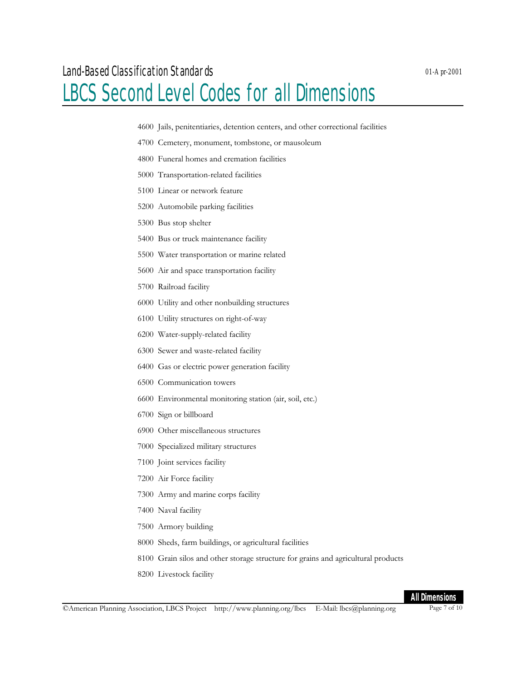### LBCS Second Level Codes for all Dimensions

- *01-Apr-2001*
- Jails, penitentiaries, detention centers, and other correctional facilities
- Cemetery, monument, tombstone, or mausoleum
- Funeral homes and cremation facilities
- Transportation-related facilities
- Linear or network feature
- Automobile parking facilities
- Bus stop shelter
- Bus or truck maintenance facility
- Water transportation or marine related
- Air and space transportation facility
- Railroad facility
- Utility and other nonbuilding structures
- Utility structures on right-of-way
- Water-supply-related facility
- Sewer and waste-related facility
- Gas or electric power generation facility
- Communication towers
- Environmental monitoring station (air, soil, etc.)
- Sign or billboard
- Other miscellaneous structures
- Specialized military structures
- Joint services facility
- Air Force facility
- Army and marine corps facility
- Naval facility
- Armory building
- Sheds, farm buildings, or agricultural facilities
- Grain silos and other storage structure for grains and agricultural products
- Livestock facility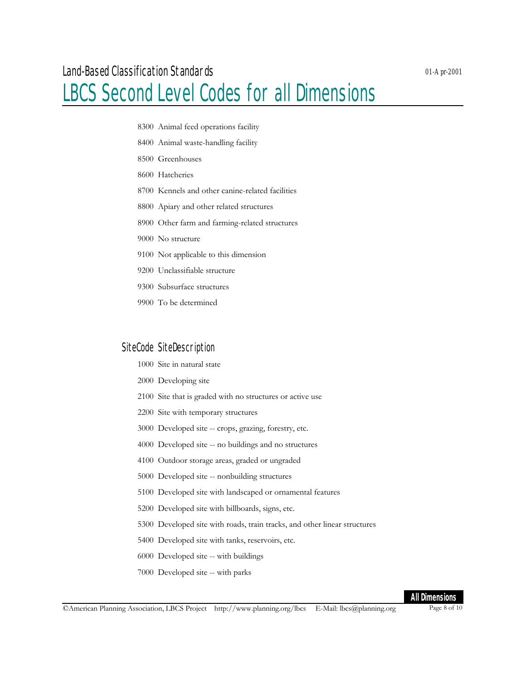### LBCS Second Level Codes for all Dimensions

- Animal feed operations facility
- Animal waste-handling facility
- Greenhouses
- Hatcheries
- Kennels and other canine-related facilities
- Apiary and other related structures
- Other farm and farming-related structures
- No structure
- Not applicable to this dimension
- Unclassifiable structure
- Subsurface structures
- To be determined

#### SiteCode SiteDescription

- Site in natural state
- Developing site
- Site that is graded with no structures or active use
- Site with temporary structures
- Developed site -- crops, grazing, forestry, etc.
- Developed site -- no buildings and no structures
- Outdoor storage areas, graded or ungraded
- Developed site -- nonbuilding structures
- Developed site with landscaped or ornamental features
- Developed site with billboards, signs, etc.
- Developed site with roads, train tracks, and other linear structures
- Developed site with tanks, reservoirs, etc.
- Developed site -- with buildings
- Developed site -- with parks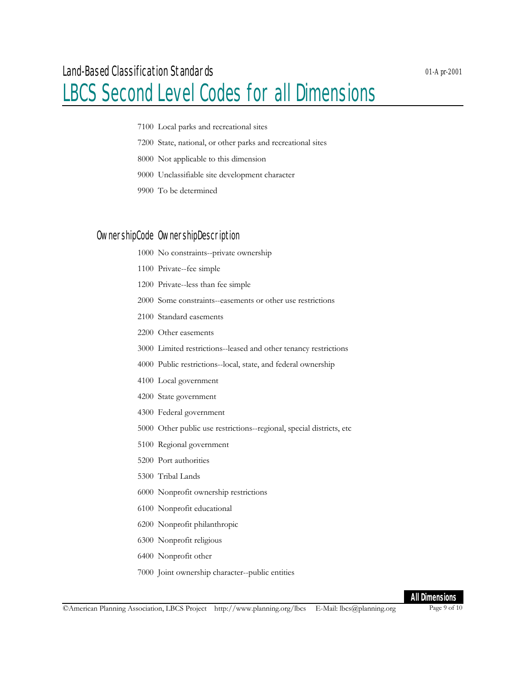- Local parks and recreational sites
- State, national, or other parks and recreational sites
- Not applicable to this dimension
- Unclassifiable site development character
- To be determined

#### OwnershipCode OwnershipDescription

- No constraints--private ownership
- Private--fee simple
- Private--less than fee simple
- Some constraints--easements or other use restrictions
- Standard easements
- Other easements
- Limited restrictions--leased and other tenancy restrictions
- Public restrictions--local, state, and federal ownership
- Local government
- State government
- Federal government
- Other public use restrictions--regional, special districts, etc
- Regional government
- Port authorities
- Tribal Lands
- Nonprofit ownership restrictions
- Nonprofit educational
- Nonprofit philanthropic
- Nonprofit religious
- Nonprofit other
- Joint ownership character--public entities